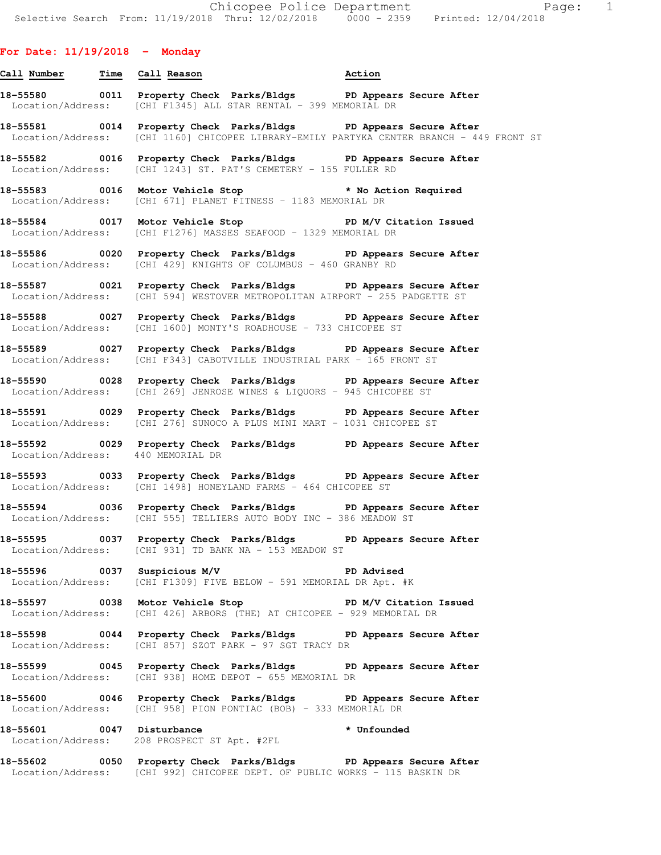## **For Date: 11/19/2018 - Monday**

# **Call Number Time Call Reason Action 18-55580 0011 Property Check Parks/Bldgs PD Appears Secure After**  Location/Address: [CHI F1345] ALL STAR RENTAL - 399 MEMORIAL DR

**18-55581 0014 Property Check Parks/Bldgs PD Appears Secure After**  Location/Address: [CHI 1160] CHICOPEE LIBRARY-EMILY PARTYKA CENTER BRANCH - 449 FRONT ST

**18-55582 0016 Property Check Parks/Bldgs PD Appears Secure After**  Location/Address: [CHI 1243] ST. PAT'S CEMETERY - 155 FULLER RD

**18-55583 0016 Motor Vehicle Stop \* No Action Required**  Location/Address: [CHI 671] PLANET FITNESS - 1183 MEMORIAL DR

**18-55584 0017 Motor Vehicle Stop PD M/V Citation Issued**  Location/Address: [CHI F1276] MASSES SEAFOOD - 1329 MEMORIAL DR

**18-55586 0020 Property Check Parks/Bldgs PD Appears Secure After**  Location/Address: [CHI 429] KNIGHTS OF COLUMBUS - 460 GRANBY RD

**18-55587 0021 Property Check Parks/Bldgs PD Appears Secure After**  Location/Address: [CHI 594] WESTOVER METROPOLITAN AIRPORT - 255 PADGETTE ST

**18-55588 0027 Property Check Parks/Bldgs PD Appears Secure After**  Location/Address: [CHI 1600] MONTY'S ROADHOUSE - 733 CHICOPEE ST

**18-55589 0027 Property Check Parks/Bldgs PD Appears Secure After**  Location/Address: [CHI F343] CABOTVILLE INDUSTRIAL PARK - 165 FRONT ST

**18-55590 0028 Property Check Parks/Bldgs PD Appears Secure After**  Location/Address: [CHI 269] JENROSE WINES & LIQUORS - 945 CHICOPEE ST

**18-55591 0029 Property Check Parks/Bldgs PD Appears Secure After**  Location/Address: [CHI 276] SUNOCO A PLUS MINI MART - 1031 CHICOPEE ST

18-55592 **0029 Property Check Parks/Bldgs** PD Appears Secure After Location/Address: 440 MEMORIAL DR Location/Address:

**18-55593 0033 Property Check Parks/Bldgs PD Appears Secure After**  Location/Address: [CHI 1498] HONEYLAND FARMS - 464 CHICOPEE ST

**18-55594 0036 Property Check Parks/Bldgs PD Appears Secure After**  Location/Address: [CHI 555] TELLIERS AUTO BODY INC - 386 MEADOW ST

**18-55595 0037 Property Check Parks/Bldgs PD Appears Secure After**  Location/Address: [CHI 931] TD BANK NA - 153 MEADOW ST

**18-55596 0037 Suspicious M/V PD Advised**  Location/Address: [CHI F1309] FIVE BELOW - 591 MEMORIAL DR Apt. #K

**18-55597 0038 Motor Vehicle Stop PD M/V Citation Issued**  Location/Address: [CHI 426] ARBORS (THE) AT CHICOPEE - 929 MEMORIAL DR

**18-55598 0044 Property Check Parks/Bldgs PD Appears Secure After**  Location/Address: [CHI 857] SZOT PARK - 97 SGT TRACY DR

**18-55599 0045 Property Check Parks/Bldgs PD Appears Secure After**  Location/Address: [CHI 938] HOME DEPOT - 655 MEMORIAL DR

**18-55600 0046 Property Check Parks/Bldgs PD Appears Secure After**  Location/Address: [CHI 958] PION PONTIAC (BOB) - 333 MEMORIAL DR

**18-55601 0047 Disturbance \* Unfounded**  Location/Address: 208 PROSPECT ST Apt. #2FL

**18-55602 0050 Property Check Parks/Bldgs PD Appears Secure After**  Location/Address: [CHI 992] CHICOPEE DEPT. OF PUBLIC WORKS - 115 BASKIN DR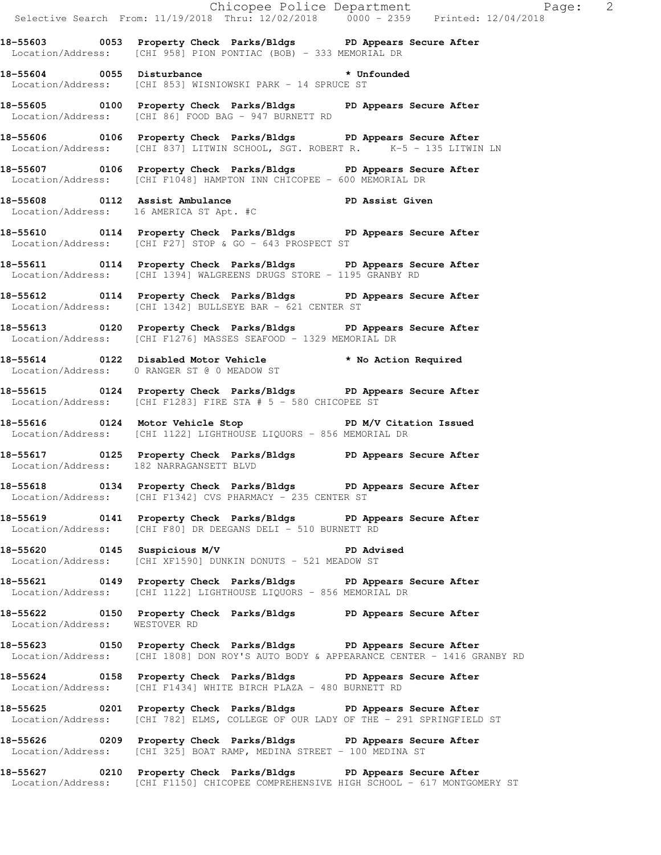|                                             |  |                                                                                                            |                                                                                                                                                           | Chicopee Police Department<br>Selective Search From: 11/19/2018 Thru: 12/02/2018 0000 - 2359 Printed: 12/04/2018 |
|---------------------------------------------|--|------------------------------------------------------------------------------------------------------------|-----------------------------------------------------------------------------------------------------------------------------------------------------------|------------------------------------------------------------------------------------------------------------------|
|                                             |  | Location/Address: [CHI 958] PION PONTIAC (BOB) - 333 MEMORIAL DR                                           | 18-55603 0053 Property Check Parks/Bldgs PD Appears Secure After                                                                                          |                                                                                                                  |
|                                             |  | 18-55604 0055 Disturbance * Unfounded<br>Location/Address: [CHI 853] WISNIOWSKI PARK - 14 SPRUCE ST        |                                                                                                                                                           |                                                                                                                  |
|                                             |  |                                                                                                            | 18-55605 0100 Property Check Parks/Bldgs PD Appears Secure After<br>Location/Address: [CHI 86] FOOD BAG - 947 BURNETT RD                                  |                                                                                                                  |
|                                             |  |                                                                                                            | 18-55606 0106 Property Check Parks/Bldgs PD Appears Secure After<br>Location/Address: [CHI 837] LITWIN SCHOOL, SGT. ROBERT R. K-5 - 135 LITWIN LN         |                                                                                                                  |
|                                             |  | Location/Address: [CHI F1048] HAMPTON INN CHICOPEE - 600 MEMORIAL DR                                       | 18-55607 0106 Property Check Parks/Bldgs PD Appears Secure After                                                                                          |                                                                                                                  |
|                                             |  |                                                                                                            | 18-55608 0112 Assist Ambulance PD Assist Given<br>Location/Address: 16 AMERICA ST Apt. #C                                                                 |                                                                                                                  |
|                                             |  | Location/Address: [CHI F27] STOP & GO - 643 PROSPECT ST                                                    | 18-55610 0114 Property Check Parks/Bldgs PD Appears Secure After                                                                                          |                                                                                                                  |
|                                             |  | Location/Address: [CHI 1394] WALGREENS DRUGS STORE - 1195 GRANBY RD                                        | 18-55611 0114 Property Check Parks/Bldgs PD Appears Secure After                                                                                          |                                                                                                                  |
|                                             |  | Location/Address: [CHI 1342] BULLSEYE BAR - 621 CENTER ST                                                  | 18-55612 0114 Property Check Parks/Bldgs PD Appears Secure After                                                                                          |                                                                                                                  |
|                                             |  | Location/Address: [CHI F1276] MASSES SEAFOOD - 1329 MEMORIAL DR                                            | 18-55613 0120 Property Check Parks/Bldgs PD Appears Secure After                                                                                          |                                                                                                                  |
| Location/Address: 0 RANGER ST @ 0 MEADOW ST |  |                                                                                                            | 18-55614 0122 Disabled Motor Vehicle * No Action Required                                                                                                 |                                                                                                                  |
|                                             |  | Location/Address: [CHI F1283] FIRE STA # 5 - 580 CHICOPEE ST                                               | 18-55615 0124 Property Check Parks/Bldgs PD Appears Secure After                                                                                          |                                                                                                                  |
|                                             |  | Location/Address: [CHI 1122] LIGHTHOUSE LIQUORS - 856 MEMORIAL DR                                          | 18-55616 0124 Motor Vehicle Stop PD M/V Citation Issued                                                                                                   |                                                                                                                  |
| Location/Address: 182 NARRAGANSETT BLVD     |  |                                                                                                            | 18-55617 0125 Property Check Parks/Bldgs PD Appears Secure After                                                                                          |                                                                                                                  |
|                                             |  | Location/Address: [CHI F1342] CVS PHARMACY - 235 CENTER ST                                                 | 18-55618 0134 Property Check Parks/Bldgs PD Appears Secure After                                                                                          |                                                                                                                  |
|                                             |  | Location/Address: [CHI F80] DR DEEGANS DELI - 510 BURNETT RD                                               | 18-55619 0141 Property Check Parks/Bldgs PD Appears Secure After                                                                                          |                                                                                                                  |
|                                             |  | 18-55620 0145 Suspicious M/V CD PD Advised<br>Location/Address: [CHI XF1590] DUNKIN DONUTS - 521 MEADOW ST |                                                                                                                                                           |                                                                                                                  |
|                                             |  | Location/Address: [CHI 1122] LIGHTHOUSE LIQUORS - 856 MEMORIAL DR                                          | 18-55621 0149 Property Check Parks/Bldgs PD Appears Secure After                                                                                          |                                                                                                                  |
| Location/Address: WESTOVER RD               |  |                                                                                                            | 18-55622 0150 Property Check Parks/Bldgs PD Appears Secure After                                                                                          |                                                                                                                  |
|                                             |  |                                                                                                            | 18-55623 0150 Property Check Parks/Bldgs PD Appears Secure After<br>Location/Address: [CHI 1808] DON ROY'S AUTO BODY & APPEARANCE CENTER - 1416 GRANBY RD |                                                                                                                  |
|                                             |  | Location/Address: [CHI F1434] WHITE BIRCH PLAZA - 480 BURNETT RD                                           | 18-55624 0158 Property Check Parks/Bldgs PD Appears Secure After                                                                                          |                                                                                                                  |
|                                             |  |                                                                                                            | 18-55625 0201 Property Check Parks/Bldgs PD Appears Secure After<br>Location/Address: [CHI 782] ELMS, COLLEGE OF OUR LADY OF THE - 291 SPRINGFIELD ST     |                                                                                                                  |
|                                             |  | Location/Address: [CHI 325] BOAT RAMP, MEDINA STREET - 100 MEDINA ST                                       | 18-55626 0209 Property Check Parks/Bldgs PD Appears Secure After                                                                                          |                                                                                                                  |
|                                             |  |                                                                                                            | 18-55627 0210 Property Check Parks/Bldgs PD Appears Secure After                                                                                          |                                                                                                                  |

Location/Address: [CHI F1150] CHICOPEE COMPREHENSIVE HIGH SCHOOL - 617 MONTGOMERY ST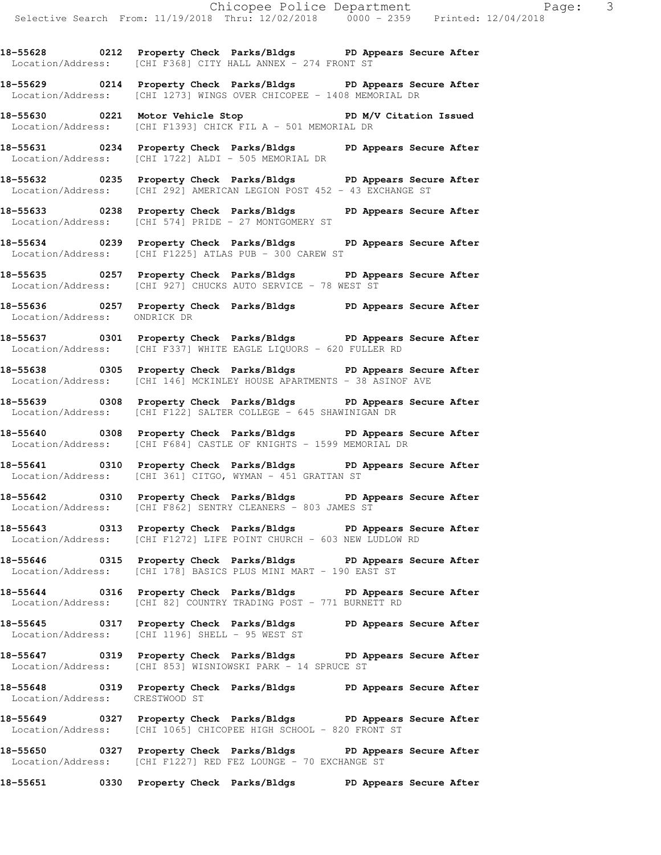**18-55628 0212 Property Check Parks/Bldgs PD Appears Secure After**  Location/Address: [CHI F368] CITY HALL ANNEX - 274 FRONT ST

**18-55629 0214 Property Check Parks/Bldgs PD Appears Secure After**  Location/Address: [CHI 1273] WINGS OVER CHICOPEE - 1408 MEMORIAL DR

**18-55630 0221 Motor Vehicle Stop PD M/V Citation Issued**  Location/Address: [CHI F1393] CHICK FIL A - 501 MEMORIAL DR

**18-55631 0234 Property Check Parks/Bldgs PD Appears Secure After**  Location/Address: [CHI 1722] ALDI - 505 MEMORIAL DR

**18-55632 0235 Property Check Parks/Bldgs PD Appears Secure After**  Location/Address: [CHI 292] AMERICAN LEGION POST 452 - 43 EXCHANGE ST

**18-55633 0238 Property Check Parks/Bldgs PD Appears Secure After**  Location/Address: [CHI 574] PRIDE - 27 MONTGOMERY ST

**18-55634 0239 Property Check Parks/Bldgs PD Appears Secure After**  Location/Address: [CHI F1225] ATLAS PUB - 300 CAREW ST

**18-55635 0257 Property Check Parks/Bldgs PD Appears Secure After**  Location/Address: [CHI 927] CHUCKS AUTO SERVICE - 78 WEST ST

**18-55636 0257 Property Check Parks/Bldgs PD Appears Secure After**  Location/Address: ONDRICK DR

**18-55637 0301 Property Check Parks/Bldgs PD Appears Secure After**  Location/Address: [CHI F337] WHITE EAGLE LIQUORS - 620 FULLER RD

**18-55638 0305 Property Check Parks/Bldgs PD Appears Secure After**  Location/Address: [CHI 146] MCKINLEY HOUSE APARTMENTS - 38 ASINOF AVE

**18-55639 0308 Property Check Parks/Bldgs PD Appears Secure After**  Location/Address: [CHI F122] SALTER COLLEGE - 645 SHAWINIGAN DR

**18-55640 0308 Property Check Parks/Bldgs PD Appears Secure After**  Location/Address: [CHI F684] CASTLE OF KNIGHTS - 1599 MEMORIAL DR

**18-55641 0310 Property Check Parks/Bldgs PD Appears Secure After**  Location/Address: [CHI 361] CITGO, WYMAN - 451 GRATTAN ST

**18-55642 0310 Property Check Parks/Bldgs PD Appears Secure After**  Location/Address: [CHI F862] SENTRY CLEANERS - 803 JAMES ST

**18-55643 0313 Property Check Parks/Bldgs PD Appears Secure After**  Location/Address: [CHI F1272] LIFE POINT CHURCH - 603 NEW LUDLOW RD

**18-55646 0315 Property Check Parks/Bldgs PD Appears Secure After**  Location/Address: [CHI 178] BASICS PLUS MINI MART - 190 EAST ST

**18-55644 0316 Property Check Parks/Bldgs PD Appears Secure After**  Location/Address: [CHI 82] COUNTRY TRADING POST - 771 BURNETT RD

**18-55645 0317 Property Check Parks/Bldgs PD Appears Secure After**  Location/Address: [CHI 1196] SHELL - 95 WEST ST

**18-55647 0319 Property Check Parks/Bldgs PD Appears Secure After**  Location/Address: [CHI 853] WISNIOWSKI PARK - 14 SPRUCE ST

**18-55648 0319 Property Check Parks/Bldgs PD Appears Secure After**  Location/Address: CRESTWOOD ST

**18-55649 0327 Property Check Parks/Bldgs PD Appears Secure After**  Location/Address: [CHI 1065] CHICOPEE HIGH SCHOOL - 820 FRONT ST

18-55650 0327 Property Check Parks/Bldgs PD Appears Secure After Location/Address: [CHI F1227] RED FEZ LOUNGE - 70 EXCHANGE ST [CHI F1227] RED FEZ LOUNGE - 70 EXCHANGE ST

**18-55651 0330 Property Check Parks/Bldgs PD Appears Secure After**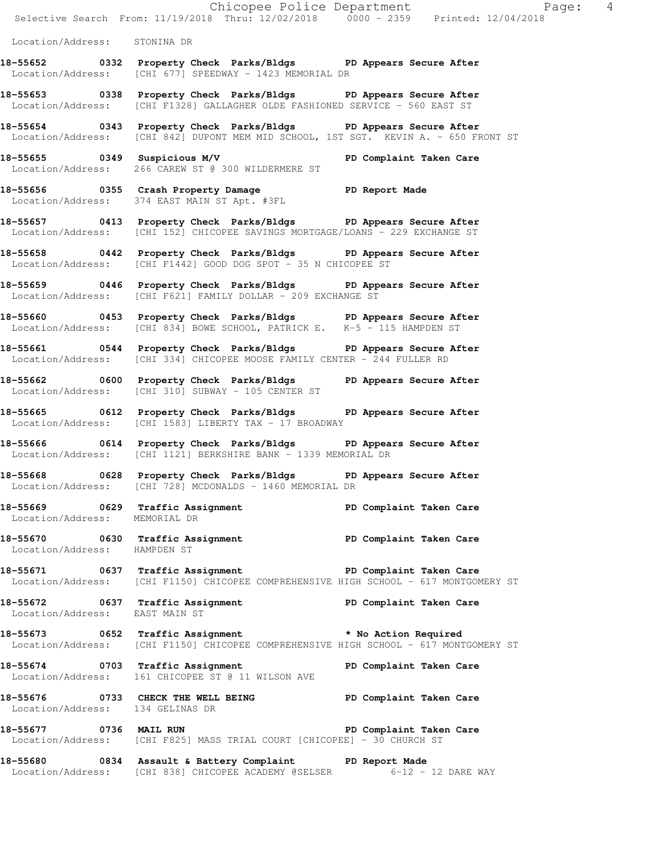|                                  |                                                                                                                                                         | Chicopee Police Department<br>Selective Search From: 11/19/2018 Thru: 12/02/2018 0000 - 2359 Printed: 12/04/2018 |
|----------------------------------|---------------------------------------------------------------------------------------------------------------------------------------------------------|------------------------------------------------------------------------------------------------------------------|
| Location/Address: STONINA DR     |                                                                                                                                                         |                                                                                                                  |
|                                  | 18-55652 0332 Property Check Parks/Bldgs PD Appears Secure After                                                                                        |                                                                                                                  |
|                                  | Location/Address: [CHI 677] SPEEDWAY - 1423 MEMORIAL DR                                                                                                 |                                                                                                                  |
|                                  | 18-55653 0338 Property Check Parks/Bldgs PD Appears Secure After<br>Location/Address: [CHI F1328] GALLAGHER OLDE FASHIONED SERVICE - 560 EAST ST        |                                                                                                                  |
|                                  | 18-55654 0343 Property Check Parks/Bldgs PD Appears Secure After<br>Location/Address: [CHI 842] DUPONT MEM MID SCHOOL, 1ST SGT. KEVIN A. - 650 FRONT ST |                                                                                                                  |
|                                  | 18-55655 0349 Suspicious M/V PD Complaint Taken Care<br>Location/Address: 266 CAREW ST @ 300 WILDERMERE ST                                              |                                                                                                                  |
|                                  | 18-55656 0355 Crash Property Damage PD Report Made<br>Location/Address: 374 EAST MAIN ST Apt. #3FL                                                      |                                                                                                                  |
|                                  | 18-55657 0413 Property Check Parks/Bldgs PD Appears Secure After<br>Location/Address: [CHI 152] CHICOPEE SAVINGS MORTGAGE/LOANS - 229 EXCHANGE ST       |                                                                                                                  |
|                                  | 18-55658 0442 Property Check Parks/Bldgs PD Appears Secure After<br>Location/Address: [CHI F1442] GOOD DOG SPOT - 35 N CHICOPEE ST                      |                                                                                                                  |
|                                  | 18-55659 0446 Property Check Parks/Bldgs PD Appears Secure After<br>Location/Address: [CHI F621] FAMILY DOLLAR - 209 EXCHANGE ST                        |                                                                                                                  |
|                                  | 18-55660 0453 Property Check Parks/Bldgs PD Appears Secure After<br>Location/Address: [CHI 834] BOWE SCHOOL, PATRICK E. K-5 - 115 HAMPDEN ST            |                                                                                                                  |
|                                  | 18-55661 0544 Property Check Parks/Bldgs PD Appears Secure After<br>Location/Address: [CHI 334] CHICOPEE MOOSE FAMILY CENTER - 244 FULLER RD            |                                                                                                                  |
|                                  | 18-55662 0600 Property Check Parks/Bldgs PD Appears Secure After<br>Location/Address: [CHI 310] SUBWAY - 105 CENTER ST                                  |                                                                                                                  |
|                                  | 18-55665 0612 Property Check Parks/Bldgs PD Appears Secure After<br>Location/Address: [CHI 1583] LIBERTY TAX - 17 BROADWAY                              |                                                                                                                  |
|                                  | 18-55666 0614 Property Check Parks/Bldgs PD Appears Secure After<br>Location/Address: [CHI 1121] BERKSHIRE BANK - 1339 MEMORIAL DR                      |                                                                                                                  |
|                                  | 18-55668 0628 Property Check Parks/Bldgs PD Appears Secure After<br>Location/Address: [CHI 728] MCDONALDS - 1460 MEMORIAL DR                            |                                                                                                                  |
| Location/Address: MEMORIAL DR    | 18-55669 0629 Traffic Assignment New PD Complaint Taken Care                                                                                            |                                                                                                                  |
| Location/Address: HAMPDEN ST     | 18-55670 0630 Traffic Assignment New PD Complaint Taken Care                                                                                            |                                                                                                                  |
|                                  | 18-55671 0637 Traffic Assignment PD Complaint Taken Care<br>Location/Address: [CHI F1150] CHICOPEE COMPREHENSIVE HIGH SCHOOL - 617 MONTGOMERY ST        |                                                                                                                  |
| Location/Address: EAST MAIN ST   | 18-55672 0637 Traffic Assignment PD Complaint Taken Care                                                                                                |                                                                                                                  |
|                                  | 18-55673 0652 Traffic Assignment * No Action Required<br>Location/Address: [CHI F1150] CHICOPEE COMPREHENSIVE HIGH SCHOOL - 617 MONTGOMERY ST           |                                                                                                                  |
|                                  | 18-55674 0703 Traffic Assignment<br>Location/Address: 161 CHICOPEE ST @ 11 WILSON AVE                                                                   | PD Complaint Taken Care                                                                                          |
| Location/Address: 134 GELINAS DR | 18-55676 0733 CHECK THE WELL BEING PD Complaint Taken Care                                                                                              |                                                                                                                  |
| 18-55677 0736 MAIL RUN           | Location/Address: [CHI F825] MASS TRIAL COURT [CHICOPEE] - 30 CHURCH ST                                                                                 | PD Complaint Taken Care                                                                                          |
|                                  | 18-55680 0834 Assault & Battery Complaint PD Report Made<br>Location/Address: [CHI 838] CHICOPEE ACADEMY @SELSER 6-12 - 12 DARE WAY                     |                                                                                                                  |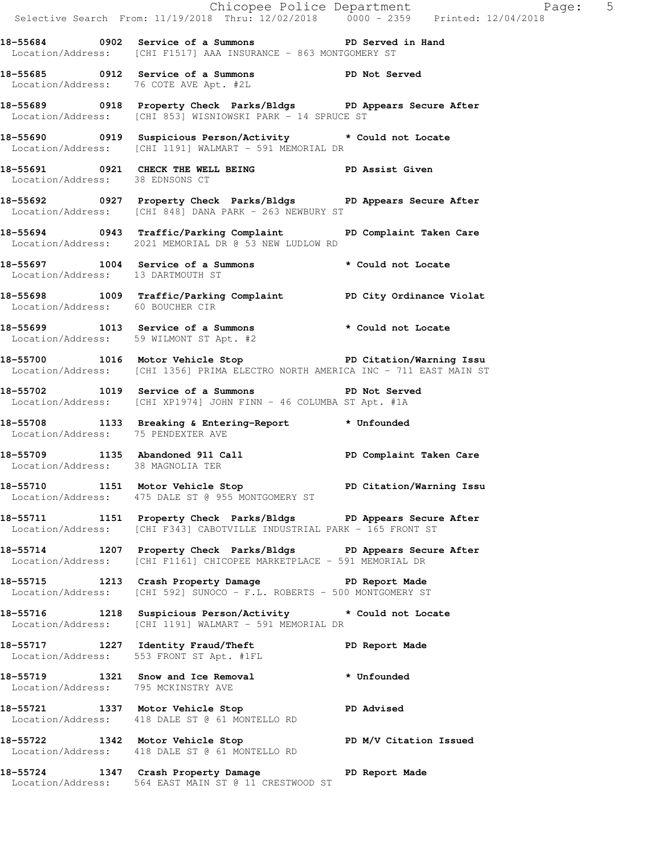Chicopee Police Department Faqe: 5 Selective Search From: 11/19/2018 Thru: 12/02/2018 0000 - 2359 Printed: 12/04/2018 **18-55684 0902 Service of a Summons PD Served in Hand**  Location/Address: [CHI F1517] AAA INSURANCE - 863 MONTGOMERY ST **18-55685 0912 Service of a Summons PD Not Served**  Location/Address: 76 COTE AVE Apt. #2L **18-55689 0918 Property Check Parks/Bldgs PD Appears Secure After**  Location/Address: [CHI 853] WISNIOWSKI PARK - 14 SPRUCE ST **18-55690 0919 Suspicious Person/Activity \* Could not Locate**  Location/Address: [CHI 1191] WALMART - 591 MEMORIAL DR **18-55691 0921 CHECK THE WELL BEING PD Assist Given**  Location/Address: 38 EDNSONS CT **18-55692 0927 Property Check Parks/Bldgs PD Appears Secure After**  Location/Address: [CHI 848] DANA PARK - 263 NEWBURY ST **18-55694 0943 Traffic/Parking Complaint PD Complaint Taken Care**  Location/Address: 2021 MEMORIAL DR @ 53 NEW LUDLOW RD **18-55697 1004 Service of a Summons \* Could not Locate**  Location/Address: 13 DARTMOUTH ST **18-55698 1009 Traffic/Parking Complaint PD City Ordinance Violat**  Location/Address: 60 BOUCHER CIR **18-55699 1013 Service of a Summons \* Could not Locate**  Location/Address: 59 WILMONT ST Apt. #2 **18-55700 1016 Motor Vehicle Stop PD Citation/Warning Issu**  Location/Address: [CHI 1356] PRIMA ELECTRO NORTH AMERICA INC - 711 EAST MAIN ST **18-55702 1019 Service of a Summons PD Not Served**  Location/Address: [CHI XP1974] JOHN FINN - 46 COLUMBA ST Apt. #1A **18-55708 1133 Breaking & Entering-Report \* Unfounded**  Location/Address: 75 PENDEXTER AVE **18-55709 1135 Abandoned 911 Call PD Complaint Taken Care**  Location/Address: 38 MAGNOLIA TER **18-55710 1151 Motor Vehicle Stop PD Citation/Warning Issu**  Location/Address: 475 DALE ST @ 955 MONTGOMERY ST **18-55711 1151 Property Check Parks/Bldgs PD Appears Secure After**  Location/Address: [CHI F343] CABOTVILLE INDUSTRIAL PARK - 165 FRONT ST **18-55714 1207 Property Check Parks/Bldgs PD Appears Secure After**  Location/Address: [CHI F1161] CHICOPEE MARKETPLACE - 591 MEMORIAL DR **18-55715 1213 Crash Property Damage PD Report Made**  Location/Address: [CHI 592] SUNOCO - F.L. ROBERTS - 500 MONTGOMERY ST **18-55716 1218 Suspicious Person/Activity \* Could not Locate**  Location/Address: [CHI 1191] WALMART - 591 MEMORIAL DR **18-55717 1227 Identity Fraud/Theft PD Report Made**  Location/Address: 553 FRONT ST Apt. #1FL **18-55719 1321 Snow and Ice Removal \* Unfounded**  Location/Address: 795 MCKINSTRY AVE **18-55721 1337 Motor Vehicle Stop PD Advised**  Location/Address: 418 DALE ST @ 61 MONTELLO RD **18-55722 1342 Motor Vehicle Stop PD M/V Citation Issued**  Location/Address: 418 DALE ST @ 61 MONTELLO RD

**18-55724 1347 Crash Property Damage PD Report Made**  Location/Address: 564 EAST MAIN ST @ 11 CRESTWOOD ST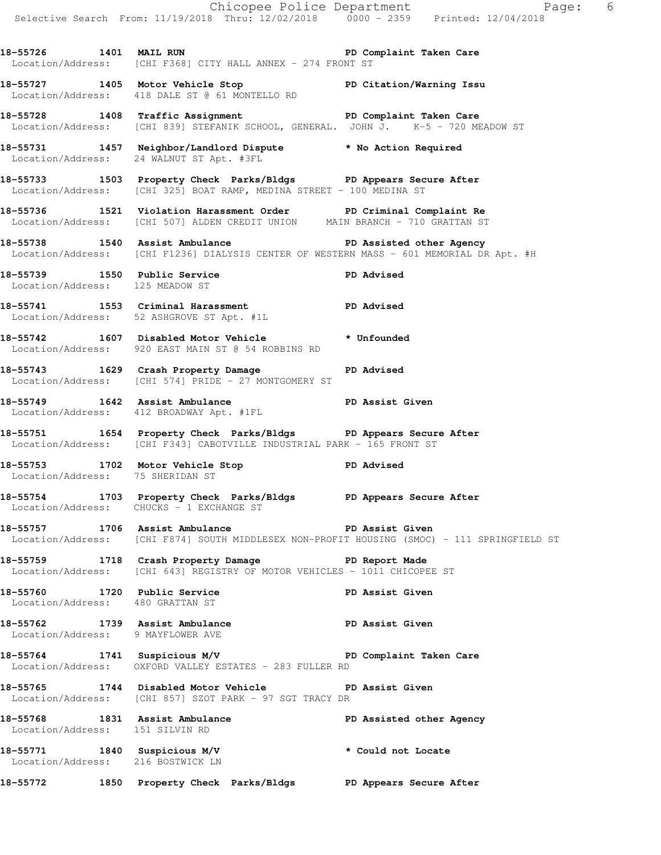Chicopee Police Department Faqe: 6 Selective Search From: 11/19/2018 Thru: 12/02/2018 0000 - 2359 Printed: 12/04/2018 18-55726 1401 MAIL RUN **PD** Complaint Taken Care Location/Address: [CHI F368] CITY HALL ANNEX - 274 FRONT ST **18-55727 1405 Motor Vehicle Stop PD Citation/Warning Issu**  Location/Address: 418 DALE ST @ 61 MONTELLO RD **18-55728 1408 Traffic Assignment PD Complaint Taken Care**  Location/Address: [CHI 839] STEFANIK SCHOOL, GENERAL. JOHN J. K-5 - 720 MEADOW ST **18-55731 1457 Neighbor/Landlord Dispute \* No Action Required**  Location/Address: 24 WALNUT ST Apt. #3FL **18-55733 1503 Property Check Parks/Bldgs PD Appears Secure After**  Location/Address: [CHI 325] BOAT RAMP, MEDINA STREET - 100 MEDINA ST **18-55736 1521 Violation Harassment Order PD Criminal Complaint Re**  Location/Address: [CHI 507] ALDEN CREDIT UNION MAIN BRANCH - 710 GRATTAN ST **18-55738 1540 Assist Ambulance PD Assisted other Agency**  Location/Address: [CHI F1236] DIALYSIS CENTER OF WESTERN MASS - 601 MEMORIAL DR Apt. #H 18-55739 1550 Public Service **PD** Advised Location/Address: 125 MEADOW ST **18-55741 1553 Criminal Harassment PD Advised**  Location/Address: 52 ASHGROVE ST Apt. #1L **18-55742 1607 Disabled Motor Vehicle \* Unfounded**  Location/Address: 920 EAST MAIN ST @ 54 ROBBINS RD **18-55743 1629 Crash Property Damage PD Advised**  Location/Address: [CHI 574] PRIDE - 27 MONTGOMERY ST **18-55749 1642 Assist Ambulance PD Assist Given**  Location/Address: 412 BROADWAY Apt. #1FL **18-55751 1654 Property Check Parks/Bldgs PD Appears Secure After**  Location/Address: [CHI F343] CABOTVILLE INDUSTRIAL PARK - 165 FRONT ST 18-55753 1702 Motor Vehicle Stop **PD** Advised Location/Address: 75 SHERIDAN ST **18-55754 1703 Property Check Parks/Bldgs PD Appears Secure After**  Location/Address: CHUCKS - 1 EXCHANGE ST 18-55757 1706 Assist Ambulance **PD Assist Given**  Location/Address: [CHI F874] SOUTH MIDDLESEX NON-PROFIT HOUSING (SMOC) - 111 SPRINGFIELD ST **18-55759 1718 Crash Property Damage PD Report Made**  Location/Address: [CHI 643] REGISTRY OF MOTOR VEHICLES - 1011 CHICOPEE ST **18-55760 1720 Public Service PD Assist Given**  Location/Address: 480 GRATTAN ST **18-55762 1739 Assist Ambulance PD Assist Given**  Location/Address: 9 MAYFLOWER AVE **18-55764 1741 Suspicious M/V PD Complaint Taken Care**  Location/Address: OXFORD VALLEY ESTATES - 283 FULLER RD **18-55765 1744 Disabled Motor Vehicle PD Assist Given**  Location/Address: [CHI 857] SZOT PARK - 97 SGT TRACY DR **18-55768 1831 Assist Ambulance PD Assisted other Agency**  Location/Address: 151 SILVIN RD **18-55771 1840 Suspicious M/V \* Could not Locate**  Location/Address: 216 BOSTWICK LN **18-55772 1850 Property Check Parks/Bldgs PD Appears Secure After**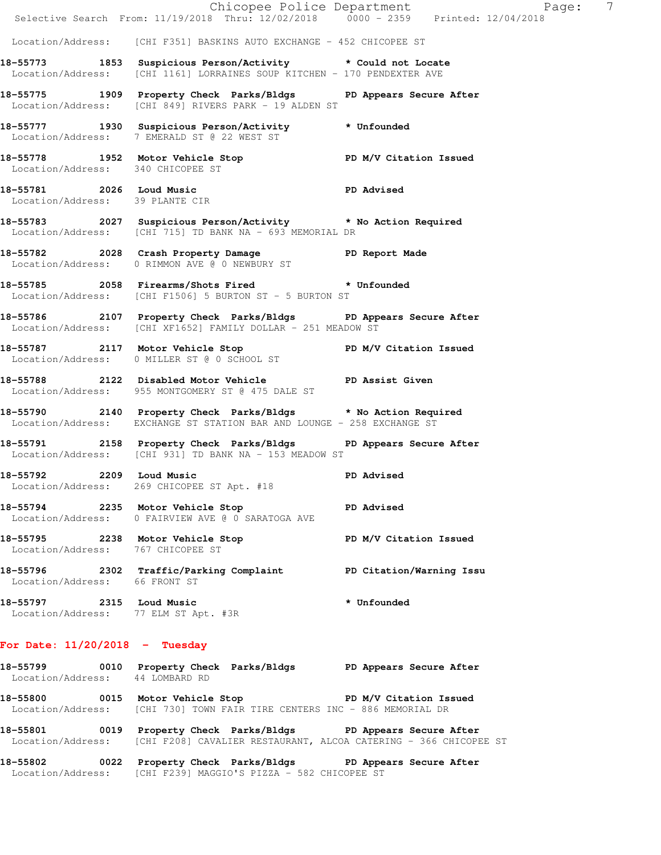|                                                                  | E Chicopee Police Department<br>Selective Search From: 11/19/2018 Thru: 12/02/2018 0000 - 2359 Printed: 12/04/2018                      | $\overline{7}$<br>Paqe:  |
|------------------------------------------------------------------|-----------------------------------------------------------------------------------------------------------------------------------------|--------------------------|
|                                                                  | Location/Address: [CHI F351] BASKINS AUTO EXCHANGE - 452 CHICOPEE ST                                                                    |                          |
|                                                                  | 18-55773 1853 Suspicious Person/Activity * Could not Locate<br>Location/Address: [CHI 1161] LORRAINES SOUP KITCHEN - 170 PENDEXTER AVE  |                          |
|                                                                  | 18-55775 1909 Property Check Parks/Bldgs PD Appears Secure After<br>Location/Address: [CHI 849] RIVERS PARK - 19 ALDEN ST               |                          |
|                                                                  | 18-55777 1930 Suspicious Person/Activity * Unfounded<br>Location/Address: 7 EMERALD ST @ 22 WEST ST                                     |                          |
| Location/Address: 340 CHICOPEE ST                                | 18-55778 1952 Motor Vehicle Stop North PD M/V Citation Issued                                                                           |                          |
| Location/Address: 39 PLANTE CIR                                  | 18-55781 2026 Loud Music 2008 2026 2027 2028                                                                                            |                          |
|                                                                  | 18-55783 2027 Suspicious Person/Activity * No Action Required<br>Location/Address: [CHI 715] TD BANK NA - 693 MEMORIAL DR               |                          |
|                                                                  | 18-55782 2028 Crash Property Damage Name PD Report Made<br>Location/Address: 0 RIMMON AVE @ 0 NEWBURY ST                                |                          |
|                                                                  | 18-55785 2058 Firearms/Shots Fired * Unfounded<br>Location/Address: [CHI F1506] 5 BURTON ST - 5 BURTON ST                               |                          |
|                                                                  | 18-55786 2107 Property Check Parks/Bldgs PD Appears Secure After<br>Location/Address: [CHI XF1652] FAMILY DOLLAR - 251 MEADOW ST        |                          |
|                                                                  | 18-55787 2117 Motor Vehicle Stop N/V Citation Issued<br>Location/Address: 0 MILLER ST @ 0 SCHOOL ST                                     |                          |
|                                                                  | 18-55788 2122 Disabled Motor Vehicle No PD Assist Given<br>Location/Address: 955 MONTGOMERY ST @ 475 DALE ST                            |                          |
|                                                                  | 18-55790 2140 Property Check Parks/Bldgs * No Action Required<br>Location/Address: EXCHANGE ST STATION BAR AND LOUNGE - 258 EXCHANGE ST |                          |
|                                                                  | 18-55791 2158 Property Check Parks/Bldgs PD Appears Secure After<br>Location/Address: [CHI 931] TD BANK NA - 153 MEADOW ST              |                          |
| 18-55792 2209 Loud Music                                         | Location/Address: 269 CHICOPEE ST Apt. #18                                                                                              | PD Advised               |
| 18-55794 2235 Motor Vehicle Stop                                 | <b>PD</b> Advised<br>Location/Address: 0 FAIRVIEW AVE @ 0 SARATOGA AVE                                                                  |                          |
| Location/Address: 767 CHICOPEE ST                                | 18-55795 2238 Motor Vehicle Stop                                                                                                        | PD M/V Citation Issued   |
| Location/Address: 66 FRONT ST                                    | 18-55796 2302 Traffic/Parking Complaint                                                                                                 | PD Citation/Warning Issu |
| 18-55797 2315 Loud Music<br>Location/Address: 77 ELM ST Apt. #3R |                                                                                                                                         | * Unfounded              |
| For Date: $11/20/2018$ - Tuesday                                 |                                                                                                                                         |                          |

| 18-55799<br>Location/Address: | 0010 | Property Check Parks/Bldgs<br>44 LOMBARD RD                                                    | PD Appears Secure After                                                                     |
|-------------------------------|------|------------------------------------------------------------------------------------------------|---------------------------------------------------------------------------------------------|
| 18-55800                      | 0015 | Motor Vehicle Stop<br>Location/Address: [CHI 730] TOWN FAIR TIRE CENTERS INC - 886 MEMORIAL DR | PD M/V Citation Issued                                                                      |
| 18-55801<br>Location/Address: | 0019 | Property Check Parks/Bldgs                                                                     | PD Appears Secure After<br>[CHI F208] CAVALIER RESTAURANT, ALCOA CATERING - 366 CHICOPEE ST |
|                               |      |                                                                                                |                                                                                             |

**18-55802 0022 Property Check Parks/Bldgs PD Appears Secure After**  Location/Address: [CHI F239] MAGGIO'S PIZZA - 582 CHICOPEE ST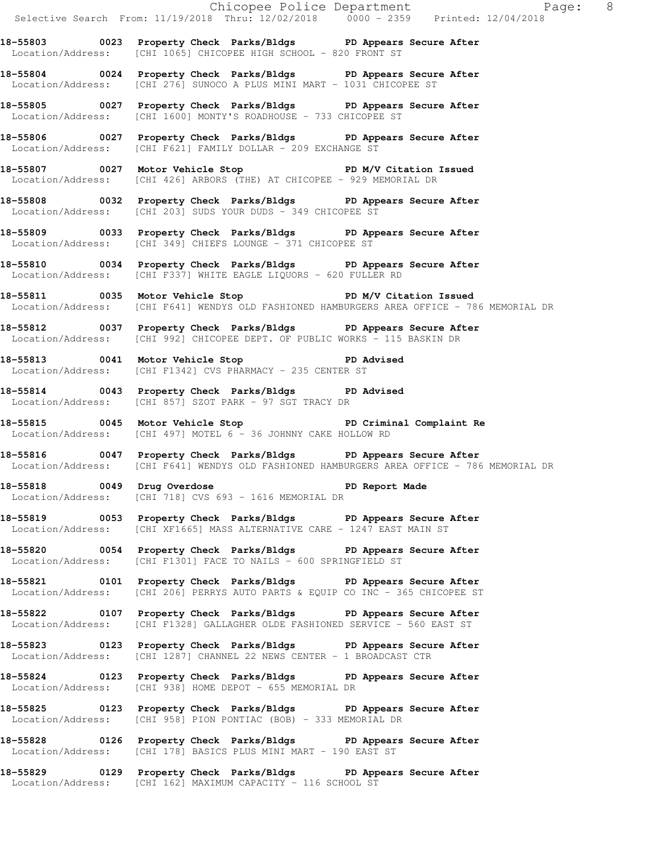Chicopee Police Department The Page: 8 Selective Search From: 11/19/2018 Thru: 12/02/2018 0000 - 2359 Printed: 12/04/2018 **18-55803 0023 Property Check Parks/Bldgs PD Appears Secure After**  Location/Address: [CHI 1065] CHICOPEE HIGH SCHOOL - 820 FRONT ST **18-55804 0024 Property Check Parks/Bldgs PD Appears Secure After**  Location/Address: [CHI 276] SUNOCO A PLUS MINI MART - 1031 CHICOPEE ST **18-55805 0027 Property Check Parks/Bldgs PD Appears Secure After**  Location/Address: [CHI 1600] MONTY'S ROADHOUSE - 733 CHICOPEE ST **18-55806 0027 Property Check Parks/Bldgs PD Appears Secure After**  Location/Address: [CHI F621] FAMILY DOLLAR - 209 EXCHANGE ST **18-55807 0027 Motor Vehicle Stop PD M/V Citation Issued**  Location/Address: [CHI 426] ARBORS (THE) AT CHICOPEE - 929 MEMORIAL DR **18-55808 0032 Property Check Parks/Bldgs PD Appears Secure After**  Location/Address: [CHI 203] SUDS YOUR DUDS - 349 CHICOPEE ST **18-55809 0033 Property Check Parks/Bldgs PD Appears Secure After**  Location/Address: [CHI 349] CHIEFS LOUNGE - 371 CHICOPEE ST **18-55810 0034 Property Check Parks/Bldgs PD Appears Secure After**  Location/Address: [CHI F337] WHITE EAGLE LIQUORS - 620 FULLER RD **18-55811 0035 Motor Vehicle Stop PD M/V Citation Issued**  Location/Address: [CHI F641] WENDYS OLD FASHIONED HAMBURGERS AREA OFFICE - 786 MEMORIAL DR **18-55812 0037 Property Check Parks/Bldgs PD Appears Secure After**  Location/Address: [CHI 992] CHICOPEE DEPT. OF PUBLIC WORKS - 115 BASKIN DR **18-55813 0041 Motor Vehicle Stop PD Advised**  Location/Address: [CHI F1342] CVS PHARMACY - 235 CENTER ST **18-55814 0043 Property Check Parks/Bldgs PD Advised**  Location/Address: [CHI 857] SZOT PARK - 97 SGT TRACY DR **18-55815 0045 Motor Vehicle Stop PD Criminal Complaint Re**  Location/Address: [CHI 497] MOTEL 6 - 36 JOHNNY CAKE HOLLOW RD **18-55816 0047 Property Check Parks/Bldgs PD Appears Secure After**  Location/Address: [CHI F641] WENDYS OLD FASHIONED HAMBURGERS AREA OFFICE - 786 MEMORIAL DR **18-55818 0049 Drug Overdose PD Report Made**  Location/Address: [CHI 718] CVS 693 - 1616 MEMORIAL DR **18-55819 0053 Property Check Parks/Bldgs PD Appears Secure After**  Location/Address: [CHI XF1665] MASS ALTERNATIVE CARE - 1247 EAST MAIN ST **18-55820 0054 Property Check Parks/Bldgs PD Appears Secure After**  Location/Address: [CHI F1301] FACE TO NAILS - 600 SPRINGFIELD ST **18-55821 0101 Property Check Parks/Bldgs PD Appears Secure After**  Location/Address: [CHI 206] PERRYS AUTO PARTS & EQUIP CO INC - 365 CHICOPEE ST **18-55822 0107 Property Check Parks/Bldgs PD Appears Secure After**  Location/Address: [CHI F1328] GALLAGHER OLDE FASHIONED SERVICE - 560 EAST ST **18-55823 0123 Property Check Parks/Bldgs PD Appears Secure After**  Location/Address: [CHI 1287] CHANNEL 22 NEWS CENTER - 1 BROADCAST CTR **18-55824 0123 Property Check Parks/Bldgs PD Appears Secure After**  Location/Address: [CHI 938] HOME DEPOT - 655 MEMORIAL DR **18-55825 0123 Property Check Parks/Bldgs PD Appears Secure After**  Location/Address: [CHI 958] PION PONTIAC (BOB) - 333 MEMORIAL DR **18-55828 0126 Property Check Parks/Bldgs PD Appears Secure After**  Location/Address: [CHI 178] BASICS PLUS MINI MART - 190 EAST ST **18-55829 0129 Property Check Parks/Bldgs PD Appears Secure After**  Location/Address: [CHI 162] MAXIMUM CAPACITY - 116 SCHOOL ST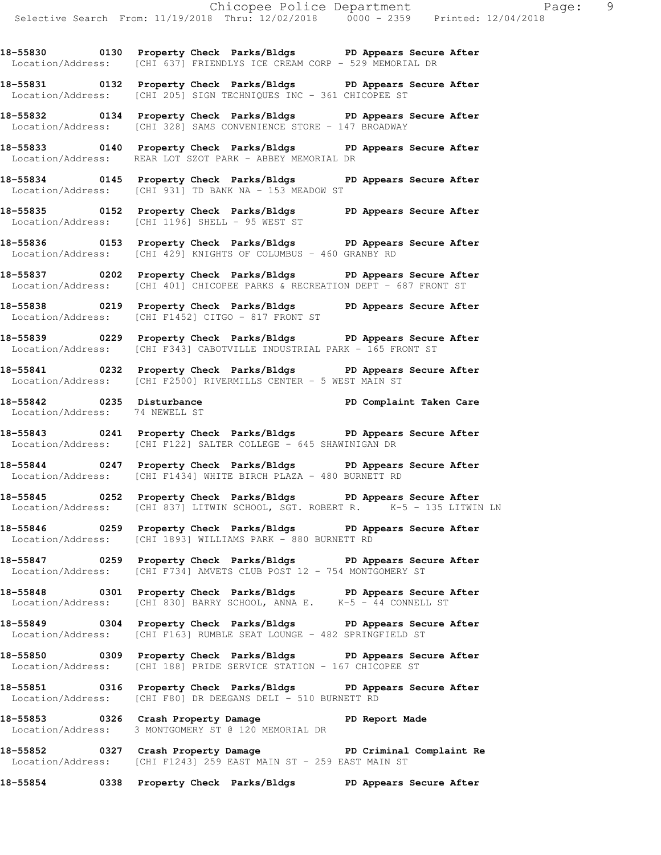**18-55830 0130 Property Check Parks/Bldgs PD Appears Secure After**  Location/Address: [CHI 637] FRIENDLYS ICE CREAM CORP - 529 MEMORIAL DR

**18-55831 0132 Property Check Parks/Bldgs PD Appears Secure After**  Location/Address: [CHI 205] SIGN TECHNIQUES INC - 361 CHICOPEE ST

**18-55832 0134 Property Check Parks/Bldgs PD Appears Secure After**  Location/Address: [CHI 328] SAMS CONVENIENCE STORE - 147 BROADWAY

**18-55833 0140 Property Check Parks/Bldgs PD Appears Secure After**  Location/Address: REAR LOT SZOT PARK - ABBEY MEMORIAL DR

**18-55834 0145 Property Check Parks/Bldgs PD Appears Secure After**  Location/Address: [CHI 931] TD BANK NA - 153 MEADOW ST

**18-55835 0152 Property Check Parks/Bldgs PD Appears Secure After**  Location/Address: [CHI 1196] SHELL - 95 WEST ST

**18-55836 0153 Property Check Parks/Bldgs PD Appears Secure After**  Location/Address: [CHI 429] KNIGHTS OF COLUMBUS - 460 GRANBY RD

**18-55837 0202 Property Check Parks/Bldgs PD Appears Secure After**  Location/Address: [CHI 401] CHICOPEE PARKS & RECREATION DEPT - 687 FRONT ST

**18-55838 0219 Property Check Parks/Bldgs PD Appears Secure After**  Location/Address: [CHI F1452] CITGO - 817 FRONT ST

**18-55839 0229 Property Check Parks/Bldgs PD Appears Secure After**  Location/Address: [CHI F343] CABOTVILLE INDUSTRIAL PARK - 165 FRONT ST

**18-55841 0232 Property Check Parks/Bldgs PD Appears Secure After**  Location/Address: [CHI F2500] RIVERMILLS CENTER - 5 WEST MAIN ST

**18-55842 0235 Disturbance PD Complaint Taken Care**  Location/Address: 74 NEWELL ST

**18-55843 0241 Property Check Parks/Bldgs PD Appears Secure After**  Location/Address: [CHI F122] SALTER COLLEGE - 645 SHAWINIGAN DR

**18-55844 0247 Property Check Parks/Bldgs PD Appears Secure After**  Location/Address: [CHI F1434] WHITE BIRCH PLAZA - 480 BURNETT RD

**18-55845 0252 Property Check Parks/Bldgs PD Appears Secure After**  Location/Address: [CHI 837] LITWIN SCHOOL, SGT. ROBERT R. K-5 - 135 LITWIN LN

**18-55846 0259 Property Check Parks/Bldgs PD Appears Secure After**  Location/Address: [CHI 1893] WILLIAMS PARK - 880 BURNETT RD

**18-55847 0259 Property Check Parks/Bldgs PD Appears Secure After**  Location/Address: [CHI F734] AMVETS CLUB POST 12 - 754 MONTGOMERY ST

**18-55848 0301 Property Check Parks/Bldgs PD Appears Secure After**  Location/Address: [CHI 830] BARRY SCHOOL, ANNA E. K-5 - 44 CONNELL ST

**18-55849 0304 Property Check Parks/Bldgs PD Appears Secure After**  Location/Address: [CHI F163] RUMBLE SEAT LOUNGE - 482 SPRINGFIELD ST

**18-55850 0309 Property Check Parks/Bldgs PD Appears Secure After**  Location/Address: [CHI 188] PRIDE SERVICE STATION - 167 CHICOPEE ST

**18-55851 0316 Property Check Parks/Bldgs PD Appears Secure After**  Location/Address: [CHI F80] DR DEEGANS DELI - 510 BURNETT RD

**18-55853 0326 Crash Property Damage PD Report Made**  Location/Address: 3 MONTGOMERY ST @ 120 MEMORIAL DR

**18-55852 0327 Crash Property Damage PD Criminal Complaint Re**  Location/Address: [CHI F1243] 259 EAST MAIN ST - 259 EAST MAIN ST

**18-55854 0338 Property Check Parks/Bldgs PD Appears Secure After**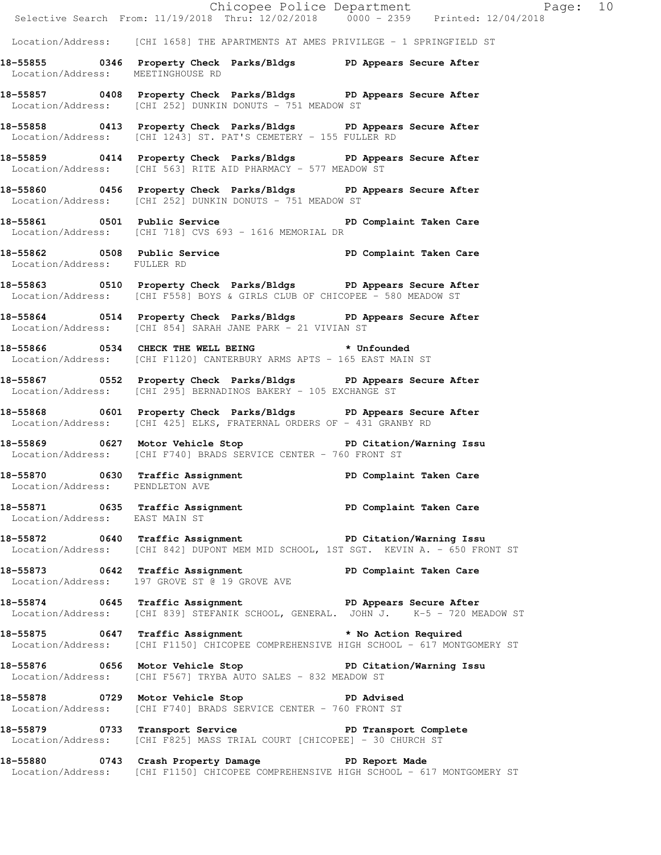|                                   |                                                                                                                                                      | Chicopee Police Department<br>Selective Search From: 11/19/2018 Thru: 12/02/2018 0000 - 2359 Printed: 12/04/2018<br>Page: 10 |  |
|-----------------------------------|------------------------------------------------------------------------------------------------------------------------------------------------------|------------------------------------------------------------------------------------------------------------------------------|--|
|                                   | $Location/Address:$ [CHI 1658] THE APARTMENTS AT AMES PRIVILEGE - 1 SPRINGFIELD ST                                                                   |                                                                                                                              |  |
| Location/Address: MEETINGHOUSE RD | 18-55855 0346 Property Check Parks/Bldgs PD Appears Secure After                                                                                     |                                                                                                                              |  |
|                                   | 18-55857 0408 Property Check Parks/Bldgs PD Appears Secure After<br>Location/Address: [CHI 252] DUNKIN DONUTS - 751 MEADOW ST                        |                                                                                                                              |  |
|                                   | 18-55858 0413 Property Check Parks/Bldgs PD Appears Secure After<br>Location/Address: [CHI 1243] ST. PAT'S CEMETERY - 155 FULLER RD                  |                                                                                                                              |  |
|                                   | 18-55859 0414 Property Check Parks/Bldgs PD Appears Secure After<br>Location/Address: [CHI 563] RITE AID PHARMACY - 577 MEADOW ST                    |                                                                                                                              |  |
|                                   | 18-55860 0456 Property Check Parks/Bldgs PD Appears Secure After<br>Location/Address: [CHI 252] DUNKIN DONUTS - 751 MEADOW ST                        |                                                                                                                              |  |
|                                   | 18-55861 0501 Public Service 20 PD Complaint Taken Care<br>Location/Address: [CHI 718] CVS 693 - 1616 MEMORIAL DR                                    |                                                                                                                              |  |
| Location/Address: FULLER RD       | 18-55862 0508 Public Service PD Complaint Taken Care                                                                                                 |                                                                                                                              |  |
|                                   | 18-55863 0510 Property Check Parks/Bldgs PD Appears Secure After<br>Location/Address: [CHI F558] BOYS & GIRLS CLUB OF CHICOPEE - 580 MEADOW ST       |                                                                                                                              |  |
|                                   | 18-55864 0514 Property Check Parks/Bldgs PD Appears Secure After<br>Location/Address: [CHI 854] SARAH JANE PARK - 21 VIVIAN ST                       |                                                                                                                              |  |
|                                   | 18-55866 0534 CHECK THE WELL BEING * Unfounded<br>Location/Address: [CHI F1120] CANTERBURY ARMS APTS - 165 EAST MAIN ST                              |                                                                                                                              |  |
|                                   | 18-55867 0552 Property Check Parks/Bldgs PD Appears Secure After<br>Location/Address: [CHI 295] BERNADINOS BAKERY - 105 EXCHANGE ST                  |                                                                                                                              |  |
|                                   | 18-55868 0601 Property Check Parks/Bldgs PD Appears Secure After<br>Location/Address: [CHI 425] ELKS, FRATERNAL ORDERS OF - 431 GRANBY RD            |                                                                                                                              |  |
|                                   | 18-55869 0627 Motor Vehicle Stop 50 PD Citation/Warning Issu<br>Location/Address: [CHI F740] BRADS SERVICE CENTER - 760 FRONT ST                     |                                                                                                                              |  |
| Location/Address: PENDLETON AVE   | 18-55870 0630 Traffic Assignment 18-55870 PD Complaint Taken Care                                                                                    |                                                                                                                              |  |
| Location/Address: EAST MAIN ST    | 18-55871 0635 Traffic Assignment 18-55871 0635 PD Complaint Taken Care                                                                               |                                                                                                                              |  |
|                                   | 18-55872 0640 Traffic Assignment New PD Citation/Warning Issu<br>Location/Address: [CHI 842] DUPONT MEM MID SCHOOL, 1ST SGT. KEVIN A. - 650 FRONT ST |                                                                                                                              |  |
|                                   | 18-55873 0642 Traffic Assignment 18-55873 PD Complaint Taken Care<br>Location/Address: 197 GROVE ST @ 19 GROVE AVE                                   |                                                                                                                              |  |
|                                   | 18-55874 0645 Traffic Assignment The PD Appears Secure After<br>Location/Address: [CHI 839] STEFANIK SCHOOL, GENERAL. JOHN J. K-5 - 720 MEADOW ST    |                                                                                                                              |  |
|                                   | 18-55875 0647 Traffic Assignment * No Action Required<br>Location/Address: [CHI F1150] CHICOPEE COMPREHENSIVE HIGH SCHOOL - 617 MONTGOMERY ST        |                                                                                                                              |  |
|                                   | 18-55876 0656 Motor Vehicle Stop 30 PD Citation/Warning Issu<br>Location/Address: [CHI F567] TRYBA AUTO SALES - 832 MEADOW ST                        |                                                                                                                              |  |
|                                   | 18-55878 0729 Motor Vehicle Stop 30 PD Advised<br>Location/Address: [CHI F740] BRADS SERVICE CENTER - 760 FRONT ST                                   |                                                                                                                              |  |
|                                   | 18-55879 0733 Transport Service New PD Transport Complete<br>Location/Address: [CHI F825] MASS TRIAL COURT [CHICOPEE] - 30 CHURCH ST                 |                                                                                                                              |  |
|                                   | 18-55880 0743 Crash Property Damage Name PD Report Made<br>Location/Address: [CHI F1150] CHICOPEE COMPREHENSIVE HIGH SCHOOL - 617 MONTGOMERY ST      |                                                                                                                              |  |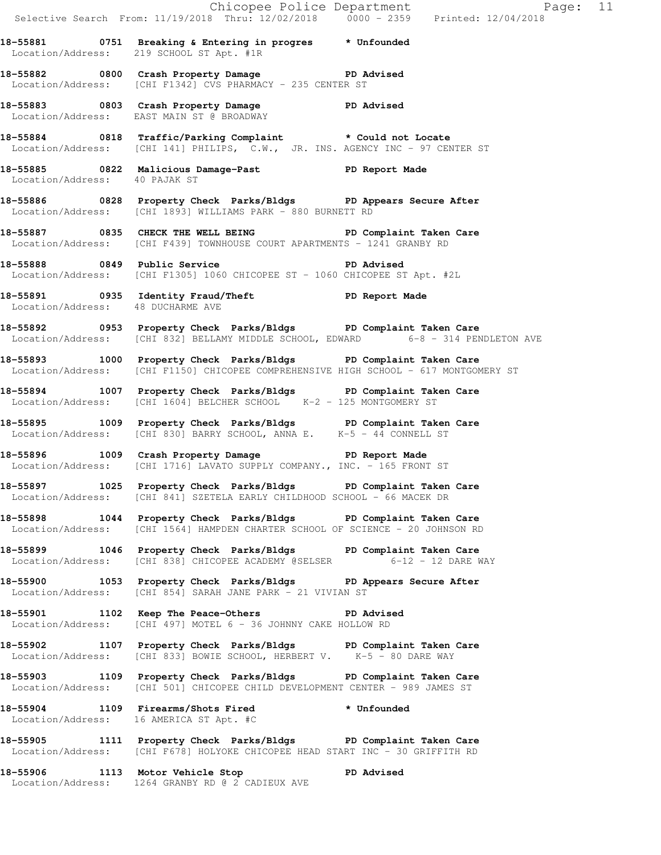|                                   | Chicopee Police Department<br>Selective Search From: 11/19/2018 Thru: 12/02/2018 0000 - 2359 Printed: 12/04/2018                                         | Page: 11 |  |
|-----------------------------------|----------------------------------------------------------------------------------------------------------------------------------------------------------|----------|--|
|                                   | 18-55881 0751 Breaking & Entering in progres * Unfounded<br>Location/Address: 219 SCHOOL ST Apt. #1R                                                     |          |  |
|                                   | 18-55882 0800 Crash Property Damage PD Advised<br>Location/Address: [CHI F1342] CVS PHARMACY - 235 CENTER ST                                             |          |  |
|                                   | 18-55883 0803 Crash Property Damage PD Advised<br>Location/Address: EAST MAIN ST @ BROADWAY                                                              |          |  |
|                                   | 18-55884 0818 Traffic/Parking Complaint * Could not Locate<br>Location/Address: [CHI 141] PHILIPS, C.W., JR. INS. AGENCY INC - 97 CENTER ST              |          |  |
| Location/Address: 40 PAJAK ST     | 18-55885 0822 Malicious Damage-Past 1999 PD Report Made                                                                                                  |          |  |
|                                   | 18-55886 0828 Property Check Parks/Bldgs PD Appears Secure After<br>Location/Address: [CHI 1893] WILLIAMS PARK - 880 BURNETT RD                          |          |  |
|                                   | 18-55887 0835 CHECK THE WELL BEING PD Complaint Taken Care<br>Location/Address: [CHI F439] TOWNHOUSE COURT APARTMENTS - 1241 GRANBY RD                   |          |  |
|                                   | Location/Address: [CHI F1305] 1060 CHICOPEE ST - 1060 CHICOPEE ST Apt. #2L                                                                               |          |  |
| Location/Address: 48 DUCHARME AVE | 18-55891 0935 Identity Fraud/Theft ND PD Report Made                                                                                                     |          |  |
|                                   | 18-55892 0953 Property Check Parks/Bldgs PD Complaint Taken Care<br>Location/Address: [CHI 832] BELLAMY MIDDLE SCHOOL, EDWARD 6-8 - 314 PENDLETON AVE    |          |  |
|                                   | 18-55893 1000 Property Check Parks/Bldgs PD Complaint Taken Care<br>Location/Address: [CHI F1150] CHICOPEE COMPREHENSIVE HIGH SCHOOL - 617 MONTGOMERY ST |          |  |
|                                   | 18-55894 1007 Property Check Parks/Bldgs PD Complaint Taken Care<br>Location/Address: [CHI 1604] BELCHER SCHOOL K-2 - 125 MONTGOMERY ST                  |          |  |
|                                   | 18-55895 1009 Property Check Parks/Bldgs PD Complaint Taken Care<br>Location/Address: [CHI 830] BARRY SCHOOL, ANNA E. K-5 - 44 CONNELL ST                |          |  |
|                                   | 18-55896 1009 Crash Property Damage PD Report Made<br>Location/Address: [CHI 1716] LAVATO SUPPLY COMPANY., INC. - 165 FRONT ST                           |          |  |
|                                   | 18-55897 1025 Property Check Parks/Bldgs PD Complaint Taken Care<br>Location/Address: [CHI 841] SZETELA EARLY CHILDHOOD SCHOOL - 66 MACEK DR             |          |  |
|                                   | 18-55898 1044 Property Check Parks/Bldgs PD Complaint Taken Care<br>Location/Address: [CHI 1564] HAMPDEN CHARTER SCHOOL OF SCIENCE - 20 JOHNSON RD       |          |  |
|                                   | 18-55899 1046 Property Check Parks/Bldgs PD Complaint Taken Care<br>Location/Address: [CHI 838] CHICOPEE ACADEMY @SELSER 6-12 - 12 DARE WAY              |          |  |
|                                   | 18-55900 1053 Property Check Parks/Bldgs PD Appears Secure After<br>Location/Address: [CHI 854] SARAH JANE PARK - 21 VIVIAN ST                           |          |  |
|                                   | 18-55901 1102 Keep The Peace-Others The PD Advised<br>Location/Address: [CHI 497] MOTEL 6 - 36 JOHNNY CAKE HOLLOW RD                                     |          |  |
|                                   | 18-55902 1107 Property Check Parks/Bldgs PD Complaint Taken Care<br>Location/Address: [CHI 833] BOWIE SCHOOL, HERBERT V. K-5 - 80 DARE WAY               |          |  |
|                                   | 18-55903 1109 Property Check Parks/Bldgs PD Complaint Taken Care<br>Location/Address: [CHI 501] CHICOPEE CHILD DEVELOPMENT CENTER - 989 JAMES ST         |          |  |
|                                   | 18-55904 1109 Firearms/Shots Fired * Unfounded<br>Location/Address: 16 AMERICA ST Apt. #C                                                                |          |  |
|                                   | 18-55905 1111 Property Check Parks/Bldgs PD Complaint Taken Care<br>Location/Address: [CHI F678] HOLYOKE CHICOPEE HEAD START INC - 30 GRIFFITH RD        |          |  |
|                                   | 18-55906 1113 Motor Vehicle Stop PD Advised<br>Location/Address: 1264 GRANBY RD @ 2 CADIEUX AVE                                                          |          |  |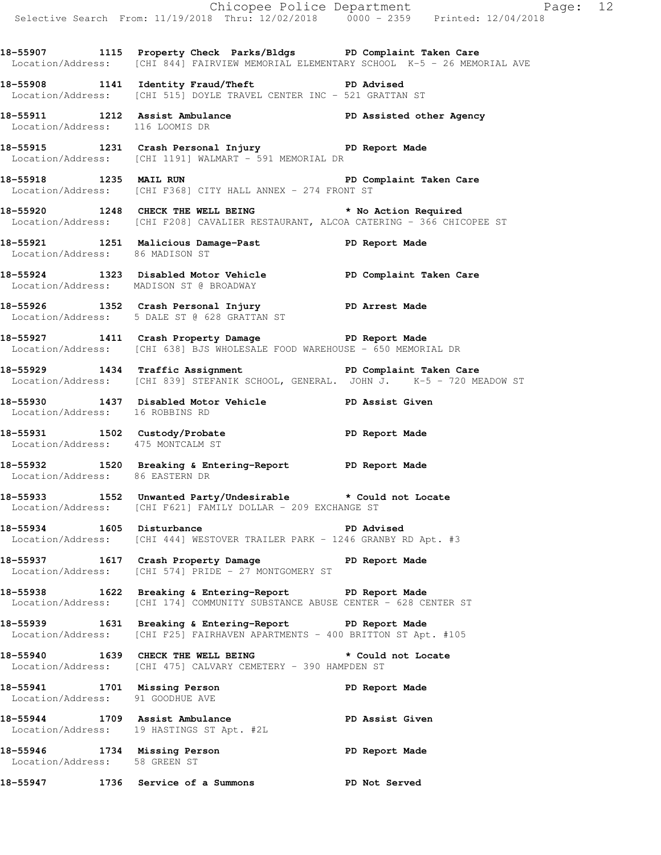|                                                                  |                                                                                                                                                           | Chicopee Police Department<br>Selective Search From: 11/19/2018 Thru: 12/02/2018 0000 - 2359 Printed: 12/04/2018 |  |
|------------------------------------------------------------------|-----------------------------------------------------------------------------------------------------------------------------------------------------------|------------------------------------------------------------------------------------------------------------------|--|
|                                                                  |                                                                                                                                                           |                                                                                                                  |  |
|                                                                  | 18-55907 1115 Property Check Parks/Bldgs PD Complaint Taken Care<br>Location/Address: [CHI 844] FAIRVIEW MEMORIAL ELEMENTARY SCHOOL K-5 - 26 MEMORIAL AVE |                                                                                                                  |  |
|                                                                  | 18-55908 1141 Identity Fraud/Theft PD Advised<br>Location/Address: [CHI 515] DOYLE TRAVEL CENTER INC - 521 GRATTAN ST                                     |                                                                                                                  |  |
| Location/Address: 116 LOOMIS DR                                  | 18-55911 1212 Assist Ambulance <b>18-55911</b> 1212 Assisted other Agency<br>Location/Address: 116 LOOMIS DR                                              |                                                                                                                  |  |
|                                                                  | 18-55915 1231 Crash Personal Injury PD Report Made<br>Location/Address: [CHI 1191] WALMART - 591 MEMORIAL DR                                              |                                                                                                                  |  |
|                                                                  | 18-55918 1235 MAIL RUN 2007 PD Complaint Taken Care<br>Location/Address: [CHI F368] CITY HALL ANNEX - 274 FRONT ST                                        |                                                                                                                  |  |
|                                                                  | 18-55920 1248 CHECK THE WELL BEING * No Action Required<br>Location/Address: [CHI F208] CAVALIER RESTAURANT, ALCOA CATERING - 366 CHICOPEE ST             |                                                                                                                  |  |
| Location/Address: 86 MADISON ST                                  | 18-55921 1251 Malicious Damage-Past 1990 Report Made                                                                                                      |                                                                                                                  |  |
|                                                                  | 18-55924 1323 Disabled Motor Vehicle PD Complaint Taken Care<br>Location/Address: MADISON ST @ BROADWAY                                                   |                                                                                                                  |  |
|                                                                  | 18-55926 1352 Crash Personal Injury PD Arrest Made<br>Location/Address: 5 DALE ST @ 628 GRATTAN ST                                                        |                                                                                                                  |  |
|                                                                  | 18-55927 1411 Crash Property Damage PD Report Made<br>Location/Address: [CHI 638] BJS WHOLESALE FOOD WAREHOUSE - 650 MEMORIAL DR                          |                                                                                                                  |  |
|                                                                  | 18-55929 1434 Traffic Assignment 18-55929 19-1434 Traffic Assignment<br>Location/Address: [CHI 839] STEFANIK SCHOOL, GENERAL. JOHN J. K-5 - 720 MEADOW ST |                                                                                                                  |  |
| Location/Address: 16 ROBBINS RD                                  | 18-55930 1437 Disabled Motor Vehicle PD Assist Given                                                                                                      |                                                                                                                  |  |
| Location/Address: 475 MONTCALM ST                                | 18-55931 1502 Custody/Probate 18-55931 18-55931                                                                                                           |                                                                                                                  |  |
| Location/Address: 86 EASTERN DR                                  | 18-55932 1520 Breaking & Entering-Report PD Report Made                                                                                                   |                                                                                                                  |  |
|                                                                  | 18-55933 1552 Unwanted Party/Undesirable * Could not Locate<br>Location/Address: [CHI F621] FAMILY DOLLAR - 209 EXCHANGE ST                               |                                                                                                                  |  |
|                                                                  | 18-55934 1605 Disturbance PD PD Advised<br>Location/Address: [CHI 444] WESTOVER TRAILER PARK - 1246 GRANBY RD Apt. #3                                     |                                                                                                                  |  |
|                                                                  | 18-55937 1617 Crash Property Damage<br>Location/Address: [CHI 574] PRIDE - 27 MONTGOMERY ST                                                               | PD Report Made                                                                                                   |  |
|                                                                  | 18-55938 1622 Breaking & Entering-Report PD Report Made<br>Location/Address: [CHI 174] COMMUNITY SUBSTANCE ABUSE CENTER - 628 CENTER ST                   |                                                                                                                  |  |
|                                                                  | 18-55939 1631 Breaking & Entering-Report PD Report Made<br>Location/Address: [CHI F25] FAIRHAVEN APARTMENTS - 400 BRITTON ST Apt. #105                    |                                                                                                                  |  |
|                                                                  | 18-55940 1639 CHECK THE WELL BEING * Could not Locate<br>Location/Address: [CHI 475] CALVARY CEMETERY - 390 HAMPDEN ST                                    |                                                                                                                  |  |
| 18-55941 1701 Missing Person<br>Location/Address: 91 GOODHUE AVE |                                                                                                                                                           | PD Report Made                                                                                                   |  |
|                                                                  | 18-55944 1709 Assist Ambulance<br>Location/Address: 19 HASTINGS ST Apt. #2L                                                                               | PD Assist Given                                                                                                  |  |
| Location/Address: 58 GREEN ST                                    | 18-55946 1734 Missing Person                                                                                                                              | PD Report Made                                                                                                   |  |
| 18-55947                                                         | 1736 Service of a Summons                                                                                                                                 | <b>PD Not Served</b>                                                                                             |  |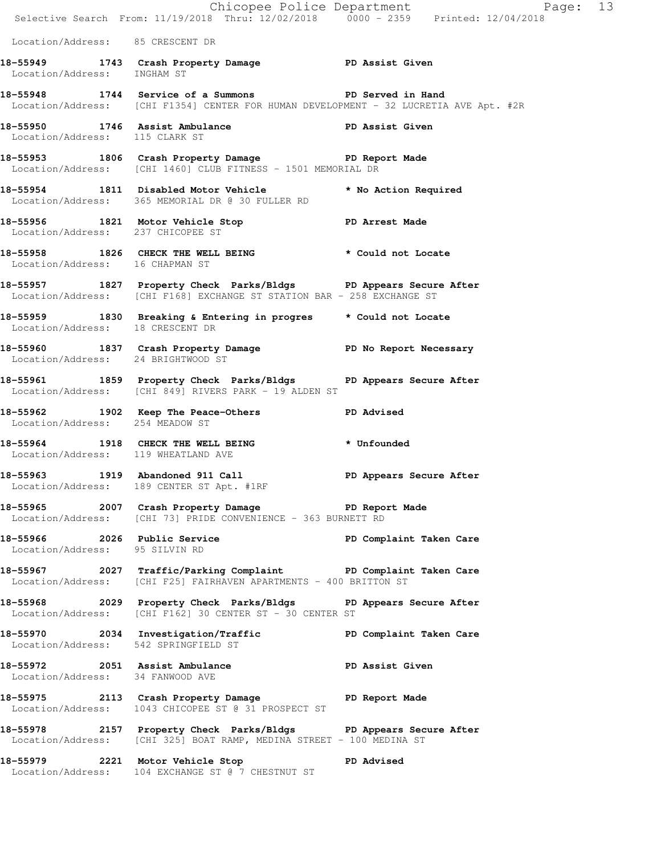|                                      |                                                                                                                                               | Chicopee Police Department<br>Selective Search From: 11/19/2018 Thru: 12/02/2018 0000 - 2359 Printed: 12/04/2018 |  |
|--------------------------------------|-----------------------------------------------------------------------------------------------------------------------------------------------|------------------------------------------------------------------------------------------------------------------|--|
| Location/Address: 85 CRESCENT DR     |                                                                                                                                               |                                                                                                                  |  |
| Location/Address: INGHAM ST          | 18-55949 1743 Crash Property Damage PD Assist Given                                                                                           |                                                                                                                  |  |
|                                      | 18-55948 1744 Service of a Summons PD Served in Hand<br>Location/Address: [CHI F1354] CENTER FOR HUMAN DEVELOPMENT - 32 LUCRETIA AVE Apt. #2R |                                                                                                                  |  |
| Location/Address: 115 CLARK ST       | 18-55950 1746 Assist Ambulance New PD Assist Given                                                                                            |                                                                                                                  |  |
|                                      | 18-55953 1806 Crash Property Damage PD Report Made<br>Location/Address: [CHI 1460] CLUB FITNESS - 1501 MEMORIAL DR                            |                                                                                                                  |  |
|                                      | 18-55954 1811 Disabled Motor Vehicle * No Action Required<br>Location/Address: 365 MEMORIAL DR @ 30 FULLER RD                                 |                                                                                                                  |  |
|                                      | 18-55956 1821 Motor Vehicle Stop PD Arrest Made<br>Location/Address: 237 CHICOPEE ST                                                          |                                                                                                                  |  |
| Location/Address: 16 CHAPMAN ST      | 18-55958 1826 CHECK THE WELL BEING * Could not Locate                                                                                         |                                                                                                                  |  |
|                                      | 18-55957 1827 Property Check Parks/Bldgs PD Appears Secure After<br>Location/Address: [CHI F168] EXCHANGE ST STATION BAR - 258 EXCHANGE ST    |                                                                                                                  |  |
| Location/Address: 18 CRESCENT DR     | 18-55959 1830 Breaking & Entering in progres * Could not Locate                                                                               |                                                                                                                  |  |
| Location/Address: 24 BRIGHTWOOD ST   | 18-55960 1837 Crash Property Damage No PD No Report Necessary                                                                                 |                                                                                                                  |  |
|                                      | 18-55961 1859 Property Check Parks/Bldgs PD Appears Secure After<br>Location/Address: [CHI 849] RIVERS PARK - 19 ALDEN ST                     |                                                                                                                  |  |
| Location/Address: 254 MEADOW ST      | 18-55962 1902 Keep The Peace-Others                                                                                                           | <b>PD Advised</b>                                                                                                |  |
| Location/Address: 119 WHEATLAND AVE  | 18-55964 1918 CHECK THE WELL BEING * Unfounded                                                                                                |                                                                                                                  |  |
|                                      | 18-55963 1919 Abandoned 911 Call<br>Location/Address: 189 CENTER ST Apt. #1RF                                                                 | PD Appears Secure After                                                                                          |  |
|                                      | 18-55965 2007 Crash Property Damage PD Report Made<br>Location/Address: [CHI 73] PRIDE CONVENIENCE - 363 BURNETT RD                           |                                                                                                                  |  |
| Location/Address: 95 SILVIN RD       | 18-55966 2026 Public Service                                                                                                                  | PD Complaint Taken Care                                                                                          |  |
|                                      | 18-55967 2027 Traffic/Parking Complaint PD Complaint Taken Care<br>Location/Address: [CHI F25] FAIRHAVEN APARTMENTS - 400 BRITTON ST          |                                                                                                                  |  |
|                                      | 18-55968 2029 Property Check Parks/Bldgs PD Appears Secure After<br>Location/Address: [CHI F162] 30 CENTER ST - 30 CENTER ST                  |                                                                                                                  |  |
| Location/Address: 542 SPRINGFIELD ST | 18-55970 2034 Investigation/Traffic <b>PD</b> Complaint Taken Care                                                                            |                                                                                                                  |  |
| Location/Address: 34 FANWOOD AVE     | 18-55972 2051 Assist Ambulance No PD Assist Given                                                                                             |                                                                                                                  |  |
|                                      | 18-55975 2113 Crash Property Damage PD Report Made<br>Location/Address: 1043 CHICOPEE ST @ 31 PROSPECT ST                                     |                                                                                                                  |  |
|                                      | 18-55978 2157 Property Check Parks/Bldgs PD Appears Secure After<br>Location/Address: [CHI 325] BOAT RAMP, MEDINA STREET - 100 MEDINA ST      |                                                                                                                  |  |
|                                      | 18-55979 2221 Motor Vehicle Stop Communist PD Advised<br>Location/Address: 104 EXCHANGE ST @ 7 CHESTNUT ST                                    |                                                                                                                  |  |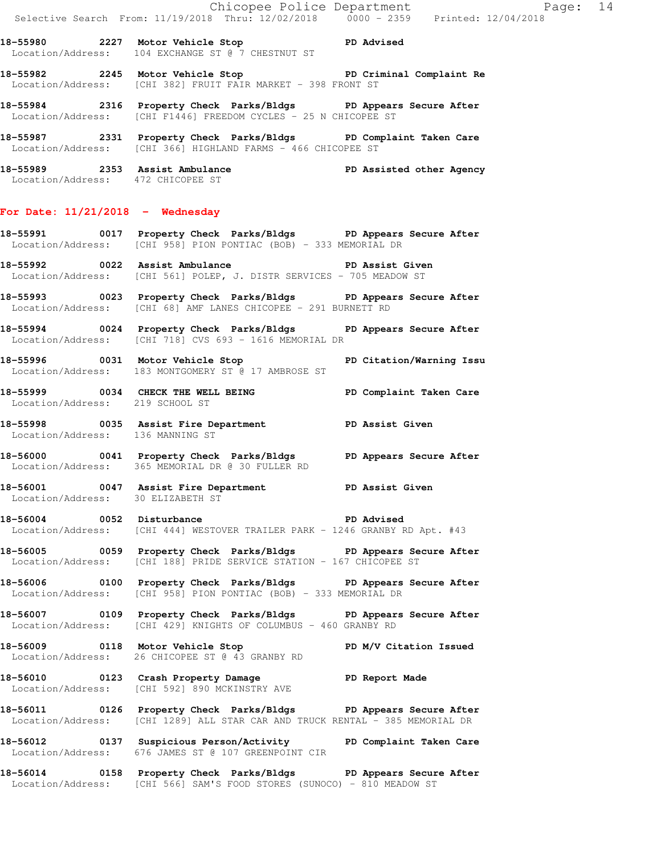|                                    |                                                                                                                                                  | Chicopee Police Department<br>Selective Search From: 11/19/2018 Thru: 12/02/2018 0000 - 2359 Printed: 12/04/2018 |
|------------------------------------|--------------------------------------------------------------------------------------------------------------------------------------------------|------------------------------------------------------------------------------------------------------------------|
|                                    | 18-55980 2227 Motor Vehicle Stop 30 PD Advised<br>Location/Address: 104 EXCHANGE ST @ 7 CHESTNUT ST                                              |                                                                                                                  |
|                                    | 18-55982 2245 Motor Vehicle Stop PD Criminal Complaint Re<br>Location/Address: [CHI 382] FRUIT FAIR MARKET - 398 FRONT ST                        |                                                                                                                  |
|                                    | 18-55984 2316 Property Check Parks/Bldgs PD Appears Secure After<br>Location/Address: [CHI F1446] FREEDOM CYCLES - 25 N CHICOPEE ST              |                                                                                                                  |
|                                    | 18-55987 2331 Property Check Parks/Bldgs PD Complaint Taken Care<br>Location/Address: [CHI 366] HIGHLAND FARMS - 466 CHICOPEE ST                 |                                                                                                                  |
| Location/Address: 472 CHICOPEE ST  | 18-55989 2353 Assist Ambulance PD Assisted other Agency                                                                                          |                                                                                                                  |
| For Date: $11/21/2018$ - Wednesday |                                                                                                                                                  |                                                                                                                  |
|                                    | 18-55991 0017 Property Check Parks/Bldgs PD Appears Secure After<br>Location/Address: [CHI 958] PION PONTIAC (BOB) - 333 MEMORIAL DR             |                                                                                                                  |
|                                    | 18-55992 0022 Assist Ambulance New PD Assist Given<br>Location/Address: [CHI 561] POLEP, J. DISTR SERVICES - 705 MEADOW ST                       |                                                                                                                  |
|                                    | 18-55993 0023 Property Check Parks/Bldgs PD Appears Secure After<br>Location/Address: [CHI 68] AMF LANES CHICOPEE - 291 BURNETT RD               |                                                                                                                  |
|                                    | 18-55994 0024 Property Check Parks/Bldgs PD Appears Secure After<br>Location/Address: [CHI 718] CVS 693 - 1616 MEMORIAL DR                       |                                                                                                                  |
|                                    | 18-55996 0031 Motor Vehicle Stop North PD Citation/Warning Issu<br>Location/Address: 183 MONTGOMERY ST @ 17 AMBROSE ST                           |                                                                                                                  |
| Location/Address: 219 SCHOOL ST    | 18-55999 0034 CHECK THE WELL BEING PD Complaint Taken Care                                                                                       |                                                                                                                  |
| Location/Address: 136 MANNING ST   | 18-55998 0035 Assist Fire Department PD Assist Given                                                                                             |                                                                                                                  |
|                                    | 18-56000 0041 Property Check Parks/Bldgs PD Appears Secure After<br>Location/Address: 365 MEMORIAL DR @ 30 FULLER RD                             |                                                                                                                  |
| Location/Address: 30 ELIZABETH ST  | 18-56001 0047 Assist Fire Department PD Assist Given                                                                                             |                                                                                                                  |
|                                    | 18-56004 0052 Disturbance PD Advised<br>Location/Address: [CHI 444] WESTOVER TRAILER PARK - 1246 GRANBY RD Apt. #43                              |                                                                                                                  |
|                                    | 18-56005 0059 Property Check Parks/Bldgs PD Appears Secure After<br>Location/Address: [CHI 188] PRIDE SERVICE STATION - 167 CHICOPEE ST          |                                                                                                                  |
|                                    | 18-56006 0100 Property Check Parks/Bldgs PD Appears Secure After<br>Location/Address: [CHI 958] PION PONTIAC (BOB) - 333 MEMORIAL DR             |                                                                                                                  |
|                                    | 18-56007 0109 Property Check Parks/Bldgs PD Appears Secure After<br>Location/Address: [CHI 429] KNIGHTS OF COLUMBUS - 460 GRANBY RD              |                                                                                                                  |
|                                    | 18-56009 0118 Motor Vehicle Stop PD M/V Citation Issued<br>Location/Address: 26 CHICOPEE ST @ 43 GRANBY RD                                       |                                                                                                                  |
|                                    | 18-56010 0123 Crash Property Damage PD Report Made<br>Location/Address: [CHI 592] 890 MCKINSTRY AVE                                              |                                                                                                                  |
|                                    | 18-56011 0126 Property Check Parks/Bldgs PD Appears Secure After<br>Location/Address: [CHI 1289] ALL STAR CAR AND TRUCK RENTAL - 385 MEMORIAL DR |                                                                                                                  |
|                                    | 18-56012 		 0137 Suspicious Person/Activity 		 PD Complaint Taken Care<br>Location/Address: 676 JAMES ST @ 107 GREENPOINT CIR                    |                                                                                                                  |
|                                    | 18-56014 0158 Property Check Parks/Bldgs PD Appears Secure After<br>Location/Address: [CHI 566] SAM'S FOOD STORES (SUNOCO) - 810 MEADOW ST       |                                                                                                                  |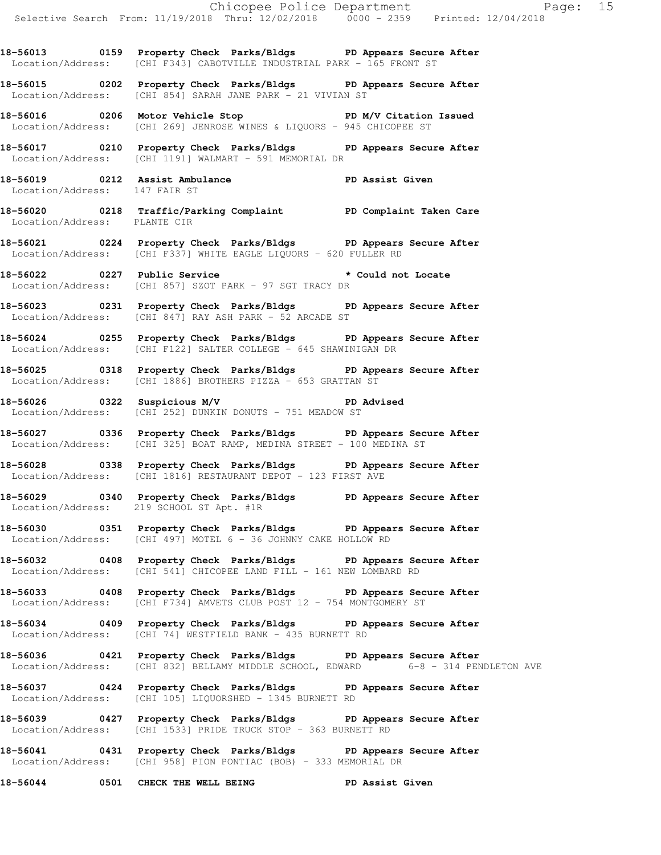**18-56013 0159 Property Check Parks/Bldgs PD Appears Secure After**  Location/Address: [CHI F343] CABOTVILLE INDUSTRIAL PARK - 165 FRONT ST

**18-56015 0202 Property Check Parks/Bldgs PD Appears Secure After**  Location/Address: [CHI 854] SARAH JANE PARK - 21 VIVIAN ST

**18-56016 0206 Motor Vehicle Stop PD M/V Citation Issued**  Location/Address: [CHI 269] JENROSE WINES & LIQUORS - 945 CHICOPEE ST

**18-56017 0210 Property Check Parks/Bldgs PD Appears Secure After**  Location/Address: [CHI 1191] WALMART - 591 MEMORIAL DR

**18-56019 0212 Assist Ambulance PD Assist Given**  Location/Address: 147 FAIR ST

**18-56020 0218 Traffic/Parking Complaint PD Complaint Taken Care**  Location/Address: PLANTE CIR

**18-56021 0224 Property Check Parks/Bldgs PD Appears Secure After**  Location/Address: [CHI F337] WHITE EAGLE LIQUORS - 620 FULLER RD

**18-56022 0227 Public Service \* Could not Locate**  Location/Address: [CHI 857] SZOT PARK - 97 SGT TRACY DR

**18-56023 0231 Property Check Parks/Bldgs PD Appears Secure After**  Location/Address: [CHI 847] RAY ASH PARK - 52 ARCADE ST

**18-56024 0255 Property Check Parks/Bldgs PD Appears Secure After**  Location/Address: [CHI F122] SALTER COLLEGE - 645 SHAWINIGAN DR

**18-56025 0318 Property Check Parks/Bldgs PD Appears Secure After**  Location/Address: [CHI 1886] BROTHERS PIZZA - 653 GRATTAN ST

**18-56026 0322 Suspicious M/V PD Advised**  Location/Address: [CHI 252] DUNKIN DONUTS - 751 MEADOW ST

**18-56027 0336 Property Check Parks/Bldgs PD Appears Secure After**  Location/Address: [CHI 325] BOAT RAMP, MEDINA STREET - 100 MEDINA ST

**18-56028 0338 Property Check Parks/Bldgs PD Appears Secure After**  Location/Address: [CHI 1816] RESTAURANT DEPOT - 123 FIRST AVE

**18-56029 0340 Property Check Parks/Bldgs PD Appears Secure After**  Location/Address: 219 SCHOOL ST Apt. #1R

**18-56030 0351 Property Check Parks/Bldgs PD Appears Secure After**  Location/Address: [CHI 497] MOTEL 6 - 36 JOHNNY CAKE HOLLOW RD

**18-56032 0408 Property Check Parks/Bldgs PD Appears Secure After**  Location/Address: [CHI 541] CHICOPEE LAND FILL - 161 NEW LOMBARD RD

**18-56033 0408 Property Check Parks/Bldgs PD Appears Secure After**  Location/Address: [CHI F734] AMVETS CLUB POST 12 - 754 MONTGOMERY ST

**18-56034 0409 Property Check Parks/Bldgs PD Appears Secure After**  Location/Address: [CHI 74] WESTFIELD BANK - 435 BURNETT RD

**18-56036 0421 Property Check Parks/Bldgs PD Appears Secure After**  Location/Address: [CHI 832] BELLAMY MIDDLE SCHOOL, EDWARD 6-8 - 314 PENDLETON AVE

**18-56037 0424 Property Check Parks/Bldgs PD Appears Secure After**  Location/Address: [CHI 105] LIQUORSHED - 1345 BURNETT RD

**18-56039 0427 Property Check Parks/Bldgs PD Appears Secure After**  Location/Address: [CHI 1533] PRIDE TRUCK STOP - 363 BURNETT RD

**18-56041 0431 Property Check Parks/Bldgs PD Appears Secure After**  Location/Address: [CHI 958] PION PONTIAC (BOB) - 333 MEMORIAL DR

**18-56044 0501 CHECK THE WELL BEING PD Assist Given**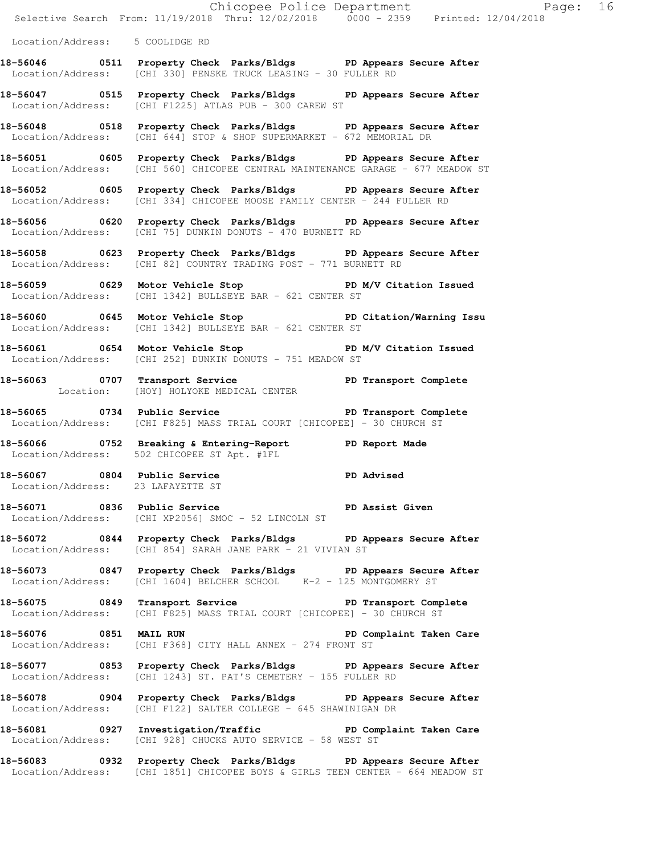|                                   | Chicopee Police Department<br>Selective Search From: 11/19/2018 Thru: 12/02/2018 0000 - 2359 Printed: 12/04/2018                                             |                         |
|-----------------------------------|--------------------------------------------------------------------------------------------------------------------------------------------------------------|-------------------------|
| Location/Address: 5 COOLIDGE RD   |                                                                                                                                                              |                         |
|                                   | 18-56046 0511 Property Check Parks/Bldgs PD Appears Secure After<br>Location/Address: [CHI 330] PENSKE TRUCK LEASING - 30 FULLER RD                          |                         |
|                                   | 18-56047 		 0515 Property Check Parks/Bldgs 		 PD Appears Secure After<br>Location/Address: [CHI F1225] ATLAS PUB - 300 CAREW ST                             |                         |
|                                   | 18-56048 0518 Property Check Parks/Bldgs PD Appears Secure After<br>Location/Address: [CHI 644] STOP & SHOP SUPERMARKET - 672 MEMORIAL DR                    |                         |
|                                   | 18-56051 0605 Property Check Parks/Bldgs PD Appears Secure After<br>Location/Address: [CHI 560] CHICOPEE CENTRAL MAINTENANCE GARAGE - 677 MEADOW ST          |                         |
|                                   | 18-56052 0605 Property Check Parks/Bldgs PD Appears Secure After<br>Location/Address: [CHI 334] CHICOPEE MOOSE FAMILY CENTER - 244 FULLER RD                 |                         |
|                                   | 18-56056 0620 Property Check Parks/Bldgs PD Appears Secure After<br>Location/Address: [CHI 75] DUNKIN DONUTS - 470 BURNETT RD                                |                         |
|                                   | 18-56058 0623 Property Check Parks/Bldgs PD Appears Secure After<br>Location/Address: [CHI 82] COUNTRY TRADING POST - 771 BURNETT RD                         |                         |
|                                   | 18-56059 		 0629 Motor Vehicle Stop 		 PD M/V Citation Issued<br>Location/Address: [CHI 1342] BULLSEYE BAR - 621 CENTER ST                                   |                         |
|                                   | 18-56060 0645 Motor Vehicle Stop North PD Citation/Warning Issu<br>Location/Address: [CHI 1342] BULLSEYE BAR - 621 CENTER ST                                 |                         |
|                                   | <br>18-56061            0654   Motor Vehicle Stop                        PD M/V Citation Issued<br>Location/Address: [CHI 252] DUNKIN DONUTS - 751 MEADOW ST |                         |
|                                   | 18-56063 0707 Transport Service PD Transport Complete<br>Location: [HOY] HOLYOKE MEDICAL CENTER                                                              |                         |
|                                   | Location/Address: [CHI F825] MASS TRIAL COURT [CHICOPEE] - 30 CHURCH ST                                                                                      |                         |
|                                   | 18-56066 0752 Breaking & Entering-Report PD Report Made<br>Location/Address: 502 CHICOPEE ST Apt. #1FL                                                       |                         |
| Location/Address: 23 LAFAYETTE ST | 18-56067 0804 Public Service <b>18-56067</b> PD Advised                                                                                                      |                         |
|                                   | 18-56071 0836 Public Service New PD Assist Given<br>Location/Address: [CHI XP2056] SMOC - 52 LINCOLN ST                                                      |                         |
|                                   | 18-56072 0844 Property Check Parks/Bldgs PD Appears Secure After<br>Location/Address: [CHI 854] SARAH JANE PARK - 21 VIVIAN ST                               |                         |
|                                   | 18-56073 0847 Property Check Parks/Bldgs PD Appears Secure After<br>Location/Address: [CHI 1604] BELCHER SCHOOL K-2 - 125 MONTGOMERY ST                      |                         |
|                                   | 18-56075 0849 Transport Service The PD Transport Complete<br>Location/Address: [CHI F825] MASS TRIAL COURT [CHICOPEE] - 30 CHURCH ST                         |                         |
| 18-56076 0851 MAIL RUN            | Location/Address: [CHI F368] CITY HALL ANNEX - 274 FRONT ST                                                                                                  | PD Complaint Taken Care |
|                                   | 18-56077 0853 Property Check Parks/Bldgs PD Appears Secure After<br>Location/Address: [CHI 1243] ST. PAT'S CEMETERY - 155 FULLER RD                          |                         |
|                                   | 18-56078 0904 Property Check Parks/Bldgs PD Appears Secure After<br>Location/Address: [CHI F122] SALTER COLLEGE - 645 SHAWINIGAN DR                          |                         |
|                                   | 18-56081 		 0927 Investigation/Traffic 		 PD Complaint Taken Care<br>Location/Address: [CHI 928] CHUCKS AUTO SERVICE - 58 WEST ST                            |                         |
|                                   |                                                                                                                                                              |                         |

**18-56083 0932 Property Check Parks/Bldgs PD Appears Secure After**  Location/Address: [CHI 1851] CHICOPEE BOYS & GIRLS TEEN CENTER - 664 MEADOW ST

Page:  $16$ <br>  $(2018)$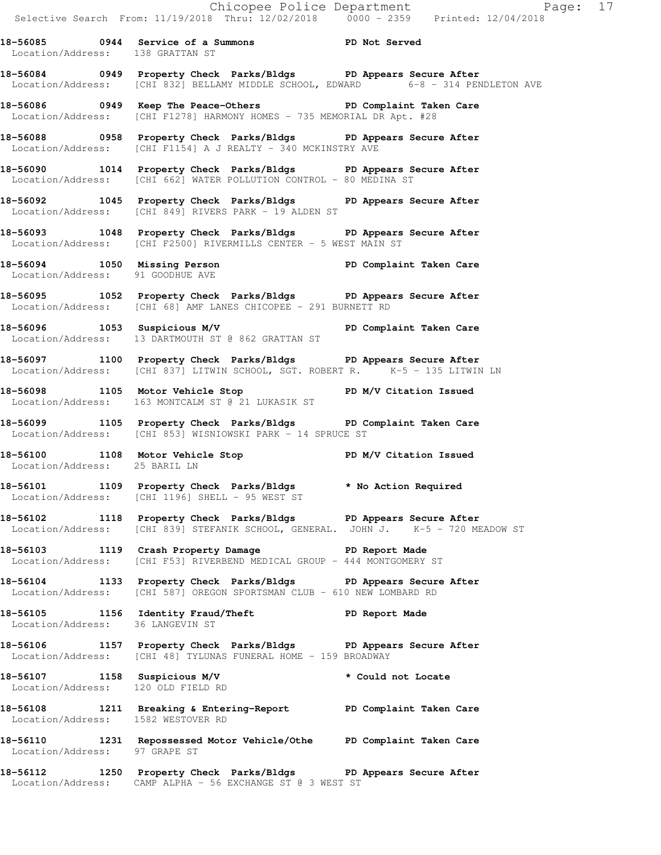Chicopee Police Department Fage: 17 Selective Search From: 11/19/2018 Thru: 12/02/2018 0000 - 2359 Printed: 12/04/2018 **18-56085 0944 Service of a Summons PD Not Served**  Location/Address: 138 GRATTAN ST **18-56084 0949 Property Check Parks/Bldgs PD Appears Secure After**  Location/Address: [CHI 832] BELLAMY MIDDLE SCHOOL, EDWARD 6-8 - 314 PENDLETON AVE **18-56086 0949 Keep The Peace-Others PD Complaint Taken Care**  Location/Address: [CHI F1278] HARMONY HOMES - 735 MEMORIAL DR Apt. #28 **18-56088 0958 Property Check Parks/Bldgs PD Appears Secure After**  Location/Address: [CHI F1154] A J REALTY - 340 MCKINSTRY AVE **18-56090 1014 Property Check Parks/Bldgs PD Appears Secure After**  Location/Address: [CHI 662] WATER POLLUTION CONTROL - 80 MEDINA ST **18-56092 1045 Property Check Parks/Bldgs PD Appears Secure After**  Location/Address: [CHI 849] RIVERS PARK - 19 ALDEN ST **18-56093 1048 Property Check Parks/Bldgs PD Appears Secure After**  Location/Address: [CHI F2500] RIVERMILLS CENTER - 5 WEST MAIN ST **18-56094 1050 Missing Person PD Complaint Taken Care**  Location/Address: 91 GOODHUE AVE **18-56095 1052 Property Check Parks/Bldgs PD Appears Secure After**  Location/Address: [CHI 68] AMF LANES CHICOPEE - 291 BURNETT RD **18-56096 1053 Suspicious M/V PD Complaint Taken Care**  Location/Address: 13 DARTMOUTH ST @ 862 GRATTAN ST **18-56097 1100 Property Check Parks/Bldgs PD Appears Secure After**  Location/Address: [CHI 837] LITWIN SCHOOL, SGT. ROBERT R. <sup>--</sup> K-5 - 135 LITWIN LN **18-56098 1105 Motor Vehicle Stop PD M/V Citation Issued**  Location/Address: 163 MONTCALM ST @ 21 LUKASIK ST **18-56099 1105 Property Check Parks/Bldgs PD Complaint Taken Care**  Location/Address: [CHI 853] WISNIOWSKI PARK - 14 SPRUCE ST **18-56100 1108 Motor Vehicle Stop PD M/V Citation Issued**  Location/Address: 25 BARIL LN **18-56101 1109 Property Check Parks/Bldgs \* No Action Required**  Location/Address: [CHI 1196] SHELL - 95 WEST ST **18-56102 1118 Property Check Parks/Bldgs PD Appears Secure After**  Location/Address: [CHI 839] STEFANIK SCHOOL, GENERAL. JOHN J. K-5 - 720 MEADOW ST **18-56103 1119 Crash Property Damage PD Report Made**  Location/Address: [CHI F53] RIVERBEND MEDICAL GROUP - 444 MONTGOMERY ST **18-56104 1133 Property Check Parks/Bldgs PD Appears Secure After**  Location/Address: [CHI 587] OREGON SPORTSMAN CLUB - 610 NEW LOMBARD RD **18-56105 1156 Identity Fraud/Theft PD Report Made**  Location/Address: 36 LANGEVIN ST **18-56106 1157 Property Check Parks/Bldgs PD Appears Secure After**  Location/Address: [CHI 48] TYLUNAS FUNERAL HOME - 159 BROADWAY **18-56107 1158 Suspicious M/V \* Could not Locate**  Location/Address: 120 OLD FIELD RD **18-56108 1211 Breaking & Entering-Report PD Complaint Taken Care**  Location/Address: 1582 WESTOVER RD **18-56110 1231 Repossessed Motor Vehicle/Othe PD Complaint Taken Care**  Location/Address: 97 GRAPE ST **18-56112 1250 Property Check Parks/Bldgs PD Appears Secure After** 

Location/Address: CAMP ALPHA - 56 EXCHANGE ST @ 3 WEST ST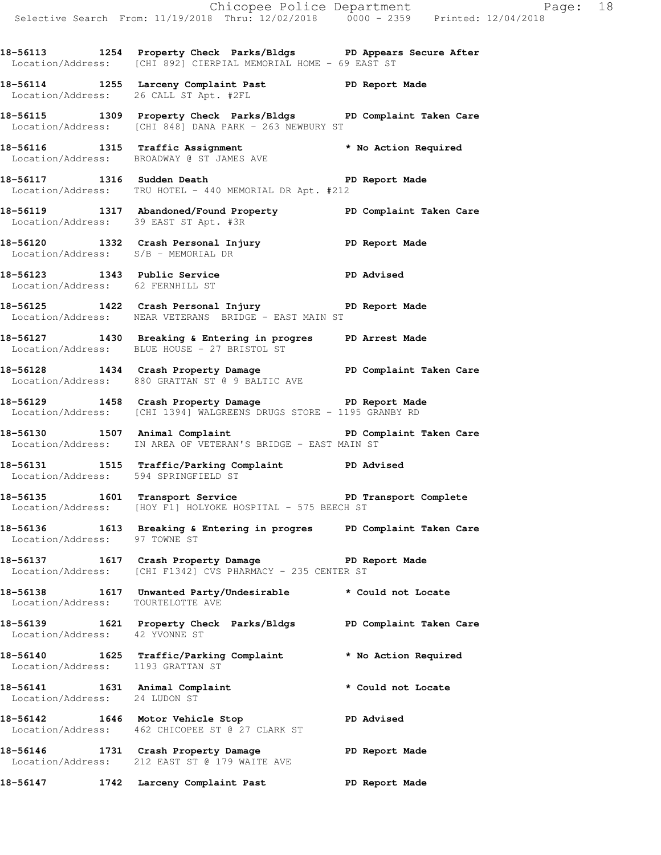**18-56113 1254 Property Check Parks/Bldgs PD Appears Secure After**  Location/Address: [CHI 892] CIERPIAL MEMORIAL HOME - 69 EAST ST

**18-56114 1255 Larceny Complaint Past PD Report Made**  Location/Address: 26 CALL ST Apt. #2FL

**18-56115 1309 Property Check Parks/Bldgs PD Complaint Taken Care**  Location/Address: [CHI 848] DANA PARK - 263 NEWBURY ST

**18-56116 1315 Traffic Assignment \* No Action Required**  Location/Address: BROADWAY @ ST JAMES AVE

**18-56117 1316 Sudden Death PD Report Made**  Location/Address: TRU HOTEL - 440 MEMORIAL DR Apt. #212

**18-56119 1317 Abandoned/Found Property PD Complaint Taken Care**  Location/Address: 39 EAST ST Apt. #3R

**18-56120 1332 Crash Personal Injury PD Report Made**  Location/Address: S/B - MEMORIAL DR

**18-56123 1343 Public Service PD Advised**  Location/Address: 62 FERNHILL ST

**18-56125 1422 Crash Personal Injury PD Report Made**  Location/Address: NEAR VETERANS BRIDGE - EAST MAIN ST

**18-56127 1430 Breaking & Entering in progres PD Arrest Made**  Location/Address: BLUE HOUSE - 27 BRISTOL ST

**18-56128 1434 Crash Property Damage PD Complaint Taken Care**  Location/Address: 880 GRATTAN ST @ 9 BALTIC AVE

**18-56129 1458 Crash Property Damage PD Report Made**  Location/Address: [CHI 1394] WALGREENS DRUGS STORE - 1195 GRANBY RD

**18-56130 1507 Animal Complaint PD Complaint Taken Care**  Location/Address: IN AREA OF VETERAN'S BRIDGE - EAST MAIN ST

**18-56131 1515 Traffic/Parking Complaint PD Advised**  Location/Address: 594 SPRINGFIELD ST

18-56135 1601 Transport Service **PED Transport Complete** Location/Address: [HOY F1] HOLYOKE HOSPITAL - 575 BEECH ST

**18-56136 1613 Breaking & Entering in progres PD Complaint Taken Care**  Location/Address: 97 TOWNE ST

**18-56137 1617 Crash Property Damage PD Report Made**  Location/Address: [CHI F1342] CVS PHARMACY - 235 CENTER ST

**18-56138 1617 Unwanted Party/Undesirable \* Could not Locate**  Location/Address: TOURTELOTTE AVE

**18-56139 1621 Property Check Parks/Bldgs PD Complaint Taken Care**  Location/Address: 42 YVONNE ST

**18-56140 1625 Traffic/Parking Complaint \* No Action Required**  Location/Address: 1193 GRATTAN ST

**18-56141 1631 Animal Complaint \* Could not Locate**  Location/Address: 24 LUDON ST

**18-56142 1646 Motor Vehicle Stop PD Advised**  Location/Address: 462 CHICOPEE ST @ 27 CLARK ST

**18-56146 1731 Crash Property Damage PD Report Made**  Location/Address: 212 EAST ST @ 179 WAITE AVE

**18-56147 1742 Larceny Complaint Past PD Report Made**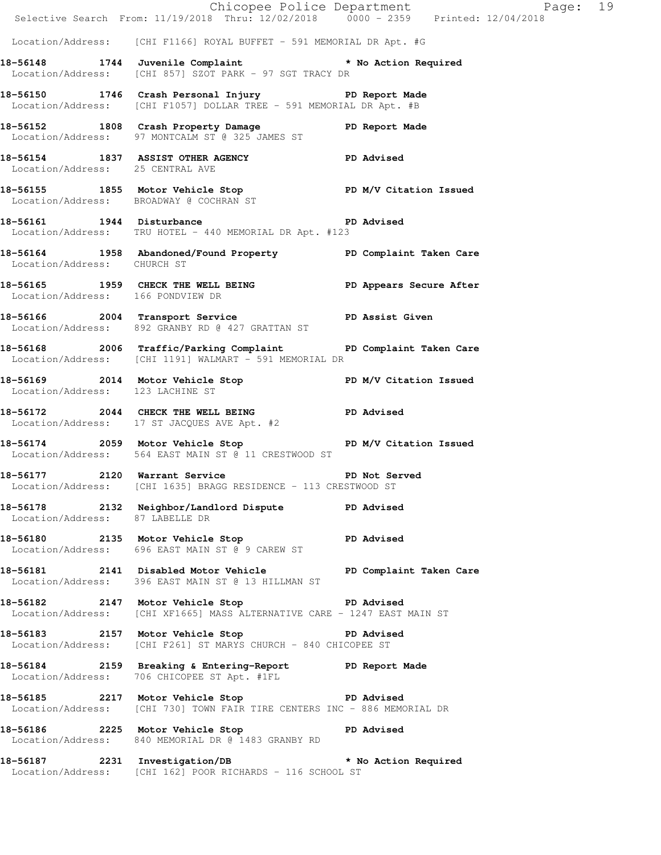|                                   |                                                                                                                                    | Chicopee Police Department<br>Selective Search From: 11/19/2018 Thru: 12/02/2018 0000 - 2359 Printed: 12/04/2018 |  |
|-----------------------------------|------------------------------------------------------------------------------------------------------------------------------------|------------------------------------------------------------------------------------------------------------------|--|
|                                   | Location/Address: [CHI F1166] ROYAL BUFFET - 591 MEMORIAL DR Apt. #G                                                               |                                                                                                                  |  |
|                                   | 18-56148 1744 Juvenile Complaint * No Action Required<br>Location/Address: [CHI 857] SZOT PARK - 97 SGT TRACY DR                   |                                                                                                                  |  |
|                                   | 18-56150 1746 Crash Personal Injury 18-56150 PD Report Made<br>Location/Address: [CHI F1057] DOLLAR TREE - 591 MEMORIAL DR Apt. #B |                                                                                                                  |  |
|                                   | 18-56152 1808 Crash Property Damage PD Report Made<br>Location/Address: 97 MONTCALM ST @ 325 JAMES ST                              |                                                                                                                  |  |
| Location/Address: 25 CENTRAL AVE  | 18-56154 1837 ASSIST OTHER AGENCY PD Advised                                                                                       |                                                                                                                  |  |
|                                   | 18-56155 1855 Motor Vehicle Stop PD M/V Citation Issued<br>Location/Address: BROADWAY @ COCHRAN ST                                 |                                                                                                                  |  |
|                                   | 18-56161 1944 Disturbance PD Advised<br>Location/Address: TRU HOTEL - 440 MEMORIAL DR Apt. #123                                    |                                                                                                                  |  |
| Location/Address: CHURCH ST       | 18-56164 1958 Abandoned/Found Property PD Complaint Taken Care                                                                     |                                                                                                                  |  |
| Location/Address: 166 PONDVIEW DR | 18-56165 1959 CHECK THE WELL BEING PD Appears Secure After                                                                         |                                                                                                                  |  |
|                                   | 18-56166 2004 Transport Service <b>18-6161 PD</b> Assist Given<br>Location/Address: 892 GRANBY RD @ 427 GRATTAN ST                 |                                                                                                                  |  |
|                                   | 18-56168 2006 Traffic/Parking Complaint PD Complaint Taken Care<br>Location/Address: [CHI 1191] WALMART - 591 MEMORIAL DR          |                                                                                                                  |  |
| Location/Address: 123 LACHINE ST  | 18-56169 2014 Motor Vehicle Stop N/V Citation Issued                                                                               |                                                                                                                  |  |
|                                   | 18-56172 2044 CHECK THE WELL BEING PD Advised<br>Location/Address: 17 ST JACQUES AVE Apt. #2                                       |                                                                                                                  |  |
|                                   | 18-56174 2059 Motor Vehicle Stop PD M/V Citation Issued<br>Location/Address: 564 EAST MAIN ST @ 11 CRESTWOOD ST                    |                                                                                                                  |  |
|                                   | 18-56177 2120 Warrant Service<br>Location/Address: [CHI 1635] BRAGG RESIDENCE - 113 CRESTWOOD ST                                   | PD Not Served                                                                                                    |  |
| Location/Address: 87 LABELLE DR   | 18-56178 2132 Neighbor/Landlord Dispute PD Advised                                                                                 |                                                                                                                  |  |
|                                   | 18-56180 2135 Motor Vehicle Stop PD Advised<br>Location/Address: 696 EAST MAIN ST @ 9 CAREW ST                                     |                                                                                                                  |  |
|                                   | 18-56181 2141 Disabled Motor Vehicle PD Complaint Taken Care<br>Location/Address: 396 EAST MAIN ST @ 13 HILLMAN ST                 |                                                                                                                  |  |
|                                   | 18-56182 2147 Motor Vehicle Stop 30 PD Advised<br>Location/Address: [CHI XF1665] MASS ALTERNATIVE CARE - 1247 EAST MAIN ST         |                                                                                                                  |  |
|                                   | 18-56183 2157 Motor Vehicle Stop 30 PD Advised<br>Location/Address: [CHI F261] ST MARYS CHURCH - 840 CHICOPEE ST                   |                                                                                                                  |  |
|                                   | 18-56184 2159 Breaking & Entering-Report PD Report Made<br>Location/Address: 706 CHICOPEE ST Apt. #1FL                             |                                                                                                                  |  |
|                                   | 18-56185 2217 Motor Vehicle Stop 50 PD Advised<br>Location/Address: [CHI 730] TOWN FAIR TIRE CENTERS INC - 886 MEMORIAL DR         |                                                                                                                  |  |
|                                   | 18-56186 2225 Motor Vehicle Stop Communication PD Advised<br>Location/Address: 840 MEMORIAL DR @ 1483 GRANBY RD                    |                                                                                                                  |  |
|                                   | 18-56187 2231 Investigation/DB * No Action Required<br>Location/Address: [CHI 162] POOR RICHARDS - 116 SCHOOL ST                   |                                                                                                                  |  |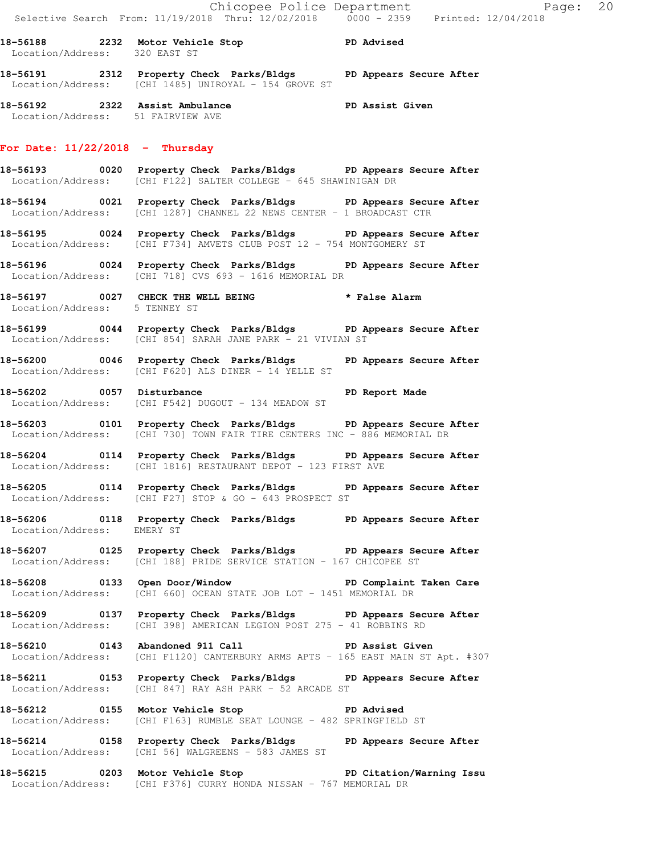**18-56188 2232 Motor Vehicle Stop PD Advised**  Location/Address: 320 EAST ST **18-56191 2312 Property Check Parks/Bldgs PD Appears Secure After**  Location/Address: [CHI 1485] UNIROYAL - 154 GROVE ST

**18-56192 2322 Assist Ambulance PD Assist Given**  Location/Address: 51 FAIRVIEW AVE

#### **For Date: 11/22/2018 - Thursday**

- **18-56193 0020 Property Check Parks/Bldgs PD Appears Secure After**  Location/Address: [CHI F122] SALTER COLLEGE - 645 SHAWINIGAN DR
- **18-56194 0021 Property Check Parks/Bldgs PD Appears Secure After**  Location/Address: [CHI 1287] CHANNEL 22 NEWS CENTER - 1 BROADCAST CTR
- **18-56195 0024 Property Check Parks/Bldgs PD Appears Secure After**  Location/Address: [CHI F734] AMVETS CLUB POST 12 - 754 MONTGOMERY ST
- **18-56196 0024 Property Check Parks/Bldgs PD Appears Secure After**  Location/Address: [CHI 718] CVS 693 - 1616 MEMORIAL DR
- **18-56197 0027 CHECK THE WELL BEING \* False Alarm**  Location/Address: 5 TENNEY ST
- **18-56199 0044 Property Check Parks/Bldgs PD Appears Secure After**  Location/Address: [CHI 854] SARAH JANE PARK - 21 VIVIAN ST
- **18-56200 0046 Property Check Parks/Bldgs PD Appears Secure After**  Location/Address: [CHI F620] ALS DINER - 14 YELLE ST
- **18-56202 0057 Disturbance PD Report Made**  Location/Address: [CHI F542] DUGOUT - 134 MEADOW ST
- **18-56203 0101 Property Check Parks/Bldgs PD Appears Secure After**  Location/Address: [CHI 730] TOWN FAIR TIRE CENTERS INC - 886 MEMORIAL DR
- **18-56204 0114 Property Check Parks/Bldgs PD Appears Secure After**  Location/Address: [CHI 1816] RESTAURANT DEPOT - 123 FIRST AVE
- **18-56205 0114 Property Check Parks/Bldgs PD Appears Secure After**  Location/Address: [CHI F27] STOP & GO - 643 PROSPECT ST
- **18-56206 0118 Property Check Parks/Bldgs PD Appears Secure After**  Location/Address: EMERY ST
- **18-56207 0125 Property Check Parks/Bldgs PD Appears Secure After**  Location/Address: [CHI 188] PRIDE SERVICE STATION - 167 CHICOPEE ST
- **18-56208 0133 Open Door/Window PD Complaint Taken Care**  Location/Address: [CHI 660] OCEAN STATE JOB LOT - 1451 MEMORIAL DR
- **18-56209 0137 Property Check Parks/Bldgs PD Appears Secure After**  Location/Address: [CHI 398] AMERICAN LEGION POST 275 - 41 ROBBINS RD
- **18-56210 0143 Abandoned 911 Call PD Assist Given**  Location/Address: [CHI F1120] CANTERBURY ARMS APTS - 165 EAST MAIN ST Apt. #307
- **18-56211 0153 Property Check Parks/Bldgs PD Appears Secure After**  Location/Address: [CHI 847] RAY ASH PARK - 52 ARCADE ST
- **18-56212 0155 Motor Vehicle Stop PD Advised**  Location/Address: [CHI F163] RUMBLE SEAT LOUNGE - 482 SPRINGFIELD ST
- **18-56214 0158 Property Check Parks/Bldgs PD Appears Secure After**  Location/Address: [CHI 56] WALGREENS - 583 JAMES ST
- **18-56215 0203 Motor Vehicle Stop PD Citation/Warning Issu**  Location/Address: [CHI F376] CURRY HONDA NISSAN - 767 MEMORIAL DR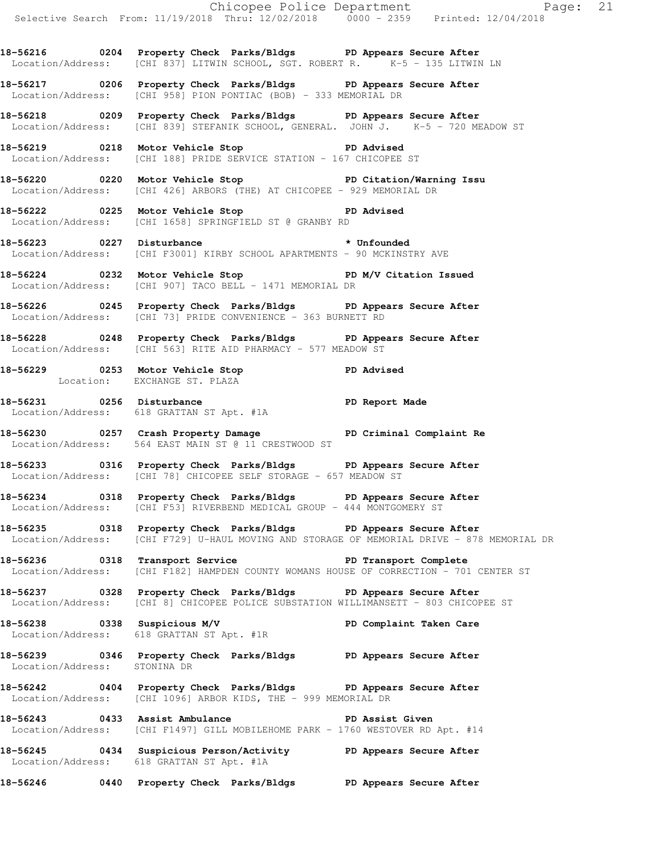**18-56216 0204 Property Check Parks/Bldgs PD Appears Secure After**  Location/Address: [CHI 837] LITWIN SCHOOL, SGT. ROBERT R. K-5 - 135 LITWIN LN

**18-56217 0206 Property Check Parks/Bldgs PD Appears Secure After**  Location/Address: [CHI 958] PION PONTIAC (BOB) - 333 MEMORIAL DR

**18-56218 0209 Property Check Parks/Bldgs PD Appears Secure After**  Location/Address: [CHI 839] STEFANIK SCHOOL, GENERAL. JOHN J. K-5 - 720 MEADOW ST

**18-56219 0218 Motor Vehicle Stop PD Advised**  Location/Address: [CHI 188] PRIDE SERVICE STATION - 167 CHICOPEE ST

**18-56220 0220 Motor Vehicle Stop PD Citation/Warning Issu**  Location/Address: [CHI 426] ARBORS (THE) AT CHICOPEE - 929 MEMORIAL DR

**18-56222 0225 Motor Vehicle Stop PD Advised**  Location/Address: [CHI 1658] SPRINGFIELD ST @ GRANBY RD

18-56223 0227 Disturbance **\*** Unfounded Location/Address: [CHI F3001] KIRBY SCHOOL APARTMENTS - 90 MCKINSTRY AVE

**18-56224 0232 Motor Vehicle Stop PD M/V Citation Issued**  Location/Address: [CHI 907] TACO BELL - 1471 MEMORIAL DR

**18-56226 0245 Property Check Parks/Bldgs PD Appears Secure After**  Location/Address: [CHI 73] PRIDE CONVENIENCE - 363 BURNETT RD

**18-56228 0248 Property Check Parks/Bldgs PD Appears Secure After**  Location/Address: [CHI 563] RITE AID PHARMACY - 577 MEADOW ST

**18-56229 0253 Motor Vehicle Stop PD Advised**  Location: EXCHANGE ST. PLAZA

18-56231 0256 Disturbance **PD Report Made** Location/Address: 618 GRATTAN ST Apt. #1A

18-56230 **0257** Crash Property Damage **PD Criminal Complaint Re** Location/Address: 564 EAST MAIN ST @ 11 CRESTWOOD ST

**18-56233 0316 Property Check Parks/Bldgs PD Appears Secure After**  Location/Address: [CHI 78] CHICOPEE SELF STORAGE - 657 MEADOW ST

**18-56234 0318 Property Check Parks/Bldgs PD Appears Secure After**  Location/Address: [CHI F53] RIVERBEND MEDICAL GROUP - 444 MONTGOMERY ST

**18-56235 0318 Property Check Parks/Bldgs PD Appears Secure After**  Location/Address: [CHI F729] U-HAUL MOVING AND STORAGE OF MEMORIAL DRIVE - 878 MEMORIAL DR

**18-56236 0318 Transport Service PD Transport Complete**  Location/Address: [CHI F182] HAMPDEN COUNTY WOMANS HOUSE OF CORRECTION - 701 CENTER ST

**18-56237 0328 Property Check Parks/Bldgs PD Appears Secure After**  Location/Address: [CHI 8] CHICOPEE POLICE SUBSTATION WILLIMANSETT - 803 CHICOPEE ST

**18-56238 0338 Suspicious M/V PD Complaint Taken Care**  Location/Address: 618 GRATTAN ST Apt. #1R

**18-56239 0346 Property Check Parks/Bldgs PD Appears Secure After**  Location/Address: STONINA DR

**18-56242 0404 Property Check Parks/Bldgs PD Appears Secure After**  Location/Address: [CHI 1096] ARBOR KIDS, THE - 999 MEMORIAL DR

**18-56243 0433 Assist Ambulance PD Assist Given**  Location/Address: [CHI F1497] GILL MOBILEHOME PARK - 1760 WESTOVER RD Apt. #14

**18-56245 0434 Suspicious Person/Activity PD Appears Secure After**  Location/Address: 618 GRATTAN ST Apt. #1A

**18-56246 0440 Property Check Parks/Bldgs PD Appears Secure After**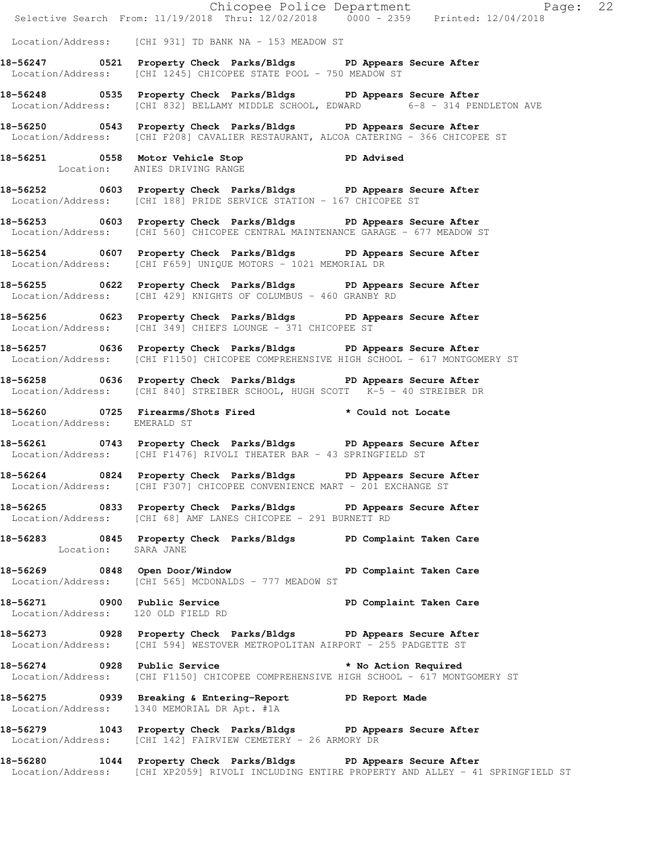|                                    | Chicopee Police Department<br>Selective Search From: 11/19/2018 Thru: 12/02/2018 0000 - 2359 Printed: 12/04/2018                                                  |
|------------------------------------|-------------------------------------------------------------------------------------------------------------------------------------------------------------------|
|                                    | Location/Address: [CHI 931] TD BANK NA - 153 MEADOW ST                                                                                                            |
|                                    | 18-56247 0521 Property Check Parks/Bldgs PD Appears Secure After<br>Location/Address: [CHI 1245] CHICOPEE STATE POOL - 750 MEADOW ST                              |
|                                    | 18-56248 		 0535 Property Check Parks/Bldgs 		 PD Appears Secure After<br>Location/Address: [CHI 832] BELLAMY MIDDLE SCHOOL, EDWARD 6-8 - 314 PENDLETON AVE       |
|                                    | 18-56250 0543 Property Check Parks/Bldgs PD Appears Secure After<br>Location/Address: [CHI F208] CAVALIER RESTAURANT, ALCOA CATERING - 366 CHICOPEE ST            |
|                                    | 18-56251 0558 Motor Vehicle Stop 30 PD Advised<br>Location: ANIES DRIVING RANGE                                                                                   |
|                                    | 18-56252 0603 Property Check Parks/Bldgs PD Appears Secure After<br>Location/Address: [CHI 188] PRIDE SERVICE STATION - 167 CHICOPEE ST                           |
|                                    | 18-56253 0603 Property Check Parks/Bldgs PD Appears Secure After<br>Location/Address: [CHI 560] CHICOPEE CENTRAL MAINTENANCE GARAGE - 677 MEADOW ST               |
|                                    | 18-56254 0607 Property Check Parks/Bldgs PD Appears Secure After<br>Location/Address: [CHI F659] UNIQUE MOTORS - 1021 MEMORIAL DR                                 |
|                                    | 18-56255 0622 Property Check Parks/Bldgs PD Appears Secure After<br>Location/Address: [CHI 429] KNIGHTS OF COLUMBUS - 460 GRANBY RD                               |
|                                    | 18-56256 0623 Property Check Parks/Bldgs PD Appears Secure After<br>Location/Address: [CHI 349] CHIEFS LOUNGE - 371 CHICOPEE ST                                   |
|                                    | 18-56257 0636 Property Check Parks/Bldgs PD Appears Secure After<br>Location/Address: [CHI F1150] CHICOPEE COMPREHENSIVE HIGH SCHOOL - 617 MONTGOMERY ST          |
|                                    | 18-56258 0636 Property Check Parks/Bldgs PD Appears Secure After<br>Location/Address: [CHI 840] STREIBER SCHOOL, HUGH SCOTT K-5 - 40 STREIBER DR                  |
| Location/Address: EMERALD ST       | 18-56260 0725 Firearms/Shots Fired<br>* Could not Locate                                                                                                          |
|                                    | 18-56261 0743 Property Check Parks/Bldgs PD Appears Secure After<br>Location/Address: [CHI F1476] RIVOLI THEATER BAR - 43 SPRINGFIELD ST                          |
|                                    | 18-56264 0824 Property Check Parks/Bldgs PD Appears Secure After<br>Location/Address: [CHI F307] CHICOPEE CONVENIENCE MART - 201 EXCHANGE ST                      |
|                                    | 18-56265 0833 Property Check Parks/Bldgs PD Appears Secure After<br>Location/Address: [CHI 68] AMF LANES CHICOPEE - 291 BURNETT RD                                |
| Location: SARA JANE                | 18-56283 0845 Property Check Parks/Bldgs PD Complaint Taken Care                                                                                                  |
|                                    | 18-56269 0848 Open Door/Window New PD Complaint Taken Care<br>Location/Address: [CHI 565] MCDONALDS - 777 MEADOW ST                                               |
| Location/Address: 120 OLD FIELD RD | 18-56271 0900 Public Service PD Complaint Taken Care                                                                                                              |
|                                    | 18-56273 0928 Property Check Parks/Bldgs PD Appears Secure After<br>Location/Address: [CHI 594] WESTOVER METROPOLITAN AIRPORT - 255 PADGETTE ST                   |
|                                    | 18-56274 0928 Public Service<br>* No Action Required<br>Location/Address: [CHI F1150] CHICOPEE COMPREHENSIVE HIGH SCHOOL - 617 MONTGOMERY ST                      |
|                                    | 18-56275 0939 Breaking & Entering-Report TPD Report Made<br>Location/Address: 1340 MEMORIAL DR Apt. #1A                                                           |
|                                    | 18-56279 1043 Property Check Parks/Bldgs PD Appears Secure After<br>Location/Address: [CHI 142] FAIRVIEW CEMETERY - 26 ARMORY DR                                  |
|                                    | 18-56280 1044 Property Check Parks/Bldgs PD Appears Secure After<br>Location/Address: [CHI XP2059] RIVOLI INCLUDING ENTIRE PROPERTY AND ALLEY - 41 SPRINGFIELD ST |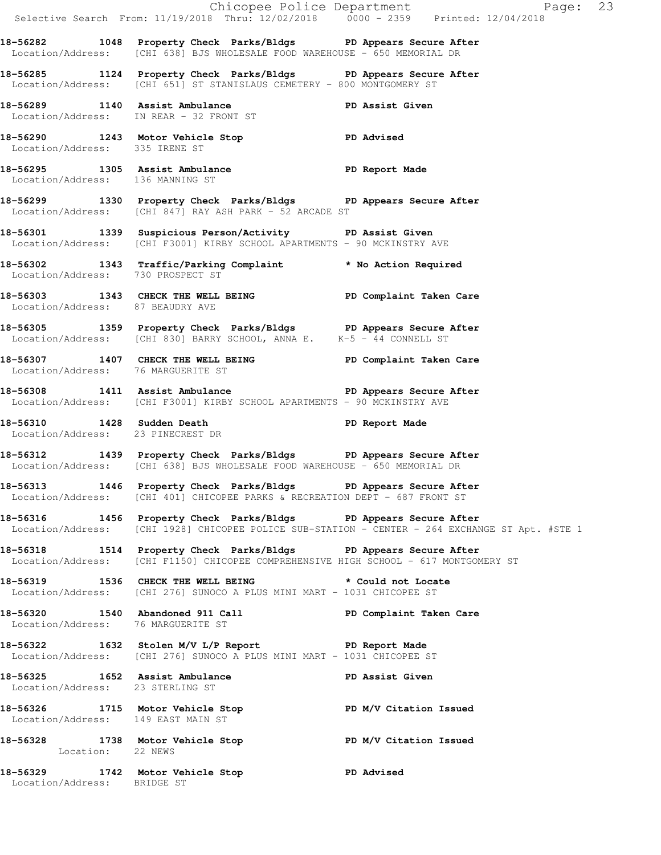|                                    |                                                                                                                                                          | Chicopee Police Department<br>Selective Search From: 11/19/2018 Thru: 12/02/2018 0000 - 2359 Printed: 12/04/2018 |
|------------------------------------|----------------------------------------------------------------------------------------------------------------------------------------------------------|------------------------------------------------------------------------------------------------------------------|
|                                    | 18-56282 1048 Property Check Parks/Bldgs PD Appears Secure After<br>Location/Address: [CHI 638] BJS WHOLESALE FOOD WAREHOUSE - 650 MEMORIAL DR           |                                                                                                                  |
|                                    | 18-56285 1124 Property Check Parks/Bldgs PD Appears Secure After<br>Location/Address: [CHI 651] ST STANISLAUS CEMETERY - 800 MONTGOMERY ST               |                                                                                                                  |
|                                    | 18-56289 1140 Assist Ambulance PD Assist Given<br>Location/Address: IN REAR - 32 FRONT ST                                                                |                                                                                                                  |
|                                    | 18-56290 1243 Motor Vehicle Stop PD Advised<br>Location/Address: 335 IRENE ST                                                                            |                                                                                                                  |
| Location/Address: 136 MANNING ST   | 18-56295 1305 Assist Ambulance Name PD Report Made                                                                                                       |                                                                                                                  |
|                                    | 18-56299 1330 Property Check Parks/Bldgs PD Appears Secure After<br>Location/Address: [CHI 847] RAY ASH PARK - 52 ARCADE ST                              |                                                                                                                  |
|                                    | 18-56301 1339 Suspicious Person/Activity PD Assist Given<br>Location/Address: [CHI F3001] KIRBY SCHOOL APARTMENTS - 90 MCKINSTRY AVE                     |                                                                                                                  |
| Location/Address: 730 PROSPECT ST  | 18-56302 1343 Traffic/Parking Complaint * No Action Required                                                                                             |                                                                                                                  |
| Location/Address: 87 BEAUDRY AVE   | 18-56303 1343 CHECK THE WELL BEING PD Complaint Taken Care                                                                                               |                                                                                                                  |
|                                    | 18-56305 1359 Property Check Parks/Bldgs PD Appears Secure After<br>Location/Address: [CHI 830] BARRY SCHOOL, ANNA E. K-5 - 44 CONNELL ST                |                                                                                                                  |
| Location/Address: 76 MARGUERITE ST | 18-56307 1407 CHECK THE WELL BEING PD Complaint Taken Care                                                                                               |                                                                                                                  |
|                                    | 18-56308 1411 Assist Ambulance New PD Appears Secure After<br>Location/Address: [CHI F3001] KIRBY SCHOOL APARTMENTS - 90 MCKINSTRY AVE                   |                                                                                                                  |
| Location/Address: 23 PINECREST DR  | 18-56310 1428 Sudden Death                                                                                                                               | PD Report Made                                                                                                   |
|                                    | 18-56312 1439 Property Check Parks/Bldgs PD Appears Secure After<br>Location/Address: [CHI 638] BJS WHOLESALE FOOD WAREHOUSE - 650 MEMORIAL DR           |                                                                                                                  |
|                                    | 18-56313 1446 Property Check Parks/Bldgs PD Appears Secure After<br>Location/Address: [CHI 401] CHICOPEE PARKS & RECREATION DEPT - 687 FRONT ST          |                                                                                                                  |
|                                    | 18-56316 1456 Property Check Parks/Bldgs PD Appears Secure After                                                                                         | Location/Address: [CHI 1928] CHICOPEE POLICE SUB-STATION - CENTER - 264 EXCHANGE ST Apt. #STE 1                  |
|                                    | 18-56318 1514 Property Check Parks/Bldgs PD Appears Secure After<br>Location/Address: [CHI F1150] CHICOPEE COMPREHENSIVE HIGH SCHOOL - 617 MONTGOMERY ST |                                                                                                                  |
|                                    | 18-56319 1536 CHECK THE WELL BEING * Could not Locate<br>Location/Address: [CHI 276] SUNOCO A PLUS MINI MART - 1031 CHICOPEE ST                          |                                                                                                                  |
|                                    | 18-56320 1540 Abandoned 911 Call New PD Complaint Taken Care<br>Location/Address: 76 MARGUERITE ST                                                       |                                                                                                                  |
|                                    | 18-56322 1632 Stolen M/V L/P Report The PD Report Made<br>Location/Address: [CHI 276] SUNOCO A PLUS MINI MART - 1031 CHICOPEE ST                         |                                                                                                                  |
| Location/Address: 23 STERLING ST   | 18-56325 1652 Assist Ambulance                                                                                                                           | PD Assist Given                                                                                                  |
| Location/Address: 149 EAST MAIN ST | 18-56326 1715 Motor Vehicle Stop N/V Citation Issued                                                                                                     |                                                                                                                  |
|                                    | 18-56328 1738 Motor Vehicle Stop PD M/V Citation Issued<br>Location: 22 NEWS                                                                             |                                                                                                                  |
| Location/Address: BRIDGE ST        | 18-56329 1742 Motor Vehicle Stop 30 PD Advised                                                                                                           |                                                                                                                  |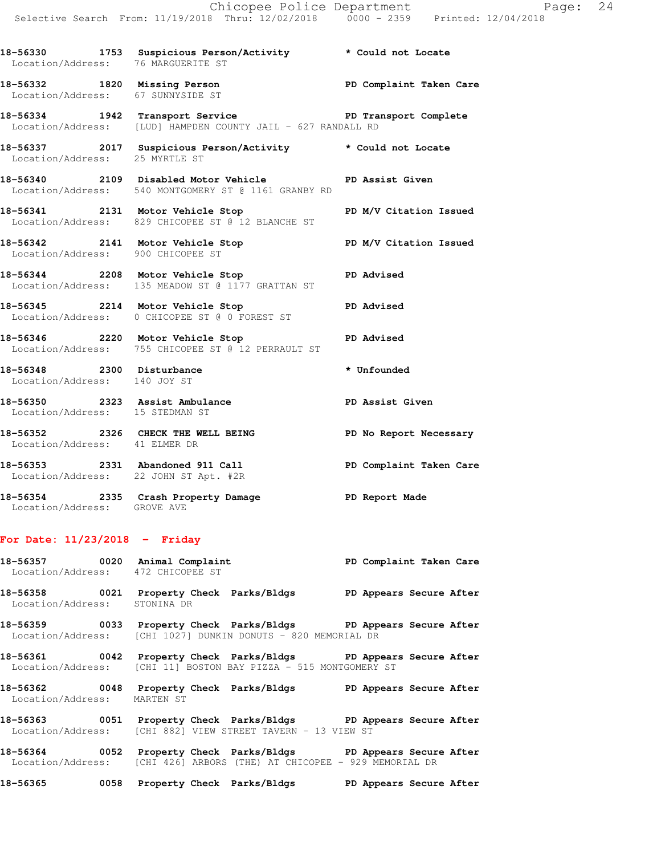**18-56330 1753 Suspicious Person/Activity \* Could not Locate**  Location/Address: 76 MARGUERITE ST **18-56332 1820 Missing Person PD Complaint Taken Care**  Location/Address: 67 SUNNYSIDE ST 18-56334 1942 Transport Service **PED Transport Complete**  Location/Address: [LUD] HAMPDEN COUNTY JAIL - 627 RANDALL RD **18-56337 2017 Suspicious Person/Activity \* Could not Locate**  Location/Address: 25 MYRTLE ST **18-56340 2109 Disabled Motor Vehicle PD Assist Given**  Location/Address: 540 MONTGOMERY ST @ 1161 GRANBY RD **18-56341 2131 Motor Vehicle Stop PD M/V Citation Issued**  Location/Address: 829 CHICOPEE ST @ 12 BLANCHE ST **18-56342 2141 Motor Vehicle Stop PD M/V Citation Issued**  Location/Address: 900 CHICOPEE ST **18-56344 2208 Motor Vehicle Stop PD Advised**  Location/Address: 135 MEADOW ST @ 1177 GRATTAN ST **18-56345 2214 Motor Vehicle Stop PD Advised**  Location/Address: 0 CHICOPEE ST @ 0 FOREST ST **18-56346 2220 Motor Vehicle Stop PD Advised**  Location/Address: 755 CHICOPEE ST @ 12 PERRAULT ST 18-56348 **2300** Disturbance **18-56348 \*** Unfounded Location/Address: 140 JOY ST **18-56350 2323 Assist Ambulance PD Assist Given**  Location/Address: 15 STEDMAN ST **18-56352 2326 CHECK THE WELL BEING PD No Report Necessary**  Location/Address: 41 ELMER DR **18-56353 2331 Abandoned 911 Call PD Complaint Taken Care**  Location/Address: 22 JOHN ST Apt. #2R **18-56354 2335 Crash Property Damage PD Report Made** 

### **For Date: 11/23/2018 - Friday**

Location/Address: GROVE AVE

|                              | 18-56357 0020 Animal Complaint<br>PD Complaint Taken Care<br>Location/Address: 472 CHICOPEE ST                                             |  |
|------------------------------|--------------------------------------------------------------------------------------------------------------------------------------------|--|
| Location/Address: STONINA DR | 18-56358            0021   Property Check   Parks/Bldgs           PD Appears Secure After                                                  |  |
|                              | 18-56359 0033 Property Check Parks/Bldgs PD Appears Secure After<br>Location/Address: [CHI 1027] DUNKIN DONUTS - 820 MEMORIAL DR           |  |
|                              | 18-56361 0042 Property Check Parks/Bldgs PD Appears Secure After<br>Location/Address: [CHI 11] BOSTON BAY PIZZA - 515 MONTGOMERY ST        |  |
| Location/Address: MARTEN ST  | 18-56362 6048 Property Check Parks/Bldgs BD Appears Secure After                                                                           |  |
|                              | 18-56363 0051 Property Check Parks/Bldgs PD Appears Secure After<br>Location/Address: [CHI 882] VIEW STREET TAVERN - 13 VIEW ST            |  |
|                              | 18-56364 0052 Property Check Parks/Bldgs PD Appears Secure After<br>Location/Address: [CHI 426] ARBORS (THE) AT CHICOPEE - 929 MEMORIAL DR |  |

**18-56365 0058 Property Check Parks/Bldgs PD Appears Secure After**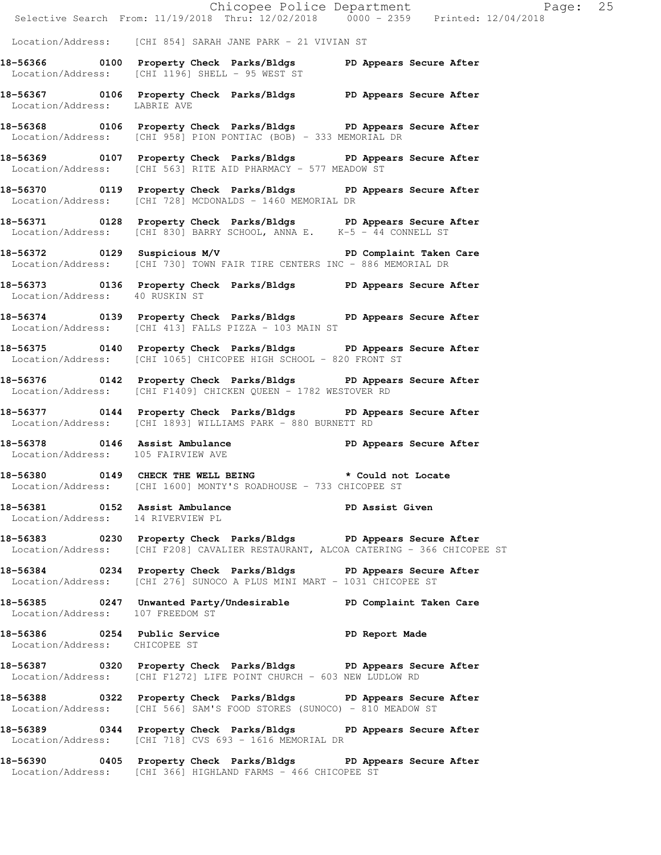|                                                                      | Chicopee Police Department<br>Selective Search From: 11/19/2018 Thru: 12/02/2018 0000 - 2359 Printed: 12/04/2018                                       | Page: 25                |
|----------------------------------------------------------------------|--------------------------------------------------------------------------------------------------------------------------------------------------------|-------------------------|
|                                                                      | Location/Address: [CHI 854] SARAH JANE PARK - 21 VIVIAN ST                                                                                             |                         |
|                                                                      | 18-56366 0100 Property Check Parks/Bldgs PD Appears Secure After<br>Location/Address: [CHI 1196] SHELL - 95 WEST ST                                    |                         |
| Location/Address: LABRIE AVE                                         | 18-56367 0106 Property Check Parks/Bldgs PD Appears Secure After                                                                                       |                         |
|                                                                      | 18-56368 0106 Property Check Parks/Bldgs PD Appears Secure After<br>Location/Address: [CHI 958] PION PONTIAC (BOB) - 333 MEMORIAL DR                   |                         |
|                                                                      | 18-56369 0107 Property Check Parks/Bldgs PD Appears Secure After<br>Location/Address: [CHI 563] RITE AID PHARMACY - 577 MEADOW ST                      |                         |
|                                                                      | 18-56370 0119 Property Check Parks/Bldgs PD Appears Secure After<br>Location/Address: [CHI 728] MCDONALDS - 1460 MEMORIAL DR                           |                         |
|                                                                      | 18-56371 0128 Property Check Parks/Bldgs PD Appears Secure After<br>Location/Address: [CHI 830] BARRY SCHOOL, ANNA E. K-5 - 44 CONNELL ST              |                         |
|                                                                      | 18-56372 0129 Suspicious M/V PD Complaint Taken Care<br>  Location/Address: [CHI 730] TOWN FAIR TIRE CENTERS INC - 886 MEMORIAL DR                     |                         |
| Location/Address: 40 RUSKIN ST                                       | 18-56373 0136 Property Check Parks/Bldgs PD Appears Secure After                                                                                       |                         |
|                                                                      | 18-56374 0139 Property Check Parks/Bldgs PD Appears Secure After<br>Location/Address: [CHI 413] FALLS PIZZA - 103 MAIN ST                              |                         |
|                                                                      | 18-56375 0140 Property Check Parks/Bldgs PD Appears Secure After<br>Location/Address: [CHI 1065] CHICOPEE HIGH SCHOOL - 820 FRONT ST                   |                         |
|                                                                      | 18-56376 0142 Property Check Parks/Bldgs PD Appears Secure After<br>Location/Address: [CHI F1409] CHICKEN QUEEN - 1782 WESTOVER RD                     |                         |
|                                                                      | 18-56377 0144 Property Check Parks/Bldgs PD Appears Secure After<br>Location/Address: [CHI 1893] WILLIAMS PARK - 880 BURNETT RD                        |                         |
| 18-56378 0146 Assist Ambulance<br>Location/Address: 105 FAIRVIEW AVE |                                                                                                                                                        | PD Appears Secure After |
|                                                                      | 18-56380 0149 CHECK THE WELL BEING * Could not Locate<br>Location/Address: [CHI 1600] MONTY'S ROADHOUSE - 733 CHICOPEE ST                              |                         |
| 18-56381 0152 Assist Ambulance<br>Location/Address: 14 RIVERVIEW PL  |                                                                                                                                                        | <b>PD Assist Given</b>  |
|                                                                      | 18-56383 0230 Property Check Parks/Bldgs PD Appears Secure After<br>Location/Address: [CHI F208] CAVALIER RESTAURANT, ALCOA CATERING - 366 CHICOPEE ST |                         |
|                                                                      | 18-56384 0234 Property Check Parks/Bldgs PD Appears Secure After<br>Location/Address: [CHI 276] SUNOCO A PLUS MINI MART - 1031 CHICOPEE ST             |                         |
| Location/Address: 107 FREEDOM ST                                     | 18-56385 0247 Unwanted Party/Undesirable PD Complaint Taken Care                                                                                       |                         |
| Location/Address: CHICOPEE ST                                        | 18-56386 0254 Public Service <b>18-56386</b> PD Report Made                                                                                            |                         |
|                                                                      | 18-56387 0320 Property Check Parks/Bldgs PD Appears Secure After<br>Location/Address: [CHI F1272] LIFE POINT CHURCH - 603 NEW LUDLOW RD                |                         |
|                                                                      | 18-56388 0322 Property Check Parks/Bldgs PD Appears Secure After<br>Location/Address: [CHI 566] SAM'S FOOD STORES (SUNOCO) - 810 MEADOW ST             |                         |
|                                                                      | 18-56389 0344 Property Check Parks/Bldgs PD Appears Secure After<br>Location/Address: [CHI 718] CVS 693 - 1616 MEMORIAL DR                             |                         |
|                                                                      | 18-56390 0405 Property Check Parks/Bldgs PD Appears Secure After                                                                                       |                         |

Location/Address: [CHI 366] HIGHLAND FARMS - 466 CHICOPEE ST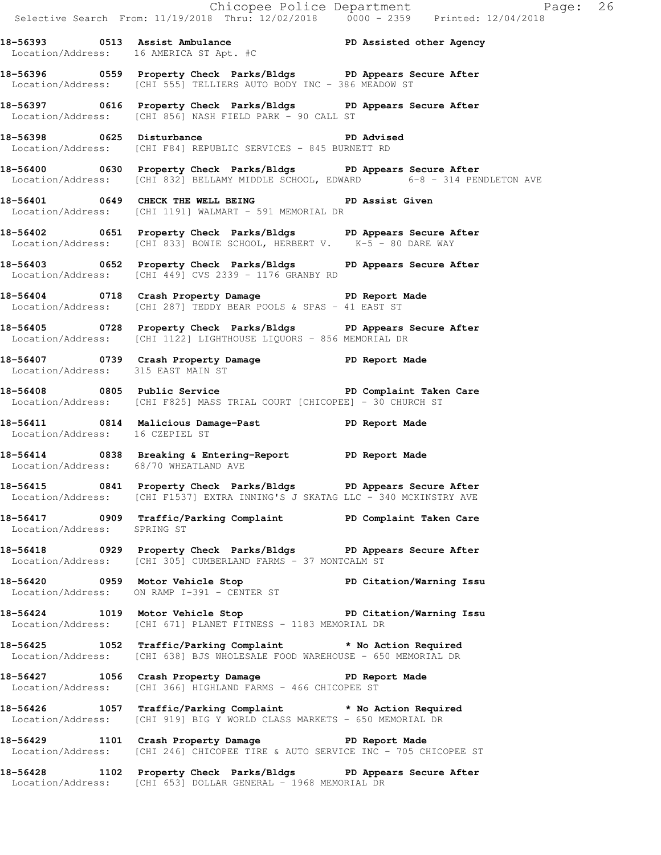|                                       |                                                                                                                                                       | Chicopee Police Department<br>Selective Search From: 11/19/2018 Thru: 12/02/2018 0000 - 2359 Printed: 12/04/2018 |
|---------------------------------------|-------------------------------------------------------------------------------------------------------------------------------------------------------|------------------------------------------------------------------------------------------------------------------|
|                                       | 18-56393 0513 Assist Ambulance New PD Assisted other Agency<br>Location/Address: 16 AMERICA ST Apt. #C                                                |                                                                                                                  |
|                                       | 18-56396 0559 Property Check Parks/Bldgs PD Appears Secure After<br>Location/Address: [CHI 555] TELLIERS AUTO BODY INC - 386 MEADOW ST                |                                                                                                                  |
|                                       | 18-56397 0616 Property Check Parks/Bldgs PD Appears Secure After<br>Location/Address: [CHI 856] NASH FIELD PARK - 90 CALL ST                          |                                                                                                                  |
|                                       | 18-56398 0625 Disturbance <b>18-56398</b> PD Advised<br>Location/Address: [CHI F84] REPUBLIC SERVICES - 845 BURNETT RD                                |                                                                                                                  |
|                                       | 18-56400 0630 Property Check Parks/Bldgs PD Appears Secure After<br>Location/Address: [CHI 832] BELLAMY MIDDLE SCHOOL, EDWARD 6-8 - 314 PENDLETON AVE |                                                                                                                  |
|                                       | 18-56401 0649 CHECK THE WELL BEING PD Assist Given<br>Location/Address: [CHI 1191] WALMART - 591 MEMORIAL DR                                          |                                                                                                                  |
|                                       | 18-56402 0651 Property Check Parks/Bldgs PD Appears Secure After<br>Location/Address: [CHI 833] BOWIE SCHOOL, HERBERT V. K-5 - 80 DARE WAY            |                                                                                                                  |
|                                       | 18-56403 0652 Property Check Parks/Bldgs PD Appears Secure After<br>Location/Address: [CHI 449] CVS 2339 - 1176 GRANBY RD                             |                                                                                                                  |
|                                       | 18-56404 0718 Crash Property Damage PD Report Made<br>Location/Address: [CHI 287] TEDDY BEAR POOLS & SPAS - 41 EAST ST                                |                                                                                                                  |
|                                       | 18-56405 0728 Property Check Parks/Bldgs PD Appears Secure After<br>Location/Address: [CHI 1122] LIGHTHOUSE LIQUORS - 856 MEMORIAL DR                 |                                                                                                                  |
| Location/Address: 315 EAST MAIN ST    | 18-56407 0739 Crash Property Damage PD Report Made                                                                                                    |                                                                                                                  |
|                                       | 18-56408 0805 Public Service New PD Complaint Taken Care<br>Location/Address: [CHI F825] MASS TRIAL COURT [CHICOPEE] - 30 CHURCH ST                   |                                                                                                                  |
| Location/Address: 16 CZEPIEL ST       | 18-56411 0814 Malicious Damage-Past 18-56411 PD Report Made                                                                                           |                                                                                                                  |
| Location/Address: 68/70 WHEATLAND AVE | 18-56414 0838 Breaking & Entering-Report PD Report Made                                                                                               |                                                                                                                  |
|                                       | 18-56415 0841 Property Check Parks/Bldgs PD Appears Secure After<br>Location/Address: [CHI F1537] EXTRA INNING'S J SKATAG LLC - 340 MCKINSTRY AVE     |                                                                                                                  |
| Location/Address: SPRING ST           | 18-56417 0909 Traffic/Parking Complaint PD Complaint Taken Care                                                                                       |                                                                                                                  |
|                                       | 18-56418 0929 Property Check Parks/Bldgs PD Appears Secure After<br>Location/Address: [CHI 305] CUMBERLAND FARMS - 37 MONTCALM ST                     |                                                                                                                  |
|                                       | 18-56420 0959 Motor Vehicle Stop PD Citation/Warning Issu<br>Location/Address: ON RAMP I-391 - CENTER ST                                              |                                                                                                                  |
|                                       | 18-56424 1019 Motor Vehicle Stop PD Citation/Warning Issu<br>Location/Address: [CHI 671] PLANET FITNESS - 1183 MEMORIAL DR                            |                                                                                                                  |
|                                       | 18-56425 1052 Traffic/Parking Complaint * No Action Required<br>Location/Address: [CHI 638] BJS WHOLESALE FOOD WAREHOUSE - 650 MEMORIAL DR            |                                                                                                                  |
|                                       | 18-56427 1056 Crash Property Damage Name PD Report Made<br>Location/Address: [CHI 366] HIGHLAND FARMS - 466 CHICOPEE ST                               |                                                                                                                  |
|                                       | 18-56426 1057 Traffic/Parking Complaint * No Action Required<br>Location/Address: [CHI 919] BIG Y WORLD CLASS MARKETS - 650 MEMORIAL DR               |                                                                                                                  |
|                                       | 18-56429 1101 Crash Property Damage PD Report Made<br>Location/Address: [CHI 246] CHICOPEE TIRE & AUTO SERVICE INC - 705 CHICOPEE ST                  |                                                                                                                  |
|                                       | 18-56428 1102 Property Check Parks/Bldgs PD Appears Secure After<br>Location/Address: [CHI 653] DOLLAR GENERAL - 1968 MEMORIAL DR                     |                                                                                                                  |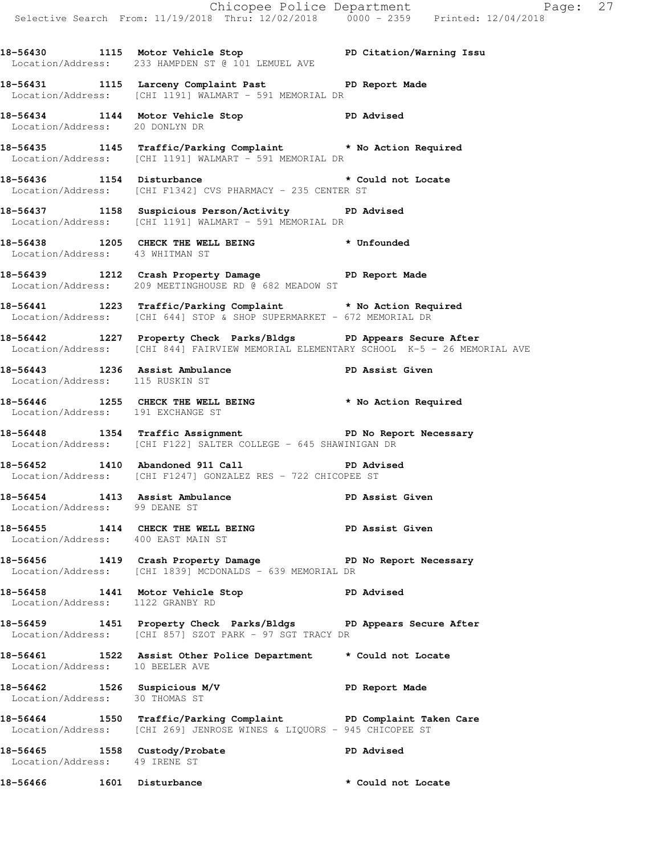Chicopee Police Department Page: 27 Selective Search From: 11/19/2018 Thru: 12/02/2018 0000 - 2359 Printed: 12/04/2018 **18-56430 1115 Motor Vehicle Stop PD Citation/Warning Issu**  Location/Address: 233 HAMPDEN ST @ 101 LEMUEL AVE **18-56431 1115 Larceny Complaint Past PD Report Made**  Location/Address: [CHI 1191] WALMART - 591 MEMORIAL DR **18-56434 1144 Motor Vehicle Stop PD Advised**  Location/Address: 20 DONLYN DR **18-56435 1145 Traffic/Parking Complaint \* No Action Required**  Location/Address: [CHI 1191] WALMART - 591 MEMORIAL DR **18-56436 1154 Disturbance \* Could not Locate**  Location/Address: [CHI F1342] CVS PHARMACY - 235 CENTER ST **18-56437 1158 Suspicious Person/Activity PD Advised**  Location/Address: [CHI 1191] WALMART - 591 MEMORIAL DR **18-56438 1205 CHECK THE WELL BEING \* Unfounded**  Location/Address: 43 WHITMAN ST **18-56439 1212 Crash Property Damage PD Report Made**  Location/Address: 209 MEETINGHOUSE RD @ 682 MEADOW ST **18-56441 1223 Traffic/Parking Complaint \* No Action Required**  Location/Address: [CHI 644] STOP & SHOP SUPERMARKET - 672 MEMORIAL DR **18-56442 1227 Property Check Parks/Bldgs PD Appears Secure After**  Location/Address: [CHI 844] FAIRVIEW MEMORIAL ELEMENTARY SCHOOL K-5 - 26 MEMORIAL AVE **18-56443 1236 Assist Ambulance PD Assist Given**  Location/Address: 115 RUSKIN ST **18-56446 1255 CHECK THE WELL BEING \* No Action Required**  Location/Address: 191 EXCHANGE ST 18-56448 1354 Traffic Assignment **PD No Report Necessary**  Location/Address: [CHI F122] SALTER COLLEGE - 645 SHAWINIGAN DR **18-56452 1410 Abandoned 911 Call PD Advised**  Location/Address: [CHI F1247] GONZALEZ RES - 722 CHICOPEE ST **18-56454 1413 Assist Ambulance PD Assist Given**  Location/Address: 99 DEANE ST **18-56455 1414 CHECK THE WELL BEING PD Assist Given**  Location/Address: 400 EAST MAIN ST **18-56456 1419 Crash Property Damage PD No Report Necessary**  Location/Address: [CHI 1839] MCDONALDS - 639 MEMORIAL DR **18-56458 1441 Motor Vehicle Stop PD Advised**  Location/Address: 1122 GRANBY RD **18-56459 1451 Property Check Parks/Bldgs PD Appears Secure After**  Location/Address: [CHI 857] SZOT PARK - 97 SGT TRACY DR **18-56461 1522 Assist Other Police Department \* Could not Locate**  Location/Address: 10 BEELER AVE **18-56462 1526 Suspicious M/V PD Report Made**  Location/Address: 30 THOMAS ST **18-56464 1550 Traffic/Parking Complaint PD Complaint Taken Care**  Location/Address: [CHI 269] JENROSE WINES & LIQUORS - 945 CHICOPEE ST **18-56465 1558 Custody/Probate PD Advised**  Location/Address: 49 IRENE ST

**18-56466 1601 Disturbance \* Could not Locate**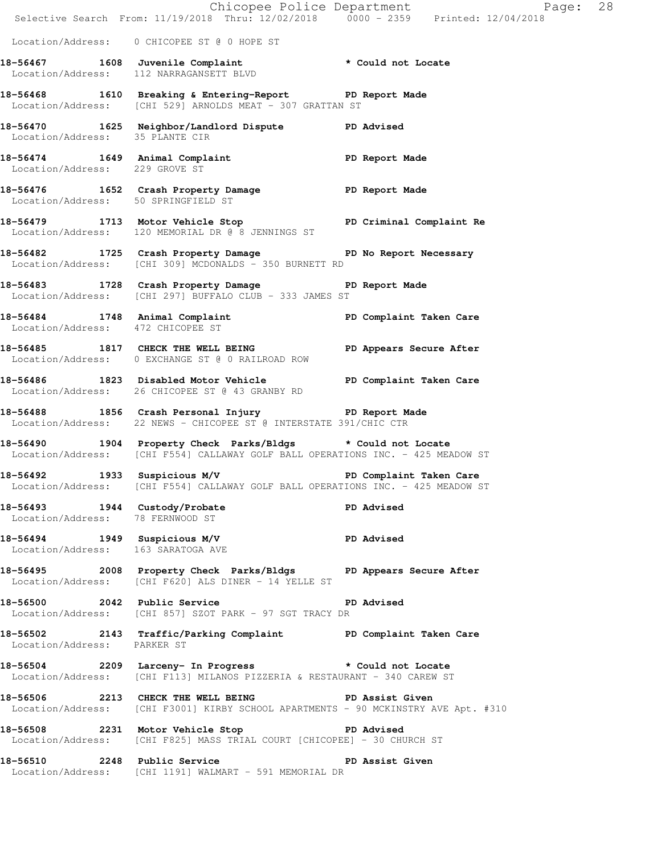|                                                                   |                                                                                                                                                | Chicopee Police Department<br>Selective Search From: 11/19/2018 Thru: 12/02/2018 0000 - 2359 Printed: 12/04/2018 |  |
|-------------------------------------------------------------------|------------------------------------------------------------------------------------------------------------------------------------------------|------------------------------------------------------------------------------------------------------------------|--|
|                                                                   | Location/Address: 0 CHICOPEE ST @ 0 HOPE ST                                                                                                    |                                                                                                                  |  |
|                                                                   | 18-56467 1608 Juvenile Complaint * Could not Locate<br>Location/Address: 112 NARRAGANSETT BLVD                                                 |                                                                                                                  |  |
|                                                                   | 18-56468 1610 Breaking & Entering-Report PD Report Made<br>Location/Address: [CHI 529] ARNOLDS MEAT - 307 GRATTAN ST                           |                                                                                                                  |  |
| Location/Address: 35 PLANTE CIR                                   | 18-56470 1625 Neighbor/Landlord Dispute PD Advised                                                                                             |                                                                                                                  |  |
| Location/Address: 229 GROVE ST                                    | 18-56474 1649 Animal Complaint PD Report Made                                                                                                  |                                                                                                                  |  |
| Location/Address: 50 SPRINGFIELD ST                               | 18-56476 1652 Crash Property Damage Name PD Report Made                                                                                        |                                                                                                                  |  |
|                                                                   | 18-56479 1713 Motor Vehicle Stop PD Criminal Complaint Re<br>Location/Address: 120 MEMORIAL DR @ 8 JENNINGS ST                                 |                                                                                                                  |  |
|                                                                   | 18-56482 1725 Crash Property Damage No PD No Report Necessary<br>Location/Address: [CHI 309] MCDONALDS - 350 BURNETT RD                        |                                                                                                                  |  |
|                                                                   | 18-56483 1728 Crash Property Damage PD Report Made<br>Location/Address: [CHI 297] BUFFALO CLUB - 333 JAMES ST                                  |                                                                                                                  |  |
| Location/Address: 472 CHICOPEE ST                                 | 18-56484 1748 Animal Complaint 18-56484 PD Complaint Taken Care                                                                                |                                                                                                                  |  |
|                                                                   | 18-56485 1817 CHECK THE WELL BEING PD Appears Secure After<br>Location/Address: 0 EXCHANGE ST @ 0 RAILROAD ROW                                 |                                                                                                                  |  |
|                                                                   | 18-56486 1823 Disabled Motor Vehicle PD Complaint Taken Care<br>Location/Address: 26 CHICOPEE ST @ 43 GRANBY RD                                |                                                                                                                  |  |
|                                                                   | 18-56488 1856 Crash Personal Injury 18-56488<br>Location/Address: 22 NEWS - CHICOPEE ST @ INTERSTATE 391/CHIC CTR                              |                                                                                                                  |  |
|                                                                   | 18-56490 1904 Property Check Parks/Bldgs * Could not Locate<br>Location/Address: [CHI F554] CALLAWAY GOLF BALL OPERATIONS INC. - 425 MEADOW ST |                                                                                                                  |  |
| 18-56492 1933 Suspicious M/V                                      | Location/Address: [CHI F554] CALLAWAY GOLF BALL OPERATIONS INC. - 425 MEADOW ST                                                                | PD Complaint Taken Care                                                                                          |  |
| 18-56493 1944 Custody/Probate<br>Location/Address: 78 FERNWOOD ST |                                                                                                                                                | PD Advised                                                                                                       |  |
|                                                                   | 18-56494 1949 Suspicious M/V PD Advised<br>Location/Address: 163 SARATOGA AVE                                                                  |                                                                                                                  |  |
|                                                                   | 18-56495 2008 Property Check Parks/Bldgs PD Appears Secure After<br>Location/Address: [CHI F620] ALS DINER - 14 YELLE ST                       |                                                                                                                  |  |
|                                                                   | 18-56500 2042 Public Service 2014 PD Advised<br>Location/Address: [CHI 857] SZOT PARK - 97 SGT TRACY DR                                        |                                                                                                                  |  |
| Location/Address: PARKER ST                                       | 18-56502 2143 Traffic/Parking Complaint PD Complaint Taken Care                                                                                |                                                                                                                  |  |
|                                                                   | 18-56504 2209 Larceny- In Progress * Could not Locate<br>Location/Address: [CHI F113] MILANOS PIZZERIA & RESTAURANT - 340 CAREW ST             |                                                                                                                  |  |
|                                                                   | 18-56506 2213 CHECK THE WELL BEING PD Assist Given<br>Location/Address: [CHI F3001] KIRBY SCHOOL APARTMENTS - 90 MCKINSTRY AVE Apt. #310       |                                                                                                                  |  |
|                                                                   | 18-56508 2231 Motor Vehicle Stop 30 PD Advised<br>Location/Address: [CHI F825] MASS TRIAL COURT [CHICOPEE] - 30 CHURCH ST                      |                                                                                                                  |  |
|                                                                   | 18-56510 2248 Public Service<br>Location/Address: [CHI 1191] WALMART - 591 MEMORIAL DR                                                         | PD Assist Given                                                                                                  |  |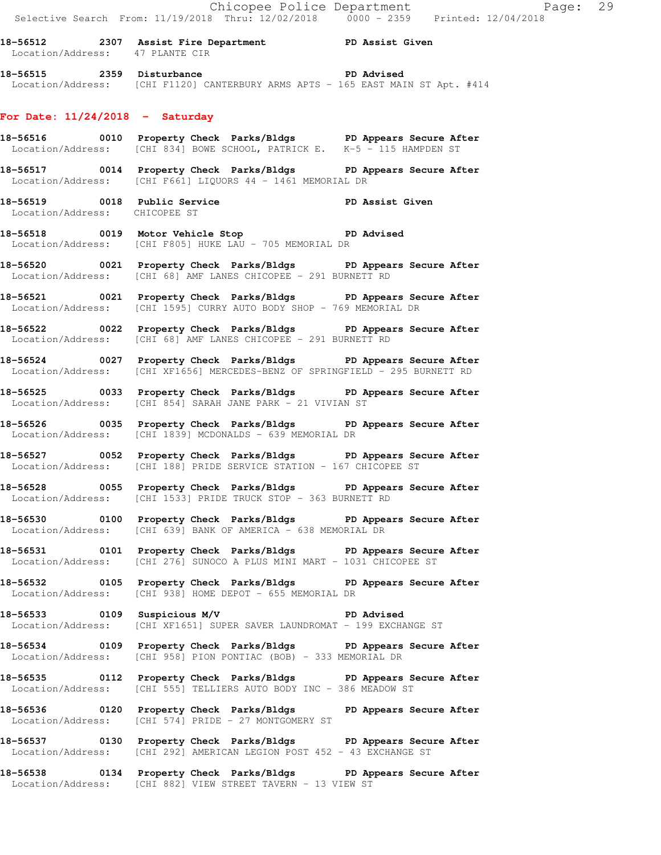**18-56512 2307 Assist Fire Department PD Assist Given**  Location/Address: 47 PLANTE CIR

**18-56515 2359 Disturbance PD Advised**  Location/Address: [CHI F1120] CANTERBURY ARMS APTS - 165 EAST MAIN ST Apt. #414

#### **For Date: 11/24/2018 - Saturday**

- **18-56516 0010 Property Check Parks/Bldgs PD Appears Secure After**  Location/Address: [CHI 834] BOWE SCHOOL, PATRICK E. K-5 - 115 HAMPDEN ST
- **18-56517 0014 Property Check Parks/Bldgs PD Appears Secure After**  Location/Address: [CHI F661] LIQUORS 44 - 1461 MEMORIAL DR
- **18-56519 0018 Public Service PD Assist Given**  Location/Address: CHICOPEE ST
- **18-56518 0019 Motor Vehicle Stop PD Advised**  Location/Address: [CHI F805] HUKE LAU - 705 MEMORIAL DR
- **18-56520 0021 Property Check Parks/Bldgs PD Appears Secure After**  Location/Address: [CHI 68] AMF LANES CHICOPEE - 291 BURNETT RD
- **18-56521 0021 Property Check Parks/Bldgs PD Appears Secure After**  Location/Address: [CHI 1595] CURRY AUTO BODY SHOP - 769 MEMORIAL DR
- **18-56522 0022 Property Check Parks/Bldgs PD Appears Secure After**  Location/Address: [CHI 68] AMF LANES CHICOPEE - 291 BURNETT RD
- **18-56524 0027 Property Check Parks/Bldgs PD Appears Secure After**  Location/Address: [CHI XF1656] MERCEDES-BENZ OF SPRINGFIELD - 295 BURNETT RD
- **18-56525 0033 Property Check Parks/Bldgs PD Appears Secure After**  Location/Address: [CHI 854] SARAH JANE PARK - 21 VIVIAN ST
- **18-56526 0035 Property Check Parks/Bldgs PD Appears Secure After**  Location/Address: [CHI 1839] MCDONALDS - 639 MEMORIAL DR
- **18-56527 0052 Property Check Parks/Bldgs PD Appears Secure After**  Location/Address: [CHI 188] PRIDE SERVICE STATION - 167 CHICOPEE ST
- **18-56528 0055 Property Check Parks/Bldgs PD Appears Secure After**  Location/Address: [CHI 1533] PRIDE TRUCK STOP - 363 BURNETT RD
- **18-56530 0100 Property Check Parks/Bldgs PD Appears Secure After**  Location/Address: [CHI 639] BANK OF AMERICA - 638 MEMORIAL DR
- **18-56531 0101 Property Check Parks/Bldgs PD Appears Secure After**  Location/Address: [CHI 276] SUNOCO A PLUS MINI MART - 1031 CHICOPEE ST
- **18-56532 0105 Property Check Parks/Bldgs PD Appears Secure After**  Location/Address: [CHI 938] HOME DEPOT - 655 MEMORIAL DR
- **18-56533 0109 Suspicious M/V PD Advised**  Location/Address: [CHI XF1651] SUPER SAVER LAUNDROMAT - 199 EXCHANGE ST
- **18-56534 0109 Property Check Parks/Bldgs PD Appears Secure After**  Location/Address: [CHI 958] PION PONTIAC (BOB) - 333 MEMORIAL DR
- **18-56535 0112 Property Check Parks/Bldgs PD Appears Secure After**  Location/Address: [CHI 555] TELLIERS AUTO BODY INC - 386 MEADOW ST
- **18-56536 0120 Property Check Parks/Bldgs PD Appears Secure After**  Location/Address: [CHI 574] PRIDE - 27 MONTGOMERY ST
- **18-56537 0130 Property Check Parks/Bldgs PD Appears Secure After**  Location/Address: [CHI 292] AMERICAN LEGION POST 452 - 43 EXCHANGE ST
- **18-56538 0134 Property Check Parks/Bldgs PD Appears Secure After**  Location/Address: [CHI 882] VIEW STREET TAVERN - 13 VIEW ST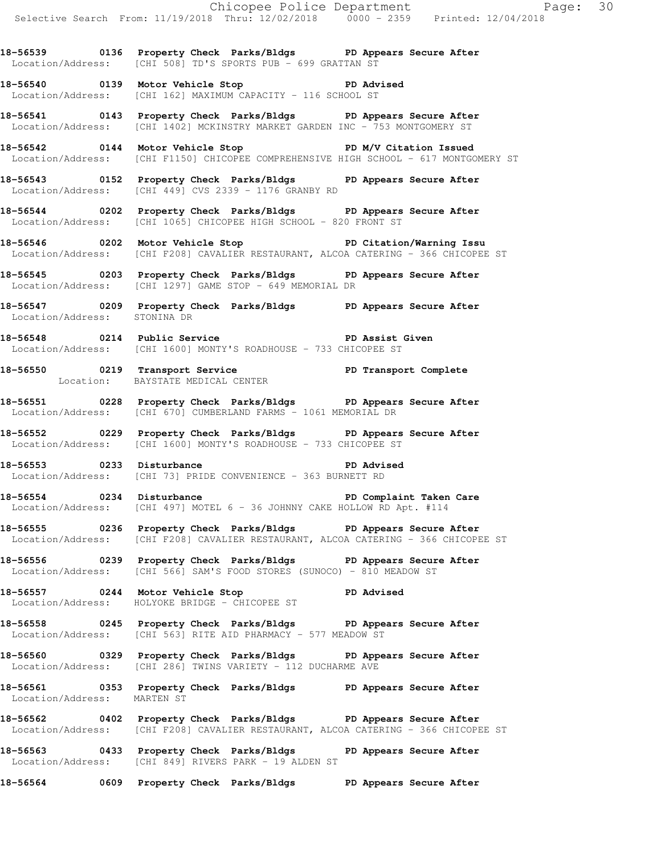**18-56539 0136 Property Check Parks/Bldgs PD Appears Secure After**  Location/Address: [CHI 508] TD'S SPORTS PUB - 699 GRATTAN ST

**18-56540 0139 Motor Vehicle Stop PD Advised**  Location/Address: [CHI 162] MAXIMUM CAPACITY - 116 SCHOOL ST

**18-56541 0143 Property Check Parks/Bldgs PD Appears Secure After**  Location/Address: [CHI 1402] MCKINSTRY MARKET GARDEN INC - 753 MONTGOMERY ST

**18-56542 0144 Motor Vehicle Stop PD M/V Citation Issued**  Location/Address: [CHI F1150] CHICOPEE COMPREHENSIVE HIGH SCHOOL - 617 MONTGOMERY ST

**18-56543 0152 Property Check Parks/Bldgs PD Appears Secure After**  Location/Address: [CHI 449] CVS 2339 - 1176 GRANBY RD

**18-56544 0202 Property Check Parks/Bldgs PD Appears Secure After**  Location/Address: [CHI 1065] CHICOPEE HIGH SCHOOL - 820 FRONT ST

**18-56546 0202 Motor Vehicle Stop PD Citation/Warning Issu**  Location/Address: [CHI F208] CAVALIER RESTAURANT, ALCOA CATERING - 366 CHICOPEE ST

**18-56545 0203 Property Check Parks/Bldgs PD Appears Secure After**  Location/Address: [CHI 1297] GAME STOP - 649 MEMORIAL DR

**18-56547 0209 Property Check Parks/Bldgs PD Appears Secure After**  Location/Address: STONINA DR

**18-56548 0214 Public Service PD Assist Given**  Location/Address: [CHI 1600] MONTY'S ROADHOUSE - 733 CHICOPEE ST

**18-56550 0219 Transport Service PD Transport Complete**  Location: BAYSTATE MEDICAL CENTER

**18-56551 0228 Property Check Parks/Bldgs PD Appears Secure After**  Location/Address: [CHI 670] CUMBERLAND FARMS - 1061 MEMORIAL DR

**18-56552 0229 Property Check Parks/Bldgs PD Appears Secure After**  Location/Address: [CHI 1600] MONTY'S ROADHOUSE - 733 CHICOPEE ST

**18-56553 0233 Disturbance PD Advised**  Location/Address: [CHI 73] PRIDE CONVENIENCE - 363 BURNETT RD

**18-56554 0234 Disturbance PD Complaint Taken Care**  Location/Address: [CHI 497] MOTEL 6 - 36 JOHNNY CAKE HOLLOW RD Apt. #114

**18-56555 0236 Property Check Parks/Bldgs PD Appears Secure After**  Location/Address: [CHI F208] CAVALIER RESTAURANT, ALCOA CATERING - 366 CHICOPEE ST

**18-56556 0239 Property Check Parks/Bldgs PD Appears Secure After**  Location/Address: [CHI 566] SAM'S FOOD STORES (SUNOCO) - 810 MEADOW ST

**18-56557 0244 Motor Vehicle Stop PD Advised**  Location/Address: HOLYOKE BRIDGE - CHICOPEE ST

**18-56558 0245 Property Check Parks/Bldgs PD Appears Secure After**  Location/Address: [CHI 563] RITE AID PHARMACY - 577 MEADOW ST

**18-56560 0329 Property Check Parks/Bldgs PD Appears Secure After**  Location/Address: [CHI 286] TWINS VARIETY - 112 DUCHARME AVE

**18-56561 0353 Property Check Parks/Bldgs PD Appears Secure After**  Location/Address: MARTEN ST

**18-56562 0402 Property Check Parks/Bldgs PD Appears Secure After**  Location/Address: [CHI F208] CAVALIER RESTAURANT, ALCOA CATERING - 366 CHICOPEE ST

**18-56563 0433 Property Check Parks/Bldgs PD Appears Secure After**  Location/Address: [CHI 849] RIVERS PARK - 19 ALDEN ST

**18-56564 0609 Property Check Parks/Bldgs PD Appears Secure After**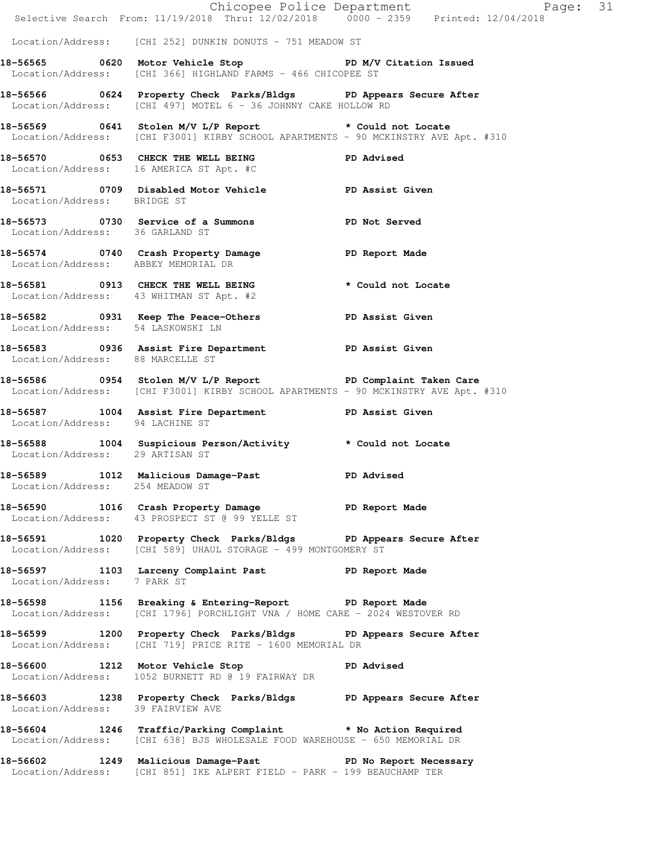|                                     | E<br>Chicopee Police Department<br>Selective Search From: 11/19/2018 Thru: 12/02/2018 0000 - 2359 Printed: 12/04/2018                             | Page: 31 |  |
|-------------------------------------|---------------------------------------------------------------------------------------------------------------------------------------------------|----------|--|
|                                     | Location/Address: [CHI 252] DUNKIN DONUTS - 751 MEADOW ST                                                                                         |          |  |
|                                     | 18-56565 0620 Motor Vehicle Stop North PD M/V Citation Issued<br>Location/Address: [CHI 366] HIGHLAND FARMS - 466 CHICOPEE ST                     |          |  |
|                                     | 18-56566 0624 Property Check Parks/Bldgs PD Appears Secure After<br>Location/Address: [CHI 497] MOTEL 6 - 36 JOHNNY CAKE HOLLOW RD                |          |  |
|                                     | 18-56569 0641 Stolen M/V L/P Report * Could not Locate<br>Location/Address: [CHI F3001] KIRBY SCHOOL APARTMENTS - 90 MCKINSTRY AVE Apt. #310      |          |  |
|                                     | 18-56570 0653 CHECK THE WELL BEING PD Advised<br>Location/Address: 16 AMERICA ST Apt. #C                                                          |          |  |
| Location/Address: BRIDGE ST         | 18-56571 0709 Disabled Motor Vehicle PD Assist Given                                                                                              |          |  |
|                                     | 18-56573 0730 Service of a Summons PD Not Served Location/Address: 36 GARLAND ST                                                                  |          |  |
| Location/Address: ABBEY MEMORIAL DR | 18-56574 0740 Crash Property Damage PD Report Made                                                                                                |          |  |
|                                     | 18-56581 0913 CHECK THE WELL BEING * Could not Locate<br>Location/Address: 43 WHITMAN ST Apt. #2                                                  |          |  |
| Location/Address: 54 LASKOWSKI LN   | 18-56582 0931 Keep The Peace-Others PD Assist Given                                                                                               |          |  |
| Location/Address: 88 MARCELLE ST    | 18-56583 0936 Assist Fire Department PD Assist Given                                                                                              |          |  |
|                                     | 18-56586 0954 Stolen M/V L/P Report PD Complaint Taken Care<br>Location/Address: [CHI F3001] KIRBY SCHOOL APARTMENTS - 90 MCKINSTRY AVE Apt. #310 |          |  |
| Location/Address: 94 LACHINE ST     | 18-56587 1004 Assist Fire Department PD Assist Given                                                                                              |          |  |
| Location/Address: 29 ARTISAN ST     | 18-56588 1004 Suspicious Person/Activity * Could not Locate                                                                                       |          |  |
| Location/Address: 254 MEADOW ST     | 18-56589 1012 Malicious Damage-Past PD Advised                                                                                                    |          |  |
|                                     | 18-56590 1016 Crash Property Damage PD Report Made<br>Location/Address: 43 PROSPECT ST @ 99 YELLE ST                                              |          |  |
|                                     | 18-56591 1020 Property Check Parks/Bldgs PD Appears Secure After<br>Location/Address: [CHI 589] UHAUL STORAGE - 499 MONTGOMERY ST                 |          |  |
| Location/Address: 7 PARK ST         | 18-56597 1103 Larceny Complaint Past PD Report Made                                                                                               |          |  |
|                                     | 18-56598 1156 Breaking & Entering-Report PD Report Made<br>Location/Address: [CHI 1796] PORCHLIGHT VNA / HOME CARE - 2024 WESTOVER RD             |          |  |
|                                     | 18-56599 1200 Property Check Parks/Bldgs PD Appears Secure After<br>Location/Address: [CHI 719] PRICE RITE - 1600 MEMORIAL DR                     |          |  |
|                                     | 18-56600 1212 Motor Vehicle Stop November 20 PD Advised<br>Location/Address: 1052 BURNETT RD @ 19 FAIRWAY DR                                      |          |  |
| Location/Address: 39 FAIRVIEW AVE   | 18-56603 1238 Property Check Parks/Bldgs PD Appears Secure After                                                                                  |          |  |
|                                     | 18-56604 1246 Traffic/Parking Complaint * No Action Required<br>Location/Address: [CHI 638] BJS WHOLESALE FOOD WAREHOUSE - 650 MEMORIAL DR        |          |  |
|                                     | 18-56602 1249 Malicious Damage-Past PD No Report Necessary<br>Location/Address: [CHI 851] IKE ALPERT FIELD - PARK - 199 BEAUCHAMP TER             |          |  |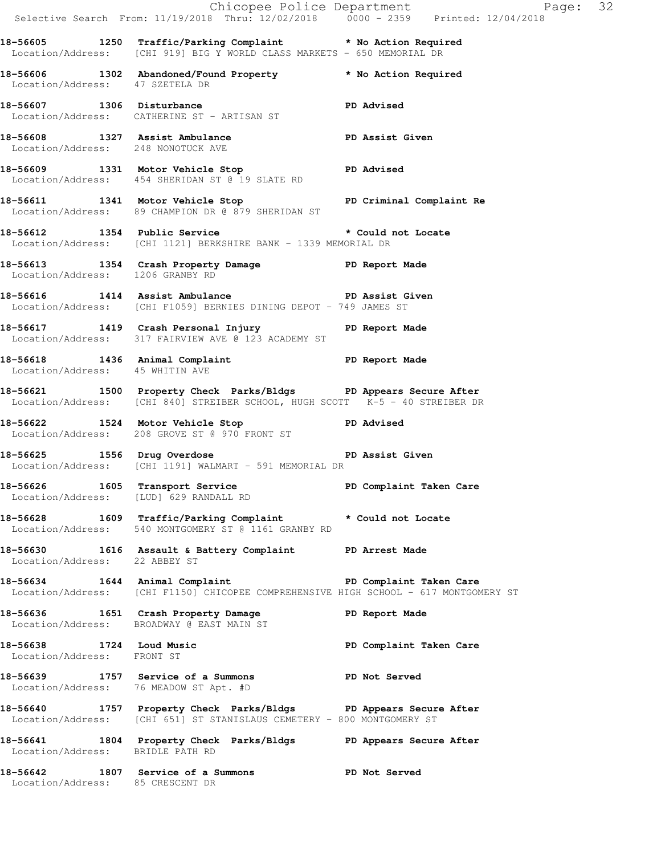|                                  |                                                                                                                                                          | Chicopee Police Department<br>Selective Search From: 11/19/2018 Thru: 12/02/2018 0000 - 2359 Printed: 12/04/2018 |  |
|----------------------------------|----------------------------------------------------------------------------------------------------------------------------------------------------------|------------------------------------------------------------------------------------------------------------------|--|
|                                  | 18-56605 1250 Traffic/Parking Complaint * No Action Required<br>Location/Address: [CHI 919] BIG Y WORLD CLASS MARKETS - 650 MEMORIAL DR                  |                                                                                                                  |  |
| Location/Address: 47 SZETELA DR  | 18-56606 1302 Abandoned/Found Property <b>*</b> No Action Required                                                                                       |                                                                                                                  |  |
|                                  | 18-56607 1306 Disturbance<br>Location/Address: CATHERINE ST - ARTISAN ST                                                                                 | <b>PD Advised</b>                                                                                                |  |
|                                  | 18-56608 1327 Assist Ambulance<br>Location/Address: 248 NONOTUCK AVE                                                                                     |                                                                                                                  |  |
|                                  | 18-56609 1331 Motor Vehicle Stop PD Advised<br>Location/Address: 454 SHERIDAN ST @ 19 SLATE RD                                                           |                                                                                                                  |  |
|                                  | 18-56611 1341 Motor Vehicle Stop North PD Criminal Complaint Re<br>Location/Address: 89 CHAMPION DR @ 879 SHERIDAN ST                                    |                                                                                                                  |  |
|                                  | 18-56612 1354 Public Service * Could not Locate<br>Location/Address: [CHI 1121] BERKSHIRE BANK - 1339 MEMORIAL DR                                        |                                                                                                                  |  |
| Location/Address: 1206 GRANBY RD | 18-56613 1354 Crash Property Damage PD Report Made                                                                                                       |                                                                                                                  |  |
|                                  | 18-56616 1414 Assist Ambulance New PD Assist Given<br>Location/Address: [CHI F1059] BERNIES DINING DEPOT - 749 JAMES ST                                  |                                                                                                                  |  |
|                                  | 18-56617 1419 Crash Personal Injury 18-56617<br>Location/Address: 317 FAIRVIEW AVE @ 123 ACADEMY ST                                                      |                                                                                                                  |  |
| Location/Address: 45 WHITIN AVE  | 18-56618 1436 Animal Complaint 18-56618                                                                                                                  |                                                                                                                  |  |
|                                  | 18-56621 1500 Property Check Parks/Bldgs PD Appears Secure After<br>Location/Address: [CHI 840] STREIBER SCHOOL, HUGH SCOTT K-5 - 40 STREIBER DR         |                                                                                                                  |  |
|                                  | 18-56622 1524 Motor Vehicle Stop North PD Advised<br>Location/Address: 208 GROVE ST @ 970 FRONT ST                                                       |                                                                                                                  |  |
|                                  | 18-56625 18-56625 PD Assist Given<br>Location/Address: [CHI 1191] WALMART - 591 MEMORIAL DR                                                              |                                                                                                                  |  |
|                                  | 18-56626 1605 Transport Service New PD Complaint Taken Care<br>Location/Address: [LUD] 629 RANDALL RD                                                    |                                                                                                                  |  |
|                                  | 18-56628 1609 Traffic/Parking Complaint * Could not Locate<br>Location/Address: 540 MONTGOMERY ST @ 1161 GRANBY RD                                       |                                                                                                                  |  |
| Location/Address: 22 ABBEY ST    | 18-56630 1616 Assault & Battery Complaint PD Arrest Made                                                                                                 |                                                                                                                  |  |
|                                  | 18-56634 1644 Animal Complaint 18-56634 16-1644 Animal Complaint<br>Location/Address: [CHI F1150] CHICOPEE COMPREHENSIVE HIGH SCHOOL - 617 MONTGOMERY ST |                                                                                                                  |  |
|                                  | 18-56636 1651 Crash Property Damage 30 PD Report Made<br>Location/Address: BROADWAY @ EAST MAIN ST                                                       |                                                                                                                  |  |
| Location/Address: FRONT ST       | 18-56638 1724 Loud Music                                                                                                                                 | PD Complaint Taken Care                                                                                          |  |
|                                  | 18-56639 1757 Service of a Summons TPD Not Served<br>Location/Address: 76 MEADOW ST Apt. #D                                                              |                                                                                                                  |  |
|                                  | 18-56640 1757 Property Check Parks/Bldgs PD Appears Secure After<br>Location/Address: [CHI 651] ST STANISLAUS CEMETERY - 800 MONTGOMERY ST               |                                                                                                                  |  |
| Location/Address: BRIDLE PATH RD | 18-56641 1804 Property Check Parks/Bldgs PD Appears Secure After                                                                                         |                                                                                                                  |  |
| Location/Address: 85 CRESCENT DR | 18-56642 1807 Service of a Summons PD Not Served                                                                                                         |                                                                                                                  |  |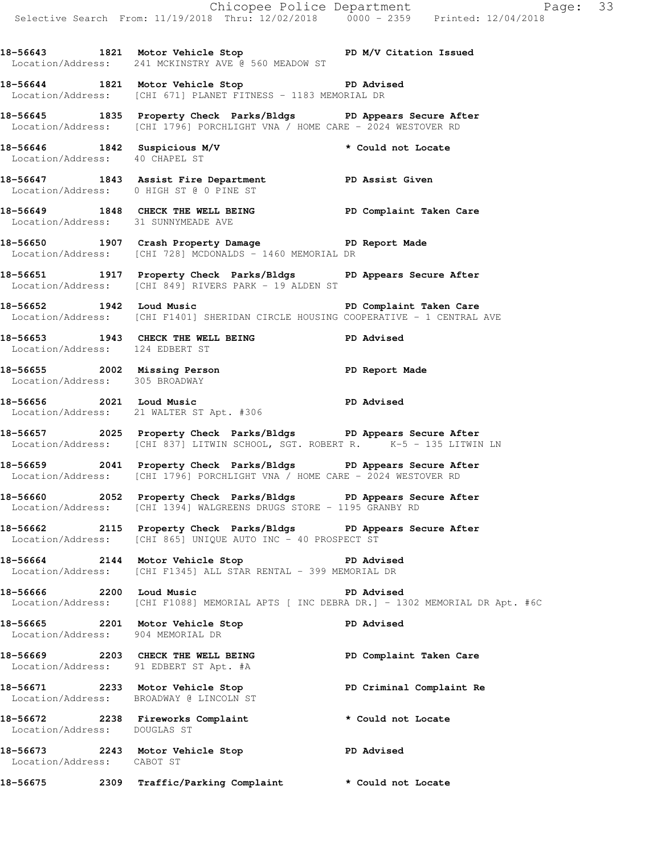Chicopee Police Department Page: 33 Selective Search From: 11/19/2018 Thru: 12/02/2018 0000 - 2359 Printed: 12/04/2018 18-56643 1821 Motor Vehicle Stop **PD M/V Citation Issued**  Location/Address: 241 MCKINSTRY AVE @ 560 MEADOW ST **18-56644 1821 Motor Vehicle Stop PD Advised**  Location/Address: [CHI 671] PLANET FITNESS - 1183 MEMORIAL DR **18-56645 1835 Property Check Parks/Bldgs PD Appears Secure After**  Location/Address: [CHI 1796] PORCHLIGHT VNA / HOME CARE - 2024 WESTOVER RD **18-56646 1842 Suspicious M/V \* Could not Locate**  Location/Address: 40 CHAPEL ST **18-56647 1843 Assist Fire Department PD Assist Given**  Location/Address: 0 HIGH ST @ 0 PINE ST **18-56649 1848 CHECK THE WELL BEING PD Complaint Taken Care**  Location/Address: 31 SUNNYMEADE AVE **18-56650 1907 Crash Property Damage PD Report Made**  Location/Address: [CHI 728] MCDONALDS - 1460 MEMORIAL DR **18-56651 1917 Property Check Parks/Bldgs PD Appears Secure After**  Location/Address: [CHI 849] RIVERS PARK - 19 ALDEN ST **18-56652 1942 Loud Music PD Complaint Taken Care**  Location/Address: [CHI F1401] SHERIDAN CIRCLE HOUSING COOPERATIVE - 1 CENTRAL AVE **18-56653 1943 CHECK THE WELL BEING PD Advised**  Location/Address: 124 EDBERT ST **18-56655 2002 Missing Person PD Report Made**  Location/Address: 305 BROADWAY **18-56656 2021 Loud Music PD Advised**  Location/Address: 21 WALTER ST Apt. #306 **18-56657 2025 Property Check Parks/Bldgs PD Appears Secure After**  Location/Address: [CHI 837] LITWIN SCHOOL, SGT. ROBERT R. K-5 - 135 LITWIN LN **18-56659 2041 Property Check Parks/Bldgs PD Appears Secure After**  Location/Address: [CHI 1796] PORCHLIGHT VNA / HOME CARE - 2024 WESTOVER RD **18-56660 2052 Property Check Parks/Bldgs PD Appears Secure After**  Location/Address: [CHI 1394] WALGREENS DRUGS STORE - 1195 GRANBY RD **18-56662 2115 Property Check Parks/Bldgs PD Appears Secure After**  Location/Address: [CHI 865] UNIQUE AUTO INC - 40 PROSPECT ST **18-56664 2144 Motor Vehicle Stop PD Advised**  Location/Address: [CHI F1345] ALL STAR RENTAL - 399 MEMORIAL DR **18-56666 2200 Loud Music PD Advised**  Location/Address: [CHI F1088] MEMORIAL APTS [ INC DEBRA DR.] - 1302 MEMORIAL DR Apt. #6C **18-56665 2201 Motor Vehicle Stop PD Advised**  Location/Address: 904 MEMORIAL DR **18-56669 2203 CHECK THE WELL BEING PD Complaint Taken Care**  Location/Address: 91 EDBERT ST Apt. #A **18-56671 2233 Motor Vehicle Stop PD Criminal Complaint Re**  Location/Address: BROADWAY @ LINCOLN ST **18-56672 2238 Fireworks Complaint \* Could not Locate**  Location/Address: DOUGLAS ST **18-56673 2243 Motor Vehicle Stop PD Advised**  Location/Address: CABOT ST **18-56675 2309 Traffic/Parking Complaint \* Could not Locate**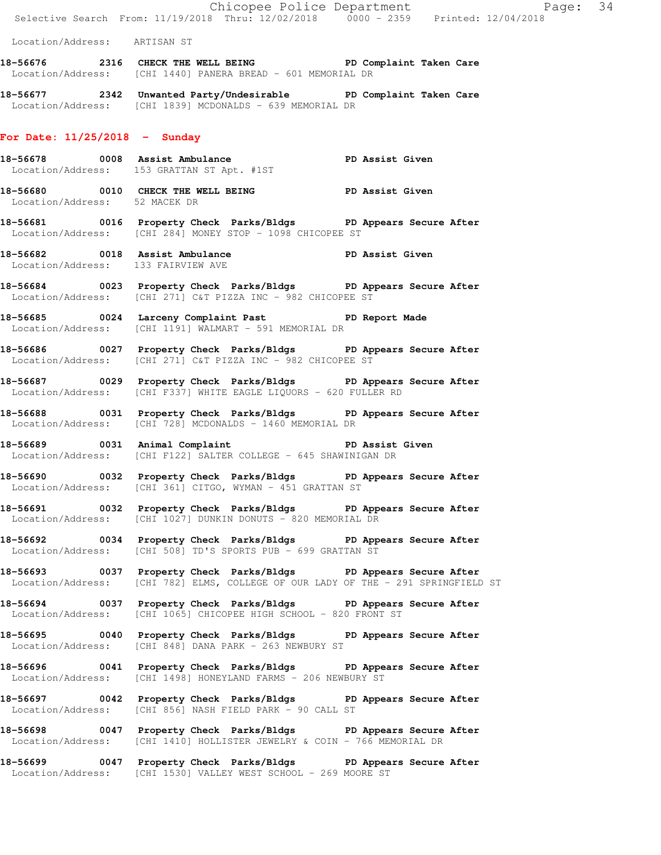|                                    |  | Chicopee Police Department<br>Selective Search From: 11/19/2018 Thru: 12/02/2018 0000 - 2359 Printed: 12/04/2018                                      |                 |  |
|------------------------------------|--|-------------------------------------------------------------------------------------------------------------------------------------------------------|-----------------|--|
| Location/Address: ARTISAN ST       |  |                                                                                                                                                       |                 |  |
|                                    |  | 18-56676 2316 CHECK THE WELL BEING PD Complaint Taken Care<br>Location/Address: [CHI 1440] PANERA BREAD - 601 MEMORIAL DR                             |                 |  |
|                                    |  | 18-56677 2342 Unwanted Party/Undesirable PD Complaint Taken Care<br>Location/Address: [CHI 1839] MCDONALDS - 639 MEMORIAL DR                          |                 |  |
| For Date: $11/25/2018$ - Sunday    |  |                                                                                                                                                       |                 |  |
|                                    |  | 18-56678 0008 Assist Ambulance PD Assist Given<br>Location/Address: 153 GRATTAN ST Apt. #1ST                                                          |                 |  |
| Location/Address: 52 MACEK DR      |  | 18-56680 0010 CHECK THE WELL BEING PD Assist Given                                                                                                    |                 |  |
|                                    |  | 18-56681 0016 Property Check Parks/Bldgs PD Appears Secure After<br>Location/Address: [CHI 284] MONEY STOP - 1098 CHICOPEE ST                         |                 |  |
| Location/Address: 133 FAIRVIEW AVE |  | 18-56682 0018 Assist Ambulance PD Assist Given                                                                                                        |                 |  |
|                                    |  | 18-56684 0023 Property Check Parks/Bldgs PD Appears Secure After<br>Location/Address: [CHI 271] C&T PIZZA INC - 982 CHICOPEE ST                       |                 |  |
|                                    |  | 18-56685 0024 Larceny Complaint Past PD Report Made<br>Location/Address: [CHI 1191] WALMART - 591 MEMORIAL DR                                         |                 |  |
|                                    |  | 18-56686 0027 Property Check Parks/Bldgs PD Appears Secure After<br>Location/Address: [CHI 271] C&T PIZZA INC - 982 CHICOPEE ST                       |                 |  |
|                                    |  | 18-56687 0029 Property Check Parks/Bldgs PD Appears Secure After<br>Location/Address: [CHI F337] WHITE EAGLE LIQUORS - 620 FULLER RD                  |                 |  |
|                                    |  | 18-56688 0031 Property Check Parks/Bldgs PD Appears Secure After<br>Location/Address: [CHI 728] MCDONALDS - 1460 MEMORIAL DR                          |                 |  |
| 18-56689 0031 Animal Complaint     |  | Location/Address: [CHI F122] SALTER COLLEGE - 645 SHAWINIGAN DR                                                                                       | PD Assist Given |  |
|                                    |  | 18-56690 0032 Property Check Parks/Bldgs PD Appears Secure After<br>Location/Address: [CHI 361] CITGO, WYMAN - 451 GRATTAN ST                         |                 |  |
|                                    |  | 18-56691 0032 Property Check Parks/Bldgs PD Appears Secure After<br>Location/Address: [CHI 1027] DUNKIN DONUTS - 820 MEMORIAL DR                      |                 |  |
| Location/Address:                  |  | 18-56692 0034 Property Check Parks/Bldgs PD Appears Secure After<br>[CHI 508] TD'S SPORTS PUB - 699 GRATTAN ST                                        |                 |  |
|                                    |  | 18-56693 0037 Property Check Parks/Bldgs PD Appears Secure After<br>Location/Address: [CHI 782] ELMS, COLLEGE OF OUR LADY OF THE - 291 SPRINGFIELD ST |                 |  |
|                                    |  | 18-56694 0037 Property Check Parks/Bldgs PD Appears Secure After<br>Location/Address: [CHI 1065] CHICOPEE HIGH SCHOOL - 820 FRONT ST                  |                 |  |
|                                    |  | 18-56695 0040 Property Check Parks/Bldgs PD Appears Secure After<br>Location/Address: [CHI 848] DANA PARK - 263 NEWBURY ST                            |                 |  |
|                                    |  | 18-56696 0041 Property Check Parks/Bldgs PD Appears Secure After<br>Location/Address: [CHI 1498] HONEYLAND FARMS - 206 NEWBURY ST                     |                 |  |
|                                    |  | 18-56697 0042 Property Check Parks/Bldgs PD Appears Secure After<br>Location/Address: [CHI 856] NASH FIELD PARK - 90 CALL ST                          |                 |  |
|                                    |  | 18-56698 0047 Property Check Parks/Bldgs PD Appears Secure After<br>Location/Address: [CHI 1410] HOLLISTER JEWELRY & COIN - 766 MEMORIAL DR           |                 |  |
|                                    |  | 18-56699 0047 Property Check Parks/Bldgs PD Appears Secure After                                                                                      |                 |  |

Location/Address: [CHI 1530] VALLEY WEST SCHOOL - 269 MOORE ST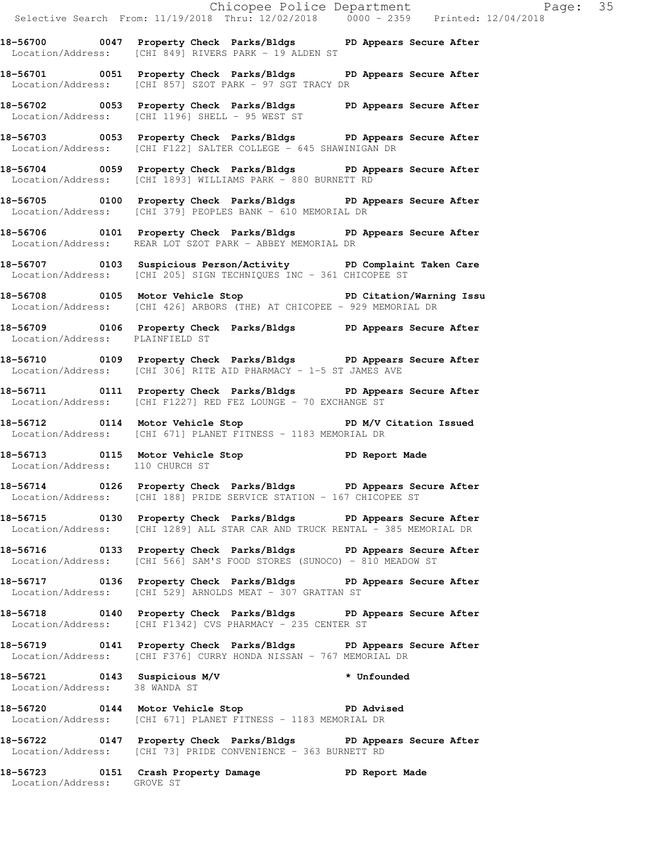**18-56700 0047 Property Check Parks/Bldgs PD Appears Secure After**  Location/Address: [CHI 849] RIVERS PARK - 19 ALDEN ST

**18-56701 0051 Property Check Parks/Bldgs PD Appears Secure After**  Location/Address: [CHI 857] SZOT PARK - 97 SGT TRACY DR

**18-56702 0053 Property Check Parks/Bldgs PD Appears Secure After**  Location/Address: [CHI 1196] SHELL - 95 WEST ST

**18-56703 0053 Property Check Parks/Bldgs PD Appears Secure After**  Location/Address: [CHI F122] SALTER COLLEGE - 645 SHAWINIGAN DR

**18-56704 0059 Property Check Parks/Bldgs PD Appears Secure After**  Location/Address: [CHI 1893] WILLIAMS PARK - 880 BURNETT RD

**18-56705 0100 Property Check Parks/Bldgs PD Appears Secure After**  Location/Address: [CHI 379] PEOPLES BANK - 610 MEMORIAL DR

**18-56706 0101 Property Check Parks/Bldgs PD Appears Secure After**  Location/Address: REAR LOT SZOT PARK - ABBEY MEMORIAL DR

**18-56707 0103 Suspicious Person/Activity PD Complaint Taken Care**  Location/Address: [CHI 205] SIGN TECHNIQUES INC - 361 CHICOPEE ST

**18-56708 0105 Motor Vehicle Stop PD Citation/Warning Issu**  Location/Address: [CHI 426] ARBORS (THE) AT CHICOPEE - 929 MEMORIAL DR

**18-56709 0106 Property Check Parks/Bldgs PD Appears Secure After**  Location/Address: PLAINFIELD ST

**18-56710 0109 Property Check Parks/Bldgs PD Appears Secure After**  Location/Address: [CHI 306] RITE AID PHARMACY - 1-5 ST JAMES AVE

**18-56711 0111 Property Check Parks/Bldgs PD Appears Secure After**  Location/Address: [CHI F1227] RED FEZ LOUNGE - 70 EXCHANGE ST

**18-56712 0114 Motor Vehicle Stop PD M/V Citation Issued**  Location/Address: [CHI 671] PLANET FITNESS - 1183 MEMORIAL DR

18-56713 **0115** Motor Vehicle Stop **PD Report Made** Location/Address: 110 CHURCH ST

**18-56714 0126 Property Check Parks/Bldgs PD Appears Secure After**  Location/Address: [CHI 188] PRIDE SERVICE STATION - 167 CHICOPEE ST

**18-56715 0130 Property Check Parks/Bldgs PD Appears Secure After**  Location/Address: [CHI 1289] ALL STAR CAR AND TRUCK RENTAL - 385 MEMORIAL DR

**18-56716 0133 Property Check Parks/Bldgs PD Appears Secure After**  Location/Address: [CHI 566] SAM'S FOOD STORES (SUNOCO) - 810 MEADOW ST

**18-56717 0136 Property Check Parks/Bldgs PD Appears Secure After**  Location/Address: [CHI 529] ARNOLDS MEAT - 307 GRATTAN ST

**18-56718 0140 Property Check Parks/Bldgs PD Appears Secure After**  Location/Address: [CHI F1342] CVS PHARMACY - 235 CENTER ST

**18-56719 0141 Property Check Parks/Bldgs PD Appears Secure After**  Location/Address: [CHI F376] CURRY HONDA NISSAN - 767 MEMORIAL DR

**18-56721 0143 Suspicious M/V \* Unfounded**  Location/Address: 38 WANDA ST

**18-56720 0144 Motor Vehicle Stop PD Advised**  Location/Address: [CHI 671] PLANET FITNESS - 1183 MEMORIAL DR

**18-56722 0147 Property Check Parks/Bldgs PD Appears Secure After**  Location/Address: [CHI 73] PRIDE CONVENIENCE - 363 BURNETT RD

**18-56723 0151 Crash Property Damage PD Report Made**  Location/Address: GROVE ST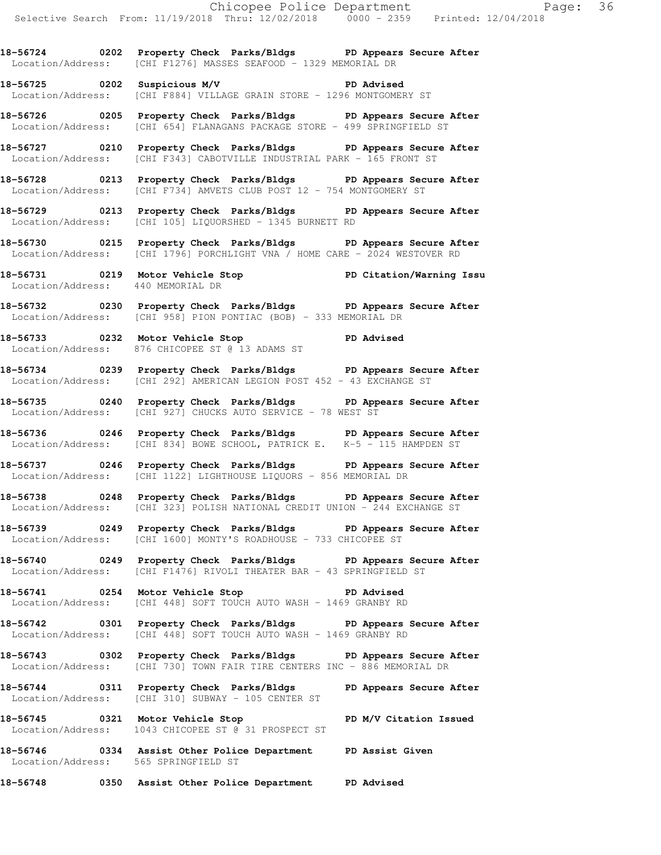**18-56724 0202 Property Check Parks/Bldgs PD Appears Secure After**  Location/Address: [CHI F1276] MASSES SEAFOOD - 1329 MEMORIAL DR

**18-56725 0202 Suspicious M/V PD Advised**  Location/Address: [CHI F884] VILLAGE GRAIN STORE - 1296 MONTGOMERY ST

**18-56726 0205 Property Check Parks/Bldgs PD Appears Secure After**  Location/Address: [CHI 654] FLANAGANS PACKAGE STORE - 499 SPRINGFIELD ST

**18-56727 0210 Property Check Parks/Bldgs PD Appears Secure After**  Location/Address: [CHI F343] CABOTVILLE INDUSTRIAL PARK - 165 FRONT ST

**18-56728 0213 Property Check Parks/Bldgs PD Appears Secure After**  Location/Address: [CHI F734] AMVETS CLUB POST 12 - 754 MONTGOMERY ST

**18-56729 0213 Property Check Parks/Bldgs PD Appears Secure After**  Location/Address: [CHI 105] LIQUORSHED - 1345 BURNETT RD

**18-56730 0215 Property Check Parks/Bldgs PD Appears Secure After**  Location/Address: [CHI 1796] PORCHLIGHT VNA / HOME CARE - 2024 WESTOVER RD

**18-56731 0219 Motor Vehicle Stop PD Citation/Warning Issu**  Location/Address: 440 MEMORIAL DR

**18-56732 0230 Property Check Parks/Bldgs PD Appears Secure After**  Location/Address: [CHI 958] PION PONTIAC (BOB) - 333 MEMORIAL DR

**18-56733 0232 Motor Vehicle Stop PD Advised**  Location/Address: 876 CHICOPEE ST @ 13 ADAMS ST

**18-56734 0239 Property Check Parks/Bldgs PD Appears Secure After**  Location/Address: [CHI 292] AMERICAN LEGION POST 452 - 43 EXCHANGE ST

**18-56735 0240 Property Check Parks/Bldgs PD Appears Secure After**  Location/Address: [CHI 927] CHUCKS AUTO SERVICE - 78 WEST ST

**18-56736 0246 Property Check Parks/Bldgs PD Appears Secure After**  Location/Address: [CHI 834] BOWE SCHOOL, PATRICK E. K-5 - 115 HAMPDEN ST

**18-56737 0246 Property Check Parks/Bldgs PD Appears Secure After**  Location/Address: [CHI 1122] LIGHTHOUSE LIQUORS - 856 MEMORIAL DR

**18-56738 0248 Property Check Parks/Bldgs PD Appears Secure After**  Location/Address: [CHI 323] POLISH NATIONAL CREDIT UNION - 244 EXCHANGE ST

**18-56739 0249 Property Check Parks/Bldgs PD Appears Secure After**  Location/Address: [CHI 1600] MONTY'S ROADHOUSE - 733 CHICOPEE ST

**18-56740 0249 Property Check Parks/Bldgs PD Appears Secure After**  Location/Address: [CHI F1476] RIVOLI THEATER BAR - 43 SPRINGFIELD ST

**18-56741 0254 Motor Vehicle Stop PD Advised**  Location/Address: [CHI 448] SOFT TOUCH AUTO WASH - 1469 GRANBY RD

**18-56742 0301 Property Check Parks/Bldgs PD Appears Secure After**  Location/Address: [CHI 448] SOFT TOUCH AUTO WASH - 1469 GRANBY RD

**18-56743 0302 Property Check Parks/Bldgs PD Appears Secure After**  Location/Address: [CHI 730] TOWN FAIR TIRE CENTERS INC - 886 MEMORIAL DR

**18-56744 0311 Property Check Parks/Bldgs PD Appears Secure After**  Location/Address: [CHI 310] SUBWAY - 105 CENTER ST

**18-56745 0321 Motor Vehicle Stop PD M/V Citation Issued**  Location/Address: 1043 CHICOPEE ST @ 31 PROSPECT ST

**18-56746 0334 Assist Other Police Department PD Assist Given**  Location/Address: 565 SPRINGFIELD ST

**18-56748 0350 Assist Other Police Department PD Advised**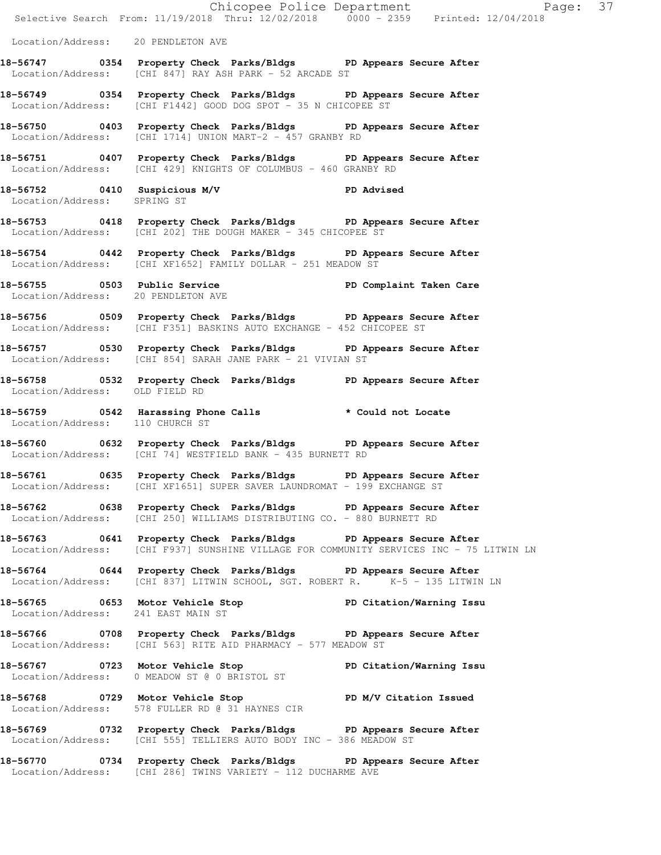|                                    |                                                                                                                                                             | Chicopee Police Department<br>Selective Search From: 11/19/2018 Thru: 12/02/2018 0000 - 2359 Printed: 12/04/2018 |
|------------------------------------|-------------------------------------------------------------------------------------------------------------------------------------------------------------|------------------------------------------------------------------------------------------------------------------|
|                                    |                                                                                                                                                             |                                                                                                                  |
| Location/Address: 20 PENDLETON AVE |                                                                                                                                                             |                                                                                                                  |
|                                    | 18-56747 0354 Property Check Parks/Bldgs PD Appears Secure After<br>Location/Address: [CHI 847] RAY ASH PARK - 52 ARCADE ST                                 |                                                                                                                  |
|                                    | 18-56749 0354 Property Check Parks/Bldgs PD Appears Secure After<br>Location/Address: [CHI F1442] GOOD DOG SPOT - 35 N CHICOPEE ST                          |                                                                                                                  |
|                                    | 18-56750 0403 Property Check Parks/Bldgs PD Appears Secure After<br>Location/Address: [CHI 1714] UNION MART-2 - 457 GRANBY RD                               |                                                                                                                  |
|                                    | 18-56751 0407 Property Check Parks/Bldgs PD Appears Secure After<br>Location/Address: [CHI 429] KNIGHTS OF COLUMBUS - 460 GRANBY RD                         |                                                                                                                  |
| Location/Address: SPRING ST        | 18-56752 0410 Suspicious M/V CD PD Advised                                                                                                                  |                                                                                                                  |
|                                    | 18-56753 0418 Property Check Parks/Bldgs PD Appears Secure After<br>Location/Address: [CHI 202] THE DOUGH MAKER - 345 CHICOPEE ST                           |                                                                                                                  |
|                                    | 18-56754 0442 Property Check Parks/Bldgs PD Appears Secure After<br>Location/Address: [CHI XF1652] FAMILY DOLLAR - 251 MEADOW ST                            |                                                                                                                  |
|                                    | 18-56755 0503 Public Service 20 PD Complaint Taken Care<br>Location/Address: 20 PENDLETON AVE                                                               |                                                                                                                  |
|                                    | 18-56756 0509 Property Check Parks/Bldgs PD Appears Secure After<br>Location/Address: [CHI F351] BASKINS AUTO EXCHANGE - 452 CHICOPEE ST                    |                                                                                                                  |
|                                    | 18-56757 0530 Property Check Parks/Bldgs PD Appears Secure After<br>Location/Address: [CHI 854] SARAH JANE PARK - 21 VIVIAN ST                              |                                                                                                                  |
|                                    | 18-56758 0532 Property Check Parks/Bldgs PD Appears Secure After Location/Address: OLD FIELD RD                                                             |                                                                                                                  |
| Location/Address: 110 CHURCH ST    | 18-56759 0542 Harassing Phone Calls * Could not Locate                                                                                                      |                                                                                                                  |
|                                    | 18-56760 0632 Property Check Parks/Bldgs PD Appears Secure After<br>Location/Address: [CHI 74] WESTFIELD BANK - 435 BURNETT RD                              |                                                                                                                  |
|                                    | 18-56761 0635 Property Check Parks/Bldgs PD Appears Secure After<br>Location/Address: [CHI XF1651] SUPER SAVER LAUNDROMAT - 199 EXCHANGE ST                 |                                                                                                                  |
|                                    | 18-56762 0638 Property Check Parks/Bldgs PD Appears Secure After<br>Location/Address: [CHI 250] WILLIAMS DISTRIBUTING CO. - 880 BURNETT RD                  |                                                                                                                  |
|                                    | 18-56763 0641 Property Check Parks/Bldgs PD Appears Secure After<br>Location/Address: [CHI F937] SUNSHINE VILLAGE FOR COMMUNITY SERVICES INC - 75 LITWIN LN |                                                                                                                  |
|                                    | 18-56764 0644 Property Check Parks/Bldgs PD Appears Secure After<br>Location/Address: [CHI 837] LITWIN SCHOOL, SGT. ROBERT R. K-5 - 135 LITWIN LN           |                                                                                                                  |
|                                    | 18-56765 0653 Motor Vehicle Stop North PD Citation/Warning Issu<br>Location/Address: 241 EAST MAIN ST                                                       |                                                                                                                  |
|                                    | 18-56766 0708 Property Check Parks/Bldgs PD Appears Secure After<br>Location/Address: [CHI 563] RITE AID PHARMACY - 577 MEADOW ST                           |                                                                                                                  |
|                                    | 18-56767 18-56767 0723 Motor Vehicle Stop 18 PD Citation/Warning Issu<br>Location/Address: 0 MEADOW ST @ 0 BRISTOL ST                                       |                                                                                                                  |
|                                    | 18-56768 0729 Motor Vehicle Stop PD M/V Citation Issued<br>Location/Address: 578 FULLER RD @ 31 HAYNES CIR                                                  |                                                                                                                  |
|                                    | 18-56769 0732 Property Check Parks/Bldgs PD Appears Secure After<br>Location/Address: [CHI 555] TELLIERS AUTO BODY INC - 386 MEADOW ST                      |                                                                                                                  |
|                                    | 18-56770 0734 Property Check Parks/Bldgs PD Appears Secure After<br>Location/Address: [CHI 286] TWINS VARIETY - 112 DUCHARME AVE                            |                                                                                                                  |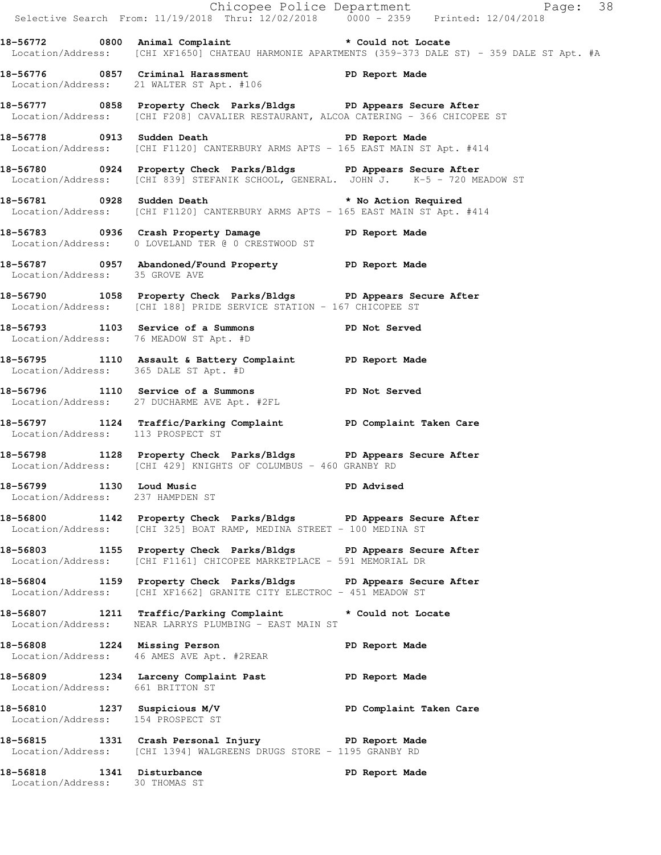|                                                              |                                                                                                                                                                 | Chicopee Police Department<br>Selective Search From: 11/19/2018 Thru: 12/02/2018 0000 - 2359 Printed: 12/04/2018 |
|--------------------------------------------------------------|-----------------------------------------------------------------------------------------------------------------------------------------------------------------|------------------------------------------------------------------------------------------------------------------|
|                                                              | 18-56772 0800 Animal Complaint * Could not Locate                                                                                                               | Location/Address: [CHI XF1650] CHATEAU HARMONIE APARTMENTS (359-373 DALE ST) - 359 DALE ST Apt. #A               |
|                                                              | 18-56776 0857 Criminal Harassment Terminal PD Report Made<br>Location/Address: 21 WALTER ST Apt. #106                                                           |                                                                                                                  |
|                                                              | 18-56777 1858 Property Check Parks/Bldgs PD Appears Secure After<br>Location/Address: [CHI F208] CAVALIER RESTAURANT, ALCOA CATERING - 366 CHICOPEE ST          |                                                                                                                  |
|                                                              | 18-56778 0913 Sudden Death <b>Death</b> PD Report Made<br>Location/Address: [CHI F1120] CANTERBURY ARMS APTS - 165 EAST MAIN ST Apt. #414                       |                                                                                                                  |
|                                                              | 18-56780 0924 Property Check Parks/Bldgs PD Appears Secure After<br>Location/Address: [CHI 839] STEFANIK SCHOOL, GENERAL. JOHN J. K-5 - 720 MEADOW ST           |                                                                                                                  |
|                                                              | 18-56781 0928 Sudden Death <b>18-66 and 18 million</b> to Mo Action Required<br>Location/Address: [CHI F1120] CANTERBURY ARMS APTS - 165 EAST MAIN ST Apt. #414 |                                                                                                                  |
|                                                              | 18-56783 0936 Crash Property Damage PD Report Made<br>Location/Address: 0 LOVELAND TER @ 0 CRESTWOOD ST                                                         |                                                                                                                  |
| Location/Address: 35 GROVE AVE                               | 18-56787 0957 Abandoned/Found Property PD Report Made                                                                                                           |                                                                                                                  |
|                                                              | 18-56790 1058 Property Check Parks/Bldgs PD Appears Secure After<br>Location/Address: [CHI 188] PRIDE SERVICE STATION - 167 CHICOPEE ST                         |                                                                                                                  |
|                                                              | 18-56793 1103 Service of a Summons TPD Not Served<br>Location/Address: 76 MEADOW ST Apt. #D                                                                     |                                                                                                                  |
| Location/Address: 365 DALE ST Apt. #D                        | 18-56795 1110 Assault & Battery Complaint PD Report Made                                                                                                        |                                                                                                                  |
|                                                              | 18-56796 1110 Service of a Summons Terminal PD Not Served<br>Location/Address: 27 DUCHARME AVE Apt. #2FL                                                        |                                                                                                                  |
| Location/Address: 113 PROSPECT ST                            | 18-56797 1124 Traffic/Parking Complaint PD Complaint Taken Care                                                                                                 |                                                                                                                  |
|                                                              | 18-56798 1128 Property Check Parks/Bldgs PD Appears Secure After<br>Location/Address: [CHI 429] KNIGHTS OF COLUMBUS - 460 GRANBY RD                             |                                                                                                                  |
| 18-56799 1130 Loud Music<br>Location/Address: 237 HAMPDEN ST |                                                                                                                                                                 | <b>PD Advised</b>                                                                                                |
|                                                              | 18-56800 1142 Property Check Parks/Bldgs PD Appears Secure After<br>Location/Address: [CHI 325] BOAT RAMP, MEDINA STREET - 100 MEDINA ST                        |                                                                                                                  |
|                                                              | 18-56803 1155 Property Check Parks/Bldgs PD Appears Secure After<br>Location/Address: [CHI F1161] CHICOPEE MARKETPLACE - 591 MEMORIAL DR                        |                                                                                                                  |
|                                                              | 18-56804 1159 Property Check Parks/Bldgs PD Appears Secure After<br>Location/Address: [CHI XF1662] GRANITE CITY ELECTROC - 451 MEADOW ST                        |                                                                                                                  |
|                                                              | 18-56807 1211 Traffic/Parking Complaint * Could not Locate<br>Location/Address: NEAR LARRYS PLUMBING - EAST MAIN ST                                             |                                                                                                                  |
|                                                              | 18-56808 1224 Missing Person Neport Made<br>Location/Address: 46 AMES AVE Apt. #2REAR                                                                           |                                                                                                                  |
| Location/Address: 661 BRITTON ST                             | 18-56809 1234 Larceny Complaint Past PD Report Made                                                                                                             |                                                                                                                  |
| Location/Address: 154 PROSPECT ST                            | 18-56810 1237 Suspicious M/V                           PD Complaint Taken Care                                                                                  |                                                                                                                  |
|                                                              | 18-56815 1331 Crash Personal Injury 1918 PD Report Made<br>Location/Address: [CHI 1394] WALGREENS DRUGS STORE - 1195 GRANBY RD                                  |                                                                                                                  |
| 18-56818 1341 Disturbance<br>Location/Address: 30 THOMAS ST  |                                                                                                                                                                 | PD Report Made                                                                                                   |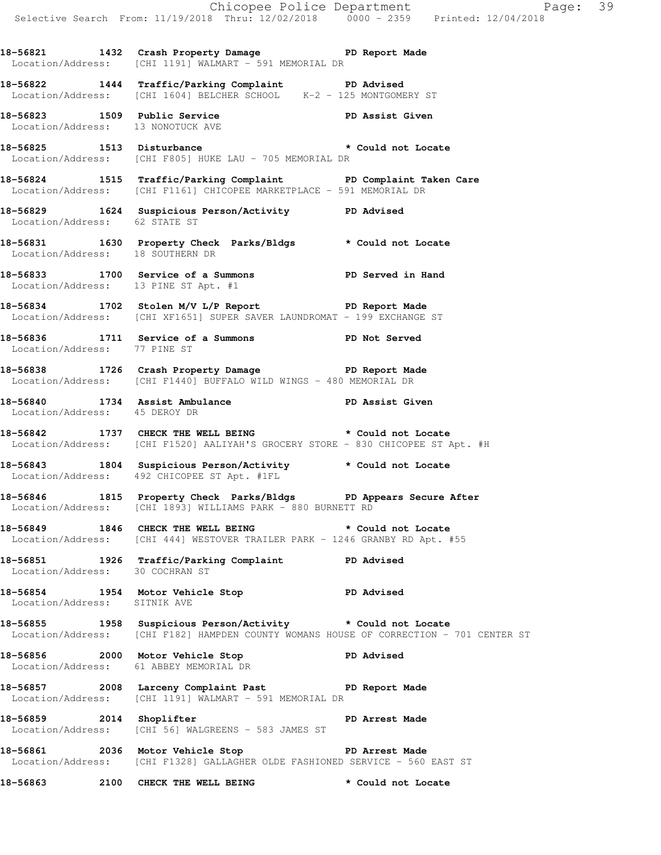**18-56821 1432 Crash Property Damage PD Report Made**  Location/Address: [CHI 1191] WALMART - 591 MEMORIAL DR **18-56822 1444 Traffic/Parking Complaint PD Advised**  Location/Address: [CHI 1604] BELCHER SCHOOL K-2 - 125 MONTGOMERY ST **18-56823 1509 Public Service PD Assist Given**  Location/Address: 13 NONOTUCK AVE **18-56825 1513 Disturbance \* Could not Locate**  Location/Address: [CHI F805] HUKE LAU - 705 MEMORIAL DR **18-56824 1515 Traffic/Parking Complaint PD Complaint Taken Care**  Location/Address: [CHI F1161] CHICOPEE MARKETPLACE - 591 MEMORIAL DR **18-56829 1624 Suspicious Person/Activity PD Advised**  Location/Address: 62 STATE ST **18-56831 1630 Property Check Parks/Bldgs \* Could not Locate**  Location/Address: 18 SOUTHERN DR **18-56833 1700 Service of a Summons PD Served in Hand**  Location/Address: 13 PINE ST Apt. #1 **18-56834 1702 Stolen M/V L/P Report PD Report Made**  Location/Address: [CHI XF1651] SUPER SAVER LAUNDROMAT - 199 EXCHANGE ST **18-56836 1711 Service of a Summons PD Not Served**  Location/Address: 77 PINE ST **18-56838 1726 Crash Property Damage PD Report Made**  Location/Address: [CHI F1440] BUFFALO WILD WINGS - 480 MEMORIAL DR **18-56840 1734 Assist Ambulance PD Assist Given**  Location/Address: 45 DEROY DR 18-56842 1737 CHECK THE WELL BEING **\*** Could not Locate Location/Address: [CHI F1520] AALIYAH'S GROCERY STORE - 830 CHICOPEE ST Apt. #H **18-56843 1804 Suspicious Person/Activity \* Could not Locate**  Location/Address: 492 CHICOPEE ST Apt. #1FL **18-56846 1815 Property Check Parks/Bldgs PD Appears Secure After**  Location/Address: [CHI 1893] WILLIAMS PARK - 880 BURNETT RD **18-56849 1846 CHECK THE WELL BEING \* Could not Locate**  Location/Address: [CHI 444] WESTOVER TRAILER PARK - 1246 GRANBY RD Apt. #55 **18-56851 1926 Traffic/Parking Complaint PD Advised**  Location/Address: 30 COCHRAN ST **18-56854 1954 Motor Vehicle Stop PD Advised**  Location/Address: SITNIK AVE **18-56855 1958 Suspicious Person/Activity \* Could not Locate**  Location/Address: [CHI F182] HAMPDEN COUNTY WOMANS HOUSE OF CORRECTION - 701 CENTER ST **18-56856 2000 Motor Vehicle Stop PD Advised**  Location/Address: 61 ABBEY MEMORIAL DR 18-56857 2008 Larceny Complaint Past **PD** Report Made Location/Address: [CHI 1191] WALMART - 591 MEMORIAL DR 18-56859 2014 Shoplifter **PD** Arrest Made Location/Address: [CHI 56] WALGREENS - 583 JAMES ST

**18-56861 2036 Motor Vehicle Stop PD Arrest Made**  Location/Address: [CHI F1328] GALLAGHER OLDE FASHIONED SERVICE - 560 EAST ST

18-56863 2100 CHECK THE WELL BEING **\*** Could not Locate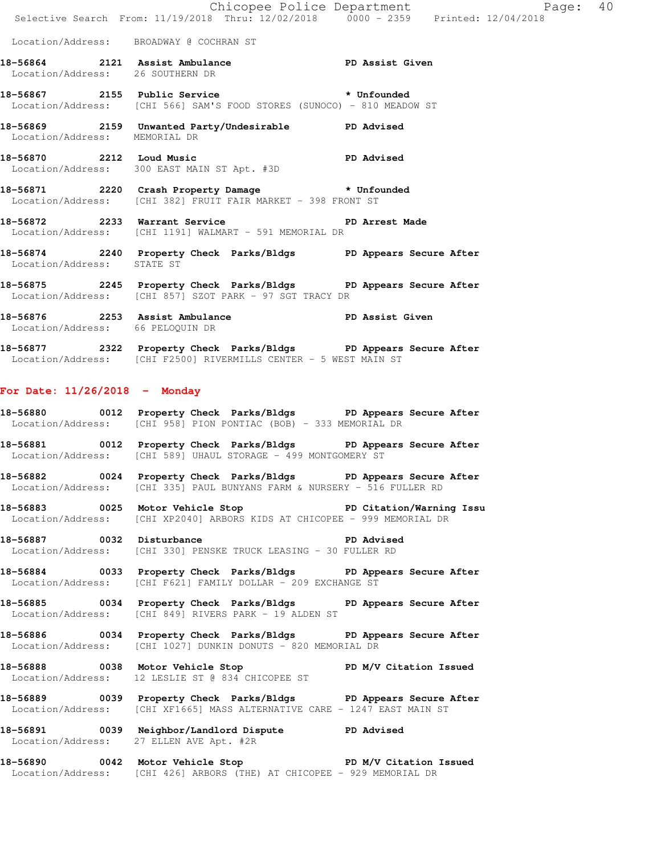|                                  | 18-56872 2233 Warrant Service 2008 PD Arrest Made<br>Location/Address: [CHI 1191] WALMART - 591 MEMORIAL DR       |                            |          |  |
|----------------------------------|-------------------------------------------------------------------------------------------------------------------|----------------------------|----------|--|
|                                  | 18-56871 2220 Crash Property Damage * # Unfounded<br>Location/Address: [CHI 382] FRUIT FAIR MARKET - 398 FRONT ST |                            |          |  |
|                                  | Location/Address: 300 EAST MAIN ST Apt. #3D                                                                       |                            |          |  |
| 18-56870 2212 Loud Music         | <b>PD</b> Advised                                                                                                 |                            |          |  |
| Location/Address: MEMORIAL DR    | 18-56869 2159 Unwanted Party/Undesirable PD Advised                                                               |                            |          |  |
|                                  | Location/Address: [CHI 566] SAM'S FOOD STORES (SUNOCO) - 810 MEADOW ST                                            |                            |          |  |
|                                  |                                                                                                                   |                            |          |  |
| Location/Address: 26 SOUTHERN DR | 18-56864 2121 Assist Ambulance New PD Assist Given                                                                |                            |          |  |
|                                  | Location/Address: BROADWAY @ COCHRAN ST                                                                           |                            |          |  |
|                                  | Selective Search From: 11/19/2018 Thru: 12/02/2018 0000 - 2359 Printed: 12/04/2018                                |                            |          |  |
|                                  |                                                                                                                   | Chicopee Police Department | Page: 40 |  |

Location/Address: [CHI 857] SZOT PARK - 97 SGT TRACY DR

**18-56876 2253 Assist Ambulance PD Assist Given**  Location/Address: 66 PELOQUIN DR

**18-56877 2322 Property Check Parks/Bldgs PD Appears Secure After**  Location/Address: [CHI F2500] RIVERMILLS CENTER - 5 WEST MAIN ST

## **For Date: 11/26/2018 - Monday**

**18-56880 0012 Property Check Parks/Bldgs PD Appears Secure After**  Location/Address: [CHI 958] PION PONTIAC (BOB) - 333 MEMORIAL DR

**18-56881 0012 Property Check Parks/Bldgs PD Appears Secure After**  Location/Address: [CHI 589] UHAUL STORAGE - 499 MONTGOMERY ST

**18-56882 0024 Property Check Parks/Bldgs PD Appears Secure After**  Location/Address: [CHI 335] PAUL BUNYANS FARM & NURSERY - 516 FULLER RD

**18-56883 0025 Motor Vehicle Stop PD Citation/Warning Issu**  Location/Address: [CHI XP2040] ARBORS KIDS AT CHICOPEE - 999 MEMORIAL DR

**18-56887 0032 Disturbance PD Advised**  Location/Address: [CHI 330] PENSKE TRUCK LEASING - 30 FULLER RD

**18-56884 0033 Property Check Parks/Bldgs PD Appears Secure After**  Location/Address: [CHI F621] FAMILY DOLLAR - 209 EXCHANGE ST

**18-56885 0034 Property Check Parks/Bldgs PD Appears Secure After**  Location/Address: [CHI 849] RIVERS PARK - 19 ALDEN ST

**18-56886 0034 Property Check Parks/Bldgs PD Appears Secure After**  Location/Address: [CHI 1027] DUNKIN DONUTS - 820 MEMORIAL DR

18-56888 0038 Motor Vehicle Stop **PD M/V Citation Issued** Location/Address: 12 LESLIE ST @ 834 CHICOPEE ST

**18-56889 0039 Property Check Parks/Bldgs PD Appears Secure After**  Location/Address: [CHI XF1665] MASS ALTERNATIVE CARE - 1247 EAST MAIN ST

**18-56891 0039 Neighbor/Landlord Dispute PD Advised**  Location/Address: 27 ELLEN AVE Apt. #2R

**18-56890 0042 Motor Vehicle Stop PD M/V Citation Issued**  Location/Address: [CHI 426] ARBORS (THE) AT CHICOPEE - 929 MEMORIAL DR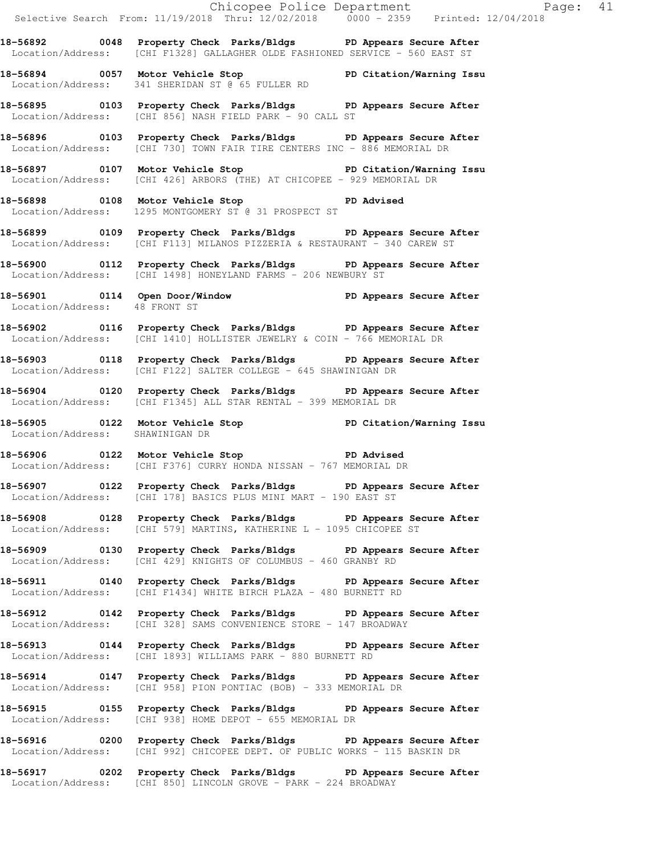|                                 |                                                                                                                                                      | Chicopee Police Department<br>Selective Search From: 11/19/2018 Thru: 12/02/2018 0000 - 2359 Printed: 12/04/2018 |
|---------------------------------|------------------------------------------------------------------------------------------------------------------------------------------------------|------------------------------------------------------------------------------------------------------------------|
|                                 | 18-56892 0048 Property Check Parks/Bldgs PD Appears Secure After<br>Location/Address: [CHI F1328] GALLAGHER OLDE FASHIONED SERVICE - 560 EAST ST     |                                                                                                                  |
|                                 | 18-56894 0057 Motor Vehicle Stop North PD Citation/Warning Issu<br>Location/Address: 341 SHERIDAN ST @ 65 FULLER RD                                  |                                                                                                                  |
|                                 | 18-56895 0103 Property Check Parks/Bldgs PD Appears Secure After<br>Location/Address: [CHI 856] NASH FIELD PARK - 90 CALL ST                         |                                                                                                                  |
|                                 | 18-56896 0103 Property Check Parks/Bldgs PD Appears Secure After<br>Location/Address: [CHI 730] TOWN FAIR TIRE CENTERS INC - 886 MEMORIAL DR         |                                                                                                                  |
|                                 | 18-56897 0107 Motor Vehicle Stop PD Citation/Warning Issu<br>Location/Address: [CHI 426] ARBORS (THE) AT CHICOPEE - 929 MEMORIAL DR                  |                                                                                                                  |
|                                 | 18-56898 0108 Motor Vehicle Stop <b>DA</b> dvised<br>Location/Address: 1295 MONTGOMERY ST @ 31 PROSPECT ST                                           |                                                                                                                  |
|                                 | 18-56899 0109 Property Check Parks/Bldgs PD Appears Secure After<br>Location/Address: [CHI F113] MILANOS PIZZERIA & RESTAURANT - 340 CAREW ST        |                                                                                                                  |
|                                 | 18-56900 0112 Property Check Parks/Bldgs PD Appears Secure After<br>Location/Address: [CHI 1498] HONEYLAND FARMS - 206 NEWBURY ST                    |                                                                                                                  |
| Location/Address: 48 FRONT ST   | 18-56901  0114  Open Door/Window  PD Appears Secure After Location/Address: 48 FRONT ST                                                              |                                                                                                                  |
|                                 | 18-56902 0116 Property Check Parks/Bldgs PD Appears Secure After<br>Location/Address: [CHI 1410] HOLLISTER JEWELRY & COIN - 766 MEMORIAL DR          |                                                                                                                  |
|                                 | 18-56903 0118 Property Check Parks/Bldgs PD Appears Secure After<br>Location/Address: [CHI F122] SALTER COLLEGE - 645 SHAWINIGAN DR                  |                                                                                                                  |
|                                 | 18-56904 0120 Property Check Parks/Bldgs PD Appears Secure After<br>Location/Address: [CHI F1345] ALL STAR RENTAL - 399 MEMORIAL DR                  |                                                                                                                  |
| Location/Address: SHAWINIGAN DR | 18-56905 0122 Motor Vehicle Stop North PD Citation/Warning Issu                                                                                      |                                                                                                                  |
|                                 | 18-56906 0122 Motor Vehicle Stop PD Advised<br>Location/Address: [CHI F376] CURRY HONDA NISSAN - 767 MEMORIAL DR                                     |                                                                                                                  |
|                                 | 18-56907 0122 Property Check Parks/Bldgs PD Appears Secure After<br>Location/Address: [CHI 178] BASICS PLUS MINI MART - 190 EAST ST                  |                                                                                                                  |
|                                 | 18-56908 0128 Property Check Parks/Bldgs PD Appears Secure After<br>Location/Address: $[CHI 579]$ MARTINS, KATHERINE L - 1095 CHICOPEE ST            |                                                                                                                  |
|                                 | 18-56909 0130 Property Check Parks/Bldgs PD Appears Secure After<br>Location/Address: [CHI 429] KNIGHTS OF COLUMBUS - 460 GRANBY RD                  |                                                                                                                  |
|                                 | 18-56911 0140 Property Check Parks/Bldgs PD Appears Secure After<br>Location/Address: [CHI F1434] WHITE BIRCH PLAZA - 480 BURNETT RD                 |                                                                                                                  |
|                                 | 18-56912 0142 Property Check Parks/Bldgs PD Appears Secure After<br>Location/Address: [CHI 328] SAMS CONVENIENCE STORE - 147 BROADWAY                |                                                                                                                  |
|                                 | 18-56913 0144 Property Check Parks/Bldgs PD Appears Secure After<br>Location/Address: [CHI 1893] WILLIAMS PARK - 880 BURNETT RD                      |                                                                                                                  |
|                                 | 18-56914 0147 Property Check Parks/Bldgs PD Appears Secure After<br>Location/Address: [CHI 958] PION PONTIAC (BOB) - 333 MEMORIAL DR                 |                                                                                                                  |
|                                 | 18-56915 0155 Property Check Parks/Bldgs PD Appears Secure After<br>Location/Address: [CHI 938] HOME DEPOT - 655 MEMORIAL DR                         |                                                                                                                  |
|                                 | 18-56916 		 0200 Property Check Parks/Bldgs 		 PD Appears Secure After<br>Location/Address: [CHI 992] CHICOPEE DEPT. OF PUBLIC WORKS - 115 BASKIN DR |                                                                                                                  |

**18-56917 0202 Property Check Parks/Bldgs PD Appears Secure After**  Location/Address: [CHI 850] LINCOLN GROVE - PARK - 224 BROADWAY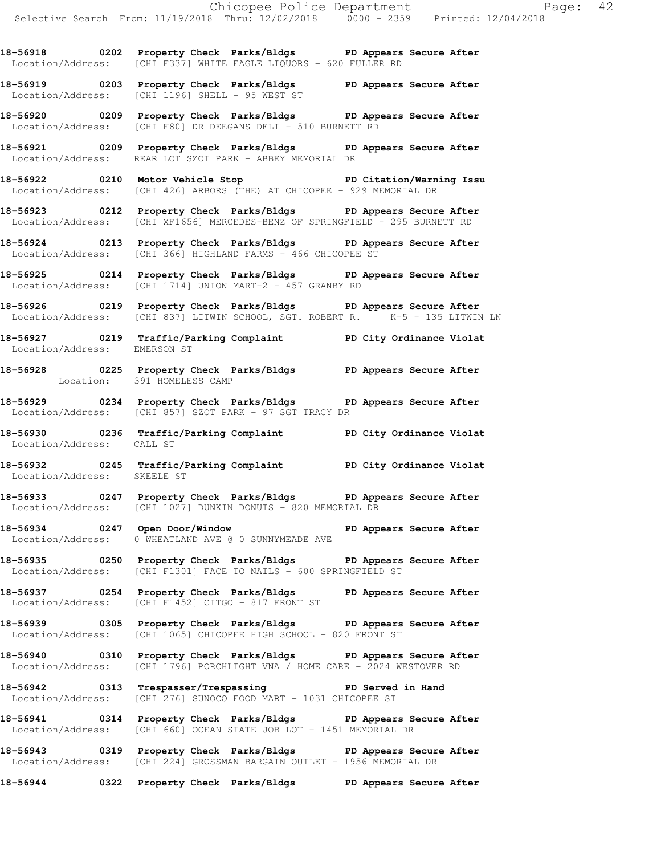**18-56918 0202 Property Check Parks/Bldgs PD Appears Secure After**  Location/Address: [CHI F337] WHITE EAGLE LIQUORS - 620 FULLER RD

**18-56919 0203 Property Check Parks/Bldgs PD Appears Secure After**  Location/Address: [CHI 1196] SHELL - 95 WEST ST

**18-56920 0209 Property Check Parks/Bldgs PD Appears Secure After**  Location/Address: [CHI F80] DR DEEGANS DELI - 510 BURNETT RD

**18-56921 0209 Property Check Parks/Bldgs PD Appears Secure After**  Location/Address: REAR LOT SZOT PARK - ABBEY MEMORIAL DR

**18-56922 0210 Motor Vehicle Stop PD Citation/Warning Issu**  Location/Address: [CHI 426] ARBORS (THE) AT CHICOPEE - 929 MEMORIAL DR

**18-56923 0212 Property Check Parks/Bldgs PD Appears Secure After**  Location/Address: [CHI XF1656] MERCEDES-BENZ OF SPRINGFIELD - 295 BURNETT RD

**18-56924 0213 Property Check Parks/Bldgs PD Appears Secure After**  Location/Address: [CHI 366] HIGHLAND FARMS - 466 CHICOPEE ST

**18-56925 0214 Property Check Parks/Bldgs PD Appears Secure After**  Location/Address: [CHI 1714] UNION MART-2 - 457 GRANBY RD

**18-56926 0219 Property Check Parks/Bldgs PD Appears Secure After**  Location/Address: [CHI 837] LITWIN SCHOOL, SGT. ROBERT R. K-5 - 135 LITWIN LN

**18-56927 0219 Traffic/Parking Complaint PD City Ordinance Violat**  Location/Address: EMERSON ST

**18-56928 0225 Property Check Parks/Bldgs PD Appears Secure After**  Location: 391 HOMELESS CAMP

**18-56929 0234 Property Check Parks/Bldgs PD Appears Secure After**  Location/Address: [CHI 857] SZOT PARK - 97 SGT TRACY DR

**18-56930 0236 Traffic/Parking Complaint PD City Ordinance Violat**  Location/Address: CALL ST

**18-56932 0245 Traffic/Parking Complaint PD City Ordinance Violat**  Location/Address: SKEELE ST

**18-56933 0247 Property Check Parks/Bldgs PD Appears Secure After**  Location/Address: [CHI 1027] DUNKIN DONUTS - 820 MEMORIAL DR

**18-56934 0247 Open Door/Window PD Appears Secure After**  Location/Address: 0 WHEATLAND AVE @ 0 SUNNYMEADE AVE

**18-56935 0250 Property Check Parks/Bldgs PD Appears Secure After**  Location/Address: [CHI F1301] FACE TO NAILS - 600 SPRINGFIELD ST

**18-56937 0254 Property Check Parks/Bldgs PD Appears Secure After**  Location/Address: [CHI F1452] CITGO - 817 FRONT ST

**18-56939 0305 Property Check Parks/Bldgs PD Appears Secure After**  Location/Address: [CHI 1065] CHICOPEE HIGH SCHOOL - 820 FRONT ST

**18-56940 0310 Property Check Parks/Bldgs PD Appears Secure After**  Location/Address: [CHI 1796] PORCHLIGHT VNA / HOME CARE - 2024 WESTOVER RD

**18-56942 0313 Trespasser/Trespassing PD Served in Hand**  Location/Address: [CHI 276] SUNOCO FOOD MART - 1031 CHICOPEE ST

**18-56941 0314 Property Check Parks/Bldgs PD Appears Secure After**  Location/Address: [CHI 660] OCEAN STATE JOB LOT - 1451 MEMORIAL DR

**18-56943 0319 Property Check Parks/Bldgs PD Appears Secure After**  Location/Address: [CHI 224] GROSSMAN BARGAIN OUTLET - 1956 MEMORIAL DR

**18-56944 0322 Property Check Parks/Bldgs PD Appears Secure After**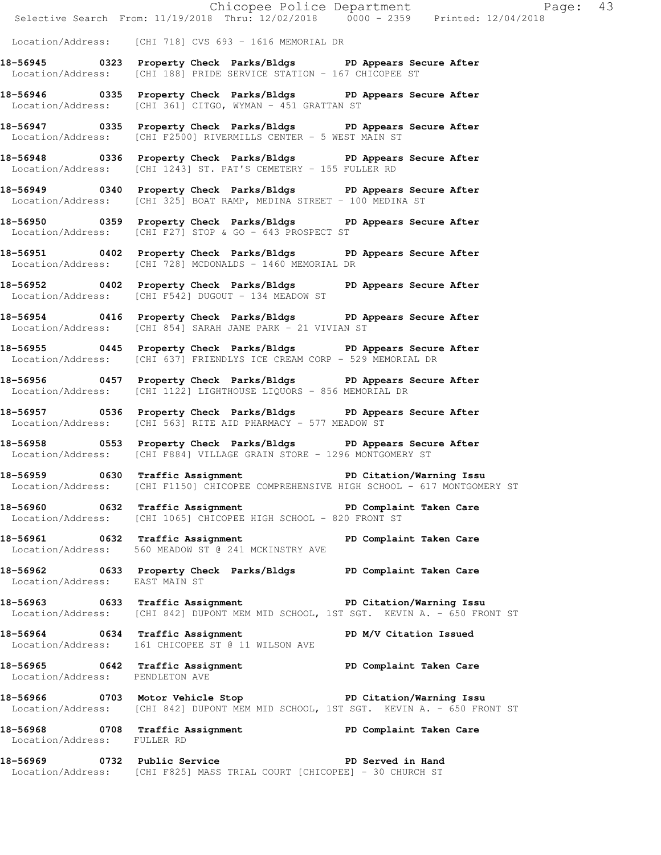Chicopee Police Department Page: 43 Selective Search From: 11/19/2018 Thru: 12/02/2018 0000 - 2359 Printed: 12/04/2018 Location/Address: [CHI 718] CVS 693 - 1616 MEMORIAL DR **18-56945 0323 Property Check Parks/Bldgs PD Appears Secure After**  Location/Address: [CHI 188] PRIDE SERVICE STATION - 167 CHICOPEE ST **18-56946 0335 Property Check Parks/Bldgs PD Appears Secure After**  Location/Address: [CHI 361] CITGO, WYMAN - 451 GRATTAN ST **18-56947 0335 Property Check Parks/Bldgs PD Appears Secure After**  Location/Address: [CHI F2500] RIVERMILLS CENTER - 5 WEST MAIN ST **18-56948 0336 Property Check Parks/Bldgs PD Appears Secure After**  Location/Address: [CHI 1243] ST. PAT'S CEMETERY - 155 FULLER RD **18-56949 0340 Property Check Parks/Bldgs PD Appears Secure After**  Location/Address: [CHI 325] BOAT RAMP, MEDINA STREET - 100 MEDINA ST **18-56950 0359 Property Check Parks/Bldgs PD Appears Secure After**  Location/Address: [CHI F27] STOP & GO - 643 PROSPECT ST **18-56951 0402 Property Check Parks/Bldgs PD Appears Secure After**  Location/Address: [CHI 728] MCDONALDS - 1460 MEMORIAL DR **18-56952 0402 Property Check Parks/Bldgs PD Appears Secure After**  Location/Address: [CHI F542] DUGOUT - 134 MEADOW ST **18-56954 0416 Property Check Parks/Bldgs PD Appears Secure After**  Location/Address: [CHI 854] SARAH JANE PARK - 21 VIVIAN ST **18-56955 0445 Property Check Parks/Bldgs PD Appears Secure After**  Location/Address: [CHI 637] FRIENDLYS ICE CREAM CORP - 529 MEMORIAL DR **18-56956 0457 Property Check Parks/Bldgs PD Appears Secure After**  Location/Address: [CHI 1122] LIGHTHOUSE LIQUORS - 856 MEMORIAL DR **18-56957 0536 Property Check Parks/Bldgs PD Appears Secure After**  Location/Address: [CHI 563] RITE AID PHARMACY - 577 MEADOW ST **18-56958 0553 Property Check Parks/Bldgs PD Appears Secure After**  Location/Address: [CHI F884] VILLAGE GRAIN STORE - 1296 MONTGOMERY ST **18-56959 0630 Traffic Assignment PD Citation/Warning Issu**  Location/Address: [CHI F1150] CHICOPEE COMPREHENSIVE HIGH SCHOOL - 617 MONTGOMERY ST 18-56960 0632 Traffic Assignment **PD Complaint Taken Care** Location/Address: [CHI 1065] CHICOPEE HIGH SCHOOL - 820 FRONT ST **18-56961 0632 Traffic Assignment PD Complaint Taken Care**  Location/Address: 560 MEADOW ST @ 241 MCKINSTRY AVE **18-56962 0633 Property Check Parks/Bldgs PD Complaint Taken Care**  Location/Address: EAST MAIN ST **18-56963 0633 Traffic Assignment PD Citation/Warning Issu**  Location/Address: [CHI 842] DUPONT MEM MID SCHOOL, 1ST SGT. KEVIN A. - 650 FRONT ST 18-56964 **0634** Traffic Assignment **PD M/V Citation Issued**  Location/Address: 161 CHICOPEE ST @ 11 WILSON AVE **18-56965 0642 Traffic Assignment PD Complaint Taken Care**  Location/Address: PENDLETON AVE **18-56966 0703 Motor Vehicle Stop PD Citation/Warning Issu**  Location/Address: [CHI 842] DUPONT MEM MID SCHOOL, 1ST SGT. KEVIN A. - 650 FRONT ST 18-56968 **0708** Traffic Assignment **PD Complaint Taken Care**  Location/Address: FULLER RD **18-56969 0732 Public Service PD Served in Hand** 

Location/Address: [CHI F825] MASS TRIAL COURT [CHICOPEE] - 30 CHURCH ST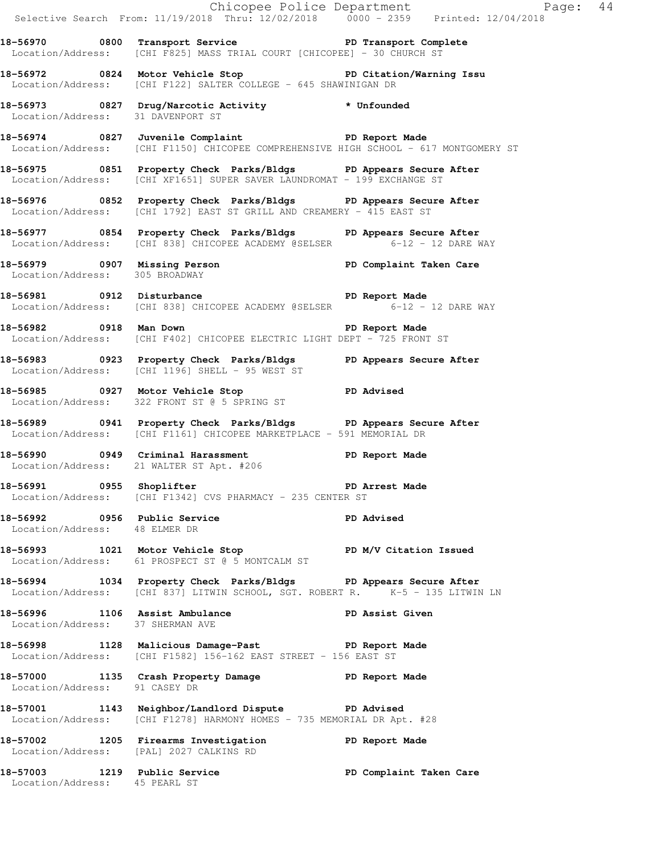|                                  |                                                                                                                                                   | Chicopee Police Department<br>Selective Search From: 11/19/2018 Thru: 12/02/2018 0000 - 2359 Printed: 12/04/2018 |  |
|----------------------------------|---------------------------------------------------------------------------------------------------------------------------------------------------|------------------------------------------------------------------------------------------------------------------|--|
|                                  | 18-56970 0800 Transport Service The PD Transport Complete<br>Location/Address: [CHI F825] MASS TRIAL COURT [CHICOPEE] - 30 CHURCH ST              |                                                                                                                  |  |
|                                  | 18-56972 0824 Motor Vehicle Stop North PD Citation/Warning Issu<br>Location/Address: [CHI F122] SALTER COLLEGE - 645 SHAWINIGAN DR                |                                                                                                                  |  |
|                                  | 18-56973 0827 Drug/Narcotic Activity * Unfounded<br>Location/Address: 31 DAVENPORT ST                                                             |                                                                                                                  |  |
|                                  | 18-56974 0827 Juvenile Complaint 18-56974 PD Report Made<br>Location/Address: [CHI F1150] CHICOPEE COMPREHENSIVE HIGH SCHOOL - 617 MONTGOMERY ST  |                                                                                                                  |  |
|                                  | 18-56975 0851 Property Check Parks/Bldgs PD Appears Secure After<br>Location/Address: [CHI XF1651] SUPER SAVER LAUNDROMAT - 199 EXCHANGE ST       |                                                                                                                  |  |
|                                  | 18-56976 0852 Property Check Parks/Bldgs PD Appears Secure After<br>Location/Address: [CHI 1792] EAST ST GRILL AND CREAMERY - 415 EAST ST         |                                                                                                                  |  |
|                                  | 18-56977 0854 Property Check Parks/Bldgs PD Appears Secure After<br>Location/Address: [CHI 838] CHICOPEE ACADEMY @SELSER 6-12 - 12 DARE WAY       |                                                                                                                  |  |
| Location/Address: 305 BROADWAY   | 18-56979 0907 Missing Person New York PD Complaint Taken Care                                                                                     |                                                                                                                  |  |
|                                  | 18-56981 0912 Disturbance<br>Location/Address: [CHI 838] CHICOPEE ACADEMY @SELSER 6-12 - 12 DARE WAY                                              |                                                                                                                  |  |
|                                  | 18-56982 0918 Man Down 2008 18-56982<br>Location/Address: [CHI F402] CHICOPEE ELECTRIC LIGHT DEPT - 725 FRONT ST                                  |                                                                                                                  |  |
|                                  | 18-56983 18-0923 Property Check Parks/Bldgs 1 PD Appears Secure After<br>Location/Address: [CHI 1196] SHELL - 95 WEST ST                          |                                                                                                                  |  |
|                                  | 18-56985 0927 Motor Vehicle Stop 30 PD Advised<br>Location/Address: 322 FRONT ST @ 5 SPRING ST                                                    |                                                                                                                  |  |
|                                  | 18-56989 0941 Property Check Parks/Bldgs PD Appears Secure After<br>Location/Address: [CHI F1161] CHICOPEE MARKETPLACE - 591 MEMORIAL DR          |                                                                                                                  |  |
|                                  | 18-56990 0949 Criminal Harassment (PD Report Made<br>Location/Address: 21 WALTER ST Apt. #206                                                     |                                                                                                                  |  |
|                                  | 18-56991 0955 Shoplifter 2008 PD Arrest Made<br>Location/Address: [CHI F1342] CVS PHARMACY - 235 CENTER ST                                        |                                                                                                                  |  |
| Location/Address: 48 ELMER DR    | 18-56992 0956 Public Service 20 PD Advised                                                                                                        |                                                                                                                  |  |
|                                  | 18-56993 1021 Motor Vehicle Stop N/V Citation Issued<br>Location/Address: 61 PROSPECT ST @ 5 MONTCALM ST                                          |                                                                                                                  |  |
|                                  | 18-56994 1034 Property Check Parks/Bldgs PD Appears Secure After<br>Location/Address: [CHI 837] LITWIN SCHOOL, SGT. ROBERT R. K-5 - 135 LITWIN LN |                                                                                                                  |  |
| Location/Address: 37 SHERMAN AVE | 18-56996 1106 Assist Ambulance New PD Assist Given                                                                                                |                                                                                                                  |  |
|                                  | 18-56998 1128 Malicious Damage-Past PD Report Made<br>Location/Address: [CHI F1582] 156-162 EAST STREET - 156 EAST ST                             |                                                                                                                  |  |
| Location/Address: 91 CASEY DR    | 18-57000 1135 Crash Property Damage PD Report Made                                                                                                |                                                                                                                  |  |
|                                  | 18-57001 1143 Neighbor/Landlord Dispute PD Advised<br>Location/Address: [CHI F1278] HARMONY HOMES - 735 MEMORIAL DR Apt. #28                      |                                                                                                                  |  |
|                                  | 18-57002 1205 Firearms Investigation PD Report Made<br>Location/Address: [PAL] 2027 CALKINS RD                                                    |                                                                                                                  |  |
|                                  | 18-57003 1219 Public Service<br>Location/Address: 45 PEARL ST                                                                                     | PD Complaint Taken Care                                                                                          |  |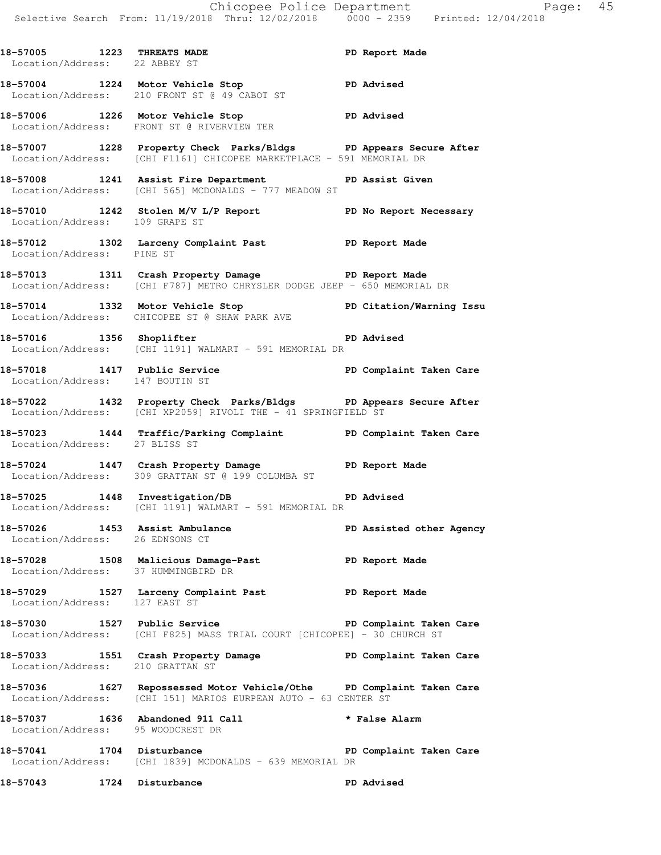18-57005 1223 THREATS MADE **PD** Report Made Location/Address: 22 ABBEY ST **18-57004 1224 Motor Vehicle Stop PD Advised**  Location/Address: 210 FRONT ST @ 49 CABOT ST **18-57006 1226 Motor Vehicle Stop PD Advised**  Location/Address: FRONT ST @ RIVERVIEW TER **18-57007 1228 Property Check Parks/Bldgs PD Appears Secure After**  Location/Address: [CHI F1161] CHICOPEE MARKETPLACE - 591 MEMORIAL DR **18-57008 1241 Assist Fire Department PD Assist Given**  Location/Address: [CHI 565] MCDONALDS - 777 MEADOW ST **18-57010 1242 Stolen M/V L/P Report PD No Report Necessary**  Location/Address: 109 GRAPE ST **18-57012 1302 Larceny Complaint Past PD Report Made**  Location/Address: PINE ST **18-57013 1311 Crash Property Damage PD Report Made**  Location/Address: [CHI F787] METRO CHRYSLER DODGE JEEP - 650 MEMORIAL DR **18-57014 1332 Motor Vehicle Stop PD Citation/Warning Issu**  Location/Address: CHICOPEE ST @ SHAW PARK AVE **18-57016 1356 Shoplifter PD Advised**  Location/Address: [CHI 1191] WALMART - 591 MEMORIAL DR **18-57018 1417 Public Service PD Complaint Taken Care**  Location/Address: 147 BOUTIN ST **18-57022 1432 Property Check Parks/Bldgs PD Appears Secure After**  Location/Address: [CHI XP2059] RIVOLI THE - 41 SPRINGFIELD ST **18-57023 1444 Traffic/Parking Complaint PD Complaint Taken Care**  Location/Address: 27 BLISS ST **18-57024 1447 Crash Property Damage PD Report Made**  Location/Address: 309 GRATTAN ST @ 199 COLUMBA ST **18-57025 1448 Investigation/DB PD Advised**  Location/Address: [CHI 1191] WALMART - 591 MEMORIAL DR **18-57026 1453 Assist Ambulance PD Assisted other Agency**  Location/Address: 26 EDNSONS CT **18-57028 1508 Malicious Damage-Past PD Report Made**  Location/Address: 37 HUMMINGBIRD DR **18-57029 1527 Larceny Complaint Past PD Report Made**  Location/Address: 127 EAST ST **18-57030 1527 Public Service PD Complaint Taken Care**  Location/Address: [CHI F825] MASS TRIAL COURT [CHICOPEE] - 30 CHURCH ST **18-57033 1551 Crash Property Damage PD Complaint Taken Care**  Location/Address: 210 GRATTAN ST **18-57036 1627 Repossessed Motor Vehicle/Othe PD Complaint Taken Care**  Location/Address: [CHI 151] MARIOS EURPEAN AUTO - 63 CENTER ST **18-57037 1636 Abandoned 911 Call \* False Alarm**  Location/Address: 95 WOODCREST DR 18-57041 1704 Disturbance **PD Complaint Taken Care**  Location/Address: [CHI 1839] MCDONALDS - 639 MEMORIAL DR **18-57043 1724 Disturbance PD Advised**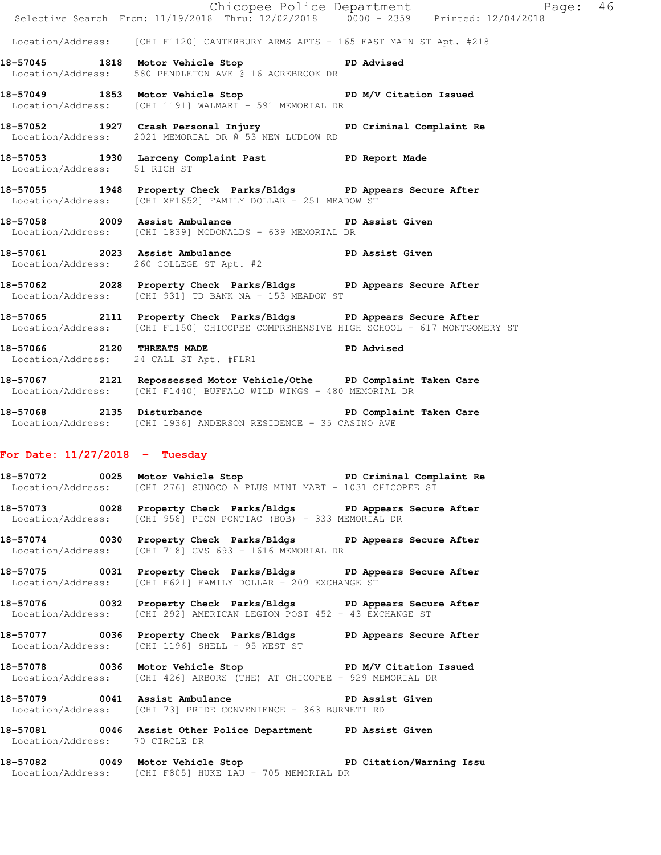|                                  |                                                                                                                                                          | Chicopee Police Department<br>Selective Search From: 11/19/2018 Thru: 12/02/2018 0000 - 2359 Printed: 12/04/2018 |  |
|----------------------------------|----------------------------------------------------------------------------------------------------------------------------------------------------------|------------------------------------------------------------------------------------------------------------------|--|
|                                  |                                                                                                                                                          |                                                                                                                  |  |
|                                  | Location/Address: [CHI F1120] CANTERBURY ARMS APTS - 165 EAST MAIN ST Apt. #218                                                                          |                                                                                                                  |  |
|                                  | 18-57045 1818 Motor Vehicle Stop 50 PD Advised<br>Location/Address: 580 PENDLETON AVE @ 16 ACREBROOK DR                                                  |                                                                                                                  |  |
|                                  | 18-57049 1853 Motor Vehicle Stop New Yorkitation Issued<br>Location/Address: [CHI 1191] WALMART - 591 MEMORIAL DR                                        |                                                                                                                  |  |
|                                  | 18-57052 1927 Crash Personal Injury PD Criminal Complaint Re<br>Location/Address: 2021 MEMORIAL DR @ 53 NEW LUDLOW RD                                    |                                                                                                                  |  |
| Location/Address: 51 RICH ST     | 18-57053 1930 Larceny Complaint Past PD Report Made                                                                                                      |                                                                                                                  |  |
|                                  | 18-57055 1948 Property Check Parks/Bldgs PD Appears Secure After<br>Location/Address: [CHI XF1652] FAMILY DOLLAR - 251 MEADOW ST                         |                                                                                                                  |  |
|                                  | 18-57058 2009 Assist Ambulance New PD Assist Given<br>Location/Address: [CHI 1839] MCDONALDS - 639 MEMORIAL DR                                           |                                                                                                                  |  |
|                                  | 18-57061 2023 Assist Ambulance PD Assist Given<br>Location/Address: 260 COLLEGE ST Apt. #2                                                               |                                                                                                                  |  |
|                                  | 18-57062 2028 Property Check Parks/Bldgs PD Appears Secure After<br>Location/Address: [CHI 931] TD BANK NA - 153 MEADOW ST                               |                                                                                                                  |  |
|                                  | 18-57065 2111 Property Check Parks/Bldgs PD Appears Secure After<br>Location/Address: [CHI F1150] CHICOPEE COMPREHENSIVE HIGH SCHOOL - 617 MONTGOMERY ST |                                                                                                                  |  |
|                                  | 18-57066 2120 THREATS MADE<br>Location/Address: 24 CALL ST Apt. #FLR1                                                                                    | PD Advised                                                                                                       |  |
|                                  | 18-57067 2121 Repossessed Motor Vehicle/Othe PD Complaint Taken Care<br>Location/Address: [CHI F1440] BUFFALO WILD WINGS - 480 MEMORIAL DR               |                                                                                                                  |  |
|                                  | 18-57068 2135 Disturbance 2008 PD Complaint Taken Care<br>Location/Address: [CHI 1936] ANDERSON RESIDENCE - 35 CASINO AVE                                |                                                                                                                  |  |
| For Date: $11/27/2018$ - Tuesday |                                                                                                                                                          |                                                                                                                  |  |
|                                  | 18-57072 0025 Motor Vehicle Stop 50 PD Criminal Complaint Re<br>Location/Address: [CHI 276] SUNOCO A PLUS MINI MART - 1031 CHICOPEE ST                   |                                                                                                                  |  |
|                                  | 18-57073 0028 Property Check Parks/Bldgs PD Appears Secure After<br>Location/Address: [CHI 958] PION PONTIAC (BOB) - 333 MEMORIAL DR                     |                                                                                                                  |  |
|                                  | 18-57074 0030 Property Check Parks/Bldgs PD Appears Secure After<br>Location/Address: [CHI 718] CVS 693 - 1616 MEMORIAL DR                               |                                                                                                                  |  |
|                                  | 18-57075 0031 Property Check Parks/Bldgs PD Appears Secure After<br>Location/Address: [CHI F621] FAMILY DOLLAR - 209 EXCHANGE ST                         |                                                                                                                  |  |
|                                  | 18-57076 0032 Property Check Parks/Bldgs PD Appears Secure After<br>Location/Address: [CHI 292] AMERICAN LEGION POST 452 - 43 EXCHANGE ST                |                                                                                                                  |  |
|                                  | 18-57077 0036 Property Check Parks/Bldgs PD Appears Secure After<br>Location/Address: [CHI 1196] SHELL - 95 WEST ST                                      |                                                                                                                  |  |
|                                  |                                                                                                                                                          |                                                                                                                  |  |

**18-57078 0036 Motor Vehicle Stop PD M/V Citation Issued**  Location/Address: [CHI 426] ARBORS (THE) AT CHICOPEE - 929 MEMORIAL DR

**18-57079 0041 Assist Ambulance PD Assist Given**  Location/Address: [CHI 73] PRIDE CONVENIENCE - 363 BURNETT RD

**18-57081 0046 Assist Other Police Department PD Assist Given**  Location/Address: 70 CIRCLE DR

**18-57082 0049 Motor Vehicle Stop PD Citation/Warning Issu**  Location/Address: [CHI F805] HUKE LAU - 705 MEMORIAL DR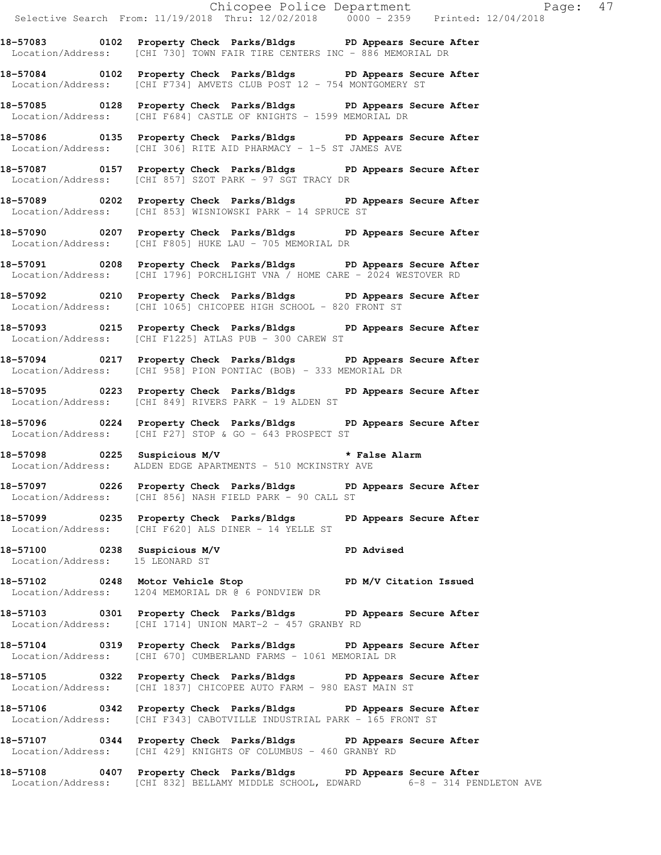**18-57083 0102 Property Check Parks/Bldgs PD Appears Secure After**  Location/Address: [CHI 730] TOWN FAIR TIRE CENTERS INC - 886 MEMORIAL DR

**18-57084 0102 Property Check Parks/Bldgs PD Appears Secure After**  Location/Address: [CHI F734] AMVETS CLUB POST 12 - 754 MONTGOMERY ST

**18-57085 0128 Property Check Parks/Bldgs PD Appears Secure After**  Location/Address: [CHI F684] CASTLE OF KNIGHTS - 1599 MEMORIAL DR

**18-57086 0135 Property Check Parks/Bldgs PD Appears Secure After**  Location/Address: [CHI 306] RITE AID PHARMACY - 1-5 ST JAMES AVE

**18-57087 0157 Property Check Parks/Bldgs PD Appears Secure After**  Location/Address: [CHI 857] SZOT PARK - 97 SGT TRACY DR

**18-57089 0202 Property Check Parks/Bldgs PD Appears Secure After**  Location/Address: [CHI 853] WISNIOWSKI PARK - 14 SPRUCE ST

**18-57090 0207 Property Check Parks/Bldgs PD Appears Secure After**  Location/Address: [CHI F805] HUKE LAU - 705 MEMORIAL DR

**18-57091 0208 Property Check Parks/Bldgs PD Appears Secure After**  Location/Address: [CHI 1796] PORCHLIGHT VNA / HOME CARE - 2024 WESTOVER RD

**18-57092 0210 Property Check Parks/Bldgs PD Appears Secure After**  Location/Address: [CHI 1065] CHICOPEE HIGH SCHOOL - 820 FRONT ST

**18-57093 0215 Property Check Parks/Bldgs PD Appears Secure After**  Location/Address: [CHI F1225] ATLAS PUB - 300 CAREW ST

**18-57094 0217 Property Check Parks/Bldgs PD Appears Secure After**  Location/Address: [CHI 958] PION PONTIAC (BOB) - 333 MEMORIAL DR

**18-57095 0223 Property Check Parks/Bldgs PD Appears Secure After**  Location/Address: [CHI 849] RIVERS PARK - 19 ALDEN ST

**18-57096 0224 Property Check Parks/Bldgs PD Appears Secure After**  Location/Address: [CHI F27] STOP & GO - 643 PROSPECT ST

**18-57098 0225 Suspicious M/V \* False Alarm**  Location/Address: ALDEN EDGE APARTMENTS - 510 MCKINSTRY AVE

**18-57097 0226 Property Check Parks/Bldgs PD Appears Secure After**  Location/Address: [CHI 856] NASH FIELD PARK - 90 CALL ST

**18-57099 0235 Property Check Parks/Bldgs PD Appears Secure After**  Location/Address: [CHI F620] ALS DINER - 14 YELLE ST

**18-57100 0238 Suspicious M/V PD Advised**  Location/Address: 15 LEONARD ST

**18-57102 0248 Motor Vehicle Stop PD M/V Citation Issued**  Location/Address: 1204 MEMORIAL DR @ 6 PONDVIEW DR

**18-57103 0301 Property Check Parks/Bldgs PD Appears Secure After**  Location/Address: [CHI 1714] UNION MART-2 - 457 GRANBY RD

**18-57104 0319 Property Check Parks/Bldgs PD Appears Secure After**  Location/Address: [CHI 670] CUMBERLAND FARMS - 1061 MEMORIAL DR

**18-57105 0322 Property Check Parks/Bldgs PD Appears Secure After**  Location/Address: [CHI 1837] CHICOPEE AUTO FARM - 980 EAST MAIN ST

**18-57106 0342 Property Check Parks/Bldgs PD Appears Secure After**  Location/Address: [CHI F343] CABOTVILLE INDUSTRIAL PARK - 165 FRONT ST

**18-57107 0344 Property Check Parks/Bldgs PD Appears Secure After**  Location/Address: [CHI 429] KNIGHTS OF COLUMBUS - 460 GRANBY RD

**18-57108 0407 Property Check Parks/Bldgs PD Appears Secure After**  Location/Address: [CHI 832] BELLAMY MIDDLE SCHOOL, EDWARD 6-8 - 314 PENDLETON AVE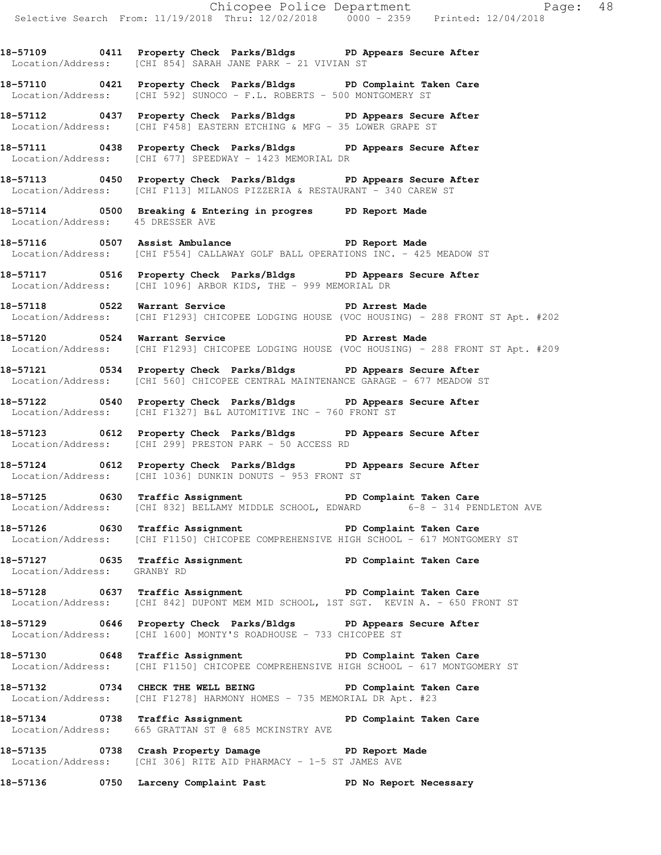**18-57109 0411 Property Check Parks/Bldgs PD Appears Secure After**  Location/Address: [CHI 854] SARAH JANE PARK - 21 VIVIAN ST

**18-57110 0421 Property Check Parks/Bldgs PD Complaint Taken Care**  Location/Address: [CHI 592] SUNOCO - F.L. ROBERTS - 500 MONTGOMERY ST

**18-57112 0437 Property Check Parks/Bldgs PD Appears Secure After**  Location/Address: [CHI F458] EASTERN ETCHING & MFG - 35 LOWER GRAPE ST

**18-57111 0438 Property Check Parks/Bldgs PD Appears Secure After**  Location/Address: [CHI 677] SPEEDWAY - 1423 MEMORIAL DR

**18-57113 0450 Property Check Parks/Bldgs PD Appears Secure After**  Location/Address: [CHI F113] MILANOS PIZZERIA & RESTAURANT - 340 CAREW ST

**18-57114 0500 Breaking & Entering in progres PD Report Made**  Location/Address: 45 DRESSER AVE

18-57116 **0507** Assist Ambulance **PD Report Made** Location/Address: [CHI F554] CALLAWAY GOLF BALL OPERATIONS INC. - 425 MEADOW ST

**18-57117 0516 Property Check Parks/Bldgs PD Appears Secure After**  Location/Address: [CHI 1096] ARBOR KIDS, THE - 999 MEMORIAL DR

**18-57118 0522 Warrant Service PD Arrest Made**  Location/Address: [CHI F1293] CHICOPEE LODGING HOUSE (VOC HOUSING) - 288 FRONT ST Apt. #202

18-57120 **0524 Warrant Service PD Arrest Made** Location/Address: [CHI F1293] CHICOPEE LODGING HOUSE (VOC HOUSING) - 288 FRONT ST Apt. #209

**18-57121 0534 Property Check Parks/Bldgs PD Appears Secure After**  Location/Address: [CHI 560] CHICOPEE CENTRAL MAINTENANCE GARAGE - 677 MEADOW ST

**18-57122 0540 Property Check Parks/Bldgs PD Appears Secure After**  Location/Address: [CHI F1327] B&L AUTOMITIVE INC - 760 FRONT ST

**18-57123 0612 Property Check Parks/Bldgs PD Appears Secure After**  Location/Address: [CHI 299] PRESTON PARK - 50 ACCESS RD

**18-57124 0612 Property Check Parks/Bldgs PD Appears Secure After**  Location/Address: [CHI 1036] DUNKIN DONUTS - 953 FRONT ST

**18-57125 0630 Traffic Assignment PD Complaint Taken Care**  Location/Address: [CHI 832] BELLAMY MIDDLE SCHOOL, EDWARD 6-8 - 314 PENDLETON AVE

18-57126 **18-57126** 0630 Traffic Assignment **PD Complaint Taken Care** Location/Address: [CHI F1150] CHICOPEE COMPREHENSIVE HIGH SCHOOL - 617 MONTGOMERY ST

**18-57127 0635 Traffic Assignment PD Complaint Taken Care**  Location/Address: GRANBY RD

**18-57128 0637 Traffic Assignment PD Complaint Taken Care**  Location/Address: [CHI 842] DUPONT MEM MID SCHOOL, 1ST SGT. KEVIN A. - 650 FRONT ST

**18-57129 0646 Property Check Parks/Bldgs PD Appears Secure After**  Location/Address: [CHI 1600] MONTY'S ROADHOUSE - 733 CHICOPEE ST

**18-57130 0648 Traffic Assignment PD Complaint Taken Care**  Location/Address: [CHI F1150] CHICOPEE COMPREHENSIVE HIGH SCHOOL - 617 MONTGOMERY ST

**18-57132 0734 CHECK THE WELL BEING PD Complaint Taken Care**  Location/Address: [CHI F1278] HARMONY HOMES - 735 MEMORIAL DR Apt. #23

18-57134 **18-57134** 0738 Traffic Assignment **PD** Complaint Taken Care Location/Address: 665 GRATTAN ST @ 685 MCKINSTRY AVE

**18-57135 0738 Crash Property Damage PD Report Made**  Location/Address: [CHI 306] RITE AID PHARMACY - 1-5 ST JAMES AVE

**18-57136 0750 Larceny Complaint Past PD No Report Necessary**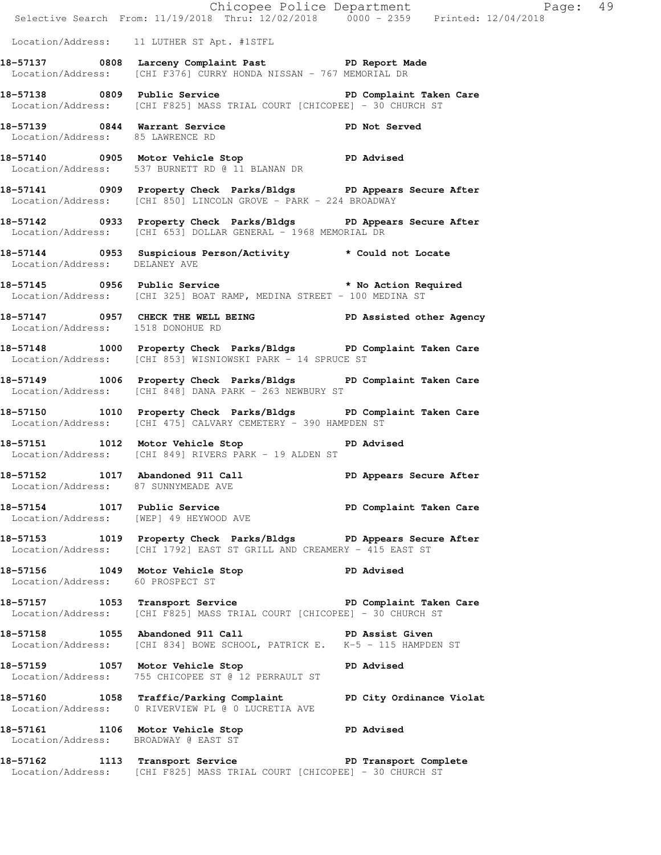|                                   |                                                                                                                                           | Chicopee Police Department<br>Selective Search From: 11/19/2018 Thru: 12/02/2018 0000 - 2359 Printed: 12/04/2018 |  |
|-----------------------------------|-------------------------------------------------------------------------------------------------------------------------------------------|------------------------------------------------------------------------------------------------------------------|--|
|                                   | Location/Address: 11 LUTHER ST Apt. #1STFL                                                                                                |                                                                                                                  |  |
|                                   | 18-57137 0808 Larceny Complaint Past PD Report Made<br>Location/Address: [CHI F376] CURRY HONDA NISSAN - 767 MEMORIAL DR                  |                                                                                                                  |  |
|                                   | 18-57138 		 0809 Public Service 		 PD Complaint Taken Care<br>Location/Address: [CHI F825] MASS TRIAL COURT [CHICOPEE] - 30 CHURCH ST     |                                                                                                                  |  |
|                                   | 18-57139 0844 Warrant Service <b>18-57139</b> PD Not Served<br>Location/Address: 85 LAWRENCE RD                                           |                                                                                                                  |  |
|                                   | 18-57140 0905 Motor Vehicle Stop 57 PD Advised<br>Location/Address: 537 BURNETT RD @ 11 BLANAN DR                                         |                                                                                                                  |  |
|                                   | 18-57141 0909 Property Check Parks/Bldgs PD Appears Secure After<br>Location/Address: [CHI 850] LINCOLN GROVE - PARK - 224 BROADWAY       |                                                                                                                  |  |
|                                   | 18-57142 0933 Property Check Parks/Bldgs PD Appears Secure After<br>Location/Address: [CHI 653] DOLLAR GENERAL - 1968 MEMORIAL DR         |                                                                                                                  |  |
| Location/Address: DELANEY AVE     | 18-57144 0953 Suspicious Person/Activity * Could not Locate                                                                               |                                                                                                                  |  |
|                                   | 18-57145 0956 Public Service <b>18-68 Public Service 18-57145</b><br>Location/Address: [CHI 325] BOAT RAMP, MEDINA STREET - 100 MEDINA ST |                                                                                                                  |  |
| Location/Address: 1518 DONOHUE RD | 18-57147 0957 CHECK THE WELL BEING PD Assisted other Agency                                                                               |                                                                                                                  |  |
|                                   | 18-57148 1000 Property Check Parks/Bldgs PD Complaint Taken Care<br>Location/Address: [CHI 853] WISNIOWSKI PARK - 14 SPRUCE ST            |                                                                                                                  |  |
|                                   | 18-57149 1006 Property Check Parks/Bldgs PD Complaint Taken Care<br>Location/Address: [CHI 848] DANA PARK - 263 NEWBURY ST                |                                                                                                                  |  |
|                                   | 18-57150 1010 Property Check Parks/Bldgs PD Complaint Taken Care<br>Location/Address: [CHI 475] CALVARY CEMETERY - 390 HAMPDEN ST         |                                                                                                                  |  |
|                                   | 18-57151 1012 Motor Vehicle Stop PD Advised<br>Location/Address: [CHI 849] RIVERS PARK - 19 ALDEN ST                                      |                                                                                                                  |  |
| 18-57152 1017 Abandoned 911 Call  | Location/Address: 87 SUNNYMEADE AVE                                                                                                       | PD Appears Secure After                                                                                          |  |
|                                   | 18-57154 1017 Public Service 20 PD Complaint Taken Care<br>Location/Address: [WEP] 49 HEYWOOD AVE                                         |                                                                                                                  |  |
|                                   | 18-57153 1019 Property Check Parks/Bldgs PD Appears Secure After<br>Location/Address: [CHI 1792] EAST ST GRILL AND CREAMERY - 415 EAST ST |                                                                                                                  |  |
| Location/Address: 60 PROSPECT ST  | 18-57156 1049 Motor Vehicle Stop 50 PD Advised                                                                                            |                                                                                                                  |  |
|                                   | 18-57157 1053 Transport Service New PD Complaint Taken Care<br>Location/Address: [CHI F825] MASS TRIAL COURT [CHICOPEE] - 30 CHURCH ST    |                                                                                                                  |  |
|                                   | 18-57158 1055 Abandoned 911 Call 30 PD Assist Given<br>Location/Address: [CHI 834] BOWE SCHOOL, PATRICK E. K-5 - 115 HAMPDEN ST           |                                                                                                                  |  |
|                                   | 18-57159 1057 Motor Vehicle Stop 30 PD Advised<br>Location/Address: 755 CHICOPEE ST @ 12 PERRAULT ST                                      |                                                                                                                  |  |
|                                   | 18-57160 1058 Traffic/Parking Complaint PD City Ordinance Violat<br>Location/Address: 0 RIVERVIEW PL @ 0 LUCRETIA AVE                     |                                                                                                                  |  |
|                                   | 18-57161 1106 Motor Vehicle Stop 57161 PD Advised<br>Location/Address: BROADWAY @ EAST ST                                                 |                                                                                                                  |  |
|                                   | 18-57162 1113 Transport Service New PD Transport Complete<br>Location/Address: [CHI F825] MASS TRIAL COURT [CHICOPEE] - 30 CHURCH ST      |                                                                                                                  |  |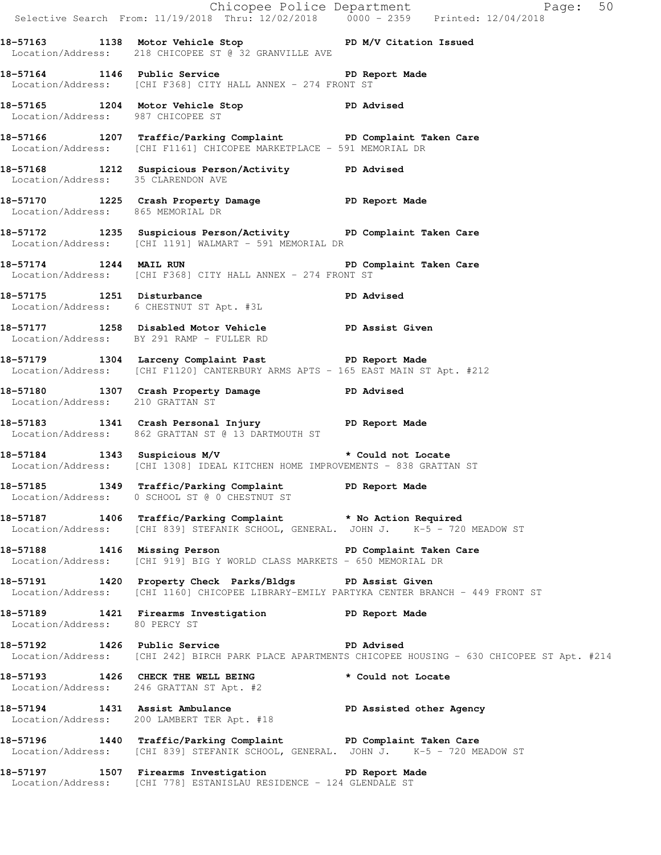|                                   |                                                                                                                                                      | Chicopee Police Department<br>Selective Search From: 11/19/2018 Thru: 12/02/2018 0000 - 2359 Printed: 12/04/2018 |
|-----------------------------------|------------------------------------------------------------------------------------------------------------------------------------------------------|------------------------------------------------------------------------------------------------------------------|
|                                   | 18-57163 1138 Motor Vehicle Stop N/V Citation Issued<br>Location/Address: 218 CHICOPEE ST @ 32 GRANVILLE AVE                                         |                                                                                                                  |
|                                   | 18-57164 1146 Public Service Natural PD Report Made<br>Location/Address: [CHI F368] CITY HALL ANNEX - 274 FRONT ST                                   |                                                                                                                  |
| Location/Address: 987 CHICOPEE ST | 18-57165 1204 Motor Vehicle Stop PD Advised                                                                                                          |                                                                                                                  |
|                                   | 18-57166 1207 Traffic/Parking Complaint PD Complaint Taken Care<br>Location/Address: [CHI F1161] CHICOPEE MARKETPLACE - 591 MEMORIAL DR              |                                                                                                                  |
|                                   | 18-57168 1212 Suspicious Person/Activity PD Advised<br>Location/Address: 35 CLARENDON AVE                                                            |                                                                                                                  |
| Location/Address: 865 MEMORIAL DR | 18-57170 1225 Crash Property Damage Name PD Report Made                                                                                              |                                                                                                                  |
|                                   | 18-57172 1235 Suspicious Person/Activity PD Complaint Taken Care<br>Location/Address: [CHI 1191] WALMART - 591 MEMORIAL DR                           |                                                                                                                  |
|                                   | 18-57174 1244 MAIL RUN 2008 2009 PD Complaint Taken Care<br>Location/Address: [CHI F368] CITY HALL ANNEX - 274 FRONT ST                              |                                                                                                                  |
|                                   | 18-57175 1251 Disturbance<br>Location/Address: 6 CHESTNUT ST Apt. #3L                                                                                | PD Advised                                                                                                       |
|                                   | 18-57177 1258 Disabled Motor Vehicle PD Assist Given<br>Location/Address: BY 291 RAMP - FULLER RD                                                    |                                                                                                                  |
|                                   | 18-57179 1304 Larceny Complaint Past PD Report Made<br>Location/Address: [CHI F1120] CANTERBURY ARMS APTS - 165 EAST MAIN ST Apt. #212               |                                                                                                                  |
| Location/Address: 210 GRATTAN ST  | 18-57180 1307 Crash Property Damage PD Advised                                                                                                       |                                                                                                                  |
|                                   | 18-57183 1341 Crash Personal Injury 18-57183<br>Location/Address: 862 GRATTAN ST @ 13 DARTMOUTH ST                                                   |                                                                                                                  |
|                                   | 18-57184 1343 Suspicious M/V * Could not Locate<br>Location/Address: [CHI 1308] IDEAL KITCHEN HOME IMPROVEMENTS - 838 GRATTAN ST                     |                                                                                                                  |
|                                   | 18-57185 1349 Traffic/Parking Complaint PD Report Made<br>Location/Address: 0 SCHOOL ST @ 0 CHESTNUT ST                                              |                                                                                                                  |
|                                   | 18-57187 1406 Traffic/Parking Complaint * No Action Required<br>Location/Address: [CHI 839] STEFANIK SCHOOL, GENERAL. JOHN J. K-5 - 720 MEADOW ST    |                                                                                                                  |
|                                   | 18-57188 1416 Missing Person New PD Complaint Taken Care<br>Location/Address: [CHI 919] BIG Y WORLD CLASS MARKETS - 650 MEMORIAL DR                  |                                                                                                                  |
|                                   | 18-57191 1420 Property Check Parks/Bldgs PD Assist Given<br>Location/Address: [CHI 1160] CHICOPEE LIBRARY-EMILY PARTYKA CENTER BRANCH - 449 FRONT ST |                                                                                                                  |
| Location/Address: 80 PERCY ST     | 18-57189 1421 Firearms Investigation PD Report Made                                                                                                  |                                                                                                                  |
|                                   | 18-57192 1426 Public Service New PD Advised                                                                                                          | Location/Address: [CHI 242] BIRCH PARK PLACE APARTMENTS CHICOPEE HOUSING - 630 CHICOPEE ST Apt. #214             |
|                                   | 18-57193 1426 CHECK THE WELL BEING<br>Location/Address: 246 GRATTAN ST Apt. #2                                                                       | * Could not Locate                                                                                               |
|                                   | 18-57194 1431 Assist Ambulance New PD Assisted other Agency<br>Location/Address: 200 LAMBERT TER Apt. #18                                            |                                                                                                                  |
|                                   | 18-57196 1440 Traffic/Parking Complaint PD Complaint Taken Care<br>Location/Address: [CHI 839] STEFANIK SCHOOL, GENERAL. JOHN J. K-5 - 720 MEADOW ST |                                                                                                                  |
|                                   | 18-57197 1507 Firearms Investigation PD Report Made<br>Location/Address: [CHI 778] ESTANISLAU RESIDENCE - 124 GLENDALE ST                            |                                                                                                                  |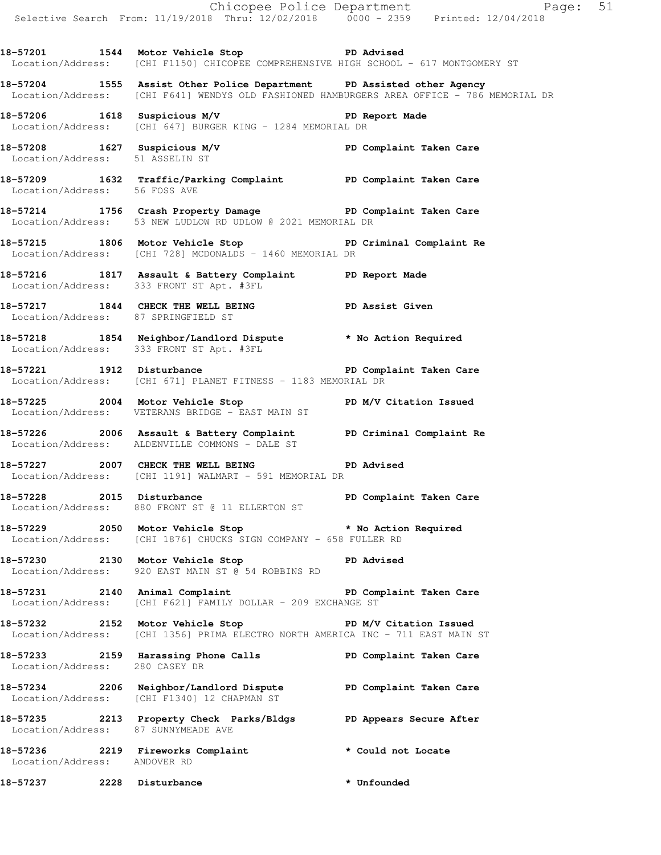**18-57201 1544 Motor Vehicle Stop PD Advised**  Location/Address: [CHI F1150] CHICOPEE COMPREHENSIVE HIGH SCHOOL - 617 MONTGOMERY ST

**18-57204 1555 Assist Other Police Department PD Assisted other Agency**  Location/Address: [CHI F641] WENDYS OLD FASHIONED HAMBURGERS AREA OFFICE - 786 MEMORIAL DR

**18-57206 1618 Suspicious M/V PD Report Made**  Location/Address: [CHI 647] BURGER KING - 1284 MEMORIAL DR

**18-57208 1627 Suspicious M/V PD Complaint Taken Care**  Location/Address: 51 ASSELIN ST

**18-57209 1632 Traffic/Parking Complaint PD Complaint Taken Care**  Location/Address: 56 FOSS AVE

**18-57214 1756 Crash Property Damage PD Complaint Taken Care**  Location/Address: 53 NEW LUDLOW RD UDLOW @ 2021 MEMORIAL DR

**18-57215 1806 Motor Vehicle Stop PD Criminal Complaint Re**  Location/Address: [CHI 728] MCDONALDS - 1460 MEMORIAL DR

**18-57216 1817 Assault & Battery Complaint PD Report Made**  Location/Address: 333 FRONT ST Apt. #3FL

18-57217 1844 CHECK THE WELL BEING **PD Assist Given** Location/Address: 87 SPRINGFIELD ST

**18-57218 1854 Neighbor/Landlord Dispute \* No Action Required**  Location/Address: 333 FRONT ST Apt. #3FL

**18-57221 1912 Disturbance PD Complaint Taken Care**  Location/Address: [CHI 671] PLANET FITNESS - 1183 MEMORIAL DR

**18-57225 2004 Motor Vehicle Stop PD M/V Citation Issued**  Location/Address: VETERANS BRIDGE - EAST MAIN ST

**18-57226 2006 Assault & Battery Complaint PD Criminal Complaint Re**  Location/Address: ALDENVILLE COMMONS - DALE ST

**18-57227 2007 CHECK THE WELL BEING PD Advised**  Location/Address: [CHI 1191] WALMART - 591 MEMORIAL DR

**18-57228 2015 Disturbance PD Complaint Taken Care**  Location/Address: 880 FRONT ST @ 11 ELLERTON ST

**18-57229 2050 Motor Vehicle Stop \* No Action Required**  Location/Address: [CHI 1876] CHUCKS SIGN COMPANY - 658 FULLER RD

**18-57230 2130 Motor Vehicle Stop PD Advised**  Location/Address: 920 EAST MAIN ST @ 54 ROBBINS RD

**18-57231 2140 Animal Complaint PD Complaint Taken Care**  Location/Address: [CHI F621] FAMILY DOLLAR - 209 EXCHANGE ST

18-57232 2152 Motor Vehicle Stop **PD M/V Citation Issued** Location/Address: [CHI 1356] PRIMA ELECTRO NORTH AMERICA INC - 711 EAST MAIN ST

**18-57233 2159 Harassing Phone Calls PD Complaint Taken Care**  Location/Address: 280 CASEY DR

**18-57234 2206 Neighbor/Landlord Dispute PD Complaint Taken Care**  Location/Address: [CHI F1340] 12 CHAPMAN ST

**18-57235 2213 Property Check Parks/Bldgs PD Appears Secure After**  Location/Address: 87 SUNNYMEADE AVE

**18-57236 2219 Fireworks Complaint \* Could not Locate**  Location/Address: ANDOVER RD

**18-57237 2228 Disturbance \* Unfounded**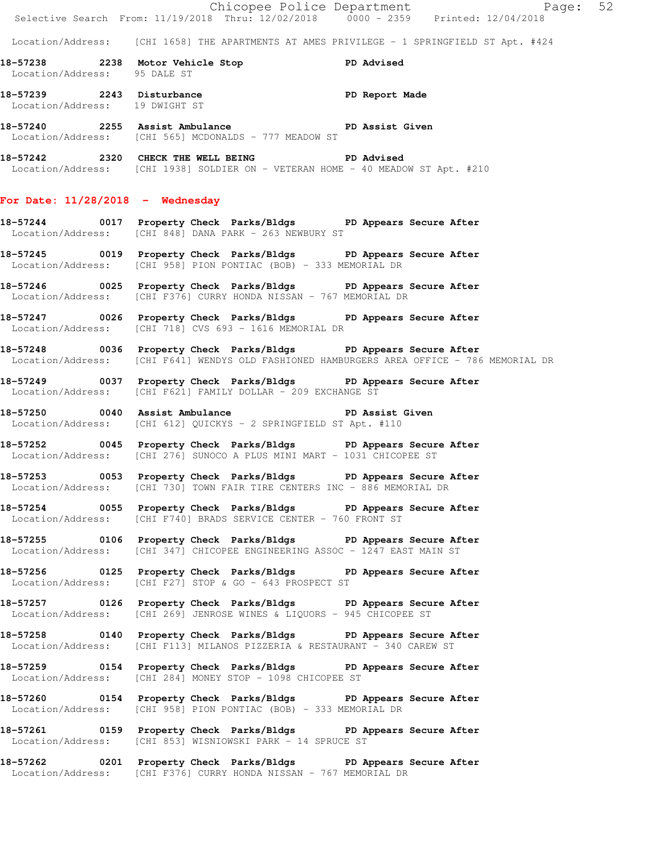|                                    | Chicopee Police Department<br>Selective Search From: 11/19/2018 Thru: 12/02/2018 0000 - 2359 Printed: 12/04/2018                                               |  |
|------------------------------------|----------------------------------------------------------------------------------------------------------------------------------------------------------------|--|
|                                    | Location/Address: [CHI 1658] THE APARTMENTS AT AMES PRIVILEGE - 1 SPRINGFIELD ST Apt. #424                                                                     |  |
| Location/Address: 95 DALE ST       | 18-57238 2238 Motor Vehicle Stop<br><b>PD Advised</b>                                                                                                          |  |
| Location/Address: 19 DWIGHT ST     | 18-57239 2243 Disturbance 2008 PD Report Made                                                                                                                  |  |
|                                    | 18-57240 2255 Assist Ambulance New PD Assist Given<br>Location/Address: [CHI 565] MCDONALDS - 777 MEADOW ST                                                    |  |
|                                    | 18-57242 2320 CHECK THE WELL BEING PD Advised<br>Location/Address: [CHI 1938] SOLDIER ON - VETERAN HOME - 40 MEADOW ST Apt. #210                               |  |
| For Date: $11/28/2018$ - Wednesday |                                                                                                                                                                |  |
|                                    | 18-57244 0017 Property Check Parks/Bldgs PD Appears Secure After<br>Location/Address: [CHI 848] DANA PARK - 263 NEWBURY ST                                     |  |
|                                    | 18-57245 0019 Property Check Parks/Bldgs PD Appears Secure After<br>Location/Address: [CHI 958] PION PONTIAC (BOB) - 333 MEMORIAL DR                           |  |
|                                    | 18-57246 0025 Property Check Parks/Bldgs PD Appears Secure After<br>Location/Address: [CHI F376] CURRY HONDA NISSAN - 767 MEMORIAL DR                          |  |
|                                    | 18-57247 0026 Property Check Parks/Bldgs PD Appears Secure After<br>Location/Address: [CHI 718] CVS 693 - 1616 MEMORIAL DR                                     |  |
|                                    | 18-57248 0036 Property Check Parks/Bldgs PD Appears Secure After<br>Location/Address: [CHI F641] WENDYS OLD FASHIONED HAMBURGERS AREA OFFICE - 786 MEMORIAL DR |  |
|                                    | 18-57249 0037 Property Check Parks/Bldgs PD Appears Secure After<br>Location/Address: [CHI F621] FAMILY DOLLAR - 209 EXCHANGE ST                               |  |
|                                    | 18-57250 0040 Assist Ambulance No PD Assist Given<br>Location/Address: [CHI 612] QUICKYS - 2 SPRINGFIELD ST Apt. #110                                          |  |
|                                    | 18-57252 0045 Property Check Parks/Bldgs PD Appears Secure After<br>Location/Address: [CHI 276] SUNOCO A PLUS MINI MART - 1031 CHICOPEE ST                     |  |
|                                    | 18-57253 0053 Property Check Parks/Bldgs PD Appears Secure After<br>Location/Address: [CHI 730] TOWN FAIR TIRE CENTERS INC - 886 MEMORIAL DR                   |  |
|                                    | 18-57254 0055 Property Check Parks/Bldgs PD Appears Secure After<br>Location/Address: [CHI F740] BRADS SERVICE CENTER - 760 FRONT ST                           |  |
|                                    | 18-57255 0106 Property Check Parks/Bldgs PD Appears Secure After<br>Location/Address: [CHI 347] CHICOPEE ENGINEERING ASSOC - 1247 EAST MAIN ST                 |  |
|                                    | 18-57256 0125 Property Check Parks/Bldgs PD Appears Secure After<br>Location/Address: [CHI F27] STOP & GO - 643 PROSPECT ST                                    |  |
|                                    | 18-57257 0126 Property Check Parks/Bldgs PD Appears Secure After<br>Location/Address: [CHI 269] JENROSE WINES & LIQUORS - 945 CHICOPEE ST                      |  |
|                                    | 18-57258 0140 Property Check Parks/Bldgs PD Appears Secure After<br>Location/Address: [CHI F113] MILANOS PIZZERIA & RESTAURANT - 340 CAREW ST                  |  |
|                                    | 18-57259 0154 Property Check Parks/Bldgs PD Appears Secure After<br>Location/Address: [CHI 284] MONEY STOP - 1098 CHICOPEE ST                                  |  |
|                                    | 18-57260 0154 Property Check Parks/Bldgs PD Appears Secure After<br>Location/Address: [CHI 958] PION PONTIAC (BOB) - 333 MEMORIAL DR                           |  |
|                                    | 18-57261 0159 Property Check Parks/Bldgs PD Appears Secure After<br>Location/Address: [CHI 853] WISNIOWSKI PARK - 14 SPRUCE ST                                 |  |
|                                    | 18-57262 0201 Property Check Parks/Bldgs PD Appears Secure After<br>Location/Address: [CHI F376] CURRY HONDA NISSAN - 767 MEMORIAL DR                          |  |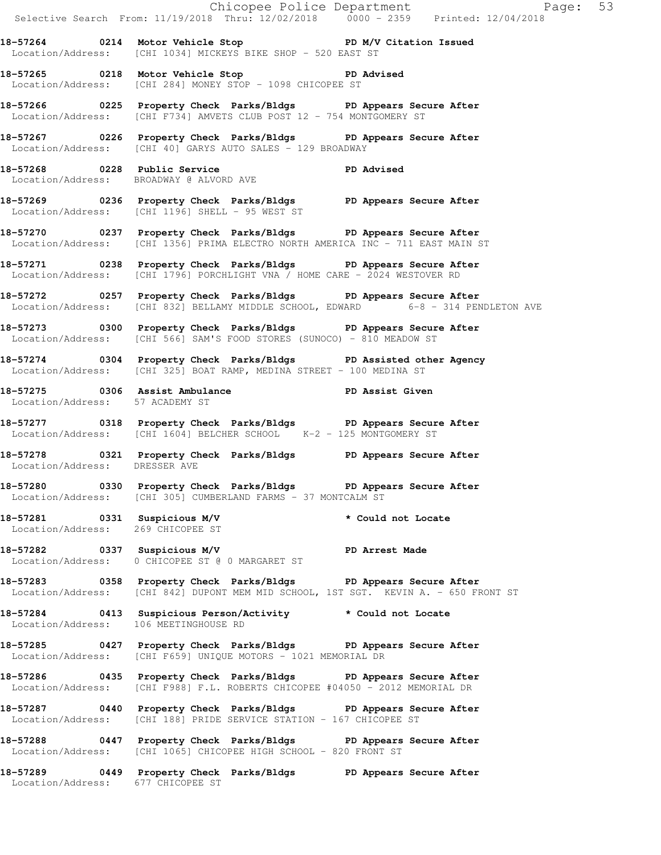Chicopee Police Department Fage: 53 Selective Search From: 11/19/2018 Thru: 12/02/2018 0000 - 2359 Printed: 12/04/2018 **18-57264 0214 Motor Vehicle Stop PD M/V Citation Issued**  Location/Address: [CHI 1034] MICKEYS BIKE SHOP - 520 EAST ST **18-57265 0218 Motor Vehicle Stop PD Advised**  Location/Address: [CHI 284] MONEY STOP - 1098 CHICOPEE ST **18-57266 0225 Property Check Parks/Bldgs PD Appears Secure After**  Location/Address: [CHI F734] AMVETS CLUB POST 12 - 754 MONTGOMERY ST **18-57267 0226 Property Check Parks/Bldgs PD Appears Secure After**  Location/Address: [CHI 40] GARYS AUTO SALES - 129 BROADWAY 18-57268 0228 Public Service **PD** Advised Location/Address: BROADWAY @ ALVORD AVE **18-57269 0236 Property Check Parks/Bldgs PD Appears Secure After**  Location/Address: [CHI 1196] SHELL - 95 WEST ST **18-57270 0237 Property Check Parks/Bldgs PD Appears Secure After**  Location/Address: [CHI 1356] PRIMA ELECTRO NORTH AMERICA INC - 711 EAST MAIN ST **18-57271 0238 Property Check Parks/Bldgs PD Appears Secure After**  Location/Address: [CHI 1796] PORCHLIGHT VNA / HOME CARE - 2024 WESTOVER RD **18-57272 0257 Property Check Parks/Bldgs PD Appears Secure After**  Location/Address: [CHI 832] BELLAMY MIDDLE SCHOOL, EDWARD 6-8 - 314 PENDLETON AVE **18-57273 0300 Property Check Parks/Bldgs PD Appears Secure After**  Location/Address: [CHI 566] SAM'S FOOD STORES (SUNOCO) - 810 MEADOW ST **18-57274 0304 Property Check Parks/Bldgs PD Assisted other Agency**  Location/Address: [CHI 325] BOAT RAMP, MEDINA STREET - 100 MEDINA ST **18-57275 0306 Assist Ambulance PD Assist Given**  Location/Address: 57 ACADEMY ST **18-57277 0318 Property Check Parks/Bldgs PD Appears Secure After**  Location/Address: [CHI 1604] BELCHER SCHOOL K-2 - 125 MONTGOMERY ST **18-57278 0321 Property Check Parks/Bldgs PD Appears Secure After**  Location/Address: DRESSER AVE **18-57280 0330 Property Check Parks/Bldgs PD Appears Secure After**  Location/Address: [CHI 305] CUMBERLAND FARMS - 37 MONTCALM ST **18-57281 0331 Suspicious M/V \* Could not Locate**  Location/Address: 269 CHICOPEE ST **18-57282 0337 Suspicious M/V PD Arrest Made**  Location/Address: 0 CHICOPEE ST @ 0 MARGARET ST **18-57283 0358 Property Check Parks/Bldgs PD Appears Secure After**  Location/Address: [CHI 842] DUPONT MEM MID SCHOOL, 1ST SGT. KEVIN A. - 650 FRONT ST **18-57284 0413 Suspicious Person/Activity \* Could not Locate**  Location/Address: 106 MEETINGHOUSE RD **18-57285 0427 Property Check Parks/Bldgs PD Appears Secure After**  Location/Address: [CHI F659] UNIQUE MOTORS - 1021 MEMORIAL DR **18-57286 0435 Property Check Parks/Bldgs PD Appears Secure After**  Location/Address: [CHI F988] F.L. ROBERTS CHICOPEE #04050 - 2012 MEMORIAL DR **18-57287 0440 Property Check Parks/Bldgs PD Appears Secure After**  Location/Address: [CHI 188] PRIDE SERVICE STATION - 167 CHICOPEE ST **18-57288 0447 Property Check Parks/Bldgs PD Appears Secure After**  Location/Address: [CHI 1065] CHICOPEE HIGH SCHOOL - 820 FRONT ST **18-57289 0449 Property Check Parks/Bldgs PD Appears Secure After** 

Location/Address: 677 CHICOPEE ST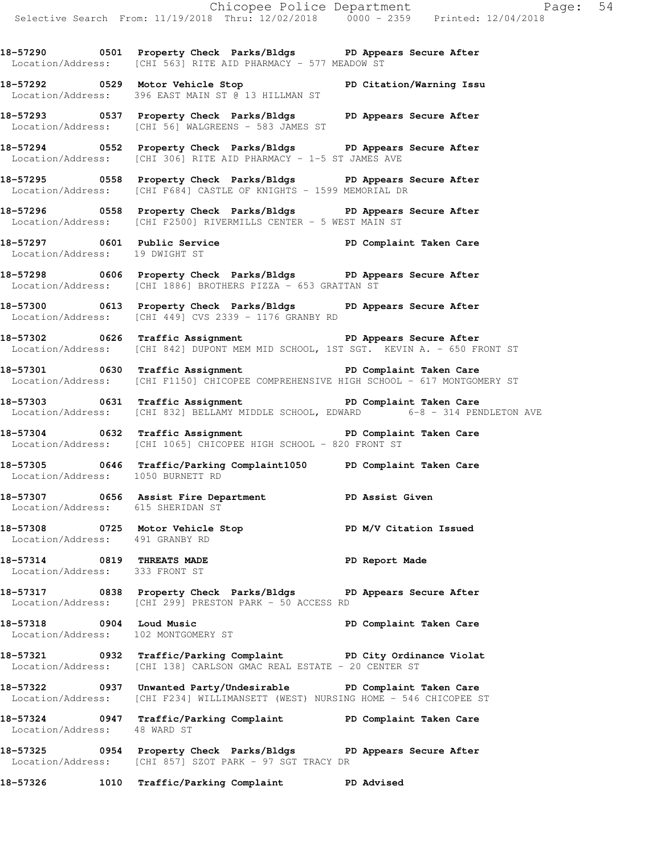**18-57290 0501 Property Check Parks/Bldgs PD Appears Secure After**  Location/Address: [CHI 563] RITE AID PHARMACY - 577 MEADOW ST

**18-57292 0529 Motor Vehicle Stop PD Citation/Warning Issu**  Location/Address: 396 EAST MAIN ST @ 13 HILLMAN ST

**18-57293 0537 Property Check Parks/Bldgs PD Appears Secure After**  Location/Address: [CHI 56] WALGREENS - 583 JAMES ST

**18-57294 0552 Property Check Parks/Bldgs PD Appears Secure After**  Location/Address: [CHI 306] RITE AID PHARMACY - 1-5 ST JAMES AVE

**18-57295 0558 Property Check Parks/Bldgs PD Appears Secure After**  Location/Address: [CHI F684] CASTLE OF KNIGHTS - 1599 MEMORIAL DR

**18-57296 0558 Property Check Parks/Bldgs PD Appears Secure After**  Location/Address: [CHI F2500] RIVERMILLS CENTER - 5 WEST MAIN ST

**18-57297 0601 Public Service PD Complaint Taken Care**  Location/Address: 19 DWIGHT ST

**18-57298 0606 Property Check Parks/Bldgs PD Appears Secure After**  Location/Address: [CHI 1886] BROTHERS PIZZA - 653 GRATTAN ST

**18-57300 0613 Property Check Parks/Bldgs PD Appears Secure After**  Location/Address: [CHI 449] CVS 2339 - 1176 GRANBY RD

**18-57302 0626 Traffic Assignment PD Appears Secure After**  Location/Address: [CHI 842] DUPONT MEM MID SCHOOL, 1ST SGT. KEVIN A. - 650 FRONT ST

**18-57301 0630 Traffic Assignment PD Complaint Taken Care**  Location/Address: [CHI F1150] CHICOPEE COMPREHENSIVE HIGH SCHOOL - 617 MONTGOMERY ST

**18-57303 0631 Traffic Assignment PD Complaint Taken Care**  Location/Address: [CHI 832] BELLAMY MIDDLE SCHOOL, EDWARD 6-8 - 314 PENDLETON AVE

**18-57304 0632 Traffic Assignment PD Complaint Taken Care**  Location/Address: [CHI 1065] CHICOPEE HIGH SCHOOL - 820 FRONT ST

**18-57305 0646 Traffic/Parking Complaint1050 PD Complaint Taken Care**  Location/Address: 1050 BURNETT RD

**18-57307 0656 Assist Fire Department PD Assist Given**  Location/Address: 615 SHERIDAN ST

**18-57308 0725 Motor Vehicle Stop PD M/V Citation Issued**  Location/Address: 491 GRANBY RD

**18-57314 0819 THREATS MADE PD Report Made**  Location/Address: 333 FRONT ST

**18-57317 0838 Property Check Parks/Bldgs PD Appears Secure After**  Location/Address: [CHI 299] PRESTON PARK - 50 ACCESS RD

**18-57318 0904 Loud Music PD Complaint Taken Care**  Location/Address: 102 MONTGOMERY ST

**18-57321 0932 Traffic/Parking Complaint PD City Ordinance Violat**  Location/Address: [CHI 138] CARLSON GMAC REAL ESTATE - 20 CENTER ST

**18-57322 0937 Unwanted Party/Undesirable PD Complaint Taken Care**  Location/Address: [CHI F234] WILLIMANSETT (WEST) NURSING HOME - 546 CHICOPEE ST

**18-57324 0947 Traffic/Parking Complaint PD Complaint Taken Care**  Location/Address: 48 WARD ST

**18-57325 0954 Property Check Parks/Bldgs PD Appears Secure After**  Location/Address: [CHI 857] SZOT PARK - 97 SGT TRACY DR

**18-57326 1010 Traffic/Parking Complaint PD Advised**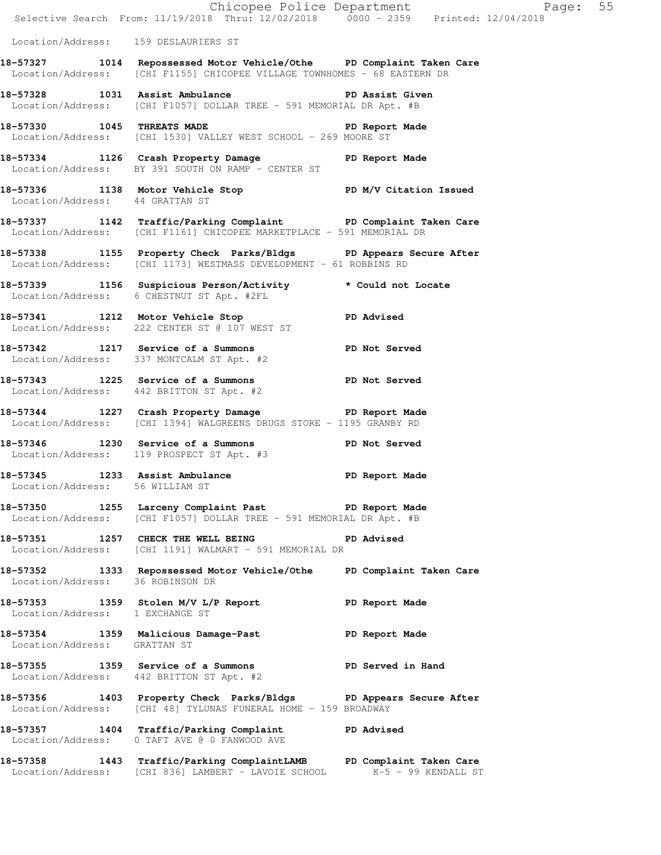|                                      | E Chicopee Police Department<br>Selective Search From: 11/19/2018 Thru: 12/02/2018 0000 - 2359 Printed: 12/04/2018                               | Page: 55             |  |
|--------------------------------------|--------------------------------------------------------------------------------------------------------------------------------------------------|----------------------|--|
| Location/Address: 159 DESLAURIERS ST |                                                                                                                                                  |                      |  |
|                                      | 18-57327 1014 Repossessed Motor Vehicle/Othe PD Complaint Taken Care<br>Location/Address: [CHI F1155] CHICOPEE VILLAGE TOWNHOMES - 68 EASTERN DR |                      |  |
|                                      | 18-57328 1031 Assist Ambulance<br>Location/Address: [CHI F1057] DOLLAR TREE - 591 MEMORIAL DR Apt. #B                                            | PD Assist Given      |  |
|                                      | 18-57330 1045 THREATS MADE PD Report Made Location/Address: [CHI 1530] VALLEY WEST SCHOOL - 269 MOORE ST                                         |                      |  |
|                                      | 18-57334 1126 Crash Property Damage PD Report Made<br>Location/Address: BY 391 SOUTH ON RAMP - CENTER ST                                         |                      |  |
|                                      | 18-57336 1138 Motor Vehicle Stop PD M/V Citation Issued<br>Location/Address: 44 GRATTAN ST                                                       |                      |  |
|                                      | 18-57337 1142 Traffic/Parking Complaint PD Complaint Taken Care<br>Location/Address: [CHI F1161] CHICOPEE MARKETPLACE - 591 MEMORIAL DR          |                      |  |
|                                      | 18-57338 1155 Property Check Parks/Bldgs PD Appears Secure After<br>Location/Address: [CHI 1173] WESTMASS DEVELOPMENT - 61 ROBBINS RD            |                      |  |
|                                      | 18-57339 1156 Suspicious Person/Activity * Could not Locate<br>Location/Address: 6 CHESTNUT ST Apt. #2FL                                         |                      |  |
|                                      | 18-57341 1212 Motor Vehicle Stop PD Advised<br>Location/Address: 222 CENTER ST @ 107 WEST ST                                                     |                      |  |
|                                      | 18-57342 1217 Service of a Summons PD Not Served<br>Location/Address: 337 MONTCALM ST Apt. #2                                                    |                      |  |
|                                      | 18-57343 1225 Service of a Summons PD Not Served<br>Location/Address: 442 BRITTON ST Apt. #2                                                     |                      |  |
|                                      | 18-57344 1227 Crash Property Damage The PD Report Made<br>Location/Address: [CHI 1394] WALGREENS DRUGS STORE - 1195 GRANBY RD                    |                      |  |
|                                      | 18-57346 1230 Service of a Summons<br>Location/Address: 119 PROSPECT ST Apt. #3                                                                  | <b>PD Not Served</b> |  |
| Location/Address: 56 WILLIAM ST      | 18-57345 1233 Assist Ambulance                                                                                                                   | PD Report Made       |  |
|                                      | 18-57350 1255 Larceny Complaint Past PD Report Made<br>Location/Address: [CHI F1057] DOLLAR TREE - 591 MEMORIAL DR Apt. #B                       |                      |  |
|                                      | 18-57351 1257 CHECK THE WELL BEING PD Advised<br>Location/Address: [CHI 1191] WALMART - 591 MEMORIAL DR                                          |                      |  |
| Location/Address: 36 ROBINSON DR     | 18-57352 1333 Repossessed Motor Vehicle/Othe PD Complaint Taken Care                                                                             |                      |  |
| Location/Address: 1 EXCHANGE ST      | 18-57353 1359 Stolen M/V L/P Report                                                                                                              | PD Report Made       |  |
| Location/Address: GRATTAN ST         | 18-57354 1359 Malicious Damage-Past 18-57354 PD Report Made                                                                                      |                      |  |
|                                      | 18-57355 1359 Service of a Summons PD Served in Hand<br>Location/Address: 442 BRITTON ST Apt. #2                                                 |                      |  |
|                                      | 18-57356 1403 Property Check Parks/Bldgs PD Appears Secure After<br>Location/Address: [CHI 48] TYLUNAS FUNERAL HOME - 159 BROADWAY               |                      |  |
|                                      | 18-57357 1404 Traffic/Parking Complaint<br>Location/Address: 0 TAFT AVE @ 0 FANWOOD AVE                                                          | <b>PD Advised</b>    |  |
|                                      | 18-57358 1443 Traffic/Parking ComplaintLAMB PD Complaint Taken Care<br>Location/Address: [CHI 836] LAMBERT - LAVOIE SCHOOL K-5 - 99 KENDALL ST   |                      |  |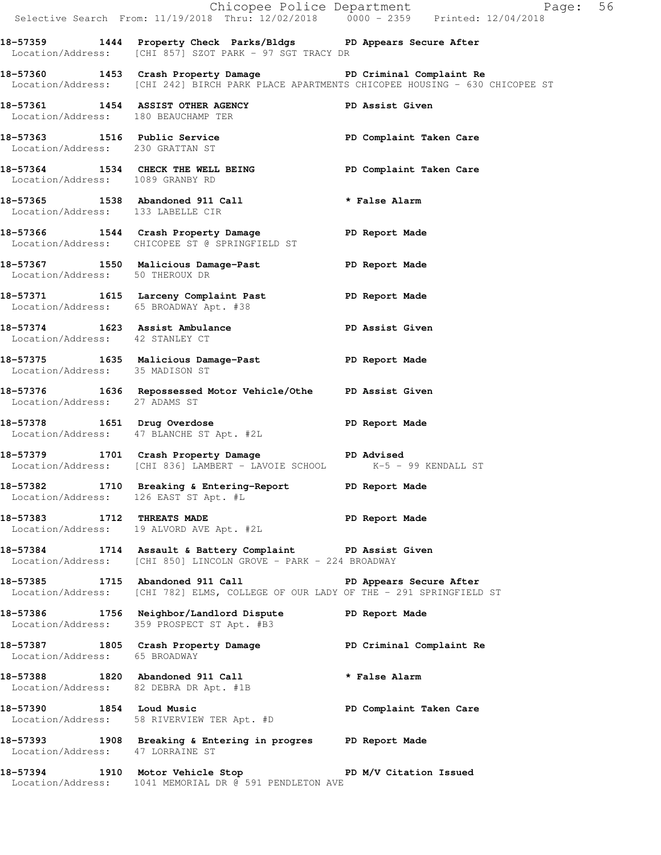|                                        |                                                                                                                                                                | Chicopee Police Department<br>Selective Search From: 11/19/2018 Thru: 12/02/2018 0000 - 2359 Printed: 12/04/2018 |
|----------------------------------------|----------------------------------------------------------------------------------------------------------------------------------------------------------------|------------------------------------------------------------------------------------------------------------------|
|                                        | 18-57359 1444 Property Check Parks/Bldgs PD Appears Secure After<br>Location/Address: [CHI 857] SZOT PARK - 97 SGT TRACY DR                                    |                                                                                                                  |
|                                        | 18-57360 1453 Crash Property Damage New PD Criminal Complaint Re<br>Location/Address: [CHI 242] BIRCH PARK PLACE APARTMENTS CHICOPEE HOUSING - 630 CHICOPEE ST |                                                                                                                  |
|                                        | 18-57361 1454 ASSIST OTHER AGENCY<br>Location/Address: 180 BEAUCHAMP TER                                                                                       | PD Assist Given                                                                                                  |
| Location/Address: 230 GRATTAN ST       | 18-57363 1516 Public Service 20 PD Complaint Taken Care                                                                                                        |                                                                                                                  |
| Location/Address: 1089 GRANBY RD       | 18-57364 1534 CHECK THE WELL BEING PD Complaint Taken Care                                                                                                     |                                                                                                                  |
| Location/Address: 133 LABELLE CIR      | 18-57365 1538 Abandoned 911 Call <b>*</b> False Alarm                                                                                                          |                                                                                                                  |
|                                        | 18-57366 1544 Crash Property Damage PD Report Made<br>Location/Address: CHICOPEE ST @ SPRINGFIELD ST                                                           |                                                                                                                  |
| Location/Address: 50 THEROUX DR        | 18-57367 1550 Malicious Damage-Past 1990 Report Made                                                                                                           |                                                                                                                  |
| Location/Address: 65 BROADWAY Apt. #38 | 18-57371 1615 Larceny Complaint Past PD Report Made                                                                                                            |                                                                                                                  |
| Location/Address: 42 STANLEY CT        | 18-57374 1623 Assist Ambulance No PD Assist Given                                                                                                              |                                                                                                                  |
| Location/Address: 35 MADISON ST        | 18-57375 1635 Malicious Damage-Past 18-57375                                                                                                                   |                                                                                                                  |
| Location/Address: 27 ADAMS ST          | 18-57376 1636 Repossessed Motor Vehicle/Othe PD Assist Given                                                                                                   |                                                                                                                  |
|                                        | 18-57378 1651 Drug Overdose<br>Location/Address: 47 BLANCHE ST Apt. #2L                                                                                        | PD Report Made                                                                                                   |
|                                        | 18-57379 1701 Crash Property Damage PD Advised<br>Location/Address: [CHI 836] LAMBERT - LAVOIE SCHOOL K-5 - 99 KENDALL ST                                      |                                                                                                                  |
|                                        | 18-57382 1710 Breaking & Entering-Report PD Report Made<br>Location/Address: 126 EAST ST Apt. #L                                                               |                                                                                                                  |
|                                        | 18-57383 1712 THREATS MADE<br>Location/Address: 19 ALVORD AVE Apt. #2L                                                                                         | PD Report Made                                                                                                   |
|                                        | 18-57384 1714 Assault & Battery Complaint PD Assist Given<br>Location/Address: [CHI 850] LINCOLN GROVE - PARK - 224 BROADWAY                                   |                                                                                                                  |
|                                        | 18-57385 1715 Abandoned 911 Call No PD Appears Secure After<br>Location/Address: [CHI 782] ELMS, COLLEGE OF OUR LADY OF THE - 291 SPRINGFIELD ST               |                                                                                                                  |
|                                        | 18-57386 1756 Neighbor/Landlord Dispute<br>Location/Address: 359 PROSPECT ST Apt. #B3                                                                          | PD Report Made                                                                                                   |
| Location/Address: 65 BROADWAY          | 18-57387 1805 Crash Property Damage New PD Criminal Complaint Re                                                                                               |                                                                                                                  |
|                                        | 18-57388 1820 Abandoned 911 Call<br>Location/Address: 82 DEBRA DR Apt. #1B                                                                                     | * False Alarm                                                                                                    |
|                                        | 18-57390 1854 Loud Music<br>Location/Address: 58 RIVERVIEW TER Apt. #D                                                                                         | PD Complaint Taken Care                                                                                          |
| Location/Address: 47 LORRAINE ST       | 18-57393 1908 Breaking & Entering in progres PD Report Made                                                                                                    |                                                                                                                  |
|                                        | 18-57394 1910 Motor Vehicle Stop PD M/V Citation Issued<br>Location/Address: 1041 MEMORIAL DR @ 591 PENDLETON AVE                                              |                                                                                                                  |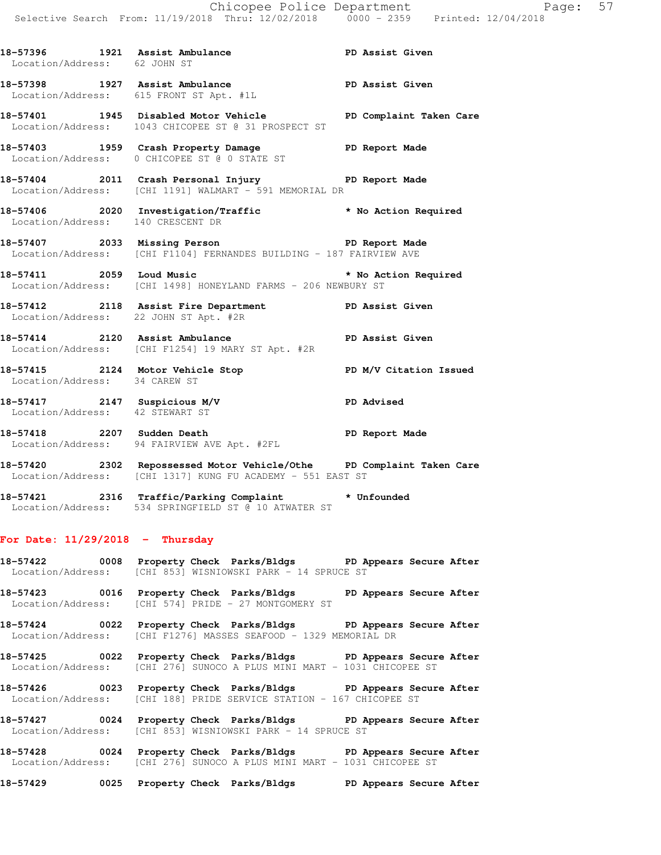Location/Address: 62 JOHN ST **18-57398 1927 Assist Ambulance PD Assist Given**  Location/Address: 615 FRONT ST Apt. #1L **18-57401 1945 Disabled Motor Vehicle PD Complaint Taken Care**  Location/Address: 1043 CHICOPEE ST @ 31 PROSPECT ST **18-57403 1959 Crash Property Damage PD Report Made**  Location/Address: 0 CHICOPEE ST @ 0 STATE ST **18-57404 2011 Crash Personal Injury PD Report Made**  Location/Address: [CHI 1191] WALMART - 591 MEMORIAL DR **18-57406 2020 Investigation/Traffic \* No Action Required**  Location/Address: 140 CRESCENT DR 18-57407 **2033 Missing Person PD Report Made**  Location/Address: [CHI F1104] FERNANDES BUILDING - 187 FAIRVIEW AVE **18-57411 2059 Loud Music \* No Action Required**  Location/Address: [CHI 1498] HONEYLAND FARMS - 206 NEWBURY ST **18-57412 2118 Assist Fire Department PD Assist Given**  Location/Address: 22 JOHN ST Apt. #2R **18-57414 2120 Assist Ambulance PD Assist Given**  Location/Address: [CHI F1254] 19 MARY ST Apt. #2R **18-57415 2124 Motor Vehicle Stop PD M/V Citation Issued**  Location/Address: 34 CAREW ST **18-57417 2147 Suspicious M/V PD Advised**  Location/Address: 42 STEWART ST

18-57396 1921 Assist Ambulance **PD Assist Given** 

**18-57418 2207 Sudden Death PD Report Made**  Location/Address: 94 FAIRVIEW AVE Apt. #2FL

**18-57420 2302 Repossessed Motor Vehicle/Othe PD Complaint Taken Care**  Location/Address: [CHI 1317] KUNG FU ACADEMY - 551 EAST ST

**18-57421 2316 Traffic/Parking Complaint \* Unfounded**  Location/Address: 534 SPRINGFIELD ST @ 10 ATWATER ST

## **For Date: 11/29/2018 - Thursday**

**18-57422 0008 Property Check Parks/Bldgs PD Appears Secure After**  Location/Address: [CHI 853] WISNIOWSKI PARK - 14 SPRUCE ST

**18-57423 0016 Property Check Parks/Bldgs PD Appears Secure After**  Location/Address: [CHI 574] PRIDE - 27 MONTGOMERY ST

**18-57424 0022 Property Check Parks/Bldgs PD Appears Secure After**  Location/Address: [CHI F1276] MASSES SEAFOOD - 1329 MEMORIAL DR

**18-57425 0022 Property Check Parks/Bldgs PD Appears Secure After**  Location/Address: [CHI 276] SUNOCO A PLUS MINI MART - 1031 CHICOPEE ST

**18-57426 0023 Property Check Parks/Bldgs PD Appears Secure After**  Location/Address: [CHI 188] PRIDE SERVICE STATION - 167 CHICOPEE ST

**18-57427 0024 Property Check Parks/Bldgs PD Appears Secure After**  Location/Address: [CHI 853] WISNIOWSKI PARK - 14 SPRUCE ST

**18-57428 0024 Property Check Parks/Bldgs PD Appears Secure After**  Location/Address: [CHI 276] SUNOCO A PLUS MINI MART - 1031 CHICOPEE ST

**18-57429 0025 Property Check Parks/Bldgs PD Appears Secure After**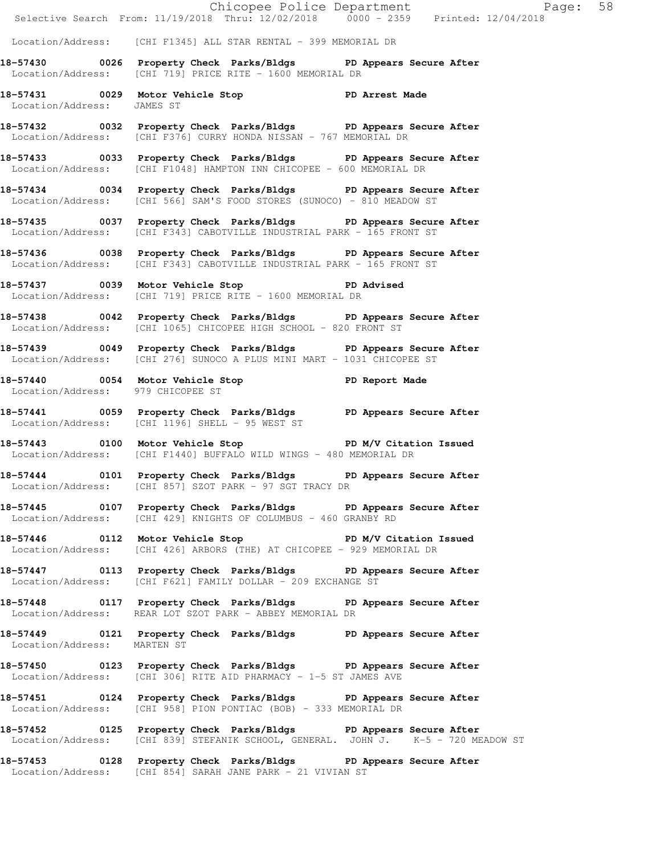|                                   | Chicopee Police Department<br>Selective Search From: 11/19/2018 Thru: 12/02/2018 0000 - 2359 Printed: 12/04/2018                                      | Page: 58 |  |
|-----------------------------------|-------------------------------------------------------------------------------------------------------------------------------------------------------|----------|--|
|                                   | Location/Address: [CHI F1345] ALL STAR RENTAL - 399 MEMORIAL DR                                                                                       |          |  |
|                                   | 18-57430 0026 Property Check Parks/Bldgs PD Appears Secure After<br>Location/Address: [CHI 719] PRICE RITE - 1600 MEMORIAL DR                         |          |  |
| Location/Address: JAMES ST        | 18-57431 0029 Motor Vehicle Stop 57 PD Arrest Made                                                                                                    |          |  |
|                                   | 18-57432 0032 Property Check Parks/Bldgs PD Appears Secure After<br>Location/Address: [CHI F376] CURRY HONDA NISSAN - 767 MEMORIAL DR                 |          |  |
|                                   | 18-57433 0033 Property Check Parks/Bldgs PD Appears Secure After<br>Location/Address: [CHI F1048] HAMPTON INN CHICOPEE - 600 MEMORIAL DR              |          |  |
|                                   | 18-57434 0034 Property Check Parks/Bldgs PD Appears Secure After<br>Location/Address: [CHI 566] SAM'S FOOD STORES (SUNOCO) - 810 MEADOW ST            |          |  |
|                                   | 18-57435 0037 Property Check Parks/Bldgs PD Appears Secure After<br>Location/Address: [CHI F343] CABOTVILLE INDUSTRIAL PARK - 165 FRONT ST            |          |  |
|                                   | 18-57436 0038 Property Check Parks/Bldgs PD Appears Secure After<br>Location/Address: [CHI F343] CABOTVILLE INDUSTRIAL PARK - 165 FRONT ST            |          |  |
|                                   | 18-57437 0039 Motor Vehicle Stop PD Advised<br>Location/Address: [CHI 719] PRICE RITE - 1600 MEMORIAL DR                                              |          |  |
|                                   | 18-57438 0042 Property Check Parks/Bldgs PD Appears Secure After<br>Location/Address: [CHI 1065] CHICOPEE HIGH SCHOOL - 820 FRONT ST                  |          |  |
|                                   | 18-57439 0049 Property Check Parks/Bldgs PD Appears Secure After<br>Location/Address: [CHI 276] SUNOCO A PLUS MINI MART - 1031 CHICOPEE ST            |          |  |
| Location/Address: 979 CHICOPEE ST | 18-57440 0054 Motor Vehicle Stop 57 PD Report Made                                                                                                    |          |  |
|                                   | 18-57441 0059 Property Check Parks/Bldgs PD Appears Secure After<br>Location/Address: [CHI 1196] SHELL - 95 WEST ST                                   |          |  |
|                                   | 18-57443 0100 Motor Vehicle Stop N/V Citation Issued<br>Location/Address: [CHI F1440] BUFFALO WILD WINGS - 480 MEMORIAL DR                            |          |  |
|                                   | 18-57444 0101 Property Check Parks/Bldgs PD Appears Secure After<br>Location/Address: [CHI 857] SZOT PARK - 97 SGT TRACY DR                           |          |  |
|                                   | 18-57445 0107 Property Check Parks/Bldgs PD Appears Secure After<br>Location/Address: [CHI 429] KNIGHTS OF COLUMBUS - 460 GRANBY RD                   |          |  |
|                                   | 18-57446 0112 Motor Vehicle Stop PD M/V Citation Issued<br>Location/Address: [CHI 426] ARBORS (THE) AT CHICOPEE - 929 MEMORIAL DR                     |          |  |
|                                   | 18-57447 0113 Property Check Parks/Bldgs PD Appears Secure After<br>Location/Address: [CHI F621] FAMILY DOLLAR - 209 EXCHANGE ST                      |          |  |
|                                   | 18-57448 0117 Property Check Parks/Bldgs PD Appears Secure After<br>Location/Address: REAR LOT SZOT PARK - ABBEY MEMORIAL DR                          |          |  |
| Location/Address: MARTEN ST       | 18-57449 0121 Property Check Parks/Bldgs PD Appears Secure After                                                                                      |          |  |
|                                   | 18-57450 0123 Property Check Parks/Bldgs PD Appears Secure After<br>Location/Address: [CHI 306] RITE AID PHARMACY - 1-5 ST JAMES AVE                  |          |  |
|                                   | 18-57451 0124 Property Check Parks/Bldgs PD Appears Secure After<br>Location/Address: [CHI 958] PION PONTIAC (BOB) - 333 MEMORIAL DR                  |          |  |
|                                   | 18-57452 0125 Property Check Parks/Bldgs PD Appears Secure After<br>Location/Address: [CHI 839] STEFANIK SCHOOL, GENERAL. JOHN J. K-5 - 720 MEADOW ST |          |  |
|                                   | 18-57453 0128 Property Check Parks/Bldgs PD Appears Secure After<br>Location/Address: [CHI 854] SARAH JANE PARK - 21 VIVIAN ST                        |          |  |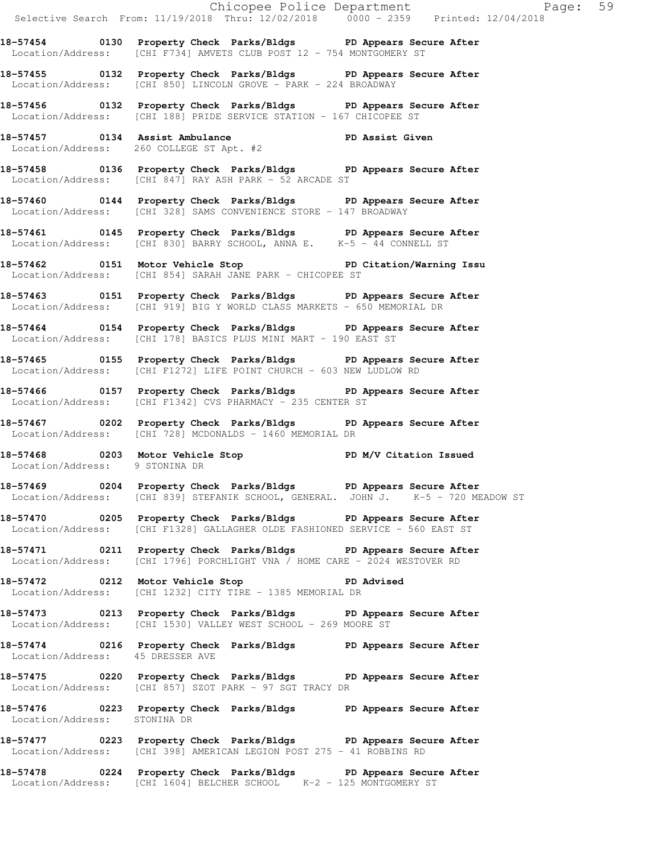Chicopee Police Department Page: 59 Selective Search From: 11/19/2018 Thru: 12/02/2018 0000 - 2359 Printed: 12/04/2018 **18-57454 0130 Property Check Parks/Bldgs PD Appears Secure After**  Location/Address: [CHI F734] AMVETS CLUB POST 12 - 754 MONTGOMERY ST **18-57455 0132 Property Check Parks/Bldgs PD Appears Secure After**  Location/Address: [CHI 850] LINCOLN GROVE - PARK - 224 BROADWAY **18-57456 0132 Property Check Parks/Bldgs PD Appears Secure After**  Location/Address: [CHI 188] PRIDE SERVICE STATION - 167 CHICOPEE ST **18-57457 0134 Assist Ambulance PD Assist Given**  Location/Address: 260 COLLEGE ST Apt. #2 **18-57458 0136 Property Check Parks/Bldgs PD Appears Secure After**  Location/Address: [CHI 847] RAY ASH PARK - 52 ARCADE ST **18-57460 0144 Property Check Parks/Bldgs PD Appears Secure After**  Location/Address: [CHI 328] SAMS CONVENIENCE STORE - 147 BROADWAY **18-57461 0145 Property Check Parks/Bldgs PD Appears Secure After**  Location/Address: [CHI 830] BARRY SCHOOL, ANNA E. K-5 - 44 CONNELL ST **18-57462 0151 Motor Vehicle Stop PD Citation/Warning Issu**  Location/Address: [CHI 854] SARAH JANE PARK - CHICOPEE ST **18-57463 0151 Property Check Parks/Bldgs PD Appears Secure After**  Location/Address: [CHI 919] BIG Y WORLD CLASS MARKETS - 650 MEMORIAL DR **18-57464 0154 Property Check Parks/Bldgs PD Appears Secure After**  Location/Address: [CHI 178] BASICS PLUS MINI MART - 190 EAST ST **18-57465 0155 Property Check Parks/Bldgs PD Appears Secure After**  Location/Address: [CHI F1272] LIFE POINT CHURCH - 603 NEW LUDLOW RD **18-57466 0157 Property Check Parks/Bldgs PD Appears Secure After**  Location/Address: [CHI F1342] CVS PHARMACY - 235 CENTER ST **18-57467 0202 Property Check Parks/Bldgs PD Appears Secure After**  Location/Address: [CHI 728] MCDONALDS - 1460 MEMORIAL DR 18-57468 **0203** Motor Vehicle Stop **PD M/V Citation Issued**  Location/Address: 9 STONINA DR **18-57469 0204 Property Check Parks/Bldgs PD Appears Secure After**  Location/Address: [CHI 839] STEFANIK SCHOOL, GENERAL. JOHN J. K-5 - 720 MEADOW ST **18-57470 0205 Property Check Parks/Bldgs PD Appears Secure After**  Location/Address: [CHI F1328] GALLAGHER OLDE FASHIONED SERVICE - 560 EAST ST **18-57471 0211 Property Check Parks/Bldgs PD Appears Secure After**  Location/Address: [CHI 1796] PORCHLIGHT VNA / HOME CARE - 2024 WESTOVER RD **18-57472 0212 Motor Vehicle Stop PD Advised**  Location/Address: [CHI 1232] CITY TIRE - 1385 MEMORIAL DR **18-57473 0213 Property Check Parks/Bldgs PD Appears Secure After**  Location/Address: [CHI 1530] VALLEY WEST SCHOOL - 269 MOORE ST **18-57474 0216 Property Check Parks/Bldgs PD Appears Secure After**  Location/Address: 45 DRESSER AVE **18-57475 0220 Property Check Parks/Bldgs PD Appears Secure After**  Location/Address: [CHI 857] SZOT PARK - 97 SGT TRACY DR **18-57476 0223 Property Check Parks/Bldgs PD Appears Secure After**  Location/Address: STONINA DR **18-57477 0223 Property Check Parks/Bldgs PD Appears Secure After** 

**18-57478 0224 Property Check Parks/Bldgs PD Appears Secure After**  Location/Address: [CHI 1604] BELCHER SCHOOL K-2 - 125 MONTGOMERY ST

Location/Address: [CHI 398] AMERICAN LEGION POST 275 - 41 ROBBINS RD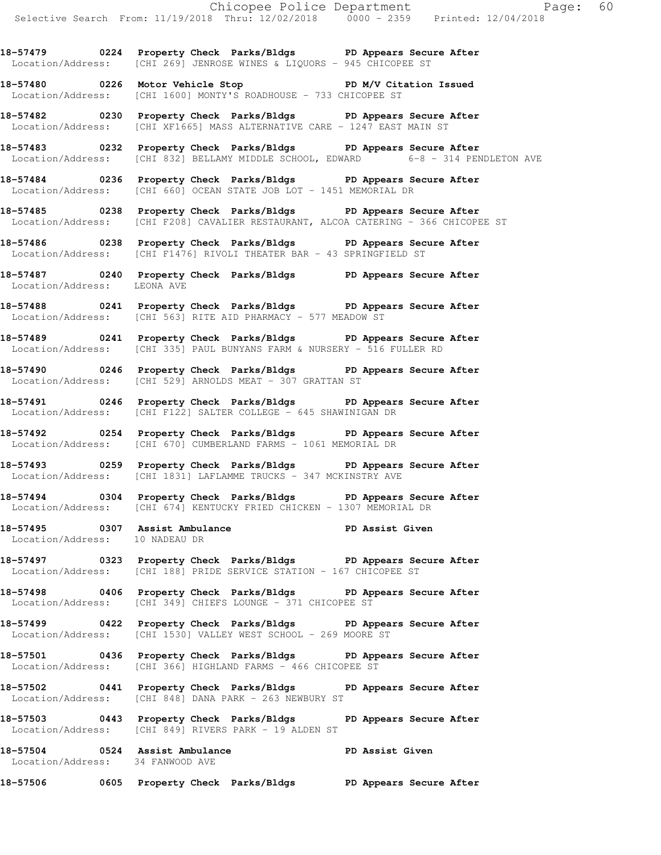**18-57479 0224 Property Check Parks/Bldgs PD Appears Secure After**  Location/Address: [CHI 269] JENROSE WINES & LIQUORS - 945 CHICOPEE ST

**18-57480 0226 Motor Vehicle Stop PD M/V Citation Issued**  Location/Address: [CHI 1600] MONTY'S ROADHOUSE - 733 CHICOPEE ST

**18-57482 0230 Property Check Parks/Bldgs PD Appears Secure After**  Location/Address: [CHI XF1665] MASS ALTERNATIVE CARE - 1247 EAST MAIN ST

**18-57483 0232 Property Check Parks/Bldgs PD Appears Secure After**  Location/Address: [CHI 832] BELLAMY MIDDLE SCHOOL, EDWARD 6-8 - 314 PENDLETON AVE

**18-57484 0236 Property Check Parks/Bldgs PD Appears Secure After**  Location/Address: [CHI 660] OCEAN STATE JOB LOT - 1451 MEMORIAL DR

**18-57485 0238 Property Check Parks/Bldgs PD Appears Secure After**  Location/Address: [CHI F208] CAVALIER RESTAURANT, ALCOA CATERING - 366 CHICOPEE ST

**18-57486 0238 Property Check Parks/Bldgs PD Appears Secure After**  Location/Address: [CHI F1476] RIVOLI THEATER BAR - 43 SPRINGFIELD ST

**18-57487 0240 Property Check Parks/Bldgs PD Appears Secure After**  Location/Address: LEONA AVE

**18-57488 0241 Property Check Parks/Bldgs PD Appears Secure After**  Location/Address: [CHI 563] RITE AID PHARMACY - 577 MEADOW ST

**18-57489 0241 Property Check Parks/Bldgs PD Appears Secure After**  Location/Address: [CHI 335] PAUL BUNYANS FARM & NURSERY - 516 FULLER RD

**18-57490 0246 Property Check Parks/Bldgs PD Appears Secure After**  Location/Address: [CHI 529] ARNOLDS MEAT - 307 GRATTAN ST

**18-57491 0246 Property Check Parks/Bldgs PD Appears Secure After**  Location/Address: [CHI F122] SALTER COLLEGE - 645 SHAWINIGAN DR

**18-57492 0254 Property Check Parks/Bldgs PD Appears Secure After**  Location/Address: [CHI 670] CUMBERLAND FARMS - 1061 MEMORIAL DR

**18-57493 0259 Property Check Parks/Bldgs PD Appears Secure After**  Location/Address: [CHI 1831] LAFLAMME TRUCKS - 347 MCKINSTRY AVE

**18-57494 0304 Property Check Parks/Bldgs PD Appears Secure After**  Location/Address: [CHI 674] KENTUCKY FRIED CHICKEN - 1307 MEMORIAL DR

**18-57495 0307 Assist Ambulance PD Assist Given**  Location/Address: 10 NADEAU DR

**18-57497 0323 Property Check Parks/Bldgs PD Appears Secure After**  Location/Address: [CHI 188] PRIDE SERVICE STATION - 167 CHICOPEE ST

**18-57498 0406 Property Check Parks/Bldgs PD Appears Secure After**  Location/Address: [CHI 349] CHIEFS LOUNGE - 371 CHICOPEE ST

**18-57499 0422 Property Check Parks/Bldgs PD Appears Secure After**  Location/Address: [CHI 1530] VALLEY WEST SCHOOL - 269 MOORE ST

**18-57501 0436 Property Check Parks/Bldgs PD Appears Secure After**  Location/Address: [CHI 366] HIGHLAND FARMS - 466 CHICOPEE ST

**18-57502 0441 Property Check Parks/Bldgs PD Appears Secure After**  Location/Address: [CHI 848] DANA PARK - 263 NEWBURY ST

**18-57503 0443 Property Check Parks/Bldgs PD Appears Secure After**  Location/Address: [CHI 849] RIVERS PARK - 19 ALDEN ST

18-57504 **0524** Assist Ambulance **PD Assist Given** Location/Address: 34 FANWOOD AVE

**18-57506 0605 Property Check Parks/Bldgs PD Appears Secure After**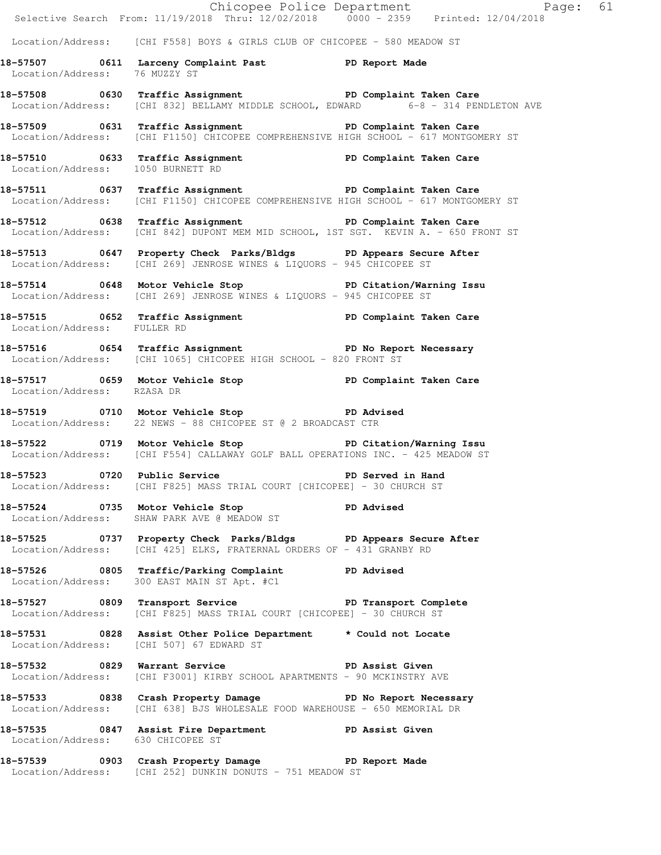|                                   |                                                                                                                                                              | Chicopee Police Department<br>Selective Search From: 11/19/2018 Thru: 12/02/2018 0000 - 2359 Printed: 12/04/2018 |  |
|-----------------------------------|--------------------------------------------------------------------------------------------------------------------------------------------------------------|------------------------------------------------------------------------------------------------------------------|--|
|                                   | Location/Address: [CHI F558] BOYS & GIRLS CLUB OF CHICOPEE - 580 MEADOW ST                                                                                   |                                                                                                                  |  |
| Location/Address: 76 MUZZY ST     | 18-57507 0611 Larceny Complaint Past PD Report Made                                                                                                          |                                                                                                                  |  |
|                                   | 18-57508 0630 Traffic Assignment New PD Complaint Taken Care<br>Location/Address: [CHI 832] BELLAMY MIDDLE SCHOOL, EDWARD 6-8 - 314 PENDLETON AVE            |                                                                                                                  |  |
|                                   | 18-57509 0631 Traffic Assignment Number 2016 PD Complaint Taken Care<br>Location/Address: [CHI F1150] CHICOPEE COMPREHENSIVE HIGH SCHOOL - 617 MONTGOMERY ST |                                                                                                                  |  |
|                                   | 18-57510 0633 Traffic Assignment PD Complaint Taken Care<br>Location/Address: 1050 BURNETT RD                                                                |                                                                                                                  |  |
|                                   | 18-57511 0637 Traffic Assignment<br>Location/Address: [CHI F1150] CHICOPEE COMPREHENSIVE HIGH SCHOOL - 617 MONTGOMERY ST                                     |                                                                                                                  |  |
|                                   | 18-57512 0638 Traffic Assignment PD Complaint Taken Care<br>Location/Address: [CHI 842] DUPONT MEM MID SCHOOL, 1ST SGT. KEVIN A. - 650 FRONT ST              |                                                                                                                  |  |
|                                   | 18-57513 0647 Property Check Parks/Bldgs PD Appears Secure After<br>Location/Address: [CHI 269] JENROSE WINES & LIQUORS - 945 CHICOPEE ST                    |                                                                                                                  |  |
|                                   | 18-57514 0648 Motor Vehicle Stop North PD Citation/Warning Issu<br>Location/Address: [CHI 269] JENROSE WINES & LIQUORS - 945 CHICOPEE ST                     |                                                                                                                  |  |
| Location/Address: FULLER RD       | 18-57515 0652 Traffic Assignment 1998 PD Complaint Taken Care                                                                                                |                                                                                                                  |  |
|                                   | 18-57516 0654 Traffic Assignment The PD No Report Necessary<br>Location/Address: [CHI 1065] CHICOPEE HIGH SCHOOL - 820 FRONT ST                              |                                                                                                                  |  |
| Location/Address: RZASA DR        | 18-57517 0659 Motor Vehicle Stop North PD Complaint Taken Care                                                                                               |                                                                                                                  |  |
|                                   | 18-57519 0710 Motor Vehicle Stop PD Advised<br>Location/Address: 22 NEWS - 88 CHICOPEE ST @ 2 BROADCAST CTR                                                  |                                                                                                                  |  |
|                                   | 18-57522 0719 Motor Vehicle Stop Notor PD Citation/Warning Issu<br>Location/Address: [CHI F554] CALLAWAY GOLF BALL OPERATIONS INC. - 425 MEADOW ST           |                                                                                                                  |  |
| 18-57523 0720 Public Service      | Location/Address: [CHI F825] MASS TRIAL COURT [CHICOPEE] - 30 CHURCH ST                                                                                      | PD Served in Hand                                                                                                |  |
|                                   | 18-57524 0735 Motor Vehicle Stop PD Advised<br>Location/Address: SHAW PARK AVE @ MEADOW ST                                                                   |                                                                                                                  |  |
|                                   | 18-57525 0737 Property Check Parks/Bldgs PD Appears Secure After<br>Location/Address: [CHI 425] ELKS, FRATERNAL ORDERS OF - 431 GRANBY RD                    |                                                                                                                  |  |
|                                   | 18-57526 0805 Traffic/Parking Complaint PD Advised<br>Location/Address: 300 EAST MAIN ST Apt. #C1                                                            |                                                                                                                  |  |
|                                   | 18-57527 0809 Transport Service New PD Transport Complete<br>Location/Address: [CHI F825] MASS TRIAL COURT [CHICOPEE] - 30 CHURCH ST                         |                                                                                                                  |  |
|                                   | 18-57531 0828 Assist Other Police Department * Could not Locate<br>Location/Address: [CHI 507] 67 EDWARD ST                                                  |                                                                                                                  |  |
|                                   | 18-57532 0829 Warrant Service New PD Assist Given<br>Location/Address: [CHI F3001] KIRBY SCHOOL APARTMENTS - 90 MCKINSTRY AVE                                |                                                                                                                  |  |
|                                   | 18-57533 0838 Crash Property Damage 5 PD No Report Necessary<br>Location/Address: [CHI 638] BJS WHOLESALE FOOD WAREHOUSE - 650 MEMORIAL DR                   |                                                                                                                  |  |
| Location/Address: 630 CHICOPEE ST | 18-57535 0847 Assist Fire Department PD Assist Given                                                                                                         |                                                                                                                  |  |
|                                   | 18-57539 0903 Crash Property Damage PD Report Made<br>Location/Address: [CHI 252] DUNKIN DONUTS - 751 MEADOW ST                                              |                                                                                                                  |  |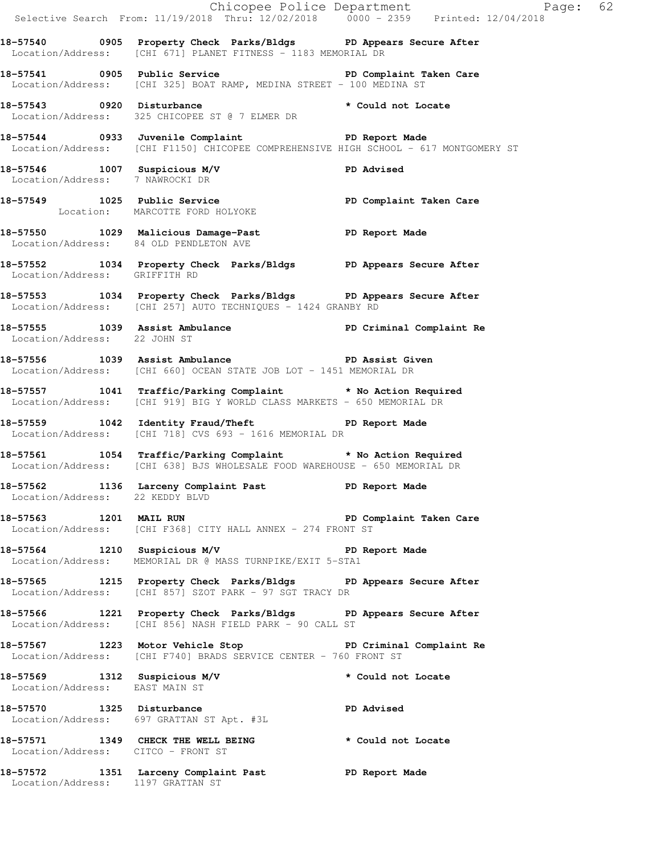|                                    |                                                                                                                                            | Chicopee Police Department Page: 62<br>Selective Search From: 11/19/2018 Thru: 12/02/2018 0000 - 2359 Printed: 12/04/2018 |
|------------------------------------|--------------------------------------------------------------------------------------------------------------------------------------------|---------------------------------------------------------------------------------------------------------------------------|
|                                    | 18-57540 0905 Property Check Parks/Bldgs PD Appears Secure After<br>Location/Address: [CHI 671] PLANET FITNESS - 1183 MEMORIAL DR          |                                                                                                                           |
|                                    | 18-57541 0905 Public Service <b>18-18 PD</b> Complaint Taken Care<br>Location/Address: [CHI 325] BOAT RAMP, MEDINA STREET - 100 MEDINA ST  |                                                                                                                           |
|                                    | 18-57543 0920 Disturbance<br>Location/Address: 325 CHICOPEE ST @ 7 ELMER DR * Could not Locate                                             |                                                                                                                           |
|                                    | 18-57544 0933 Juvenile Complaint<br>Location/Address: [CHI F1150] CHICOPEE COMPREHENSIVE HIGH SCHOOL - 617 MONTGOMERY ST                   |                                                                                                                           |
|                                    | 18-57546 1007 Suspicious M/V<br>Location/Address: 7 NAWROCKI DR                                                                            |                                                                                                                           |
|                                    | 18-57549 1025 Public Service PD Complaint Taken Care<br>Location: MARCOTTE FORD HOLYOKE                                                    |                                                                                                                           |
|                                    | 18-57550 1029 Malicious Damage-Past PD Report Made<br>Location/Address: 84 OLD PENDLETON AVE                                               |                                                                                                                           |
| Location/Address: GRIFFITH RD      | 18-57552 1034 Property Check Parks/Bldgs PD Appears Secure After                                                                           |                                                                                                                           |
|                                    | 18-57553 1034 Property Check Parks/Bldgs PD Appears Secure After<br>Location/Address: [CHI 257] AUTO TECHNIQUES - 1424 GRANBY RD           |                                                                                                                           |
| Location/Address: 22 JOHN ST       | 18-57555 1039 Assist Ambulance <b>18-18 PD</b> Criminal Complaint Re                                                                       |                                                                                                                           |
|                                    | 18-57556 1039 Assist Ambulance New PD Assist Given<br>Location/Address: [CHI 660] OCEAN STATE JOB LOT - 1451 MEMORIAL DR                   |                                                                                                                           |
|                                    | 18-57557 1041 Traffic/Parking Complaint * No Action Required<br>Location/Address: [CHI 919] BIG Y WORLD CLASS MARKETS - 650 MEMORIAL DR    |                                                                                                                           |
|                                    | 18-57559 1042 Identity Fraud/Theft PD Report Made<br>Location/Address: [CHI 718] CVS 693 - 1616 MEMORIAL DR                                |                                                                                                                           |
|                                    | 18-57561 1054 Traffic/Parking Complaint * No Action Required<br>Location/Address: [CHI 638] BJS WHOLESALE FOOD WAREHOUSE - 650 MEMORIAL DR |                                                                                                                           |
|                                    | 18-57562 1136 Larceny Complaint Past PD Report Made Location/Address: 22 KEDDY BLVD                                                        |                                                                                                                           |
|                                    | 18-57563 1201 MAIL RUN 2008 2010 PD Complaint Taken Care<br>Location/Address: [CHI F368] CITY HALL ANNEX - 274 FRONT ST                    |                                                                                                                           |
|                                    | 18-57564 1210 Suspicious M/V 1999 PD Report Made<br>Location/Address: MEMORIAL DR @ MASS TURNPIKE/EXIT 5-STA1                              |                                                                                                                           |
|                                    | 18-57565 1215 Property Check Parks/Bldgs PD Appears Secure After<br>Location/Address: [CHI 857] SZOT PARK - 97 SGT TRACY DR                |                                                                                                                           |
|                                    | 18-57566 1221 Property Check Parks/Bldgs PD Appears Secure After<br>Location/Address: [CHI 856] NASH FIELD PARK - 90 CALL ST               |                                                                                                                           |
|                                    | 18-57567 1223 Motor Vehicle Stop North PD Criminal Complaint Re<br>Location/Address: [CHI F740] BRADS SERVICE CENTER - 760 FRONT ST        |                                                                                                                           |
| Location/Address: EAST MAIN ST     | 18-57569 1312 Suspicious M/V                                                                                                               | * Could not Locate                                                                                                        |
|                                    | 18-57570 1325 Disturbance<br>Location/Address: 697 GRATTAN ST Apt. #3L                                                                     | <b>PD Advised</b>                                                                                                         |
| Location/Address: CITCO - FRONT ST | 18-57571 1349 CHECK THE WELL BEING the second to cate                                                                                      |                                                                                                                           |
|                                    | 18-57572 1351 Larceny Complaint Past PD Report Made<br>Location/Address: 1197 GRATTAN ST                                                   |                                                                                                                           |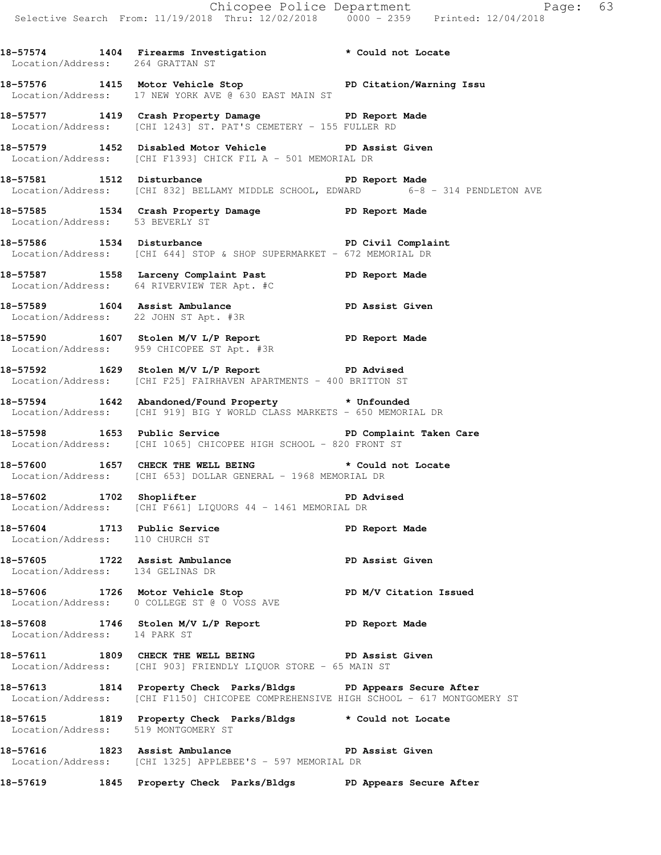Chicopee Police Department Page: 63 Selective Search From: 11/19/2018 Thru: 12/02/2018 0000 - 2359 Printed: 12/04/2018 **18-57574 1404 Firearms Investigation \* Could not Locate**  Location/Address: 264 GRATTAN ST **18-57576 1415 Motor Vehicle Stop PD Citation/Warning Issu**  Location/Address: 17 NEW YORK AVE @ 630 EAST MAIN ST **18-57577 1419 Crash Property Damage PD Report Made**  Location/Address: [CHI 1243] ST. PAT'S CEMETERY - 155 FULLER RD **18-57579 1452 Disabled Motor Vehicle PD Assist Given**  Location/Address: [CHI F1393] CHICK FIL A - 501 MEMORIAL DR **18-57581 1512 Disturbance PD Report Made**  Location/Address: [CHI 832] BELLAMY MIDDLE SCHOOL, EDWARD 6-8 - 314 PENDLETON AVE **18-57585 1534 Crash Property Damage PD Report Made**  Location/Address: 53 BEVERLY ST **18-57586 1534 Disturbance PD Civil Complaint**  Location/Address: [CHI 644] STOP & SHOP SUPERMARKET - 672 MEMORIAL DR **18-57587 1558 Larceny Complaint Past PD Report Made**  Location/Address: 64 RIVERVIEW TER Apt. #C **18-57589 1604 Assist Ambulance PD Assist Given**  Location/Address: 22 JOHN ST Apt. #3R **18-57590 1607 Stolen M/V L/P Report PD Report Made**  Location/Address: 959 CHICOPEE ST Apt. #3R **18-57592 1629 Stolen M/V L/P Report PD Advised**  Location/Address: [CHI F25] FAIRHAVEN APARTMENTS - 400 BRITTON ST **18-57594 1642 Abandoned/Found Property \* Unfounded**  Location/Address: [CHI 919] BIG Y WORLD CLASS MARKETS - 650 MEMORIAL DR 18-57598 1653 Public Service **18-57598** Public Service PD Complaint Taken Care Location/Address: [CHI 1065] CHICOPEE HIGH SCHOOL - 820 FRONT ST **18-57600 1657 CHECK THE WELL BEING \* Could not Locate**  Location/Address: [CHI 653] DOLLAR GENERAL - 1968 MEMORIAL DR 18-57602 1702 Shoplifter **18-57602** PD Advised Location/Address: [CHI F661] LIQUORS 44 - 1461 MEMORIAL DR

**18-57604 1713 Public Service PD Report Made**  Location/Address: 110 CHURCH ST

**18-57605 1722 Assist Ambulance PD Assist Given**  Location/Address: 134 GELINAS DR

**18-57606 1726 Motor Vehicle Stop PD M/V Citation Issued**  Location/Address: 0 COLLEGE ST @ 0 VOSS AVE

**18-57608 1746 Stolen M/V L/P Report PD Report Made**  Location/Address: 14 PARK ST

**18-57611 1809 CHECK THE WELL BEING PD Assist Given**  Location/Address: [CHI 903] FRIENDLY LIQUOR STORE - 65 MAIN ST

**18-57613 1814 Property Check Parks/Bldgs PD Appears Secure After**  Location/Address: [CHI F1150] CHICOPEE COMPREHENSIVE HIGH SCHOOL - 617 MONTGOMERY ST

**18-57615 1819 Property Check Parks/Bldgs \* Could not Locate**  Location/Address: 519 MONTGOMERY ST

**18-57616 1823 Assist Ambulance PD Assist Given**  Location/Address: [CHI 1325] APPLEBEE'S - 597 MEMORIAL DR

**18-57619 1845 Property Check Parks/Bldgs PD Appears Secure After**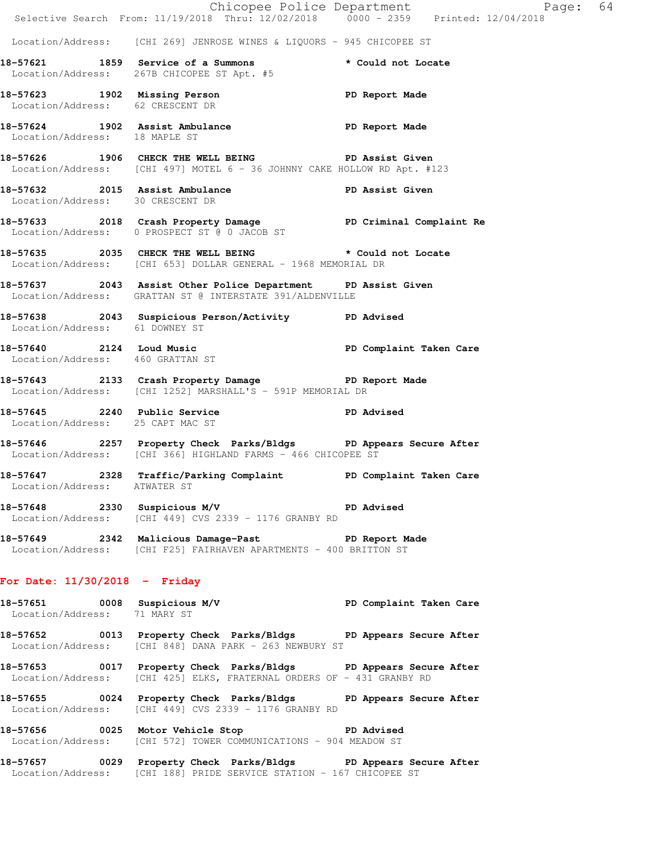|                                                              |                                                                                                                                           | E<br>Chicopee Police Department<br>Selective Search From: 11/19/2018 Thru: 12/02/2018 0000 - 2359 Printed: 12/04/2018<br>Page: 64 |  |
|--------------------------------------------------------------|-------------------------------------------------------------------------------------------------------------------------------------------|-----------------------------------------------------------------------------------------------------------------------------------|--|
|                                                              |                                                                                                                                           |                                                                                                                                   |  |
|                                                              | Location/Address: [CHI 269] JENROSE WINES & LIQUORS - 945 CHICOPEE ST                                                                     |                                                                                                                                   |  |
|                                                              | 18-57621 1859 Service of a Summons<br>Location/Address: 267B CHICOPEE ST Apt. #5                                                          | * Could not Locate                                                                                                                |  |
| Location/Address: 62 CRESCENT DR                             | 18-57623 1902 Missing Person 2008 PD Report Made                                                                                          |                                                                                                                                   |  |
| Location/Address: 18 MAPLE ST                                | 18-57624 1902 Assist Ambulance No PD Report Made                                                                                          |                                                                                                                                   |  |
|                                                              | 18-57626 1906 CHECK THE WELL BEING PD Assist Given<br>Location/Address: [CHI 497] MOTEL 6 - 36 JOHNNY CAKE HOLLOW RD Apt. #123            |                                                                                                                                   |  |
| Location/Address: 30 CRESCENT DR                             | 18-57632 2015 Assist Ambulance New PD Assist Given                                                                                        |                                                                                                                                   |  |
|                                                              | 18-57633 2018 Crash Property Damage PD Criminal Complaint Re<br>Location/Address: 0 PROSPECT ST @ 0 JACOB ST                              |                                                                                                                                   |  |
|                                                              | 18-57635 2035 CHECK THE WELL BEING<br>Location/Address: [CHI 653] DOLLAR GENERAL - 1968 MEMORIAL DR                                       | * Could not Locate                                                                                                                |  |
|                                                              | 18-57637 2043 Assist Other Police Department PD Assist Given<br>Location/Address: GRATTAN ST @ INTERSTATE 391/ALDENVILLE                  |                                                                                                                                   |  |
| Location/Address: 61 DOWNEY ST                               | 18-57638 2043 Suspicious Person/Activity PD Advised                                                                                       |                                                                                                                                   |  |
| Location/Address: 460 GRATTAN ST                             | 18-57640 2124 Loud Music PD Complaint Taken Care                                                                                          |                                                                                                                                   |  |
|                                                              | 18-57643 2133 Crash Property Damage PD Report Made<br>Location/Address: [CHI 1252] MARSHALL'S - 591P MEMORIAL DR                          |                                                                                                                                   |  |
| Location/Address: 25 CAPT MAC ST                             | 18-57645 2240 Public Service 2011 PD Advised                                                                                              |                                                                                                                                   |  |
|                                                              | 18-57646 2257 Property Check Parks/Bldgs PD Appears Secure After<br>Location/Address: [CHI 366] HIGHLAND FARMS - 466 CHICOPEE ST          |                                                                                                                                   |  |
| Location/Address: ATWATER ST                                 | 18-57647 2328 Traffic/Parking Complaint PD Complaint Taken Care                                                                           |                                                                                                                                   |  |
|                                                              | 18-57648 2330 Suspicious M/V PD Advised<br>Location/Address: [CHI 449] CVS 2339 - 1176 GRANBY RD                                          |                                                                                                                                   |  |
|                                                              | 18-57649 2342 Malicious Damage-Past 1900 PD Report Made<br>Location/Address: [CHI F25] FAIRHAVEN APARTMENTS - 400 BRITTON ST              |                                                                                                                                   |  |
| For Date: $11/30/2018$ - Friday                              |                                                                                                                                           |                                                                                                                                   |  |
| 18-57651 0008 Suspicious M/V<br>Location/Address: 71 MARY ST |                                                                                                                                           | PD Complaint Taken Care                                                                                                           |  |
|                                                              | 18-57652 0013 Property Check Parks/Bldgs PD Appears Secure After<br>Location/Address: [CHI 848] DANA PARK - 263 NEWBURY ST                |                                                                                                                                   |  |
|                                                              | 18-57653 6017 Property Check Parks/Bldgs PD Appears Secure After<br>Location/Address: [CHI 425] ELKS, FRATERNAL ORDERS OF - 431 GRANBY RD |                                                                                                                                   |  |
|                                                              | 18-57655 0024 Property Check Parks/Bldgs PD Appears Secure After                                                                          |                                                                                                                                   |  |

**18-57656 0025 Motor Vehicle Stop PD Advised**  Location/Address: [CHI 572] TOWER COMMUNICATIONS - 904 MEADOW ST

Location/Address: [CHI 449] CVS 2339 - 1176 GRANBY RD

**18-57657 0029 Property Check Parks/Bldgs PD Appears Secure After**  Location/Address: [CHI 188] PRIDE SERVICE STATION - 167 CHICOPEE ST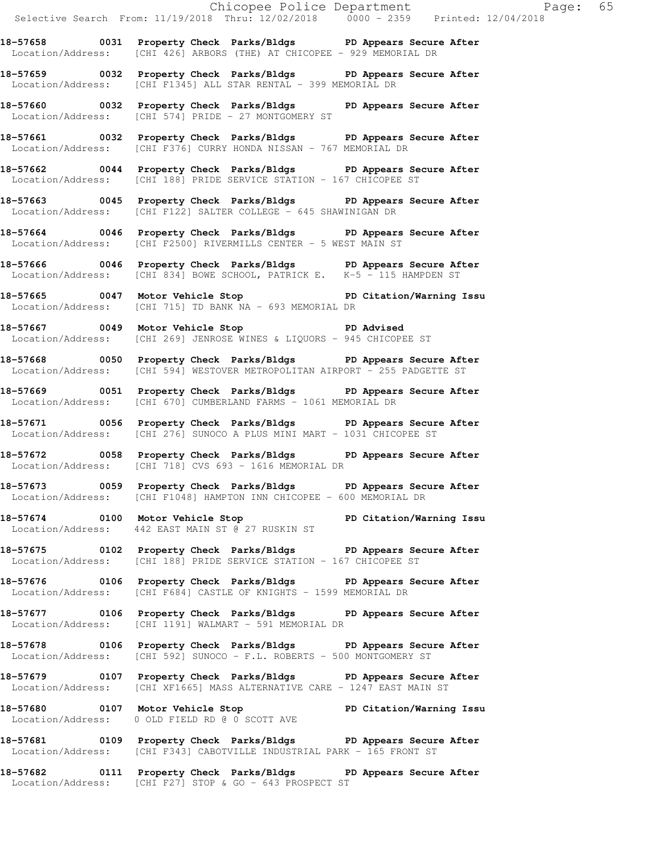Chicopee Police Department The Page: 65 Selective Search From: 11/19/2018 Thru: 12/02/2018 0000 - 2359 Printed: 12/04/2018 **18-57658 0031 Property Check Parks/Bldgs PD Appears Secure After**  Location/Address: [CHI 426] ARBORS (THE) AT CHICOPEE - 929 MEMORIAL DR **18-57659 0032 Property Check Parks/Bldgs PD Appears Secure After**  Location/Address: [CHI F1345] ALL STAR RENTAL - 399 MEMORIAL DR **18-57660 0032 Property Check Parks/Bldgs PD Appears Secure After**  Location/Address: [CHI 574] PRIDE - 27 MONTGOMERY ST **18-57661 0032 Property Check Parks/Bldgs PD Appears Secure After**  Location/Address: [CHI F376] CURRY HONDA NISSAN - 767 MEMORIAL DR **18-57662 0044 Property Check Parks/Bldgs PD Appears Secure After**  Location/Address: [CHI 188] PRIDE SERVICE STATION - 167 CHICOPEE ST **18-57663 0045 Property Check Parks/Bldgs PD Appears Secure After**  Location/Address: [CHI F122] SALTER COLLEGE - 645 SHAWINIGAN DR **18-57664 0046 Property Check Parks/Bldgs PD Appears Secure After**  Location/Address: [CHI F2500] RIVERMILLS CENTER - 5 WEST MAIN ST **18-57666 0046 Property Check Parks/Bldgs PD Appears Secure After**  Location/Address: [CHI 834] BOWE SCHOOL, PATRICK E. K-5 - 115 HAMPDEN ST **18-57665 0047 Motor Vehicle Stop PD Citation/Warning Issu**  Location/Address: [CHI 715] TD BANK NA - 693 MEMORIAL DR **18-57667 0049 Motor Vehicle Stop PD Advised**  Location/Address: [CHI 269] JENROSE WINES & LIQUORS - 945 CHICOPEE ST **18-57668 0050 Property Check Parks/Bldgs PD Appears Secure After**  Location/Address: [CHI 594] WESTOVER METROPOLITAN AIRPORT - 255 PADGETTE ST **18-57669 0051 Property Check Parks/Bldgs PD Appears Secure After**  Location/Address: [CHI 670] CUMBERLAND FARMS - 1061 MEMORIAL DR **18-57671 0056 Property Check Parks/Bldgs PD Appears Secure After**  Location/Address: [CHI 276] SUNOCO A PLUS MINI MART - 1031 CHICOPEE ST **18-57672 0058 Property Check Parks/Bldgs PD Appears Secure After**  Location/Address: [CHI 718] CVS 693 - 1616 MEMORIAL DR **18-57673 0059 Property Check Parks/Bldgs PD Appears Secure After**  Location/Address: [CHI F1048] HAMPTON INN CHICOPEE - 600 MEMORIAL DR **18-57674 0100 Motor Vehicle Stop PD Citation/Warning Issu**  Location/Address: 442 EAST MAIN ST @ 27 RUSKIN ST **18-57675 0102 Property Check Parks/Bldgs PD Appears Secure After**  Location/Address: [CHI 188] PRIDE SERVICE STATION - 167 CHICOPEE ST **18-57676 0106 Property Check Parks/Bldgs PD Appears Secure After**  Location/Address: [CHI F684] CASTLE OF KNIGHTS - 1599 MEMORIAL DR **18-57677 0106 Property Check Parks/Bldgs PD Appears Secure After**  Location/Address: [CHI 1191] WALMART - 591 MEMORIAL DR

**18-57678 0106 Property Check Parks/Bldgs PD Appears Secure After**  Location/Address: [CHI 592] SUNOCO - F.L. ROBERTS - 500 MONTGOMERY ST

**18-57679 0107 Property Check Parks/Bldgs PD Appears Secure After**  Location/Address: [CHI XF1665] MASS ALTERNATIVE CARE - 1247 EAST MAIN ST

**18-57680 0107 Motor Vehicle Stop PD Citation/Warning Issu**  Location/Address: 0 OLD FIELD RD @ 0 SCOTT AVE

**18-57681 0109 Property Check Parks/Bldgs PD Appears Secure After**  Location/Address: [CHI F343] CABOTVILLE INDUSTRIAL PARK - 165 FRONT ST

**18-57682 0111 Property Check Parks/Bldgs PD Appears Secure After**  Location/Address: [CHI F27] STOP & GO - 643 PROSPECT ST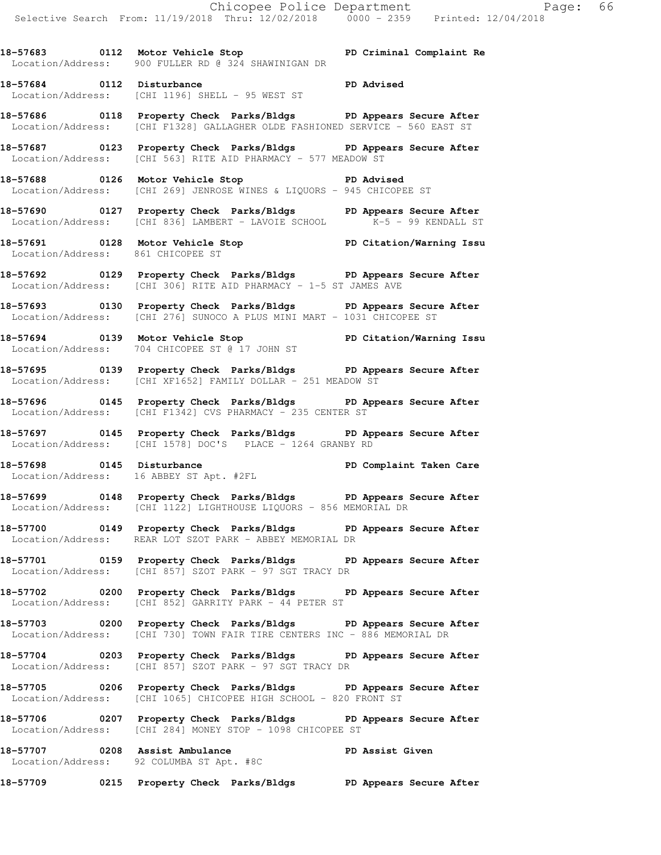**18-57683 0112 Motor Vehicle Stop PD Criminal Complaint Re**  Location/Address: 900 FULLER RD @ 324 SHAWINIGAN DR

**18-57684 0112 Disturbance PD Advised**  Location/Address: [CHI 1196] SHELL - 95 WEST ST

**18-57686 0118 Property Check Parks/Bldgs PD Appears Secure After**  Location/Address: [CHI F1328] GALLAGHER OLDE FASHIONED SERVICE - 560 EAST ST

**18-57687 0123 Property Check Parks/Bldgs PD Appears Secure After**  Location/Address: [CHI 563] RITE AID PHARMACY - 577 MEADOW ST

**18-57688 0126 Motor Vehicle Stop PD Advised**  Location/Address: [CHI 269] JENROSE WINES & LIQUORS - 945 CHICOPEE ST

**18-57690 0127 Property Check Parks/Bldgs PD Appears Secure After**  Location/Address: [CHI 836] LAMBERT - LAVOIE SCHOOL K-5 - 99 KENDALL ST

**18-57691 0128 Motor Vehicle Stop PD Citation/Warning Issu**  Location/Address: 861 CHICOPEE ST

**18-57692 0129 Property Check Parks/Bldgs PD Appears Secure After**  Location/Address: [CHI 306] RITE AID PHARMACY - 1-5 ST JAMES AVE

**18-57693 0130 Property Check Parks/Bldgs PD Appears Secure After**  Location/Address: [CHI 276] SUNOCO A PLUS MINI MART - 1031 CHICOPEE ST

**18-57694 0139 Motor Vehicle Stop PD Citation/Warning Issu**  Location/Address: 704 CHICOPEE ST @ 17 JOHN ST

**18-57695 0139 Property Check Parks/Bldgs PD Appears Secure After**  Location/Address: [CHI XF1652] FAMILY DOLLAR - 251 MEADOW ST

**18-57696 0145 Property Check Parks/Bldgs PD Appears Secure After**  Location/Address: [CHI F1342] CVS PHARMACY - 235 CENTER ST

**18-57697 0145 Property Check Parks/Bldgs PD Appears Secure After**  Location/Address: [CHI 1578] DOC'S PLACE - 1264 GRANBY RD

**18-57698 0145 Disturbance PD Complaint Taken Care**  Location/Address: 16 ABBEY ST Apt. #2FL

**18-57699 0148 Property Check Parks/Bldgs PD Appears Secure After**  Location/Address: [CHI 1122] LIGHTHOUSE LIQUORS - 856 MEMORIAL DR

**18-57700 0149 Property Check Parks/Bldgs PD Appears Secure After**  Location/Address: REAR LOT SZOT PARK - ABBEY MEMORIAL DR

**18-57701 0159 Property Check Parks/Bldgs PD Appears Secure After**  Location/Address: [CHI 857] SZOT PARK - 97 SGT TRACY DR

**18-57702 0200 Property Check Parks/Bldgs PD Appears Secure After**  Location/Address: [CHI 852] GARRITY PARK - 44 PETER ST

**18-57703 0200 Property Check Parks/Bldgs PD Appears Secure After**  Location/Address: [CHI 730] TOWN FAIR TIRE CENTERS INC - 886 MEMORIAL DR

**18-57704 0203 Property Check Parks/Bldgs PD Appears Secure After**  Location/Address: [CHI 857] SZOT PARK - 97 SGT TRACY DR

**18-57705 0206 Property Check Parks/Bldgs PD Appears Secure After**  Location/Address: [CHI 1065] CHICOPEE HIGH SCHOOL - 820 FRONT ST

**18-57706 0207 Property Check Parks/Bldgs PD Appears Secure After**  Location/Address: [CHI 284] MONEY STOP - 1098 CHICOPEE ST

18-57707 **0208** Assist Ambulance **PD Assist Given** Location/Address: 92 COLUMBA ST Apt. #8C

**18-57709 0215 Property Check Parks/Bldgs PD Appears Secure After**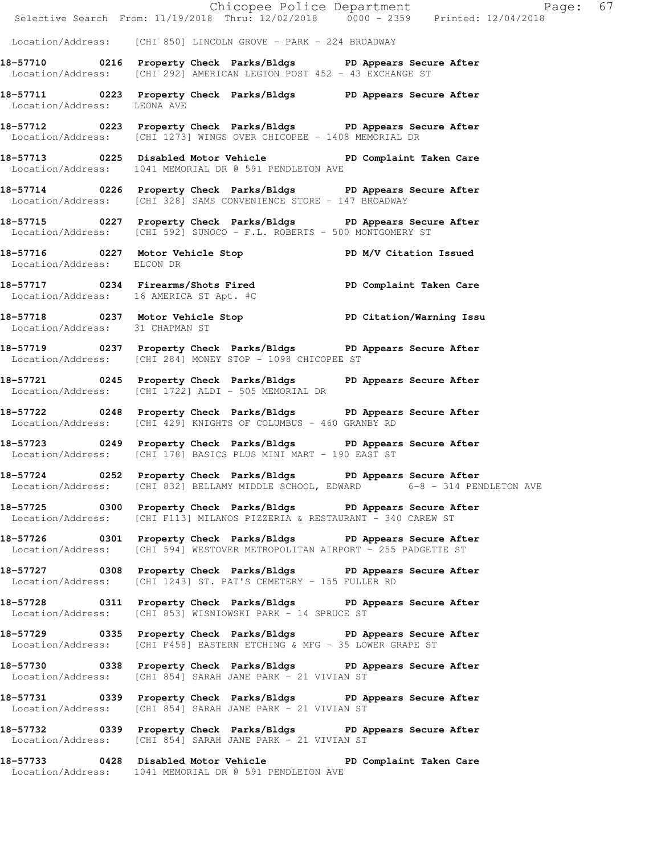|                                 |                                                                                                                                                       | Chicopee Police Department<br>Selective Search From: 11/19/2018 Thru: 12/02/2018 0000 - 2359 Printed: 12/04/2018 |
|---------------------------------|-------------------------------------------------------------------------------------------------------------------------------------------------------|------------------------------------------------------------------------------------------------------------------|
|                                 |                                                                                                                                                       |                                                                                                                  |
|                                 | Location/Address: [CHI 850] LINCOLN GROVE - PARK - 224 BROADWAY                                                                                       |                                                                                                                  |
|                                 | 18-57710 0216 Property Check Parks/Bldgs PD Appears Secure After<br>Location/Address: [CHI 292] AMERICAN LEGION POST 452 - 43 EXCHANGE ST             |                                                                                                                  |
| Location/Address: LEONA AVE     | 18-57711 0223 Property Check Parks/Bldgs PD Appears Secure After                                                                                      |                                                                                                                  |
|                                 | 18-57712 0223 Property Check Parks/Bldgs PD Appears Secure After<br>Location/Address: [CHI 1273] WINGS OVER CHICOPEE - 1408 MEMORIAL DR               |                                                                                                                  |
|                                 | 18-57713 0225 Disabled Motor Vehicle PD Complaint Taken Care<br>Location/Address: 1041 MEMORIAL DR @ 591 PENDLETON AVE                                |                                                                                                                  |
|                                 | 18-57714 0226 Property Check Parks/Bldgs PD Appears Secure After<br>Location/Address: [CHI 328] SAMS CONVENIENCE STORE - 147 BROADWAY                 |                                                                                                                  |
|                                 | 18-57715 0227 Property Check Parks/Bldgs PD Appears Secure After<br>Location/Address: [CHI 592] SUNOCO - F.L. ROBERTS - 500 MONTGOMERY ST             |                                                                                                                  |
| Location/Address: ELCON DR      | 18-57716 0227 Motor Vehicle Stop N/V Citation Issued                                                                                                  |                                                                                                                  |
|                                 | 18-57717 1234 Firearms/Shots Fired PD Complaint Taken Care<br>Location/Address: 16 AMERICA ST Apt. #C                                                 |                                                                                                                  |
| Location/Address: 31 CHAPMAN ST | 18-57718 0237 Motor Vehicle Stop North PD Citation/Warning Issu                                                                                       |                                                                                                                  |
|                                 | 18-57719 0237 Property Check Parks/Bldgs PD Appears Secure After<br>Location/Address: [CHI 284] MONEY STOP - 1098 CHICOPEE ST                         |                                                                                                                  |
|                                 | 18-57721 0245 Property Check Parks/Bldgs PD Appears Secure After<br>Location/Address: [CHI 1722] ALDI - 505 MEMORIAL DR                               |                                                                                                                  |
|                                 | 18-57722 0248 Property Check Parks/Bldgs PD Appears Secure After<br>Location/Address: [CHI 429] KNIGHTS OF COLUMBUS - 460 GRANBY RD                   |                                                                                                                  |
|                                 | 18-57723 0249 Property Check Parks/Bldgs PD Appears Secure After<br>Location/Address: [CHI 178] BASICS PLUS MINI MART - 190 EAST ST                   |                                                                                                                  |
|                                 | 18-57724 0252 Property Check Parks/Bldgs PD Appears Secure After<br>Location/Address: [CHI 832] BELLAMY MIDDLE SCHOOL, EDWARD 6-8 - 314 PENDLETON AVE |                                                                                                                  |
|                                 | 18-57725 0300 Property Check Parks/Bldgs PD Appears Secure After<br>Location/Address: [CHI F113] MILANOS PIZZERIA & RESTAURANT - 340 CAREW ST         |                                                                                                                  |
|                                 | 18-57726 0301 Property Check Parks/Bldgs PD Appears Secure After<br>Location/Address: [CHI 594] WESTOVER METROPOLITAN AIRPORT - 255 PADGETTE ST       |                                                                                                                  |
|                                 | 18-57727 0308 Property Check Parks/Bldgs PD Appears Secure After<br>Location/Address: [CHI 1243] ST. PAT'S CEMETERY - 155 FULLER RD                   |                                                                                                                  |
|                                 | 18-57728 0311 Property Check Parks/Bldgs PD Appears Secure After<br>Location/Address: [CHI 853] WISNIOWSKI PARK - 14 SPRUCE ST                        |                                                                                                                  |
|                                 | 18-57729 0335 Property Check Parks/Bldgs PD Appears Secure After<br>Location/Address: [CHI F458] EASTERN ETCHING & MFG - 35 LOWER GRAPE ST            |                                                                                                                  |
|                                 | 18-57730 0338 Property Check Parks/Bldgs PD Appears Secure After<br>Location/Address: [CHI 854] SARAH JANE PARK - 21 VIVIAN ST                        |                                                                                                                  |
|                                 | 18-57731 0339 Property Check Parks/Bldgs PD Appears Secure After<br>Location/Address: [CHI 854] SARAH JANE PARK - 21 VIVIAN ST                        |                                                                                                                  |
|                                 | 18-57732 0339 Property Check Parks/Bldgs PD Appears Secure After<br>Location/Address: [CHI 854] SARAH JANE PARK - 21 VIVIAN ST                        |                                                                                                                  |
|                                 | 18-57733 0428 Disabled Motor Vehicle PD Complaint Taken Care<br>Location/Address: 1041 MEMORIAL DR @ 591 PENDLETON AVE                                |                                                                                                                  |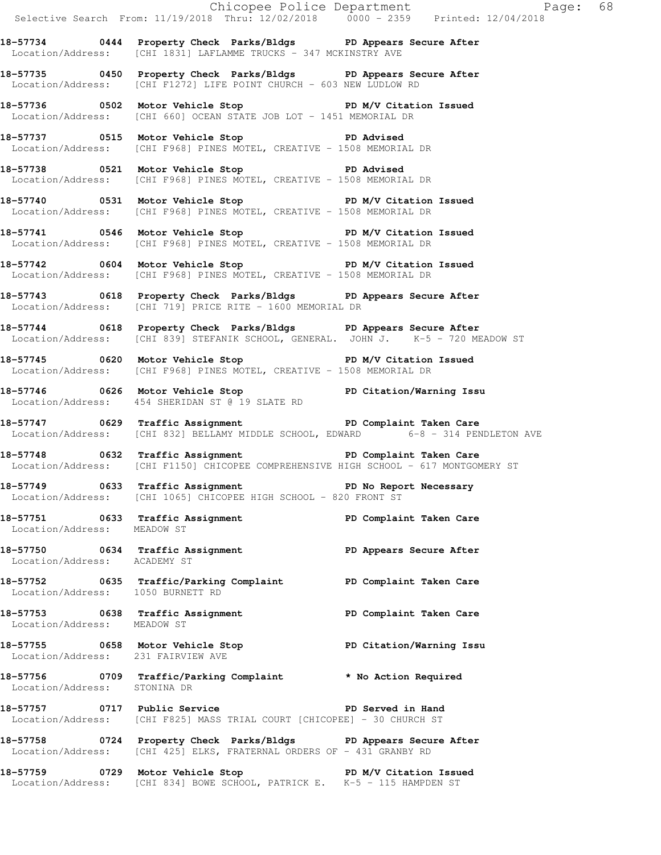|                                    |                                                                                                                                                               | Chicopee Police Department<br>Selective Search From: 11/19/2018 Thru: 12/02/2018 0000 - 2359 Printed: 12/04/2018 |  |
|------------------------------------|---------------------------------------------------------------------------------------------------------------------------------------------------------------|------------------------------------------------------------------------------------------------------------------|--|
|                                    | 18-57734 0444 Property Check Parks/Bldgs PD Appears Secure After<br>Location/Address: [CHI 1831] LAFLAMME TRUCKS - 347 MCKINSTRY AVE                          |                                                                                                                  |  |
|                                    | 18-57735 0450 Property Check Parks/Bldgs PD Appears Secure After<br>Location/Address: [CHI F1272] LIFE POINT CHURCH - 603 NEW LUDLOW RD                       |                                                                                                                  |  |
|                                    | 18-57736 0502 Motor Vehicle Stop N/V Citation Issued<br>Location/Address: [CHI 660] OCEAN STATE JOB LOT - 1451 MEMORIAL DR                                    |                                                                                                                  |  |
|                                    | 18-57737 0515 Motor Vehicle Stop 50 PD Advised<br>Location/Address: [CHI F968] PINES MOTEL, CREATIVE - 1508 MEMORIAL DR                                       |                                                                                                                  |  |
|                                    | 18-57738 0521 Motor Vehicle Stop 30 PD Advised<br>Location/Address: [CHI F968] PINES MOTEL, CREATIVE - 1508 MEMORIAL DR                                       |                                                                                                                  |  |
|                                    | 18-57740 0531 Motor Vehicle Stop N/V Citation Issued<br>Location/Address: [CHI F968] PINES MOTEL, CREATIVE - 1508 MEMORIAL DR                                 |                                                                                                                  |  |
|                                    | 18-57741 0546 Motor Vehicle Stop N/V Citation Issued<br>Location/Address: [CHI F968] PINES MOTEL, CREATIVE - 1508 MEMORIAL DR                                 |                                                                                                                  |  |
|                                    | 18-57742 0604 Motor Vehicle Stop N/V Citation Issued<br>Location/Address: [CHI F968] PINES MOTEL, CREATIVE - 1508 MEMORIAL DR                                 |                                                                                                                  |  |
|                                    | 18-57743 0618 Property Check Parks/Bldgs PD Appears Secure After<br>Location/Address: [CHI 719] PRICE RITE - 1600 MEMORIAL DR                                 |                                                                                                                  |  |
|                                    | 18-57744 0618 Property Check Parks/Bldgs PD Appears Secure After<br>Location/Address: [CHI 839] STEFANIK SCHOOL, GENERAL. JOHN J. K-5 - 720 MEADOW ST         |                                                                                                                  |  |
|                                    | 18-57745 0620 Motor Vehicle Stop N/V Citation Issued<br>Location/Address: [CHI F968] PINES MOTEL, CREATIVE - 1508 MEMORIAL DR                                 |                                                                                                                  |  |
|                                    | 18-57746 0626 Motor Vehicle Stop North PD Citation/Warning Issu<br>Location/Address: 454 SHERIDAN ST @ 19 SLATE RD                                            |                                                                                                                  |  |
|                                    | 18-57747 0629 Traffic Assignment <b>18-57747</b> PD Complaint Taken Care<br>Location/Address: [CHI 832] BELLAMY MIDDLE SCHOOL, EDWARD 6-8 - 314 PENDLETON AVE |                                                                                                                  |  |
|                                    | 18-57748 0632 Traffic Assignment New PD Complaint Taken Care<br>Location/Address: [CHI F1150] CHICOPEE COMPREHENSIVE HIGH SCHOOL - 617 MONTGOMERY ST          |                                                                                                                  |  |
|                                    | 18-57749 0633 Traffic Assignment The PD No Report Necessary<br>Location/Address: [CHI 1065] CHICOPEE HIGH SCHOOL - 820 FRONT ST                               |                                                                                                                  |  |
| Location/Address: MEADOW ST        | 18-57751 0633 Traffic Assignment 1990 PD Complaint Taken Care                                                                                                 |                                                                                                                  |  |
| Location/Address: ACADEMY ST       | 18-57750 0634 Traffic Assignment 18-57750 PD Appears Secure After                                                                                             |                                                                                                                  |  |
| Location/Address: 1050 BURNETT RD  | 18-57752 0635 Traffic/Parking Complaint PD Complaint Taken Care                                                                                               |                                                                                                                  |  |
| Location/Address: MEADOW ST        | 18-57753 0638 Traffic Assignment 18-57753 0638 PD Complaint Taken Care                                                                                        |                                                                                                                  |  |
| Location/Address: 231 FAIRVIEW AVE | 18-57755 0658 Motor Vehicle Stop 50 PD Citation/Warning Issu                                                                                                  |                                                                                                                  |  |
| Location/Address: STONINA DR       | 18-57756 0709 Traffic/Parking Complaint * No Action Required                                                                                                  |                                                                                                                  |  |
|                                    | 18-57757 0717 Public Service Number 20 PD Served in Hand<br>Location/Address: [CHI F825] MASS TRIAL COURT [CHICOPEE] - 30 CHURCH ST                           |                                                                                                                  |  |
|                                    | 18-57758 0724 Property Check Parks/Bldgs PD Appears Secure After<br>Location/Address: [CHI 425] ELKS, FRATERNAL ORDERS OF - 431 GRANBY RD                     |                                                                                                                  |  |
|                                    | 18-57759 0729 Motor Vehicle Stop PD M/V Citation Issued<br>Location/Address: [CHI 834] BOWE SCHOOL, PATRICK E. K-5 - 115 HAMPDEN ST                           |                                                                                                                  |  |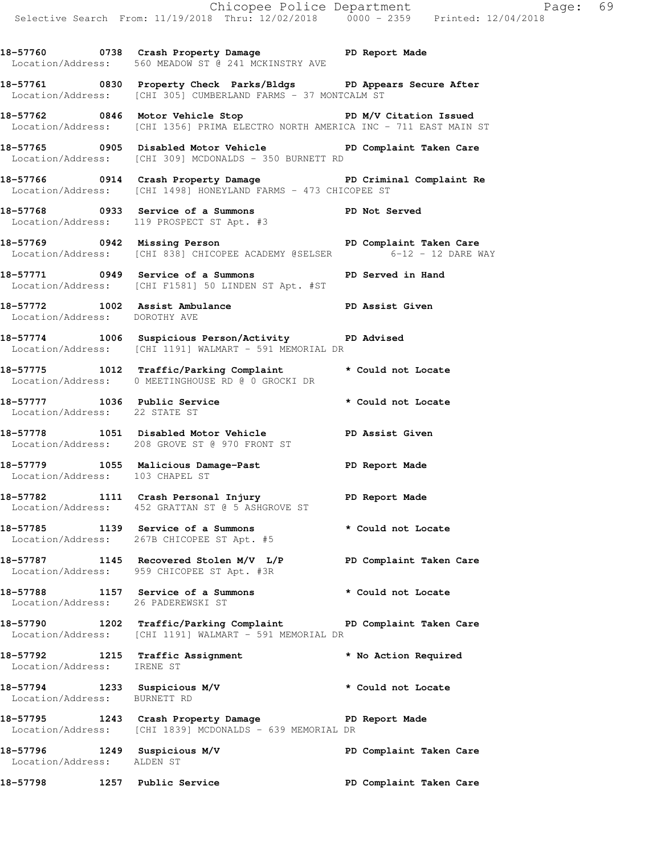**18-57760 0738 Crash Property Damage PD Report Made**  Location/Address: 560 MEADOW ST @ 241 MCKINSTRY AVE

**18-57761 0830 Property Check Parks/Bldgs PD Appears Secure After**  Location/Address: [CHI 305] CUMBERLAND FARMS - 37 MONTCALM ST

**18-57762 0846 Motor Vehicle Stop PD M/V Citation Issued**  Location/Address: [CHI 1356] PRIMA ELECTRO NORTH AMERICA INC - 711 EAST MAIN ST

**18-57765 0905 Disabled Motor Vehicle PD Complaint Taken Care**  Location/Address: [CHI 309] MCDONALDS - 350 BURNETT RD

**18-57766 0914 Crash Property Damage PD Criminal Complaint Re**  Location/Address: [CHI 1498] HONEYLAND FARMS - 473 CHICOPEE ST

**18-57768 0933 Service of a Summons PD Not Served**  Location/Address: 119 PROSPECT ST Apt. #3

18-57769 **0942 Missing Person PD Complaint Taken Care** Location/Address: [CHI 838] CHICOPEE ACADEMY @SELSER 6-12 - 12 DARE WAY

**18-57771 0949 Service of a Summons PD Served in Hand**  Location/Address: [CHI F1581] 50 LINDEN ST Apt. #ST

**18-57772 1002 Assist Ambulance PD Assist Given**  Location/Address: DOROTHY AVE

**18-57774 1006 Suspicious Person/Activity PD Advised**  Location/Address: [CHI 1191] WALMART - 591 MEMORIAL DR

**18-57775 1012 Traffic/Parking Complaint \* Could not Locate**  Location/Address: 0 MEETINGHOUSE RD @ 0 GROCKI DR

**18-57777 1036 Public Service \* Could not Locate**  Location/Address: 22 STATE ST

**18-57778 1051 Disabled Motor Vehicle PD Assist Given**  Location/Address: 208 GROVE ST @ 970 FRONT ST

**18-57779 1055 Malicious Damage-Past PD Report Made**  Location/Address: 103 CHAPEL ST

**18-57782 1111 Crash Personal Injury PD Report Made**  Location/Address: 452 GRATTAN ST @ 5 ASHGROVE ST

**18-57785 1139 Service of a Summons \* Could not Locate**  Location/Address: 267B CHICOPEE ST Apt. #5

**18-57787 1145 Recovered Stolen M/V L/P PD Complaint Taken Care**  Location/Address: 959 CHICOPEE ST Apt. #3R

**18-57788 1157 Service of a Summons \* Could not Locate**  Location/Address: 26 PADEREWSKI ST

**18-57790 1202 Traffic/Parking Complaint PD Complaint Taken Care**  Location/Address: [CHI 1191] WALMART - 591 MEMORIAL DR

**18-57792 1215 Traffic Assignment \* No Action Required**  Location/Address: IRENE ST

**18-57794 1233 Suspicious M/V \* Could not Locate**  Location/Address: BURNETT RD

**18-57795 1243 Crash Property Damage PD Report Made**  Location/Address: [CHI 1839] MCDONALDS - 639 MEMORIAL DR

**18-57796 1249 Suspicious M/V PD Complaint Taken Care**  Location/Address: ALDEN ST

**18-57798 1257 Public Service PD Complaint Taken Care**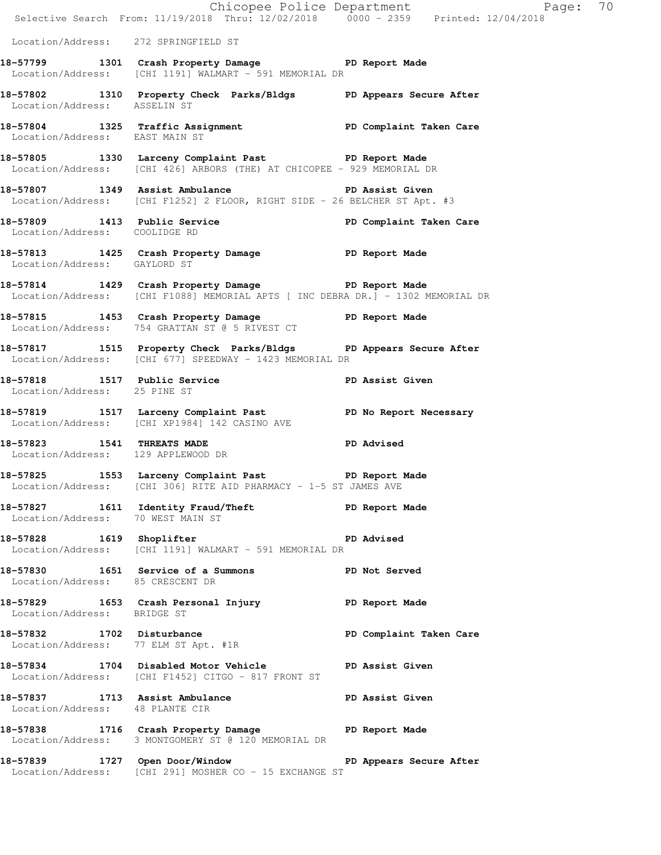|                                      | E Chicopee Police Department<br>Selective Search From: 11/19/2018 Thru: 12/02/2018 0000 - 2359 Printed: 12/04/2018                    | Page: 70                |  |
|--------------------------------------|---------------------------------------------------------------------------------------------------------------------------------------|-------------------------|--|
| Location/Address: 272 SPRINGFIELD ST |                                                                                                                                       |                         |  |
|                                      | 18-57799 1301 Crash Property Damage PD Report Made<br>Location/Address: [CHI 1191] WALMART - 591 MEMORIAL DR                          |                         |  |
| Location/Address: ASSELIN ST         | 18-57802 1310 Property Check Parks/Bldgs PD Appears Secure After                                                                      |                         |  |
| Location/Address: EAST MAIN ST       | 18-57804 1325 Traffic Assignment New PD Complaint Taken Care                                                                          |                         |  |
|                                      | 18-57805 1330 Larceny Complaint Past PD Report Made<br>Location/Address: [CHI 426] ARBORS (THE) AT CHICOPEE - 929 MEMORIAL DR         |                         |  |
|                                      | 18-57807 1349 Assist Ambulance No PD Assist Given<br>Location/Address: [CHI F1252] 2 FLOOR, RIGHT SIDE - 26 BELCHER ST Apt. #3        |                         |  |
| Location/Address: COOLIDGE RD        | 18-57809 1413 Public Service New PD Complaint Taken Care                                                                              |                         |  |
| Location/Address: GAYLORD ST         | 18-57813 1425 Crash Property Damage PD Report Made                                                                                    |                         |  |
|                                      | 18-57814 1429 Crash Property Damage PD Report Made<br>Location/Address: [CHI F1088] MEMORIAL APTS [ INC DEBRA DR.] - 1302 MEMORIAL DR |                         |  |
|                                      | 18-57815 1453 Crash Property Damage PD Report Made<br>Location/Address: 754 GRATTAN ST @ 5 RIVEST CT                                  |                         |  |
|                                      | 18-57817 1515 Property Check Parks/Bldgs PD Appears Secure After<br>Location/Address: [CHI 677] SPEEDWAY - 1423 MEMORIAL DR           |                         |  |
| Location/Address: 25 PINE ST         | 18-57818 1517 Public Service                                                                                                          | <b>PD Assist Given</b>  |  |
|                                      | 18-57819 1517 Larceny Complaint Past PD No Report Necessary<br>Location/Address: [CHI XP1984] 142 CASINO AVE                          |                         |  |
| Location/Address: 129 APPLEWOOD DR   | 18-57823 1541 THREATS MADE                                                                                                            | <b>PD</b> Advised       |  |
|                                      | 18-57825 1553 Larceny Complaint Past PD Report Made<br>Location/Address: [CHI 306] RITE AID PHARMACY - 1-5 ST JAMES AVE               |                         |  |
| Location/Address: 70 WEST MAIN ST    | 18-57827 1611 Identity Fraud/Theft The PD Report Made                                                                                 |                         |  |
|                                      | 18-57828 1619 Shoplifter PI<br>Location/Address: [CHI 1191] WALMART - 591 MEMORIAL DR                                                 | <b>PD</b> Advised       |  |
| Location/Address: 85 CRESCENT DR     | 18-57830 1651 Service of a Summons PD Not Served                                                                                      |                         |  |
| Location/Address: BRIDGE ST          | 18-57829 1653 Crash Personal Injury 18-57829 PD Report Made                                                                           |                         |  |
|                                      | 18-57832 1702 Disturbance<br>Location/Address: 77 ELM ST Apt. #1R                                                                     | PD Complaint Taken Care |  |
|                                      | 18-57834 1704 Disabled Motor Vehicle PD Assist Given<br>Location/Address: [CHI F1452] CITGO - 817 FRONT ST                            |                         |  |
| Location/Address: 48 PLANTE CIR      | 18-57837 1713 Assist Ambulance No PD Assist Given                                                                                     |                         |  |
|                                      | 18-57838 1716 Crash Property Damage PD Report Made<br>Location/Address: 3 MONTGOMERY ST @ 120 MEMORIAL DR                             |                         |  |
|                                      | 18-57839 1727 Open Door/Window New PD Appears Secure After<br>Location/Address: [CHI 291] MOSHER CO - 15 EXCHANGE ST                  |                         |  |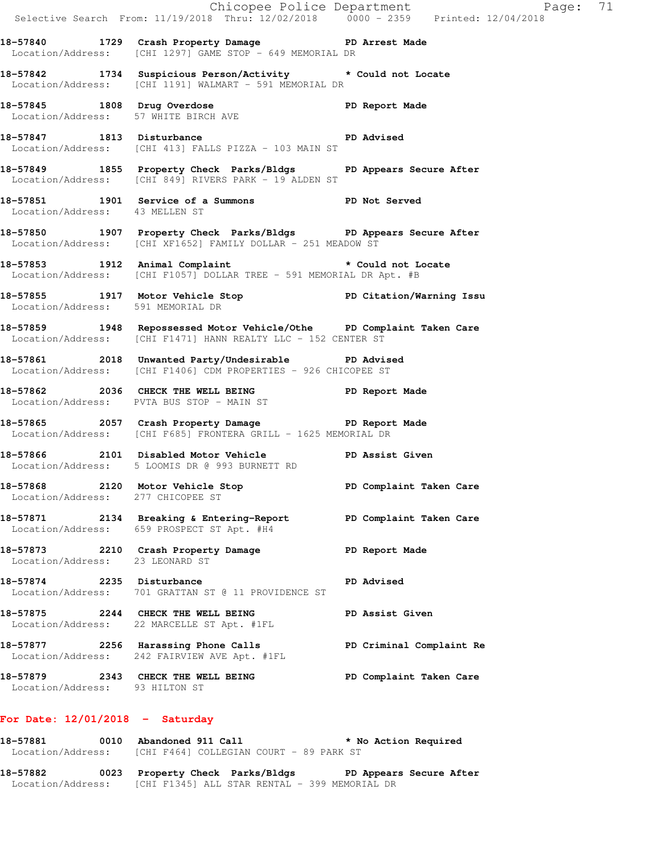|                                   | E Chicopee Police Department<br>Selective Search From: 11/19/2018 Thru: 12/02/2018 0000 - 2359 Printed: 12/04/2018                      | Page: 71                 |
|-----------------------------------|-----------------------------------------------------------------------------------------------------------------------------------------|--------------------------|
|                                   | 18-57840 1729 Crash Property Damage PD Arrest Made<br>Location/Address: [CHI 1297] GAME STOP - 649 MEMORIAL DR                          |                          |
|                                   | 18-57842 1734 Suspicious Person/Activity * Could not Locate<br>Location/Address: [CHI 1191] WALMART - 591 MEMORIAL DR                   |                          |
|                                   | 18-57845 1808 Drug Overdose 1808 Drug Overdose 1988 PD Report Made Location/Address: 57 WHITE BIRCH AVE                                 |                          |
|                                   | 18-57847 1813 Disturbance 2008 PD Advised<br>Location/Address: [CHI 413] FALLS PIZZA - 103 MAIN ST                                      |                          |
|                                   | 18-57849 1855 Property Check Parks/Bldgs PD Appears Secure After<br>Location/Address: [CHI 849] RIVERS PARK - 19 ALDEN ST               |                          |
| Location/Address: 43 MELLEN ST    | 18-57851 1901 Service of a Summons PD Not Served                                                                                        |                          |
|                                   | 18-57850 1907 Property Check Parks/Bldgs PD Appears Secure After<br>Location/Address: [CHI XF1652] FAMILY DOLLAR - 251 MEADOW ST        |                          |
|                                   | 18-57853 1912 Animal Complaint * Could not Locate<br>Location/Address: [CHI F1057] DOLLAR TREE - 591 MEMORIAL DR Apt. #B                |                          |
| Location/Address: 591 MEMORIAL DR | 18-57855 1917 Motor Vehicle Stop More PD Citation/Warning Issu Nocation/Address: 591 MEMORIAL DR                                        |                          |
|                                   | 18-57859 1948 Repossessed Motor Vehicle/Othe PD Complaint Taken Care<br>  Location/Address: [CHI F1471] HANN REALTY LLC - 152 CENTER ST |                          |
|                                   | 18-57861 2018 Unwanted Party/Undesirable PD Advised<br>Location/Address: [CHI F1406] CDM PROPERTIES - 926 CHICOPEE ST                   |                          |
|                                   | 18-57862 2036 CHECK THE WELL BEING PD Report Made<br>Location/Address: PVTA BUS STOP - MAIN ST                                          |                          |
|                                   | 18-57865 2057 Crash Property Damage PD Report Made<br>Location/Address: [CHI F685] FRONTERA GRILL - 1625 MEMORIAL DR                    |                          |
|                                   | 18-57866 2101 Disabled Motor Vehicle PD Assist Given<br>Location/Address: 5 LOOMIS DR @ 993 BURNETT RD                                  |                          |
| Location/Address: 277 CHICOPEE ST | 18-57868 2120 Motor Vehicle Stop North PD Complaint Taken Care                                                                          |                          |
|                                   | 18-57871 2134 Breaking & Entering-Report PD Complaint Taken Care<br>Location/Address: 659 PROSPECT ST Apt. #H4                          |                          |
| Location/Address: 23 LEONARD ST   | 18-57873 2210 Crash Property Damage                                                                                                     | PD Report Made           |
|                                   | 18-57874 2235 Disturbance<br>Location/Address: 701 GRATTAN ST @ 11 PROVIDENCE ST                                                        | <b>PD Advised</b>        |
|                                   | 18-57875 2244 CHECK THE WELL BEING<br>Location/Address: 22 MARCELLE ST Apt. #1FL                                                        | PD Assist Given          |
|                                   | 18-57877 2256 Harassing Phone Calls<br>Location/Address: 242 FAIRVIEW AVE Apt. #1FL                                                     | PD Criminal Complaint Re |
| Location/Address: 93 HILTON ST    | 18-57879 2343 CHECK THE WELL BEING PD Complaint Taken Care                                                                              |                          |
| For Date: $12/01/2018$ - Saturday |                                                                                                                                         |                          |

## **18-57881 0010 Abandoned 911 Call \* No Action Required**  Location/Address: [CHI F464] COLLEGIAN COURT - 89 PARK ST

**18-57882 0023 Property Check Parks/Bldgs PD Appears Secure After**  Location/Address: [CHI F1345] ALL STAR RENTAL - 399 MEMORIAL DR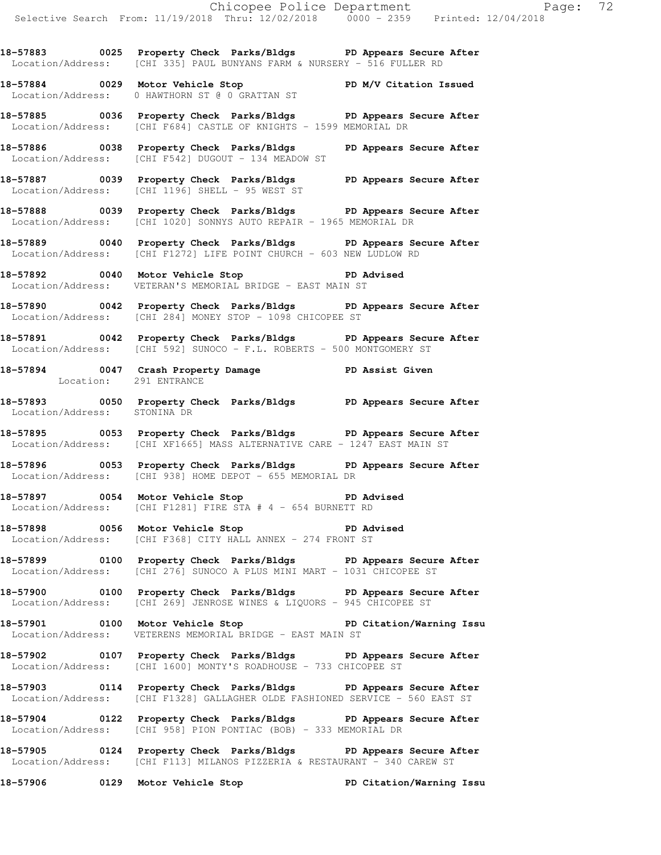**18-57883 0025 Property Check Parks/Bldgs PD Appears Secure After**  Location/Address: [CHI 335] PAUL BUNYANS FARM & NURSERY - 516 FULLER RD

**18-57884 0029 Motor Vehicle Stop PD M/V Citation Issued**  Location/Address: 0 HAWTHORN ST @ 0 GRATTAN ST

**18-57885 0036 Property Check Parks/Bldgs PD Appears Secure After**  Location/Address: [CHI F684] CASTLE OF KNIGHTS - 1599 MEMORIAL DR

**18-57886 0038 Property Check Parks/Bldgs PD Appears Secure After**  Location/Address: [CHI F542] DUGOUT - 134 MEADOW ST

**18-57887 0039 Property Check Parks/Bldgs PD Appears Secure After**  Location/Address: [CHI 1196] SHELL - 95 WEST ST

**18-57888 0039 Property Check Parks/Bldgs PD Appears Secure After**  Location/Address: [CHI 1020] SONNYS AUTO REPAIR - 1965 MEMORIAL DR

**18-57889 0040 Property Check Parks/Bldgs PD Appears Secure After**  Location/Address: [CHI F1272] LIFE POINT CHURCH - 603 NEW LUDLOW RD

**18-57892 0040 Motor Vehicle Stop PD Advised**  Location/Address: VETERAN'S MEMORIAL BRIDGE - EAST MAIN ST

**18-57890 0042 Property Check Parks/Bldgs PD Appears Secure After**  Location/Address: [CHI 284] MONEY STOP - 1098 CHICOPEE ST

**18-57891 0042 Property Check Parks/Bldgs PD Appears Secure After**  Location/Address: [CHI 592] SUNOCO - F.L. ROBERTS - 500 MONTGOMERY ST

**18-57894 0047 Crash Property Damage PD Assist Given**  Location: 291 ENTRANCE

**18-57893 0050 Property Check Parks/Bldgs PD Appears Secure After**  Location/Address: STONINA DR

**18-57895 0053 Property Check Parks/Bldgs PD Appears Secure After**  Location/Address: [CHI XF1665] MASS ALTERNATIVE CARE - 1247 EAST MAIN ST

**18-57896 0053 Property Check Parks/Bldgs PD Appears Secure After**  Location/Address: [CHI 938] HOME DEPOT - 655 MEMORIAL DR

18-57897 **0054** Motor Vehicle Stop **PD** Advised Location/Address: [CHI F1281] FIRE STA # 4 - 654 BURNETT RD

**18-57898 0056 Motor Vehicle Stop PD Advised**  Location/Address: [CHI F368] CITY HALL ANNEX - 274 FRONT ST

**18-57899 0100 Property Check Parks/Bldgs PD Appears Secure After**  Location/Address: [CHI 276] SUNOCO A PLUS MINI MART - 1031 CHICOPEE ST

**18-57900 0100 Property Check Parks/Bldgs PD Appears Secure After**  Location/Address: [CHI 269] JENROSE WINES & LIQUORS - 945 CHICOPEE ST

**18-57901 0100 Motor Vehicle Stop PD Citation/Warning Issu**  Location/Address: VETERENS MEMORIAL BRIDGE - EAST MAIN ST

**18-57902 0107 Property Check Parks/Bldgs PD Appears Secure After**  Location/Address: [CHI 1600] MONTY'S ROADHOUSE - 733 CHICOPEE ST

**18-57903 0114 Property Check Parks/Bldgs PD Appears Secure After**  Location/Address: [CHI F1328] GALLAGHER OLDE FASHIONED SERVICE - 560 EAST ST

**18-57904 0122 Property Check Parks/Bldgs PD Appears Secure After**  Location/Address: [CHI 958] PION PONTIAC (BOB) - 333 MEMORIAL DR

**18-57905 0124 Property Check Parks/Bldgs PD Appears Secure After**  Location/Address: [CHI F113] MILANOS PIZZERIA & RESTAURANT - 340 CAREW ST

**18-57906 0129 Motor Vehicle Stop PD Citation/Warning Issu**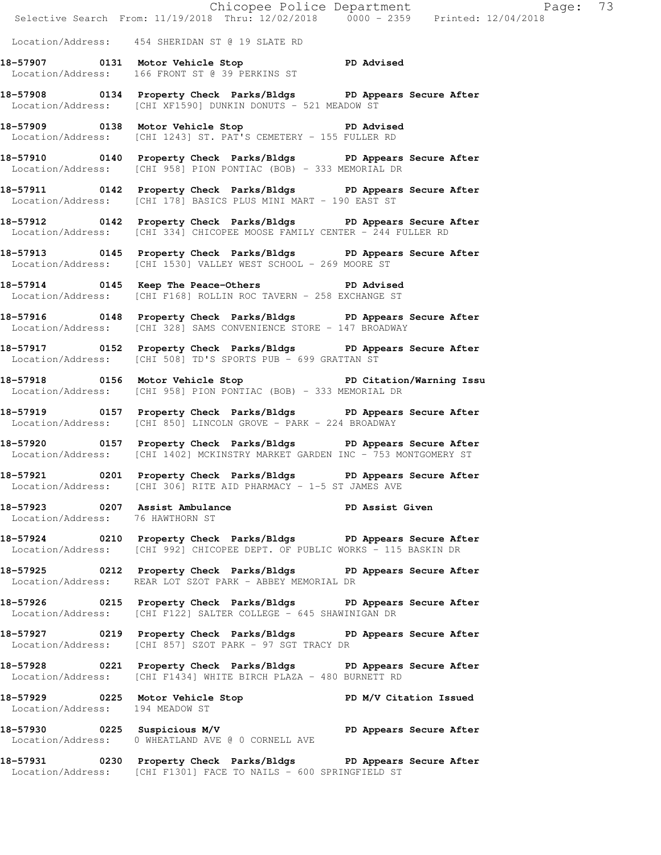|                                 |                                                                                                                                                  | Chicopee Police Department<br>Selective Search From: 11/19/2018 Thru: 12/02/2018 0000 - 2359 Printed: 12/04/2018 |
|---------------------------------|--------------------------------------------------------------------------------------------------------------------------------------------------|------------------------------------------------------------------------------------------------------------------|
|                                 | Location/Address: 454 SHERIDAN ST @ 19 SLATE RD                                                                                                  |                                                                                                                  |
|                                 | 18-57907 0131 Motor Vehicle Stop PD Advised<br>Location/Address: 166 FRONT ST @ 39 PERKINS ST                                                    |                                                                                                                  |
|                                 | 18-57908 0134 Property Check Parks/Bldgs PD Appears Secure After<br>Location/Address: [CHI XF1590] DUNKIN DONUTS - 521 MEADOW ST                 |                                                                                                                  |
|                                 | 18-57909 0138 Motor Vehicle Stop PD Advised<br>Location/Address: [CHI 1243] ST. PAT'S CEMETERY - 155 FULLER RD                                   |                                                                                                                  |
|                                 | 18-57910 0140 Property Check Parks/Bldgs PD Appears Secure After<br>Location/Address: [CHI 958] PION PONTIAC (BOB) - 333 MEMORIAL DR             |                                                                                                                  |
|                                 | 18-57911 0142 Property Check Parks/Bldgs PD Appears Secure After<br>Location/Address: [CHI 178] BASICS PLUS MINI MART - 190 EAST ST              |                                                                                                                  |
|                                 | 18-57912 0142 Property Check Parks/Bldgs PD Appears Secure After<br>Location/Address: [CHI 334] CHICOPEE MOOSE FAMILY CENTER - 244 FULLER RD     |                                                                                                                  |
|                                 | 18-57913 0145 Property Check Parks/Bldgs PD Appears Secure After<br>Location/Address: [CHI 1530] VALLEY WEST SCHOOL - 269 MOORE ST               |                                                                                                                  |
|                                 | 18-57914 0145 Keep The Peace-Others PD Advised<br>Location/Address: [CHI F168] ROLLIN ROC TAVERN - 258 EXCHANGE ST                               |                                                                                                                  |
|                                 | 18-57916 0148 Property Check Parks/Bldgs PD Appears Secure After<br>Location/Address: [CHI 328] SAMS CONVENIENCE STORE - 147 BROADWAY            |                                                                                                                  |
|                                 | 18-57917 0152 Property Check Parks/Bldgs PD Appears Secure After<br>Location/Address: [CHI 508] TD'S SPORTS PUB - 699 GRATTAN ST                 |                                                                                                                  |
|                                 | 18-57918 0156 Motor Vehicle Stop North PD Citation/Warning Issu<br>Location/Address: [CHI 958] PION PONTIAC (BOB) - 333 MEMORIAL DR              |                                                                                                                  |
|                                 | 18-57919 0157 Property Check Parks/Bldgs PD Appears Secure After<br>Location/Address: [CHI 850] LINCOLN GROVE - PARK - 224 BROADWAY              |                                                                                                                  |
|                                 | 18-57920 0157 Property Check Parks/Bldgs PD Appears Secure After<br>Location/Address: [CHI 1402] MCKINSTRY MARKET GARDEN INC - 753 MONTGOMERY ST |                                                                                                                  |
|                                 | 18-57921 0201 Property Check Parks/Bldgs PD Appears Secure After<br>Location/Address: [CHI 306] RITE AID PHARMACY - 1-5 ST JAMES AVE             |                                                                                                                  |
|                                 | 18-57923 0207 Assist Ambulance PD Assist Given<br>Location/Address: 76 HAWTHORN ST                                                               |                                                                                                                  |
|                                 | 18-57924 0210 Property Check Parks/Bldgs PD Appears Secure After<br>Location/Address: [CHI 992] CHICOPEE DEPT. OF PUBLIC WORKS - 115 BASKIN DR   |                                                                                                                  |
|                                 | 18-57925 0212 Property Check Parks/Bldgs PD Appears Secure After<br>Location/Address: REAR LOT SZOT PARK - ABBEY MEMORIAL DR                     |                                                                                                                  |
|                                 | 18-57926 0215 Property Check Parks/Bldgs PD Appears Secure After<br>Location/Address: [CHI F122] SALTER COLLEGE - 645 SHAWINIGAN DR              |                                                                                                                  |
|                                 | 18-57927 0219 Property Check Parks/Bldgs PD Appears Secure After<br>Location/Address: [CHI 857] SZOT PARK - 97 SGT TRACY DR                      |                                                                                                                  |
|                                 | 18-57928 0221 Property Check Parks/Bldgs PD Appears Secure After<br>Location/Address: [CHI F1434] WHITE BIRCH PLAZA - 480 BURNETT RD             |                                                                                                                  |
| Location/Address: 194 MEADOW ST | 18-57929 0225 Motor Vehicle Stop N/V Citation Issued                                                                                             |                                                                                                                  |
|                                 | 18-57930 0225 Suspicious M/V PD Appears Secure After<br>Location/Address: 0 WHEATLAND AVE @ 0 CORNELL AVE                                        |                                                                                                                  |
|                                 | 18-57931 0230 Property Check Parks/Bldgs PD Appears Secure After<br>Location/Address: [CHI F1301] FACE TO NAILS - 600 SPRINGFIELD ST             |                                                                                                                  |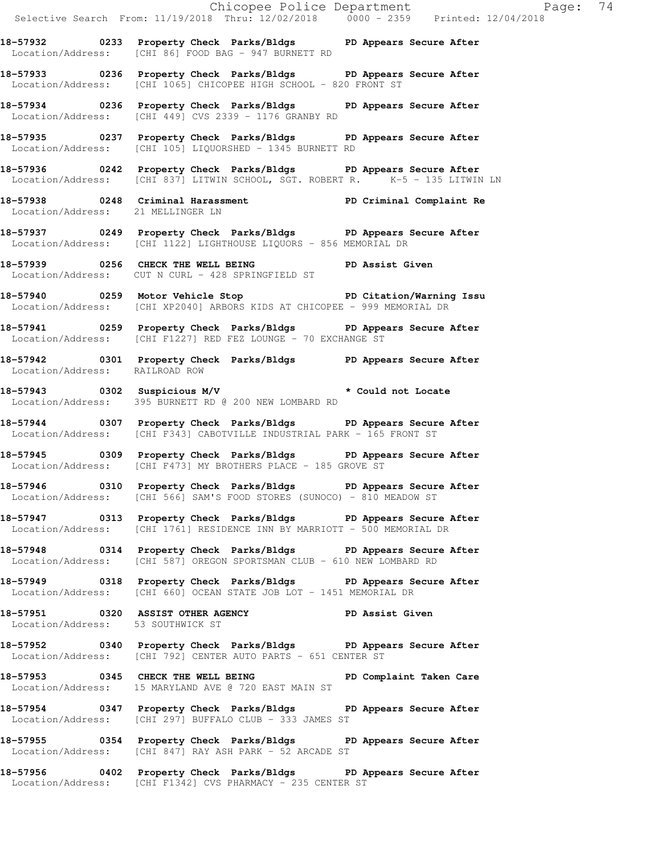Selective Search From: 11/19/2018 Thru: 12/02/2018 0000 - 2359 Printed: 12/04/2018 **18-57932 0233 Property Check Parks/Bldgs PD Appears Secure After**  Location/Address: [CHI 86] FOOD BAG - 947 BURNETT RD **18-57933 0236 Property Check Parks/Bldgs PD Appears Secure After**  Location/Address: [CHI 1065] CHICOPEE HIGH SCHOOL - 820 FRONT ST **18-57934 0236 Property Check Parks/Bldgs PD Appears Secure After**  Location/Address: [CHI 449] CVS 2339 - 1176 GRANBY RD **18-57935 0237 Property Check Parks/Bldgs PD Appears Secure After**  Location/Address: [CHI 105] LIQUORSHED - 1345 BURNETT RD **18-57936 0242 Property Check Parks/Bldgs PD Appears Secure After**  Location/Address: [CHI 837] LITWIN SCHOOL, SGT. ROBERT R. <sup>7</sup> K-5 - 135 LITWIN LN **18-57938 0248 Criminal Harassment PD Criminal Complaint Re**  Location/Address: 21 MELLINGER LN **18-57937 0249 Property Check Parks/Bldgs PD Appears Secure After**  Location/Address: [CHI 1122] LIGHTHOUSE LIQUORS - 856 MEMORIAL DR 18-57939 **0256** CHECK THE WELL BEING **PD** Assist Given Location/Address: CUT N CURL - 428 SPRINGFIELD ST **18-57940 0259 Motor Vehicle Stop PD Citation/Warning Issu**  Location/Address: [CHI XP2040] ARBORS KIDS AT CHICOPEE - 999 MEMORIAL DR **18-57941 0259 Property Check Parks/Bldgs PD Appears Secure After**  Location/Address: [CHI F1227] RED FEZ LOUNGE - 70 EXCHANGE ST **18-57942 0301 Property Check Parks/Bldgs PD Appears Secure After**  Location/Address: RAILROAD ROW **18-57943 0302 Suspicious M/V \* Could not Locate**  Location/Address: 395 BURNETT RD @ 200 NEW LOMBARD RD **18-57944 0307 Property Check Parks/Bldgs PD Appears Secure After**  Location/Address: [CHI F343] CABOTVILLE INDUSTRIAL PARK - 165 FRONT ST **18-57945 0309 Property Check Parks/Bldgs PD Appears Secure After**  Location/Address: [CHI F473] MY BROTHERS PLACE - 185 GROVE ST **18-57946 0310 Property Check Parks/Bldgs PD Appears Secure After**  Location/Address: [CHI 566] SAM'S FOOD STORES (SUNOCO) - 810 MEADOW ST **18-57947 0313 Property Check Parks/Bldgs PD Appears Secure After**  Location/Address: [CHI 1761] RESIDENCE INN BY MARRIOTT - 500 MEMORIAL DR **18-57948 0314 Property Check Parks/Bldgs PD Appears Secure After**  Location/Address: [CHI 587] OREGON SPORTSMAN CLUB - 610 NEW LOMBARD RD **18-57949 0318 Property Check Parks/Bldgs PD Appears Secure After**  Location/Address: [CHI 660] OCEAN STATE JOB LOT - 1451 MEMORIAL DR **18-57951 0320 ASSIST OTHER AGENCY PD Assist Given**  Location/Address: 53 SOUTHWICK ST **18-57952 0340 Property Check Parks/Bldgs PD Appears Secure After**  Location/Address: [CHI 792] CENTER AUTO PARTS - 651 CENTER ST **18-57953 0345 CHECK THE WELL BEING PD Complaint Taken Care**  Location/Address: 15 MARYLAND AVE @ 720 EAST MAIN ST **18-57954 0347 Property Check Parks/Bldgs PD Appears Secure After**  Location/Address: [CHI 297] BUFFALO CLUB - 333 JAMES ST **18-57955 0354 Property Check Parks/Bldgs PD Appears Secure After**  Location/Address: [CHI 847] RAY ASH PARK - 52 ARCADE ST **18-57956 0402 Property Check Parks/Bldgs PD Appears Secure After**  Location/Address: [CHI F1342] CVS PHARMACY - 235 CENTER ST

Chicopee Police Department Fage: 74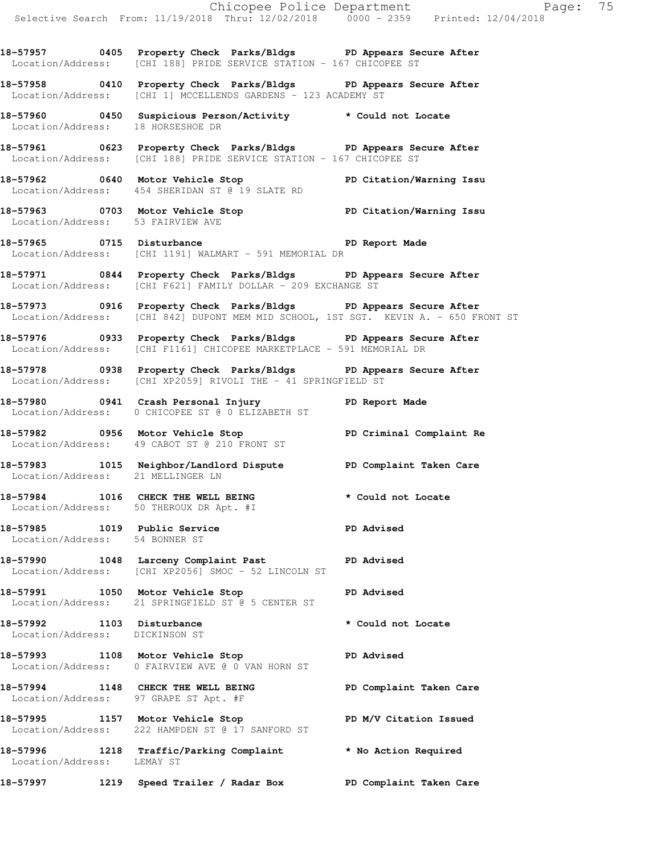**18-57957 0405 Property Check Parks/Bldgs PD Appears Secure After**  Location/Address: [CHI 188] PRIDE SERVICE STATION - 167 CHICOPEE ST

**18-57958 0410 Property Check Parks/Bldgs PD Appears Secure After**  Location/Address: [CHI 1] MCCELLENDS GARDENS - 123 ACADEMY ST

**18-57960 0450 Suspicious Person/Activity \* Could not Locate**  Location/Address: 18 HORSESHOE DR

**18-57961 0623 Property Check Parks/Bldgs PD Appears Secure After**  Location/Address: [CHI 188] PRIDE SERVICE STATION - 167 CHICOPEE ST

**18-57962 0640 Motor Vehicle Stop PD Citation/Warning Issu**  Location/Address: 454 SHERIDAN ST @ 19 SLATE RD

**18-57963 0703 Motor Vehicle Stop PD Citation/Warning Issu**  Location/Address: 53 FAIRVIEW AVE

**18-57965 0715 Disturbance PD Report Made**  Location/Address: [CHI 1191] WALMART - 591 MEMORIAL DR

**18-57971 0844 Property Check Parks/Bldgs PD Appears Secure After**  Location/Address: [CHI F621] FAMILY DOLLAR - 209 EXCHANGE ST

**18-57973 0916 Property Check Parks/Bldgs PD Appears Secure After**  Location/Address: [CHI 842] DUPONT MEM MID SCHOOL, 1ST SGT. KEVIN A. - 650 FRONT ST

**18-57976 0933 Property Check Parks/Bldgs PD Appears Secure After**  Location/Address: [CHI F1161] CHICOPEE MARKETPLACE - 591 MEMORIAL DR

**18-57978 0938 Property Check Parks/Bldgs PD Appears Secure After**  Location/Address: [CHI XP2059] RIVOLI THE - 41 SPRINGFIELD ST

**18-57980 0941 Crash Personal Injury PD Report Made**  Location/Address: 0 CHICOPEE ST @ 0 ELIZABETH ST

**18-57982 0956 Motor Vehicle Stop PD Criminal Complaint Re**  Location/Address: 49 CABOT ST @ 210 FRONT ST

**18-57983 1015 Neighbor/Landlord Dispute PD Complaint Taken Care**  Location/Address: 21 MELLINGER LN

**18-57984 1016 CHECK THE WELL BEING \* Could not Locate**  Location/Address: 50 THEROUX DR Apt. #I

**18-57985 1019 Public Service PD Advised**  Location/Address: 54 BONNER ST

18-57990 1048 Larceny Complaint Past **PD** Advised Location/Address: [CHI XP2056] SMOC - 52 LINCOLN ST

**18-57991 1050 Motor Vehicle Stop PD Advised**  Location/Address: 21 SPRINGFIELD ST @ 5 CENTER ST

**18-57992 1103 Disturbance \* Could not Locate**  Location/Address: DICKINSON ST

**18-57993 1108 Motor Vehicle Stop PD Advised**  Location/Address: 0 FAIRVIEW AVE @ 0 VAN HORN ST

**18-57994 1148 CHECK THE WELL BEING PD Complaint Taken Care**  Location/Address: 97 GRAPE ST Apt. #F

**18-57995 1157 Motor Vehicle Stop PD M/V Citation Issued**  Location/Address: 222 HAMPDEN ST @ 17 SANFORD ST

Location/Address: LEMAY ST

**18-57996 1218 Traffic/Parking Complaint \* No Action Required** 

**18-57997 1219 Speed Trailer / Radar Box PD Complaint Taken Care**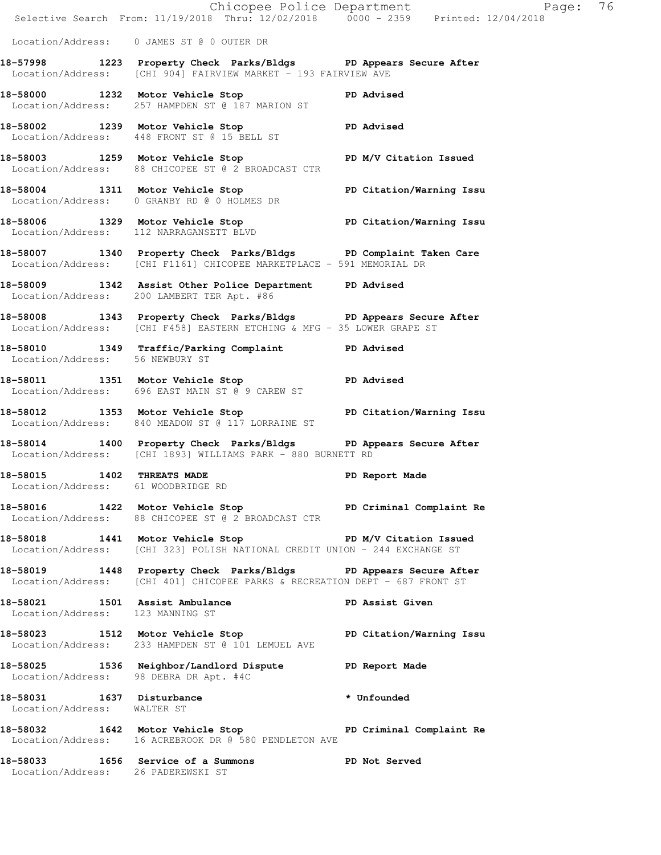|                                                          | 18-58033 1656 Service of a Summons PD Not Served<br>Location/Address: 26 PADEREWSKI ST                                                          |                |
|----------------------------------------------------------|-------------------------------------------------------------------------------------------------------------------------------------------------|----------------|
|                                                          | 18-58032 1642 Motor Vehicle Stop North PD Criminal Complaint Re<br>Location/Address: 16 ACREBROOK DR @ 580 PENDLETON AVE                        |                |
| 18-58031 1637 Disturbance<br>Location/Address: WALTER ST |                                                                                                                                                 | * Unfounded    |
|                                                          | 18-58025 1536 Neighbor/Landlord Dispute PD Report Made<br>Location/Address: 98 DEBRA DR Apt. #4C                                                |                |
|                                                          | 18-58023 1512 Motor Vehicle Stop PD Citation/Warning Issu<br>Location/Address: 233 HAMPDEN ST @ 101 LEMUEL AVE                                  |                |
| Location/Address: 123 MANNING ST                         | 18-58021 1501 Assist Ambulance 18-58021 PD Assist Given                                                                                         |                |
|                                                          | 18-58019 1448 Property Check Parks/Bldgs PD Appears Secure After<br>Location/Address: [CHI 401] CHICOPEE PARKS & RECREATION DEPT - 687 FRONT ST |                |
|                                                          | 18-58018 1441 Motor Vehicle Stop PD M/V Citation Issued<br>Location/Address: [CHI 323] POLISH NATIONAL CREDIT UNION - 244 EXCHANGE ST           |                |
|                                                          | 18-58016 1422 Motor Vehicle Stop North PD Criminal Complaint Re<br>Location/Address: 88 CHICOPEE ST @ 2 BROADCAST CTR                           |                |
| 18-58015 1402 THREATS MADE                               | Location/Address: 61 WOODBRIDGE RD                                                                                                              | PD Report Made |
|                                                          | 18-58014 1400 Property Check Parks/Bldgs PD Appears Secure After Location/Address: [CHI 1893] WILLIAMS PARK - 880 BURNETT RD                    |                |
|                                                          | 18-58012 1353 Motor Vehicle Stop North PD Citation/Warning Issu<br>Location/Address: 840 MEADOW ST @ 117 LORRAINE ST                            |                |
|                                                          | 18-58011 1351 Motor Vehicle Stop PD Advised<br>Location/Address: 696 EAST MAIN ST @ 9 CAREW ST                                                  |                |
| Location/Address: 56 NEWBURY ST                          | 18-58010 1349 Traffic/Parking Complaint PD Advised                                                                                              |                |
|                                                          | 18-58008 1343 Property Check Parks/Bldgs PD Appears Secure After<br>  Location/Address: [CHI F458] EASTERN ETCHING & MFG - 35 LOWER GRAPE ST    |                |
|                                                          | 18-58009 1342 Assist Other Police Department PD Advised<br>Location/Address: 200 LAMBERT TER Apt. #86                                           |                |
|                                                          | 18-58007 1340 Property Check Parks/Bldgs PD Complaint Taken Care<br>Location/Address: [CHI F1161] CHICOPEE MARKETPLACE - 591 MEMORIAL DR        |                |
|                                                          | 18-58006 1329 Motor Vehicle Stop PD Citation/Warning Issu<br>Location/Address: 112 NARRAGANSETT BLVD                                            |                |
|                                                          | 18-58004 1311 Motor Vehicle Stop PD Citation/Warning Issu<br>Location/Address: 0 GRANBY RD @ 0 HOLMES DR                                        |                |
|                                                          | 18-58003 1259 Motor Vehicle Stop PD M/V Citation Issued<br>Location/Address: 88 CHICOPEE ST @ 2 BROADCAST CTR                                   |                |
|                                                          | 18-58002 1239 Motor Vehicle Stop PD Advised<br>Location/Address: 448 FRONT ST @ 15 BELL ST                                                      |                |
|                                                          | 18-58000 1232 Motor Vehicle Stop North PD Advised<br>Location/Address: 257 HAMPDEN ST @ 187 MARION ST                                           |                |
|                                                          | 18-57998 1223 Property Check Parks/Bldgs PD Appears Secure After<br>Location/Address: [CHI 904] FAIRVIEW MARKET - 193 FAIRVIEW AVE              |                |
|                                                          | Location/Address: 0 JAMES ST @ 0 OUTER DR                                                                                                       |                |

Chicopee Police Department Fage: 76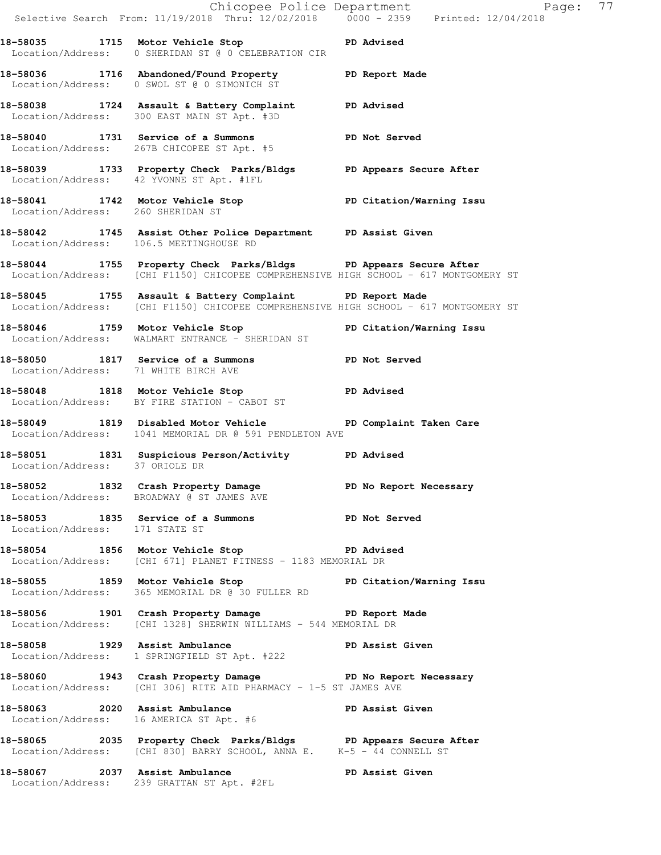|                                   |                                                                                                                                                          | E Chicopee Police Department<br>Selective Search From: 11/19/2018 Thru: 12/02/2018 0000 - 2359 Printed: 12/04/2018<br>Page: 77 |  |
|-----------------------------------|----------------------------------------------------------------------------------------------------------------------------------------------------------|--------------------------------------------------------------------------------------------------------------------------------|--|
|                                   | 18-58035 1715 Motor Vehicle Stop North PD Advised<br>Location/Address: 0 SHERIDAN ST @ 0 CELEBRATION CIR                                                 |                                                                                                                                |  |
|                                   | 18-58036 1716 Abandoned/Found Property PD Report Made<br>Location/Address: 0 SWOL ST @ 0 SIMONICH ST                                                     |                                                                                                                                |  |
|                                   | 18-58038 1724 Assault & Battery Complaint PD Advised<br>Location/Address: 300 EAST MAIN ST Apt. #3D                                                      |                                                                                                                                |  |
|                                   | 18-58040 1731 Service of a Summons PD Not Served<br>Location/Address: 267B CHICOPEE ST Apt. #5                                                           |                                                                                                                                |  |
|                                   | 18-58039 1733 Property Check Parks/Bldgs PD Appears Secure After<br>Location/Address: 42 YVONNE ST Apt. #1FL                                             |                                                                                                                                |  |
| Location/Address: 260 SHERIDAN ST | 18-58041 1742 Motor Vehicle Stop North PD Citation/Warning Issu                                                                                          |                                                                                                                                |  |
|                                   | 18-58042 1745 Assist Other Police Department PD Assist Given<br>Location/Address: 106.5 MEETINGHOUSE RD                                                  |                                                                                                                                |  |
|                                   | 18-58044 1755 Property Check Parks/Bldgs PD Appears Secure After<br>Location/Address: [CHI F1150] CHICOPEE COMPREHENSIVE HIGH SCHOOL - 617 MONTGOMERY ST |                                                                                                                                |  |
|                                   | 18-58045 1755 Assault & Battery Complaint PD Report Made<br>Location/Address: [CHI F1150] CHICOPEE COMPREHENSIVE HIGH SCHOOL - 617 MONTGOMERY ST         |                                                                                                                                |  |
|                                   | 18-58046 1759 Motor Vehicle Stop Noter PD Citation/Warning Issu<br>Location/Address: WALMART ENTRANCE - SHERIDAN ST                                      |                                                                                                                                |  |
|                                   | 18-58050 1817 Service of a Summons PD Not Served<br>Location/Address: 71 WHITE BIRCH AVE                                                                 |                                                                                                                                |  |
|                                   | 18-58048 1818 Motor Vehicle Stop North PD Advised<br>Location/Address: BY FIRE STATION - CABOT ST                                                        |                                                                                                                                |  |
|                                   | 18-58049 1819 Disabled Motor Vehicle North PD Complaint Taken Care<br>Location/Address: 1041 MEMORIAL DR @ 591 PENDLETON AVE                             |                                                                                                                                |  |
|                                   | 18-58051 1831 Suspicious Person/Activity PD Advised<br>Location/Address: 37 ORIOLE DR                                                                    |                                                                                                                                |  |
|                                   | 18-58052 1832 Crash Property Damage New PD No Report Necessary<br>Location/Address: BROADWAY @ ST JAMES AVE                                              |                                                                                                                                |  |
| Location/Address: 171 STATE ST    | 18-58053 1835 Service of a Summons TD Not Served                                                                                                         |                                                                                                                                |  |
|                                   | 18-58054 1856 Motor Vehicle Stop North PD Advised<br>Location/Address: [CHI 671] PLANET FITNESS - 1183 MEMORIAL DR                                       |                                                                                                                                |  |
|                                   | 18-58055 1859 Motor Vehicle Stop Noter PD Citation/Warning Issu<br>Location/Address: 365 MEMORIAL DR @ 30 FULLER RD                                      |                                                                                                                                |  |
|                                   | 18-58056 1901 Crash Property Damage The PD Report Made<br>Location/Address: [CHI 1328] SHERWIN WILLIAMS - 544 MEMORIAL DR                                |                                                                                                                                |  |
|                                   | 18-58058 1929 Assist Ambulance New PD Assist Given<br>Location/Address: 1 SPRINGFIELD ST Apt. #222                                                       |                                                                                                                                |  |
|                                   | 18-58060 1943 Crash Property Damage No Report Necessary<br>Location/Address: [CHI 306] RITE AID PHARMACY - 1-5 ST JAMES AVE                              |                                                                                                                                |  |
|                                   | 18-58063 2020 Assist Ambulance New PD Assist Given<br>Location/Address: 16 AMERICA ST Apt. #6                                                            |                                                                                                                                |  |
|                                   | 18-58065 2035 Property Check Parks/Bldgs PD Appears Secure After<br>Location/Address: [CHI 830] BARRY SCHOOL, ANNA E. K-5 - 44 CONNELL ST                |                                                                                                                                |  |
|                                   | 18-58067 2037 Assist Ambulance (1998) PD Assist Given<br>Location/Address: 239 GRATTAN ST Apt. #2FL                                                      |                                                                                                                                |  |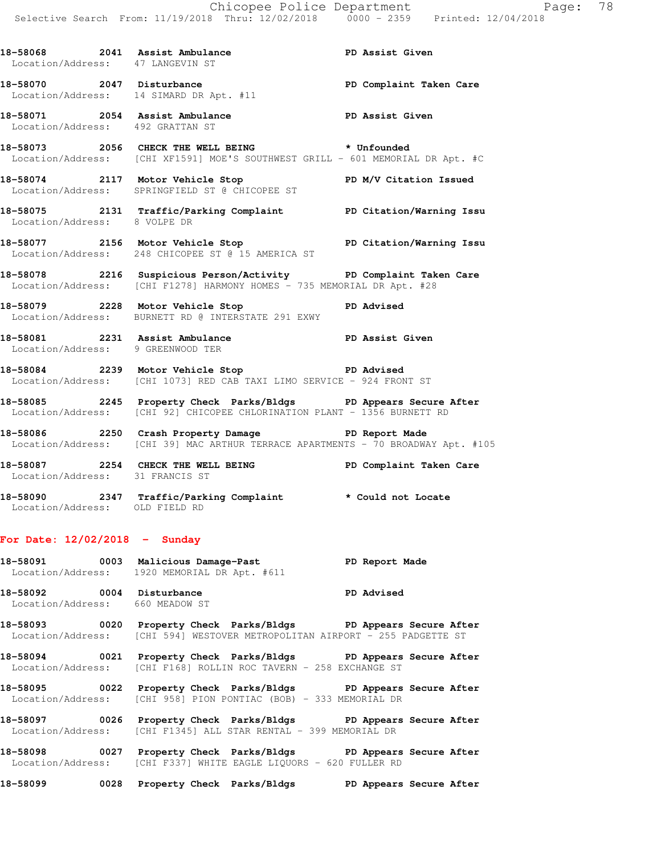18-58068 2041 Assist Ambulance **PD Assist Given**  Location/Address: 47 LANGEVIN ST **18-58070 2047 Disturbance PD Complaint Taken Care**  Location/Address: 14 SIMARD DR Apt. #11 **18-58071 2054 Assist Ambulance PD Assist Given**  Location/Address: 492 GRATTAN ST **18-58073 2056 CHECK THE WELL BEING \* Unfounded**  Location/Address: [CHI XF1591] MOE'S SOUTHWEST GRILL - 601 MEMORIAL DR Apt. #C **18-58074 2117 Motor Vehicle Stop PD M/V Citation Issued**  Location/Address: SPRINGFIELD ST @ CHICOPEE ST **18-58075 2131 Traffic/Parking Complaint PD Citation/Warning Issu**  Location/Address: 8 VOLPE DR **18-58077 2156 Motor Vehicle Stop PD Citation/Warning Issu**  Location/Address: 248 CHICOPEE ST @ 15 AMERICA ST **18-58078 2216 Suspicious Person/Activity PD Complaint Taken Care**  Location/Address: [CHI F1278] HARMONY HOMES - 735 MEMORIAL DR Apt. #28 **18-58079 2228 Motor Vehicle Stop PD Advised**  Location/Address: BURNETT RD @ INTERSTATE 291 EXWY **18-58081 2231 Assist Ambulance PD Assist Given**  Location/Address: 9 GREENWOOD TER **18-58084 2239 Motor Vehicle Stop PD Advised**  Location/Address: [CHI 1073] RED CAB TAXI LIMO SERVICE - 924 FRONT ST **18-58085 2245 Property Check Parks/Bldgs PD Appears Secure After**  Location/Address: [CHI 92] CHICOPEE CHLORINATION PLANT - 1356 BURNETT RD **18-58086 2250 Crash Property Damage PD Report Made**  Location/Address: [CHI 39] MAC ARTHUR TERRACE APARTMENTS - 70 BROADWAY Apt. #105 **18-58087 2254 CHECK THE WELL BEING PD Complaint Taken Care**  Location/Address: 31 FRANCIS ST **18-58090 2347 Traffic/Parking Complaint \* Could not Locate**  Location/Address: OLD FIELD RD

## **For Date: 12/02/2018 - Sunday**

Location/Address: 660 MEADOW ST

| 18-58091                                        | 0003 | Malicious Damage-Past | PD Report Made    |
|-------------------------------------------------|------|-----------------------|-------------------|
| Location/Address:<br>1920 MEMORIAL DR Apt. #611 |      |                       |                   |
| 18-58092                                        |      | 0004 Disturbance      | <b>PD Advised</b> |

**18-58093 0020 Property Check Parks/Bldgs PD Appears Secure After**  Location/Address: [CHI 594] WESTOVER METROPOLITAN AIRPORT - 255 PADGETTE ST

**18-58094 0021 Property Check Parks/Bldgs PD Appears Secure After**  Location/Address: [CHI F168] ROLLIN ROC TAVERN - 258 EXCHANGE ST

**18-58095 0022 Property Check Parks/Bldgs PD Appears Secure After**  Location/Address: [CHI 958] PION PONTIAC (BOB) - 333 MEMORIAL DR

**18-58097 0026 Property Check Parks/Bldgs PD Appears Secure After**  Location/Address: [CHI F1345] ALL STAR RENTAL - 399 MEMORIAL DR

**18-58098 0027 Property Check Parks/Bldgs PD Appears Secure After**  Location/Address: [CHI F337] WHITE EAGLE LIQUORS - 620 FULLER RD

**18-58099 0028 Property Check Parks/Bldgs PD Appears Secure After**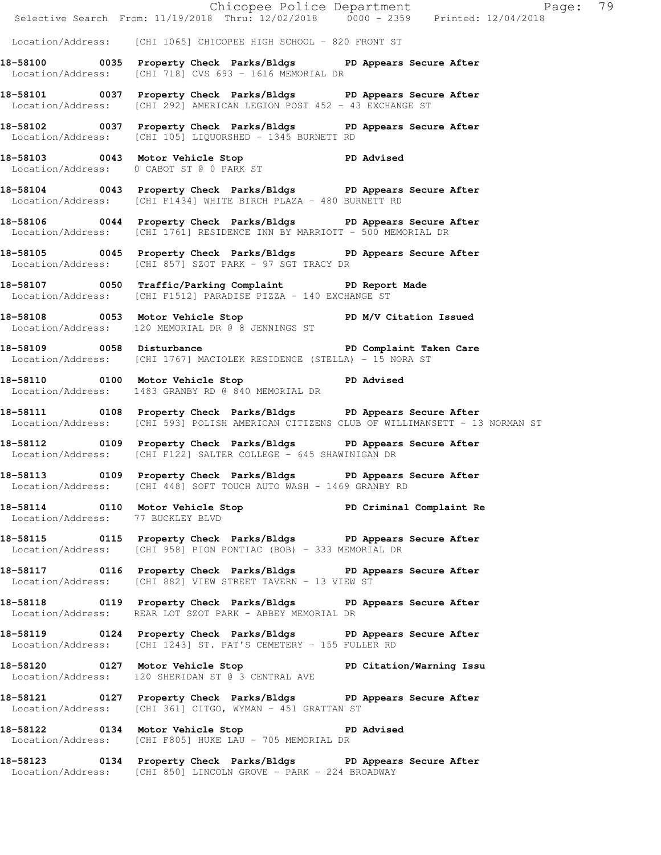|                                   |                                                                                                                                                              | Chicopee Police Department<br>Selective Search From: 11/19/2018 Thru: 12/02/2018 0000 - 2359 Printed: 12/04/2018 |  |
|-----------------------------------|--------------------------------------------------------------------------------------------------------------------------------------------------------------|------------------------------------------------------------------------------------------------------------------|--|
|                                   | Location/Address: [CHI 1065] CHICOPEE HIGH SCHOOL - 820 FRONT ST                                                                                             |                                                                                                                  |  |
|                                   |                                                                                                                                                              |                                                                                                                  |  |
|                                   | 18-58100 0035 Property Check Parks/Bldgs PD Appears Secure After<br>Location/Address: [CHI 718] CVS 693 - 1616 MEMORIAL DR                                   |                                                                                                                  |  |
|                                   | 18-58101 0037 Property Check Parks/Bldgs PD Appears Secure After<br>Location/Address: [CHI 292] AMERICAN LEGION POST 452 - 43 EXCHANGE ST                    |                                                                                                                  |  |
|                                   | 18-58102 0037 Property Check Parks/Bldgs PD Appears Secure After<br>Location/Address: [CHI 105] LIQUORSHED - 1345 BURNETT RD                                 |                                                                                                                  |  |
|                                   | 18-58103 0043 Motor Vehicle Stop 50 PD Advised<br>Location/Address: 0 CABOT ST @ 0 PARK ST                                                                   |                                                                                                                  |  |
|                                   | 18-58104 0043 Property Check Parks/Bldgs PD Appears Secure After<br>Location/Address: [CHI F1434] WHITE BIRCH PLAZA - 480 BURNETT RD                         |                                                                                                                  |  |
|                                   | 18-58106 0044 Property Check Parks/Bldgs PD Appears Secure After<br>Location/Address: [CHI 1761] RESIDENCE INN BY MARRIOTT - 500 MEMORIAL DR                 |                                                                                                                  |  |
|                                   | 18-58105 0045 Property Check Parks/Bldgs PD Appears Secure After<br>Location/Address: [CHI 857] SZOT PARK - 97 SGT TRACY DR                                  |                                                                                                                  |  |
|                                   | 18-58107 0050 Traffic/Parking Complaint PD Report Made<br>Location/Address: [CHI F1512] PARADISE PIZZA - 140 EXCHANGE ST                                     |                                                                                                                  |  |
|                                   | 18-58108 0053 Motor Vehicle Stop N/V Citation Issued<br>Location/Address: 120 MEMORIAL DR @ 8 JENNINGS ST                                                    |                                                                                                                  |  |
|                                   | 18-58109 0058 Disturbance <b>18-58109</b> PD Complaint Taken Care<br>Location/Address: [CHI 1767] MACIOLEK RESIDENCE (STELLA) - 15 NORA ST                   |                                                                                                                  |  |
|                                   | 18-58110 0100 Motor Vehicle Stop PD Advised<br>Location/Address: 1483 GRANBY RD @ 840 MEMORIAL DR                                                            |                                                                                                                  |  |
|                                   | 18-58111 0108 Property Check Parks/Bldgs PD Appears Secure After<br>Location/Address: [CHI 593] POLISH AMERICAN CITIZENS CLUB OF WILLIMANSETT - 13 NORMAN ST |                                                                                                                  |  |
|                                   | 18-58112 0109 Property Check Parks/Bldgs PD Appears Secure After<br>Location/Address: [CHI F122] SALTER COLLEGE - 645 SHAWINIGAN DR                          |                                                                                                                  |  |
|                                   | 18-58113 0109 Property Check Parks/Bldgs PD Appears Secure After<br>Location/Address: [CHI 448] SOFT TOUCH AUTO WASH - 1469 GRANBY RD                        |                                                                                                                  |  |
| Location/Address: 77 BUCKLEY BLVD | 18-58114 0110 Motor Vehicle Stop North PD Criminal Complaint Re                                                                                              |                                                                                                                  |  |
|                                   | 18-58115 0115 Property Check Parks/Bldgs PD Appears Secure After<br>Location/Address: [CHI 958] PION PONTIAC (BOB) - 333 MEMORIAL DR                         |                                                                                                                  |  |
|                                   | 18-58117 0116 Property Check Parks/Bldgs PD Appears Secure After<br>Location/Address: [CHI 882] VIEW STREET TAVERN - 13 VIEW ST                              |                                                                                                                  |  |
|                                   | 18-58118 		 0119 Property Check Parks/Bldgs 		 PD Appears Secure After<br>Location/Address: REAR LOT SZOT PARK - ABBEY MEMORIAL DR                           |                                                                                                                  |  |
|                                   | 18-58119 0124 Property Check Parks/Bldgs PD Appears Secure After<br>Location/Address: [CHI 1243] ST. PAT'S CEMETERY - 155 FULLER RD                          |                                                                                                                  |  |
|                                   | 18-58120 0127 Motor Vehicle Stop PD Citation/Warning Issu<br>Location/Address: 120 SHERIDAN ST @ 3 CENTRAL AVE                                               |                                                                                                                  |  |
|                                   | 18-58121 0127 Property Check Parks/Bldgs PD Appears Secure After<br>Location/Address: [CHI 361] CITGO, WYMAN - 451 GRATTAN ST                                |                                                                                                                  |  |
|                                   | 18-58122 0134 Motor Vehicle Stop 50 PD Advised<br>Location/Address: [CHI F805] HUKE LAU - 705 MEMORIAL DR                                                    |                                                                                                                  |  |
|                                   | 18-58123 0134 Property Check Parks/Bldgs PD Appears Secure After<br>Location/Address: [CHI 850] LINCOLN GROVE - PARK - 224 BROADWAY                          |                                                                                                                  |  |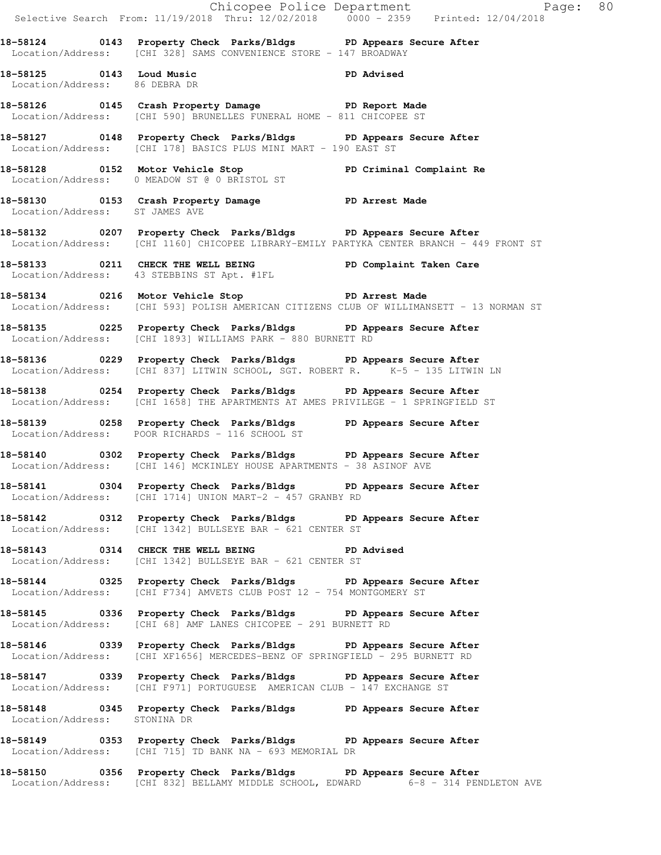|                                                           | Chicopee Police Department<br>Selective Search From: 11/19/2018 Thru: 12/02/2018 0000 - 2359 Printed: 12/04/2018                                             |
|-----------------------------------------------------------|--------------------------------------------------------------------------------------------------------------------------------------------------------------|
|                                                           | 18-58124 0143 Property Check Parks/Bldgs PD Appears Secure After<br>Location/Address: [CHI 328] SAMS CONVENIENCE STORE - 147 BROADWAY                        |
| 18-58125 0143 Loud Music<br>Location/Address: 86 DEBRA DR | PD Advised                                                                                                                                                   |
|                                                           | 18-58126 		 0145 Crash Property Damage 		 PD Report Made<br>Location/Address: [CHI 590] BRUNELLES FUNERAL HOME - 811 CHICOPEE ST                             |
|                                                           | 18-58127 18 0148 Property Check Parks/Bldgs PD Appears Secure After<br>Location/Address: [CHI 178] BASICS PLUS MINI MART - 190 EAST ST                       |
|                                                           | 18-58128   0152   Motor Vehicle Stop   PD Criminal Complaint Re Location/Address:   0 MEADOW ST @ 0 BRISTOL ST                                               |
| Location/Address: ST JAMES AVE                            | 18-58130 0153 Crash Property Damage PD Arrest Made                                                                                                           |
|                                                           | 18-58132 0207 Property Check Parks/Bldgs PD Appears Secure After<br>Location/Address: [CHI 1160] CHICOPEE LIBRARY-EMILY PARTYKA CENTER BRANCH - 449 FRONT ST |
|                                                           | 18-58133 0211 CHECK THE WELL BEING PD Complaint Taken Care<br>Location/Address: 43 STEBBINS ST Apt. #1FL                                                     |
|                                                           | 18-58134 0216 Motor Vehicle Stop 5 PD Arrest Made<br>Location/Address: [CHI 593] POLISH AMERICAN CITIZENS CLUB OF WILLIMANSETT - 13 NORMAN ST                |
|                                                           | 18-58135 0225 Property Check Parks/Bldgs PD Appears Secure After<br>Location/Address: [CHI 1893] WILLIAMS PARK - 880 BURNETT RD                              |
|                                                           | 18-58136 		 0229 Property Check Parks/Bldgs 		 PD Appears Secure After<br>Location/Address: [CHI 837] LITWIN SCHOOL, SGT. ROBERT R. K-5 - 135 LITWIN LN      |
|                                                           | 18-58138 		 0254 Property Check Parks/Bldgs 		 PD Appears Secure After<br>  Location/Address: [CHI 1658] THE APARTMENTS AT AMES PRIVILEGE - 1 SPRINGFIELD ST |
|                                                           | 18-58139 18-58139 0258 Property Check Parks/Bldgs 19 PD Appears Secure After<br>Location/Address: POOR RICHARDS - 116 SCHOOL ST                              |
|                                                           | 18-58140 0302 Property Check Parks/Bldgs PD Appears Secure After<br>Location/Address: [CHI 146] MCKINLEY HOUSE APARTMENTS - 38 ASINOF AVE                    |
|                                                           | 18-58141 0304 Property Check Parks/Bldgs PD Appears Secure After<br>Location/Address: [CHI 1714] UNION MART-2 - 457 GRANBY RD                                |
|                                                           | 18-58142 0312 Property Check Parks/Bldgs PD Appears Secure After<br>Location/Address: [CHI 1342] BULLSEYE BAR - 621 CENTER ST                                |
|                                                           | 18-58143 0314 CHECK THE WELL BEING PD Advised<br>Location/Address: [CHI 1342] BULLSEYE BAR - 621 CENTER ST                                                   |
|                                                           | 18-58144 0325 Property Check Parks/Bldgs PD Appears Secure After<br>Location/Address: [CHI F734] AMVETS CLUB POST 12 - 754 MONTGOMERY ST                     |
|                                                           | 18-58145 0336 Property Check Parks/Bldgs PD Appears Secure After<br>Location/Address: [CHI 68] AMF LANES CHICOPEE - 291 BURNETT RD                           |
|                                                           | 18-58146 		 0339 Property Check Parks/Bldgs 		 PD Appears Secure After<br>Location/Address: [CHI XF1656] MERCEDES-BENZ OF SPRINGFIELD - 295 BURNETT RD       |
|                                                           | 18-58147 0339 Property Check Parks/Bldgs PD Appears Secure After<br>Location/Address: [CHI F971] PORTUGUESE AMERICAN CLUB - 147 EXCHANGE ST                  |
| Location/Address: STONINA DR                              | 18-58148 		 0345 Property Check Parks/Bldgs 		 PD Appears Secure After                                                                                       |
|                                                           | 18-58149 		 0353 Property Check Parks/Bldgs 		 PD Appears Secure After<br>Location/Address: [CHI 715] TD BANK NA - 693 MEMORIAL DR                           |
|                                                           | 18-58150 0356 Property Check Parks/Bldgs PD Appears Secure After<br>Location/Address: [CHI 832] BELLAMY MIDDLE SCHOOL, EDWARD 6-8 - 314 PENDLETON AVE        |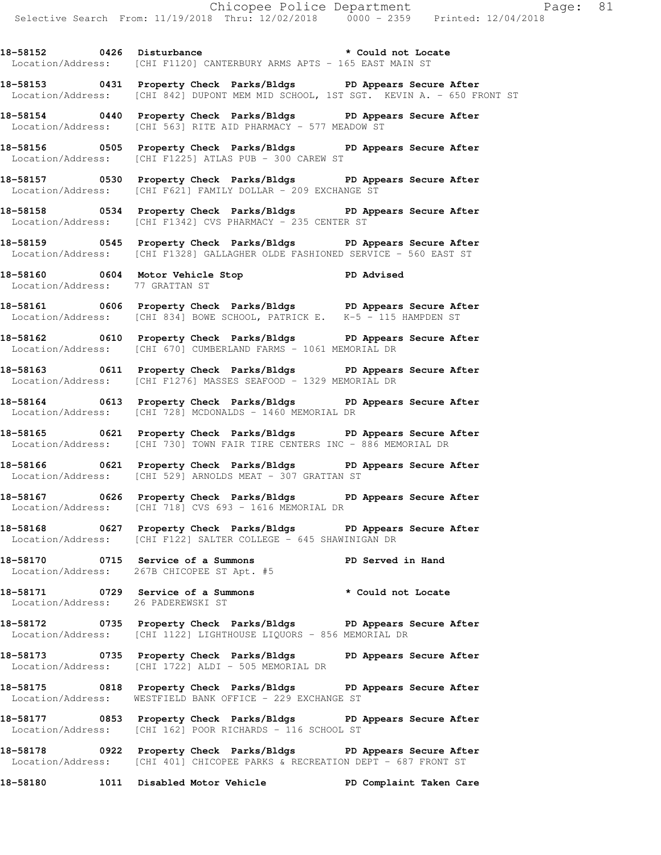18-58152 0426 Disturbance **\*** Could not Locate Location/Address: [CHI F1120] CANTERBURY ARMS APTS - 165 EAST MAIN ST

**18-58153 0431 Property Check Parks/Bldgs PD Appears Secure After**  Location/Address: [CHI 842] DUPONT MEM MID SCHOOL, 1ST SGT. KEVIN A. - 650 FRONT ST

**18-58154 0440 Property Check Parks/Bldgs PD Appears Secure After**  Location/Address: [CHI 563] RITE AID PHARMACY - 577 MEADOW ST

**18-58156 0505 Property Check Parks/Bldgs PD Appears Secure After**  Location/Address: [CHI F1225] ATLAS PUB - 300 CAREW ST

**18-58157 0530 Property Check Parks/Bldgs PD Appears Secure After**  Location/Address: [CHI F621] FAMILY DOLLAR - 209 EXCHANGE ST

**18-58158 0534 Property Check Parks/Bldgs PD Appears Secure After**  Location/Address: [CHI F1342] CVS PHARMACY - 235 CENTER ST

**18-58159 0545 Property Check Parks/Bldgs PD Appears Secure After**  Location/Address: [CHI F1328] GALLAGHER OLDE FASHIONED SERVICE - 560 EAST ST

**18-58160 0604 Motor Vehicle Stop PD Advised**  Location/Address: 77 GRATTAN ST

**18-58161 0606 Property Check Parks/Bldgs PD Appears Secure After**  Location/Address: [CHI 834] BOWE SCHOOL, PATRICK E. K-5 - 115 HAMPDEN ST

**18-58162 0610 Property Check Parks/Bldgs PD Appears Secure After**  Location/Address: [CHI 670] CUMBERLAND FARMS - 1061 MEMORIAL DR

**18-58163 0611 Property Check Parks/Bldgs PD Appears Secure After**  Location/Address: [CHI F1276] MASSES SEAFOOD - 1329 MEMORIAL DR

**18-58164 0613 Property Check Parks/Bldgs PD Appears Secure After**  Location/Address: [CHI 728] MCDONALDS - 1460 MEMORIAL DR

**18-58165 0621 Property Check Parks/Bldgs PD Appears Secure After**  Location/Address: [CHI 730] TOWN FAIR TIRE CENTERS INC - 886 MEMORIAL DR

**18-58166 0621 Property Check Parks/Bldgs PD Appears Secure After**  Location/Address: [CHI 529] ARNOLDS MEAT - 307 GRATTAN ST

**18-58167 0626 Property Check Parks/Bldgs PD Appears Secure After**  Location/Address: [CHI 718] CVS 693 - 1616 MEMORIAL DR

**18-58168 0627 Property Check Parks/Bldgs PD Appears Secure After**  Location/Address: [CHI F122] SALTER COLLEGE - 645 SHAWINIGAN DR

**18-58170 0715 Service of a Summons PD Served in Hand**  Location/Address: 267B CHICOPEE ST Apt. #5

**18-58171 0729 Service of a Summons \* Could not Locate**  Location/Address: 26 PADEREWSKI ST

**18-58172 0735 Property Check Parks/Bldgs PD Appears Secure After**  Location/Address: [CHI 1122] LIGHTHOUSE LIQUORS - 856 MEMORIAL DR

**18-58173 0735 Property Check Parks/Bldgs PD Appears Secure After**  Location/Address: [CHI 1722] ALDI - 505 MEMORIAL DR

**18-58175 0818 Property Check Parks/Bldgs PD Appears Secure After**  Location/Address: WESTFIELD BANK OFFICE - 229 EXCHANGE ST

**18-58177 0853 Property Check Parks/Bldgs PD Appears Secure After**  Location/Address: [CHI 162] POOR RICHARDS - 116 SCHOOL ST

**18-58178 0922 Property Check Parks/Bldgs PD Appears Secure After**  Location/Address: [CHI 401] CHICOPEE PARKS & RECREATION DEPT - 687 FRONT ST

**18-58180 1011 Disabled Motor Vehicle PD Complaint Taken Care**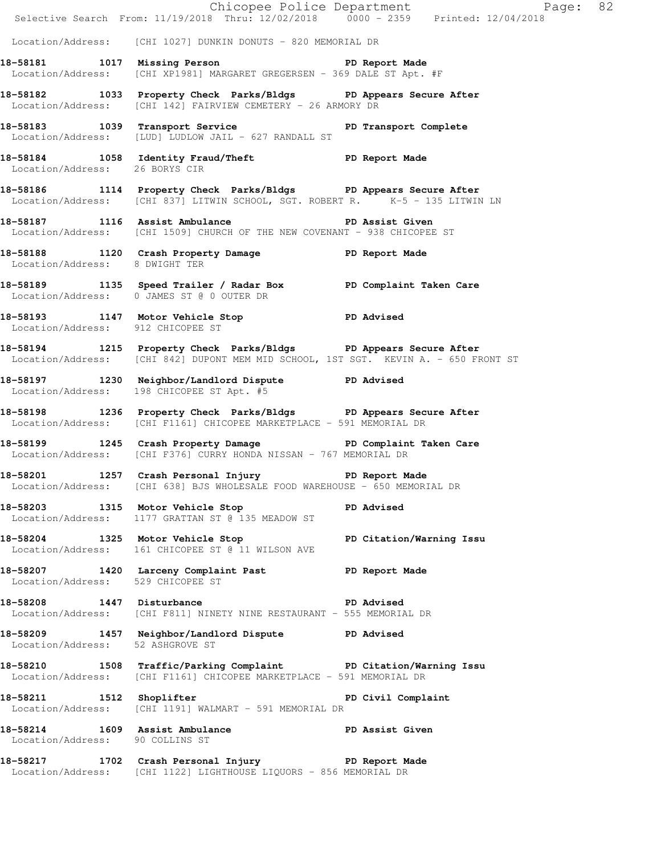|                                   |                                                                                                                                                         | Exage: 82<br>Selective Search From: 11/19/2018 Thru: 12/02/2018 0000 - 2359 Printed: 12/04/2018 |
|-----------------------------------|---------------------------------------------------------------------------------------------------------------------------------------------------------|-------------------------------------------------------------------------------------------------|
|                                   | Location/Address: [CHI 1027] DUNKIN DONUTS - 820 MEMORIAL DR                                                                                            |                                                                                                 |
|                                   | 18-58181 1017 Missing Person Neport Made<br>Location/Address: [CHI XP1981] MARGARET GREGERSEN - 369 DALE ST Apt. #F                                     |                                                                                                 |
|                                   | 18-58182 1033 Property Check Parks/Bldgs PD Appears Secure After<br>Location/Address: [CHI 142] FAIRVIEW CEMETERY - 26 ARMORY DR                        |                                                                                                 |
|                                   | 18-58183 1039 Transport Service<br>Location/Address: [LUD] LUDLOW JAIL - 627 RANDALL ST                                                                 | PD Transport Complete                                                                           |
| Location/Address: 26 BORYS CIR    | 18-58184 1058 Identity Fraud/Theft ND Report Made                                                                                                       |                                                                                                 |
|                                   | 18-58186 1114 Property Check Parks/Bldgs PD Appears Secure After<br>Location/Address: [CHI 837] LITWIN SCHOOL, SGT. ROBERT R. $K-5$ - 135 LITWIN LN     |                                                                                                 |
|                                   | 18-58187 1116 Assist Ambulance New PD Assist Given<br>Location/Address: [CHI 1509] CHURCH OF THE NEW COVENANT - 938 CHICOPEE ST                         |                                                                                                 |
| Location/Address: 8 DWIGHT TER    | 18-58188 1120 Crash Property Damage 58188 PD Report Made                                                                                                |                                                                                                 |
|                                   | 18-58189 1135 Speed Trailer / Radar Box PD Complaint Taken Care<br>Location/Address: 0 JAMES ST @ 0 OUTER DR                                            |                                                                                                 |
| Location/Address: 912 CHICOPEE ST | 18-58193 1147 Motor Vehicle Stop PD Advised                                                                                                             |                                                                                                 |
|                                   | 18-58194 1215 Property Check Parks/Bldgs PD Appears Secure After<br>Location/Address: [CHI 842] DUPONT MEM MID SCHOOL, 1ST SGT. KEVIN A. - 650 FRONT ST |                                                                                                 |
|                                   | 18-58197 1230 Neighbor/Landlord Dispute PD Advised<br>Location/Address: 198 CHICOPEE ST Apt. #5                                                         |                                                                                                 |
|                                   | 18-58198 1236 Property Check Parks/Bldgs PD Appears Secure After<br>Location/Address: [CHI F1161] CHICOPEE MARKETPLACE - 591 MEMORIAL DR                |                                                                                                 |
|                                   | 18-58199 1245 Crash Property Damage PD Complaint Taken Care<br>Location/Address: [CHI F376] CURRY HONDA NISSAN - 767 MEMORIAL DR                        |                                                                                                 |
|                                   | 18-58201 1257 Crash Personal Injury 12 PD Report Made<br>Location/Address: [CHI 638] BJS WHOLESALE FOOD WAREHOUSE - 650 MEMORIAL DR                     |                                                                                                 |
|                                   | 18-58203 1315 Motor Vehicle Stop North PD Advised<br>Location/Address: 1177 GRATTAN ST @ 135 MEADOW ST                                                  |                                                                                                 |
|                                   | 18-58204 1325 Motor Vehicle Stop PD Citation/Warning Issu<br>Location/Address: 161 CHICOPEE ST @ 11 WILSON AVE                                          |                                                                                                 |
| Location/Address: 529 CHICOPEE ST | 18-58207 1420 Larceny Complaint Past PD Report Made                                                                                                     |                                                                                                 |
|                                   | 18-58208 1447 Disturbance 2008 PD Advised<br>Location/Address: [CHI F811] NINETY NINE RESTAURANT - 555 MEMORIAL DR                                      |                                                                                                 |
| Location/Address: 52 ASHGROVE ST  | 18-58209 1457 Neighbor/Landlord Dispute PD Advised                                                                                                      |                                                                                                 |
|                                   | 18-58210 1508 Traffic/Parking Complaint PD Citation/Warning Issu<br>Location/Address: [CHI F1161] CHICOPEE MARKETPLACE - 591 MEMORIAL DR                |                                                                                                 |
|                                   | 18-58211 1512 Shoplifter PD Civil Complaint<br>Location/Address: [CHI 1191] WALMART - 591 MEMORIAL DR                                                   |                                                                                                 |
| Location/Address: 90 COLLINS ST   | 18-58214 1609 Assist Ambulance New PD Assist Given                                                                                                      |                                                                                                 |
|                                   | 18-58217 1702 Crash Personal Injury 10 PD Report Made<br>Location/Address: [CHI 1122] LIGHTHOUSE LIQUORS - 856 MEMORIAL DR                              |                                                                                                 |